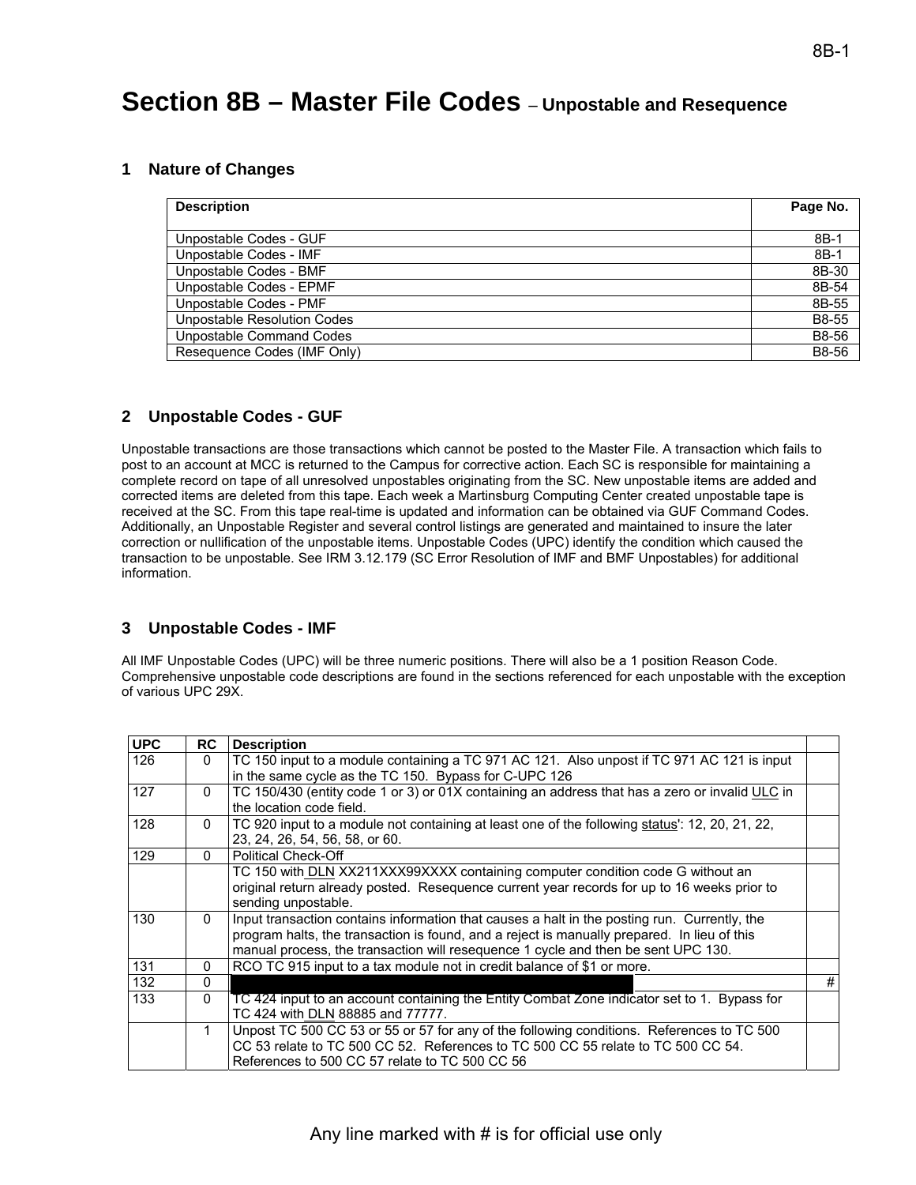# **Section 8B – Master File Codes** – **Unpostable and Resequence**

#### **1 Nature of Changes**

| <b>Description</b>                 | Page No. |
|------------------------------------|----------|
|                                    |          |
| Unpostable Codes - GUF             | $8B-1$   |
| Unpostable Codes - IMF             | $8B-1$   |
| Unpostable Codes - BMF             | 8B-30    |
| Unpostable Codes - EPMF            | 8B-54    |
| Unpostable Codes - PMF             | 8B-55    |
| <b>Unpostable Resolution Codes</b> | B8-55    |
| Unpostable Command Codes           | B8-56    |
| Resequence Codes (IMF Only)        | B8-56    |

#### **2 Unpostable Codes - GUF**

Unpostable transactions are those transactions which cannot be posted to the Master File. A transaction which fails to post to an account at MCC is returned to the Campus for corrective action. Each SC is responsible for maintaining a complete record on tape of all unresolved unpostables originating from the SC. New unpostable items are added and corrected items are deleted from this tape. Each week a Martinsburg Computing Center created unpostable tape is received at the SC. From this tape real-time is updated and information can be obtained via GUF Command Codes. Additionally, an Unpostable Register and several control listings are generated and maintained to insure the later correction or nullification of the unpostable items. Unpostable Codes (UPC) identify the condition which caused the transaction to be unpostable. See IRM 3.12.179 (SC Error Resolution of IMF and BMF Unpostables) for additional information.

#### **3 Unpostable Codes - IMF**

All IMF Unpostable Codes (UPC) will be three numeric positions. There will also be a 1 position Reason Code. Comprehensive unpostable code descriptions are found in the sections referenced for each unpostable with the exception of various UPC 29X.

| <b>UPC</b> | RC       | <b>Description</b>                                                                                                                                                                                                                                                               |   |
|------------|----------|----------------------------------------------------------------------------------------------------------------------------------------------------------------------------------------------------------------------------------------------------------------------------------|---|
| 126        | $\Omega$ | TC 150 input to a module containing a TC 971 AC 121. Also unpost if TC 971 AC 121 is input<br>in the same cycle as the TC 150. Bypass for C-UPC 126                                                                                                                              |   |
| 127        | $\Omega$ | TC 150/430 (entity code 1 or 3) or 01X containing an address that has a zero or invalid ULC in<br>the location code field.                                                                                                                                                       |   |
| 128        | $\Omega$ | TC 920 input to a module not containing at least one of the following status': 12, 20, 21, 22,<br>23, 24, 26, 54, 56, 58, or 60.                                                                                                                                                 |   |
| 129        | 0        | <b>Political Check-Off</b>                                                                                                                                                                                                                                                       |   |
|            |          | TC 150 with DLN XX211XXX99XXXX containing computer condition code G without an<br>original return already posted. Resequence current year records for up to 16 weeks prior to<br>sending unpostable.                                                                             |   |
| 130        | $\Omega$ | Input transaction contains information that causes a halt in the posting run. Currently, the<br>program halts, the transaction is found, and a reject is manually prepared. In lieu of this<br>manual process, the transaction will resequence 1 cycle and then be sent UPC 130. |   |
| 131        | 0        | RCO TC 915 input to a tax module not in credit balance of \$1 or more.                                                                                                                                                                                                           |   |
| 132        | O        |                                                                                                                                                                                                                                                                                  | # |
| 133        | 0        | TC 424 input to an account containing the Entity Combat Zone indicator set to 1. Bypass for<br>TC 424 with DLN 88885 and 77777.                                                                                                                                                  |   |
|            | 1        | Unpost TC 500 CC 53 or 55 or 57 for any of the following conditions. References to TC 500<br>CC 53 relate to TC 500 CC 52. References to TC 500 CC 55 relate to TC 500 CC 54.<br>References to 500 CC 57 relate to TC 500 CC 56                                                  |   |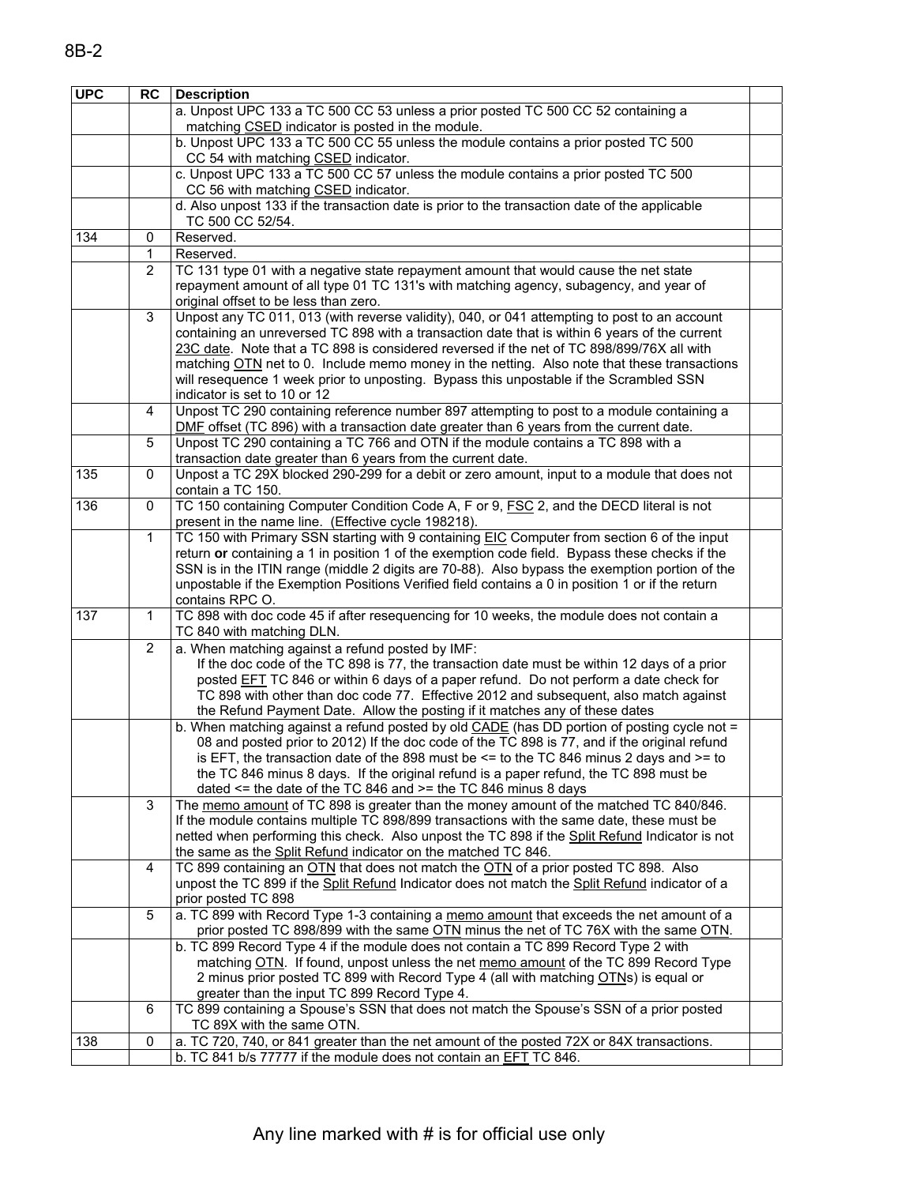| <b>UPC</b> | <b>RC</b>      | <b>Description</b>                                                                                                                                             |  |
|------------|----------------|----------------------------------------------------------------------------------------------------------------------------------------------------------------|--|
|            |                | a. Unpost UPC 133 a TC 500 CC 53 unless a prior posted TC 500 CC 52 containing a                                                                               |  |
|            |                | matching CSED indicator is posted in the module.                                                                                                               |  |
|            |                | b. Unpost UPC 133 a TC 500 CC 55 unless the module contains a prior posted TC 500                                                                              |  |
|            |                | CC 54 with matching CSED indicator.                                                                                                                            |  |
|            |                | c. Unpost UPC 133 a TC 500 CC 57 unless the module contains a prior posted TC 500                                                                              |  |
|            |                | CC 56 with matching CSED indicator.                                                                                                                            |  |
|            |                | d. Also unpost 133 if the transaction date is prior to the transaction date of the applicable                                                                  |  |
|            |                | TC 500 CC 52/54.                                                                                                                                               |  |
| 134        | 0<br>1         | Reserved.<br>Reserved.                                                                                                                                         |  |
|            | $\overline{2}$ | TC 131 type 01 with a negative state repayment amount that would cause the net state                                                                           |  |
|            |                | repayment amount of all type 01 TC 131's with matching agency, subagency, and year of                                                                          |  |
|            |                | original offset to be less than zero.                                                                                                                          |  |
|            | 3              | Unpost any TC 011, 013 (with reverse validity), 040, or 041 attempting to post to an account                                                                   |  |
|            |                | containing an unreversed TC 898 with a transaction date that is within 6 years of the current                                                                  |  |
|            |                | 23C date. Note that a TC 898 is considered reversed if the net of TC 898/899/76X all with                                                                      |  |
|            |                | matching OTN net to 0. Include memo money in the netting. Also note that these transactions                                                                    |  |
|            |                | will resequence 1 week prior to unposting. Bypass this unpostable if the Scrambled SSN                                                                         |  |
|            |                | indicator is set to 10 or 12                                                                                                                                   |  |
|            | 4              | Unpost TC 290 containing reference number 897 attempting to post to a module containing a                                                                      |  |
|            |                | DMF offset (TC 896) with a transaction date greater than 6 years from the current date.                                                                        |  |
|            | 5              | Unpost TC 290 containing a TC 766 and OTN if the module contains a TC 898 with a                                                                               |  |
|            |                | transaction date greater than 6 years from the current date.                                                                                                   |  |
| 135        | $\mathbf 0$    | Unpost a TC 29X blocked 290-299 for a debit or zero amount, input to a module that does not<br>contain a TC 150.                                               |  |
| 136        | 0              | TC 150 containing Computer Condition Code A, F or 9, FSC 2, and the DECD literal is not                                                                        |  |
|            |                | present in the name line. (Effective cycle 198218).                                                                                                            |  |
|            | $\mathbf{1}$   | TC 150 with Primary SSN starting with 9 containing EIC Computer from section 6 of the input                                                                    |  |
|            |                | return or containing a 1 in position 1 of the exemption code field. Bypass these checks if the                                                                 |  |
|            |                | SSN is in the ITIN range (middle 2 digits are 70-88). Also bypass the exemption portion of the                                                                 |  |
|            |                | unpostable if the Exemption Positions Verified field contains a 0 in position 1 or if the return                                                               |  |
|            |                | contains RPC O.                                                                                                                                                |  |
| 137        | 1              | TC 898 with doc code 45 if after resequencing for 10 weeks, the module does not contain a                                                                      |  |
|            |                | TC 840 with matching DLN.                                                                                                                                      |  |
|            | $\overline{2}$ | a. When matching against a refund posted by IMF:<br>If the doc code of the TC 898 is 77, the transaction date must be within 12 days of a prior                |  |
|            |                | posted <b>EFT</b> TC 846 or within 6 days of a paper refund. Do not perform a date check for                                                                   |  |
|            |                | TC 898 with other than doc code 77. Effective 2012 and subsequent, also match against                                                                          |  |
|            |                | the Refund Payment Date. Allow the posting if it matches any of these dates                                                                                    |  |
|            |                | b. When matching against a refund posted by old CADE (has DD portion of posting cycle not =                                                                    |  |
|            |                | 08 and posted prior to 2012) If the doc code of the TC 898 is 77, and if the original refund                                                                   |  |
|            |                | is EFT, the transaction date of the 898 must be $\leq$ to the TC 846 minus 2 days and $\geq$ to                                                                |  |
|            |                | the TC 846 minus 8 days. If the original refund is a paper refund, the TC 898 must be                                                                          |  |
|            |                | dated $\le$ the date of the TC 846 and $\ge$ = the TC 846 minus 8 days                                                                                         |  |
|            | 3              | The memo amount of TC 898 is greater than the money amount of the matched TC 840/846.                                                                          |  |
|            |                | If the module contains multiple TC 898/899 transactions with the same date, these must be                                                                      |  |
|            |                | netted when performing this check. Also unpost the TC 898 if the Split Refund Indicator is not                                                                 |  |
|            | 4              | the same as the Split Refund indicator on the matched TC 846.<br>TC 899 containing an OTN that does not match the OTN of a prior posted TC 898. Also           |  |
|            |                | unpost the TC 899 if the Split Refund Indicator does not match the Split Refund indicator of a                                                                 |  |
|            |                | prior posted TC 898                                                                                                                                            |  |
|            | 5              | a. TC 899 with Record Type 1-3 containing a memo amount that exceeds the net amount of a                                                                       |  |
|            |                | prior posted TC 898/899 with the same OTN minus the net of TC 76X with the same OTN.                                                                           |  |
|            |                | b. TC 899 Record Type 4 if the module does not contain a TC 899 Record Type 2 with                                                                             |  |
|            |                | matching OTN. If found, unpost unless the net memo amount of the TC 899 Record Type                                                                            |  |
|            |                | 2 minus prior posted TC 899 with Record Type 4 (all with matching OTNs) is equal or                                                                            |  |
|            |                | greater than the input TC 899 Record Type 4.                                                                                                                   |  |
|            | 6              | TC 899 containing a Spouse's SSN that does not match the Spouse's SSN of a prior posted                                                                        |  |
| 138        | $\pmb{0}$      | TC 89X with the same OTN.                                                                                                                                      |  |
|            |                | a. TC 720, 740, or 841 greater than the net amount of the posted 72X or 84X transactions.<br>b. TC 841 b/s 77777 if the module does not contain an EFT TC 846. |  |
|            |                |                                                                                                                                                                |  |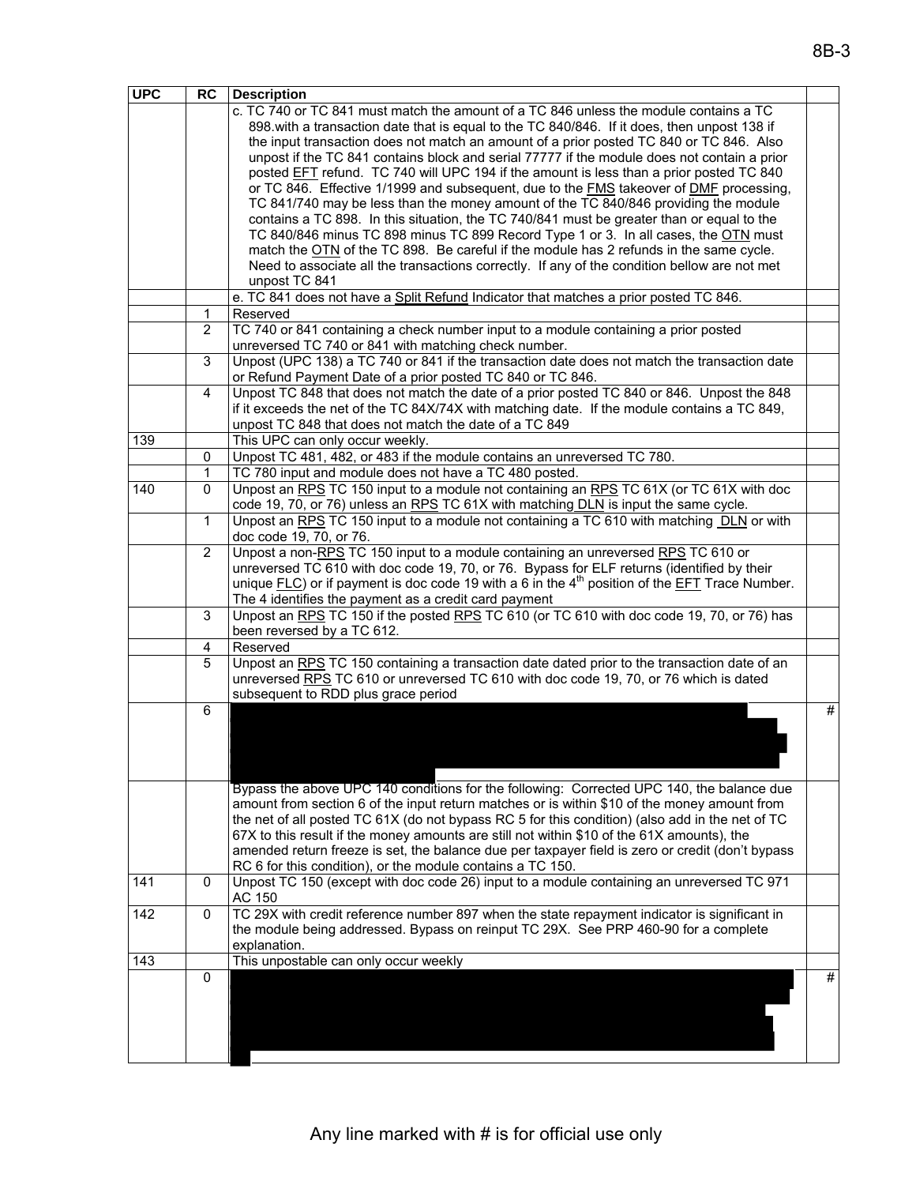| <b>UPC</b> | <b>RC</b>           | <b>Description</b>                                                                                                                                             |   |
|------------|---------------------|----------------------------------------------------------------------------------------------------------------------------------------------------------------|---|
|            |                     | c. TC 740 or TC 841 must match the amount of a TC 846 unless the module contains a TC                                                                          |   |
|            |                     | 898. with a transaction date that is equal to the TC 840/846. If it does, then unpost 138 if                                                                   |   |
|            |                     | the input transaction does not match an amount of a prior posted TC 840 or TC 846. Also                                                                        |   |
|            |                     | unpost if the TC 841 contains block and serial 77777 if the module does not contain a prior                                                                    |   |
|            |                     | posted EFT refund. TC 740 will UPC 194 if the amount is less than a prior posted TC 840                                                                        |   |
|            |                     | or TC 846. Effective 1/1999 and subsequent, due to the FMS takeover of DMF processing,                                                                         |   |
|            |                     | TC 841/740 may be less than the money amount of the TC 840/846 providing the module                                                                            |   |
|            |                     | contains a TC 898. In this situation, the TC 740/841 must be greater than or equal to the                                                                      |   |
|            |                     | TC 840/846 minus TC 898 minus TC 899 Record Type 1 or 3. In all cases, the OTN must                                                                            |   |
|            |                     | match the OTN of the TC 898. Be careful if the module has 2 refunds in the same cycle.                                                                         |   |
|            |                     | Need to associate all the transactions correctly. If any of the condition bellow are not met                                                                   |   |
|            |                     | unpost TC 841                                                                                                                                                  |   |
|            |                     | e. TC 841 does not have a Split Refund Indicator that matches a prior posted TC 846.                                                                           |   |
|            | 1<br>$\overline{2}$ | Reserved<br>TC 740 or 841 containing a check number input to a module containing a prior posted                                                                |   |
|            |                     | unreversed TC 740 or 841 with matching check number.                                                                                                           |   |
|            | $\overline{3}$      | Unpost (UPC 138) a TC 740 or 841 if the transaction date does not match the transaction date                                                                   |   |
|            |                     | or Refund Payment Date of a prior posted TC 840 or TC 846.                                                                                                     |   |
|            | 4                   | Unpost TC 848 that does not match the date of a prior posted TC 840 or 846. Unpost the 848                                                                     |   |
|            |                     | if it exceeds the net of the TC 84X/74X with matching date. If the module contains a TC 849,                                                                   |   |
|            |                     | unpost TC 848 that does not match the date of a TC 849                                                                                                         |   |
| 139        |                     | This UPC can only occur weekly.                                                                                                                                |   |
|            | 0                   | Unpost TC 481, 482, or 483 if the module contains an unreversed TC 780.                                                                                        |   |
|            | 1                   | TC 780 input and module does not have a TC 480 posted.                                                                                                         |   |
| 140        | 0                   | Unpost an RPS TC 150 input to a module not containing an RPS TC 61X (or TC 61X with doc                                                                        |   |
|            |                     | code 19, 70, or 76) unless an RPS TC 61X with matching DLN is input the same cycle.                                                                            |   |
|            | 1                   | Unpost an RPS TC 150 input to a module not containing a TC 610 with matching DLN or with                                                                       |   |
|            |                     | doc code 19, 70, or 76.                                                                                                                                        |   |
|            | $\overline{2}$      | Unpost a non-RPS TC 150 input to a module containing an unreversed RPS TC 610 or                                                                               |   |
|            |                     | unreversed TC 610 with doc code 19, 70, or 76. Bypass for ELF returns (identified by their                                                                     |   |
|            |                     | unique $F(\underline{LC})$ or if payment is doc code 19 with a 6 in the 4 <sup>th</sup> position of the $EFT$ Trace Number.                                    |   |
|            |                     | The 4 identifies the payment as a credit card payment<br>Unpost an RPS TC 150 if the posted RPS TC 610 (or TC 610 with doc code 19, 70, or 76) has             |   |
|            | 3                   | been reversed by a TC 612.                                                                                                                                     |   |
|            | 4                   | Reserved                                                                                                                                                       |   |
|            | 5                   | Unpost an RPS TC 150 containing a transaction date dated prior to the transaction date of an                                                                   |   |
|            |                     | unreversed RPS TC 610 or unreversed TC 610 with doc code 19, 70, or 76 which is dated                                                                          |   |
|            |                     | subsequent to RDD plus grace period                                                                                                                            |   |
|            | 6                   |                                                                                                                                                                | # |
|            |                     |                                                                                                                                                                |   |
|            |                     |                                                                                                                                                                |   |
|            |                     |                                                                                                                                                                |   |
|            |                     |                                                                                                                                                                |   |
|            |                     | Bypass the above UPC 140 conditions for the following: Corrected UPC 140, the balance due                                                                      |   |
|            |                     | amount from section 6 of the input return matches or is within \$10 of the money amount from                                                                   |   |
|            |                     | the net of all posted TC 61X (do not bypass RC 5 for this condition) (also add in the net of TC                                                                |   |
|            |                     | 67X to this result if the money amounts are still not within \$10 of the 61X amounts), the                                                                     |   |
|            |                     | amended return freeze is set, the balance due per taxpayer field is zero or credit (don't bypass<br>RC 6 for this condition), or the module contains a TC 150. |   |
| 141        | $\mathbf 0$         | Unpost TC 150 (except with doc code 26) input to a module containing an unreversed TC 971                                                                      |   |
|            |                     | AC 150                                                                                                                                                         |   |
| 142        | 0                   | TC 29X with credit reference number 897 when the state repayment indicator is significant in                                                                   |   |
|            |                     | the module being addressed. Bypass on reinput TC 29X. See PRP 460-90 for a complete                                                                            |   |
|            |                     | explanation.                                                                                                                                                   |   |
| 143        |                     | This unpostable can only occur weekly                                                                                                                          |   |
|            | $\mathbf 0$         |                                                                                                                                                                | # |
|            |                     |                                                                                                                                                                |   |
|            |                     |                                                                                                                                                                |   |
|            |                     |                                                                                                                                                                |   |
|            |                     |                                                                                                                                                                |   |
|            |                     |                                                                                                                                                                |   |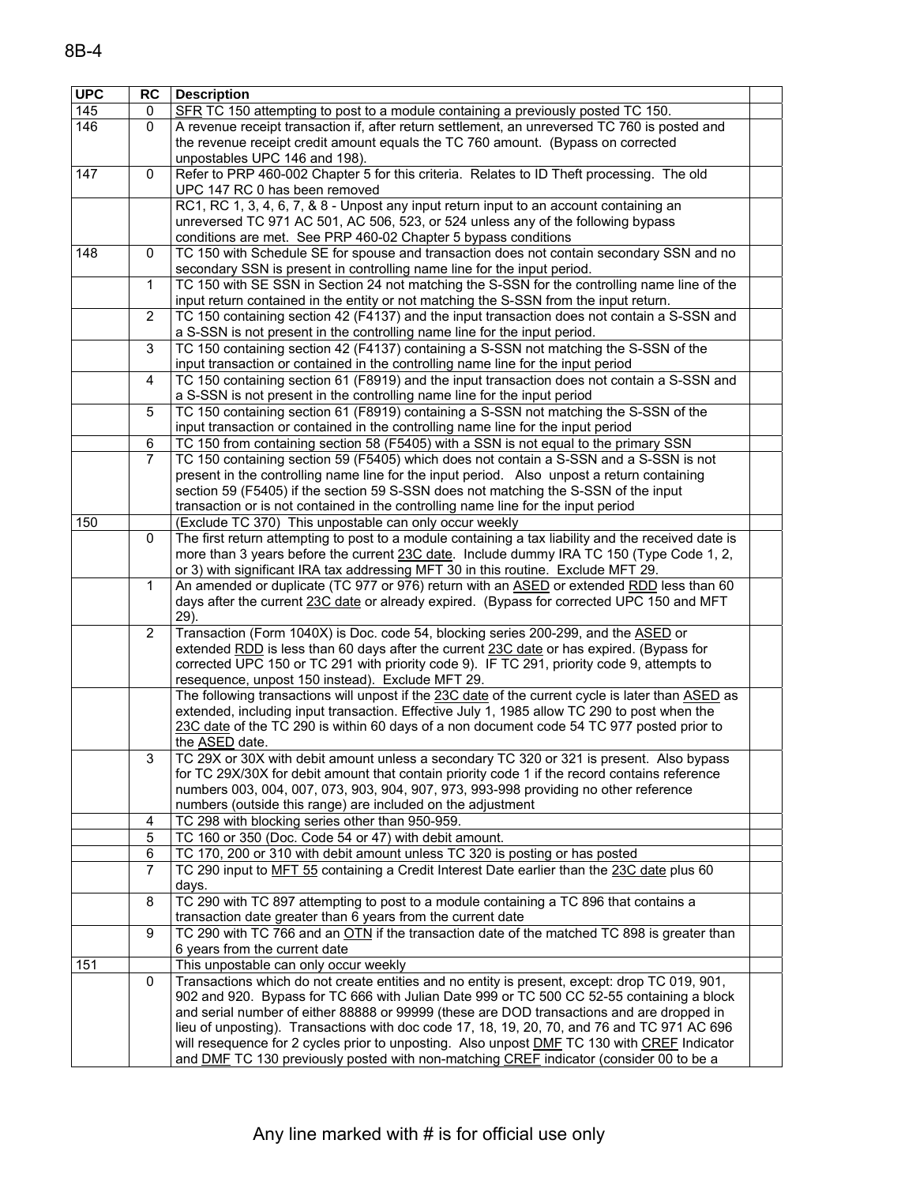| 8B-4 |  |  |
|------|--|--|
|      |  |  |

| <b>UPC</b> | RC             | <b>Description</b>                                                                                                                          |  |
|------------|----------------|---------------------------------------------------------------------------------------------------------------------------------------------|--|
| 145        | 0              | SFR TC 150 attempting to post to a module containing a previously posted TC 150.                                                            |  |
| 146        | 0              | A revenue receipt transaction if, after return settlement, an unreversed TC 760 is posted and                                               |  |
|            |                | the revenue receipt credit amount equals the TC 760 amount. (Bypass on corrected                                                            |  |
|            |                | unpostables UPC 146 and 198).                                                                                                               |  |
| 147        | 0              | Refer to PRP 460-002 Chapter 5 for this criteria. Relates to ID Theft processing. The old                                                   |  |
|            |                | UPC 147 RC 0 has been removed                                                                                                               |  |
|            |                | RC1, RC 1, 3, 4, 6, 7, & 8 - Unpost any input return input to an account containing an                                                      |  |
|            |                | unreversed TC 971 AC 501, AC 506, 523, or 524 unless any of the following bypass                                                            |  |
|            |                | conditions are met. See PRP 460-02 Chapter 5 bypass conditions                                                                              |  |
| 148        | $\mathbf 0$    | TC 150 with Schedule SE for spouse and transaction does not contain secondary SSN and no                                                    |  |
|            |                | secondary SSN is present in controlling name line for the input period.                                                                     |  |
|            | $\mathbf{1}$   | TC 150 with SE SSN in Section 24 not matching the S-SSN for the controlling name line of the                                                |  |
|            |                | input return contained in the entity or not matching the S-SSN from the input return.                                                       |  |
|            | 2              | TC 150 containing section 42 (F4137) and the input transaction does not contain a S-SSN and                                                 |  |
|            |                | a S-SSN is not present in the controlling name line for the input period.                                                                   |  |
|            | 3              | TC 150 containing section 42 (F4137) containing a S-SSN not matching the S-SSN of the                                                       |  |
|            |                | input transaction or contained in the controlling name line for the input period                                                            |  |
|            | $\overline{4}$ | TC 150 containing section 61 (F8919) and the input transaction does not contain a S-SSN and                                                 |  |
|            |                | a S-SSN is not present in the controlling name line for the input period                                                                    |  |
|            | 5              | TC 150 containing section 61 (F8919) containing a S-SSN not matching the S-SSN of the                                                       |  |
|            |                | input transaction or contained in the controlling name line for the input period                                                            |  |
|            | 6              | TC 150 from containing section 58 (F5405) with a SSN is not equal to the primary SSN                                                        |  |
|            | $\overline{7}$ | TC 150 containing section 59 (F5405) which does not contain a S-SSN and a S-SSN is not                                                      |  |
|            |                | present in the controlling name line for the input period. Also unpost a return containing                                                  |  |
|            |                | section 59 (F5405) if the section 59 S-SSN does not matching the S-SSN of the input                                                         |  |
| 150        |                | transaction or is not contained in the controlling name line for the input period<br>(Exclude TC 370) This unpostable can only occur weekly |  |
|            | 0              | The first return attempting to post to a module containing a tax liability and the received date is                                         |  |
|            |                | more than 3 years before the current 23C date. Include dummy IRA TC 150 (Type Code 1, 2,                                                    |  |
|            |                | or 3) with significant IRA tax addressing MFT 30 in this routine. Exclude MFT 29.                                                           |  |
|            | 1              | An amended or duplicate (TC 977 or 976) return with an ASED or extended RDD less than 60                                                    |  |
|            |                | days after the current 23C date or already expired. (Bypass for corrected UPC 150 and MFT                                                   |  |
|            |                | 29).                                                                                                                                        |  |
|            | $\overline{2}$ | Transaction (Form 1040X) is Doc. code 54, blocking series 200-299, and the <b>ASED</b> or                                                   |  |
|            |                | extended RDD is less than 60 days after the current 23C date or has expired. (Bypass for                                                    |  |
|            |                | corrected UPC 150 or TC 291 with priority code 9). IF TC 291, priority code 9, attempts to                                                  |  |
|            |                | resequence, unpost 150 instead). Exclude MFT 29.                                                                                            |  |
|            |                | The following transactions will unpost if the 23C date of the current cycle is later than ASED as                                           |  |
|            |                | extended, including input transaction. Effective July 1, 1985 allow TC 290 to post when the                                                 |  |
|            |                | 23C date of the TC 290 is within 60 days of a non document code 54 TC 977 posted prior to                                                   |  |
|            |                | the <u>ASED</u> date.                                                                                                                       |  |
|            | 3              | TC 29X or 30X with debit amount unless a secondary TC 320 or 321 is present. Also bypass                                                    |  |
|            |                | for TC 29X/30X for debit amount that contain priority code 1 if the record contains reference                                               |  |
|            |                | numbers 003, 004, 007, 073, 903, 904, 907, 973, 993-998 providing no other reference                                                        |  |
|            |                | numbers (outside this range) are included on the adjustment                                                                                 |  |
|            | 4              | TC 298 with blocking series other than 950-959.                                                                                             |  |
|            | 5              | TC 160 or 350 (Doc. Code 54 or 47) with debit amount.                                                                                       |  |
|            | 6              | TC 170, 200 or 310 with debit amount unless TC 320 is posting or has posted                                                                 |  |
|            | 7              | TC 290 input to MFT 55 containing a Credit Interest Date earlier than the 23C date plus 60                                                  |  |
|            |                | days.                                                                                                                                       |  |
|            | 8              | TC 290 with TC 897 attempting to post to a module containing a TC 896 that contains a                                                       |  |
|            |                | transaction date greater than 6 years from the current date                                                                                 |  |
|            | 9              | TC 290 with TC 766 and an OTN if the transaction date of the matched TC 898 is greater than<br>6 years from the current date                |  |
| 151        |                | This unpostable can only occur weekly                                                                                                       |  |
|            | $\mathbf 0$    | Transactions which do not create entities and no entity is present, except: drop TC 019, 901,                                               |  |
|            |                | 902 and 920. Bypass for TC 666 with Julian Date 999 or TC 500 CC 52-55 containing a block                                                   |  |
|            |                | and serial number of either 88888 or 99999 (these are DOD transactions and are dropped in                                                   |  |
|            |                | lieu of unposting). Transactions with doc code 17, 18, 19, 20, 70, and 76 and TC 971 AC 696                                                 |  |
|            |                | will resequence for 2 cycles prior to unposting. Also unpost <b>DMF TC 130 with CREF</b> Indicator                                          |  |
|            |                | and DMF TC 130 previously posted with non-matching CREF indicator (consider 00 to be a                                                      |  |
|            |                |                                                                                                                                             |  |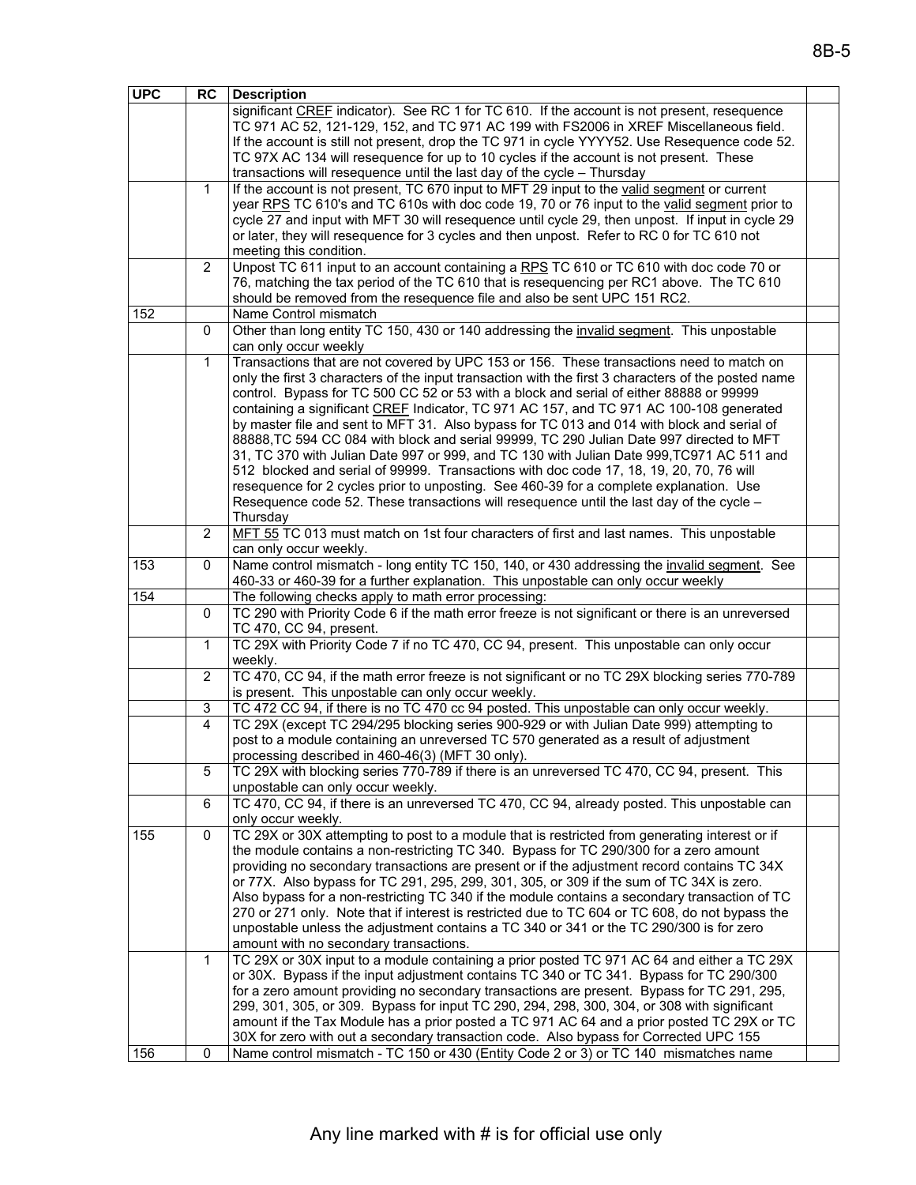| <b>UPC</b> | <b>RC</b>      | <b>Description</b>                                                                                  |  |
|------------|----------------|-----------------------------------------------------------------------------------------------------|--|
|            |                | significant CREF indicator). See RC 1 for TC 610. If the account is not present, resequence         |  |
|            |                | TC 971 AC 52, 121-129, 152, and TC 971 AC 199 with FS2006 in XREF Miscellaneous field.              |  |
|            |                | If the account is still not present, drop the TC 971 in cycle YYYY52. Use Resequence code 52.       |  |
|            |                | TC 97X AC 134 will resequence for up to 10 cycles if the account is not present. These              |  |
|            |                | transactions will resequence until the last day of the cycle - Thursday                             |  |
|            | 1              | If the account is not present, TC 670 input to MFT 29 input to the valid segment or current         |  |
|            |                | year RPS TC 610's and TC 610s with doc code 19, 70 or 76 input to the valid segment prior to        |  |
|            |                | cycle 27 and input with MFT 30 will resequence until cycle 29, then unpost. If input in cycle 29    |  |
|            |                | or later, they will resequence for 3 cycles and then unpost. Refer to RC 0 for TC 610 not           |  |
|            |                | meeting this condition.                                                                             |  |
|            | $\overline{2}$ | Unpost TC 611 input to an account containing a RPS TC 610 or TC 610 with doc code 70 or             |  |
|            |                | 76, matching the tax period of the TC 610 that is resequencing per RC1 above. The TC 610            |  |
|            |                | should be removed from the resequence file and also be sent UPC 151 RC2.                            |  |
| 152        |                | Name Control mismatch                                                                               |  |
|            | 0              | Other than long entity TC 150, 430 or 140 addressing the invalid segment. This unpostable           |  |
|            |                | can only occur weekly                                                                               |  |
|            | 1              | Transactions that are not covered by UPC 153 or 156. These transactions need to match on            |  |
|            |                | only the first 3 characters of the input transaction with the first 3 characters of the posted name |  |
|            |                | control. Bypass for TC 500 CC 52 or 53 with a block and serial of either 88888 or 99999             |  |
|            |                | containing a significant CREF Indicator, TC 971 AC 157, and TC 971 AC 100-108 generated             |  |
|            |                | by master file and sent to MFT 31. Also bypass for TC 013 and 014 with block and serial of          |  |
|            |                | 88888, TC 594 CC 084 with block and serial 99999, TC 290 Julian Date 997 directed to MFT            |  |
|            |                | 31, TC 370 with Julian Date 997 or 999, and TC 130 with Julian Date 999, TC971 AC 511 and           |  |
|            |                | 512 blocked and serial of 99999. Transactions with doc code 17, 18, 19, 20, 70, 76 will             |  |
|            |                | resequence for 2 cycles prior to unposting. See 460-39 for a complete explanation. Use              |  |
|            |                | Resequence code 52. These transactions will resequence until the last day of the cycle -            |  |
|            |                | Thursday                                                                                            |  |
|            | $\overline{2}$ | MFT 55 TC 013 must match on 1st four characters of first and last names. This unpostable            |  |
|            |                | can only occur weekly.                                                                              |  |
| 153        | 0              | Name control mismatch - long entity TC 150, 140, or 430 addressing the invalid segment. See         |  |
|            |                | 460-33 or 460-39 for a further explanation. This unpostable can only occur weekly                   |  |
| 154        |                | The following checks apply to math error processing:                                                |  |
|            | $\mathbf 0$    | TC 290 with Priority Code 6 if the math error freeze is not significant or there is an unreversed   |  |
|            |                | TC 470, CC 94, present.                                                                             |  |
|            | 1              | TC 29X with Priority Code 7 if no TC 470, CC 94, present. This unpostable can only occur            |  |
|            |                | weekly.                                                                                             |  |
|            | $\overline{2}$ | TC 470, CC 94, if the math error freeze is not significant or no TC 29X blocking series 770-789     |  |
|            |                | is present. This unpostable can only occur weekly.                                                  |  |
|            | 3              | TC 472 CC 94, if there is no TC 470 cc 94 posted. This unpostable can only occur weekly.            |  |
|            | 4              | TC 29X (except TC 294/295 blocking series 900-929 or with Julian Date 999) attempting to            |  |
|            |                | post to a module containing an unreversed TC 570 generated as a result of adjustment                |  |
|            |                | processing described in 460-46(3) (MFT 30 only).                                                    |  |
|            | 5              | TC 29X with blocking series 770-789 if there is an unreversed TC 470, CC 94, present. This          |  |
|            |                | unpostable can only occur weekly.                                                                   |  |
|            | 6              | TC 470, CC 94, if there is an unreversed TC 470, CC 94, already posted. This unpostable can         |  |
|            |                | only occur weekly.                                                                                  |  |
| 155        | $\mathbf 0$    | TC 29X or 30X attempting to post to a module that is restricted from generating interest or if      |  |
|            |                | the module contains a non-restricting TC 340. Bypass for TC 290/300 for a zero amount               |  |
|            |                | providing no secondary transactions are present or if the adjustment record contains TC 34X         |  |
|            |                | or 77X. Also bypass for TC 291, 295, 299, 301, 305, or 309 if the sum of TC 34X is zero.            |  |
|            |                | Also bypass for a non-restricting TC 340 if the module contains a secondary transaction of TC       |  |
|            |                | 270 or 271 only. Note that if interest is restricted due to TC 604 or TC 608, do not bypass the     |  |
|            |                | unpostable unless the adjustment contains a TC 340 or 341 or the TC 290/300 is for zero             |  |
|            |                | amount with no secondary transactions.                                                              |  |
|            | 1              | TC 29X or 30X input to a module containing a prior posted TC 971 AC 64 and either a TC 29X          |  |
|            |                | or 30X. Bypass if the input adjustment contains TC 340 or TC 341. Bypass for TC 290/300             |  |
|            |                | for a zero amount providing no secondary transactions are present. Bypass for TC 291, 295,          |  |
|            |                | 299, 301, 305, or 309. Bypass for input TC 290, 294, 298, 300, 304, or 308 with significant         |  |
|            |                | amount if the Tax Module has a prior posted a TC 971 AC 64 and a prior posted TC 29X or TC          |  |
|            |                | 30X for zero with out a secondary transaction code. Also bypass for Corrected UPC 155               |  |
| 156        | 0              | Name control mismatch - TC 150 or 430 (Entity Code 2 or 3) or TC 140 mismatches name                |  |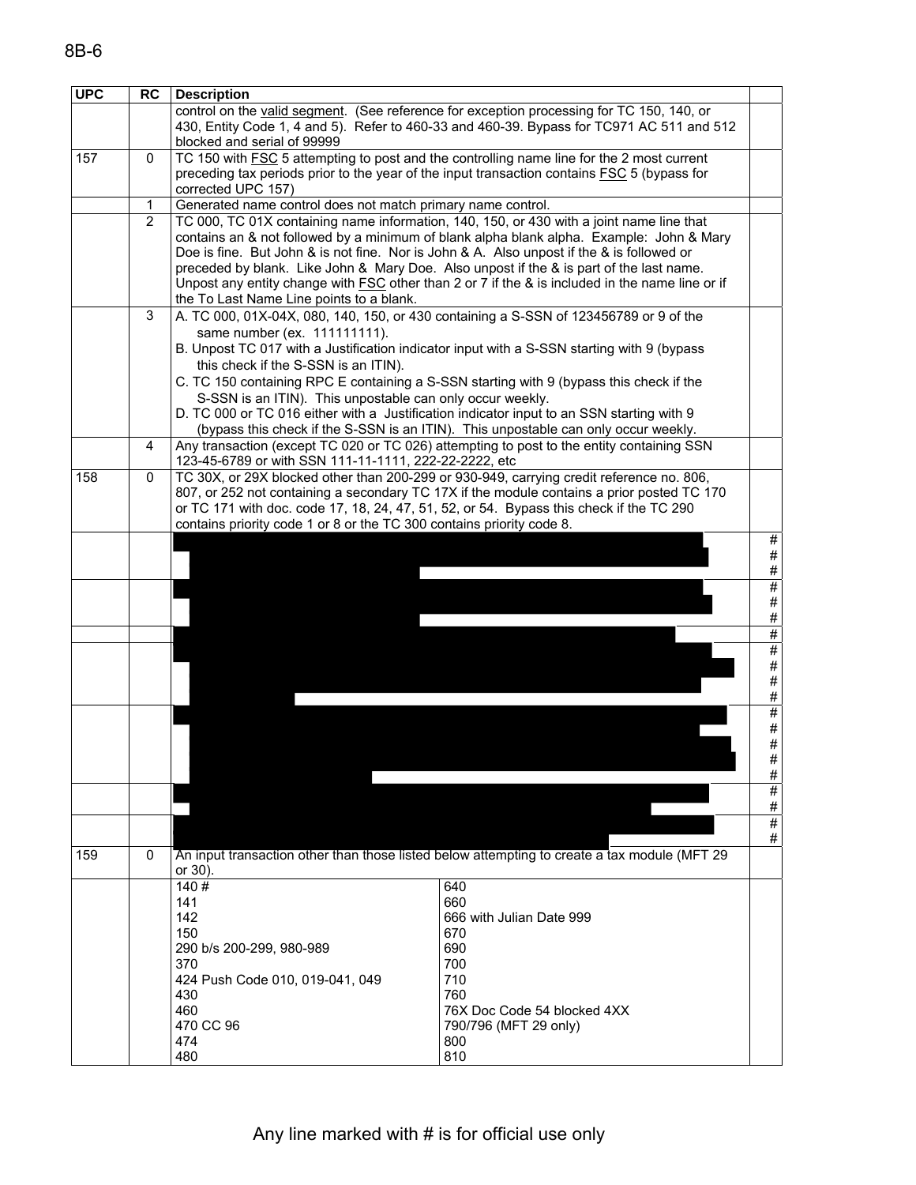| <b>UPC</b> |                |                                                                                                |                                                                                                        |      |  |
|------------|----------------|------------------------------------------------------------------------------------------------|--------------------------------------------------------------------------------------------------------|------|--|
|            | <b>RC</b>      | <b>Description</b>                                                                             |                                                                                                        |      |  |
|            |                |                                                                                                | control on the valid segment. (See reference for exception processing for TC 150, 140, or              |      |  |
|            |                |                                                                                                | 430, Entity Code 1, 4 and 5). Refer to 460-33 and 460-39. Bypass for TC971 AC 511 and 512              |      |  |
|            |                | blocked and serial of 99999                                                                    |                                                                                                        |      |  |
| 157        | 0              |                                                                                                | TC 150 with FSC 5 attempting to post and the controlling name line for the 2 most current              |      |  |
|            |                |                                                                                                | preceding tax periods prior to the year of the input transaction contains FSC 5 (bypass for            |      |  |
|            |                | corrected UPC 157)                                                                             |                                                                                                        |      |  |
|            | 1              | Generated name control does not match primary name control.                                    |                                                                                                        |      |  |
|            |                |                                                                                                |                                                                                                        |      |  |
|            | $\overline{2}$ |                                                                                                | TC 000, TC 01X containing name information, 140, 150, or 430 with a joint name line that               |      |  |
|            |                |                                                                                                | contains an & not followed by a minimum of blank alpha blank alpha. Example: John & Mary               |      |  |
|            |                | Doe is fine. But John & is not fine. Nor is John & A. Also unpost if the & is followed or      |                                                                                                        |      |  |
|            |                | preceded by blank. Like John & Mary Doe. Also unpost if the & is part of the last name.        |                                                                                                        |      |  |
|            |                |                                                                                                | Unpost any entity change with <b>FSC</b> other than 2 or 7 if the & is included in the name line or if |      |  |
|            |                | the To Last Name Line points to a blank.                                                       |                                                                                                        |      |  |
|            | 3              | A. TC 000, 01X-04X, 080, 140, 150, or 430 containing a S-SSN of 123456789 or 9 of the          |                                                                                                        |      |  |
|            |                | same number (ex. 111111111).                                                                   |                                                                                                        |      |  |
|            |                | B. Unpost TC 017 with a Justification indicator input with a S-SSN starting with 9 (bypass     |                                                                                                        |      |  |
|            |                | this check if the S-SSN is an ITIN).                                                           |                                                                                                        |      |  |
|            |                |                                                                                                |                                                                                                        |      |  |
|            |                | C. TC 150 containing RPC E containing a S-SSN starting with 9 (bypass this check if the        |                                                                                                        |      |  |
|            |                | S-SSN is an ITIN). This unpostable can only occur weekly.                                      |                                                                                                        |      |  |
|            |                | D. TC 000 or TC 016 either with a Justification indicator input to an SSN starting with 9      |                                                                                                        |      |  |
|            |                |                                                                                                | (bypass this check if the S-SSN is an ITIN). This unpostable can only occur weekly.                    |      |  |
|            |                | Any transaction (except TC 020 or TC 026) attempting to post to the entity containing SSN<br>4 |                                                                                                        |      |  |
|            |                | 123-45-6789 or with SSN 111-11-1111, 222-22-2222, etc                                          |                                                                                                        |      |  |
| 158        | 0              |                                                                                                | TC 30X, or 29X blocked other than 200-299 or 930-949, carrying credit reference no. 806,               |      |  |
|            |                |                                                                                                | 807, or 252 not containing a secondary TC 17X if the module contains a prior posted TC 170             |      |  |
|            |                | or TC 171 with doc. code 17, 18, 24, 47, 51, 52, or 54. Bypass this check if the TC 290        |                                                                                                        |      |  |
|            |                | contains priority code 1 or 8 or the TC 300 contains priority code 8.                          |                                                                                                        |      |  |
|            |                |                                                                                                |                                                                                                        | #    |  |
|            |                |                                                                                                |                                                                                                        | $\#$ |  |
|            |                |                                                                                                |                                                                                                        | #    |  |
|            |                |                                                                                                |                                                                                                        | #    |  |
|            |                |                                                                                                |                                                                                                        | $\#$ |  |
|            |                |                                                                                                |                                                                                                        | #    |  |
|            |                |                                                                                                |                                                                                                        | #    |  |
|            |                |                                                                                                |                                                                                                        | #    |  |
|            |                |                                                                                                |                                                                                                        | $\#$ |  |
|            |                |                                                                                                |                                                                                                        | $\#$ |  |
|            |                |                                                                                                |                                                                                                        | $\#$ |  |
|            |                |                                                                                                |                                                                                                        | #    |  |
|            |                |                                                                                                |                                                                                                        | $\#$ |  |
|            |                |                                                                                                |                                                                                                        | #    |  |
|            |                |                                                                                                |                                                                                                        | $\#$ |  |
|            |                |                                                                                                |                                                                                                        | $\#$ |  |
|            |                |                                                                                                |                                                                                                        | #    |  |
|            |                |                                                                                                |                                                                                                        | $\#$ |  |
|            |                |                                                                                                |                                                                                                        |      |  |
|            |                |                                                                                                |                                                                                                        | #    |  |
|            |                |                                                                                                |                                                                                                        | $\#$ |  |
| 159        | 0              |                                                                                                | An input transaction other than those listed below attempting to create a tax module (MFT 29           |      |  |
|            |                | or 30).                                                                                        |                                                                                                        |      |  |
|            |                | 140#                                                                                           | 640                                                                                                    |      |  |
|            |                | 141                                                                                            | 660                                                                                                    |      |  |
|            |                | 142                                                                                            | 666 with Julian Date 999                                                                               |      |  |
|            |                | 150                                                                                            | 670                                                                                                    |      |  |
|            |                | 290 b/s 200-299, 980-989                                                                       | 690                                                                                                    |      |  |
|            |                | 370                                                                                            | 700                                                                                                    |      |  |
|            |                | 424 Push Code 010, 019-041, 049                                                                | 710                                                                                                    |      |  |
|            |                | 430                                                                                            | 760                                                                                                    |      |  |
|            |                | 460                                                                                            | 76X Doc Code 54 blocked 4XX                                                                            |      |  |
|            |                | 470 CC 96                                                                                      | 790/796 (MFT 29 only)                                                                                  |      |  |
|            |                | 474                                                                                            | 800                                                                                                    |      |  |
|            |                | 480                                                                                            | 810                                                                                                    |      |  |
|            |                |                                                                                                |                                                                                                        |      |  |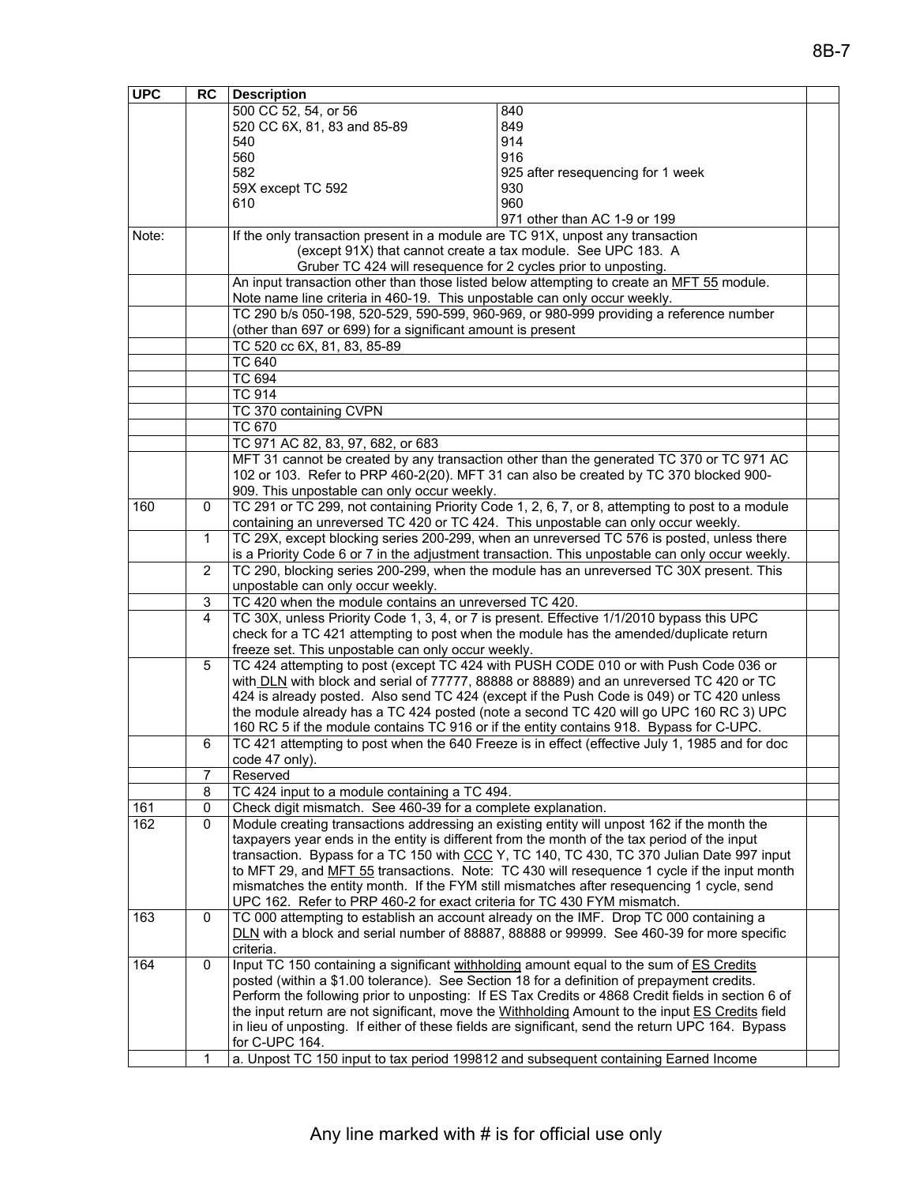| <b>UPC</b> | <b>RC</b>    | <b>Description</b>                                                                              |                                                                                                                                                                                                     |  |  |
|------------|--------------|-------------------------------------------------------------------------------------------------|-----------------------------------------------------------------------------------------------------------------------------------------------------------------------------------------------------|--|--|
|            |              | 500 CC 52, 54, or 56                                                                            | 840                                                                                                                                                                                                 |  |  |
|            |              | 520 CC 6X, 81, 83 and 85-89                                                                     | 849                                                                                                                                                                                                 |  |  |
|            |              | 540                                                                                             | 914                                                                                                                                                                                                 |  |  |
|            |              | 560                                                                                             | 916                                                                                                                                                                                                 |  |  |
|            |              | 582                                                                                             | 925 after resequencing for 1 week                                                                                                                                                                   |  |  |
|            |              | 59X except TC 592                                                                               | 930                                                                                                                                                                                                 |  |  |
|            |              | 610                                                                                             | 960                                                                                                                                                                                                 |  |  |
|            |              |                                                                                                 | 971 other than AC 1-9 or 199                                                                                                                                                                        |  |  |
| Note:      |              | If the only transaction present in a module are TC 91X, unpost any transaction                  |                                                                                                                                                                                                     |  |  |
|            |              | (except 91X) that cannot create a tax module. See UPC 183. A                                    |                                                                                                                                                                                                     |  |  |
|            |              | Gruber TC 424 will resequence for 2 cycles prior to unposting.                                  |                                                                                                                                                                                                     |  |  |
|            |              |                                                                                                 | An input transaction other than those listed below attempting to create an MFT 55 module.                                                                                                           |  |  |
|            |              | Note name line criteria in 460-19. This unpostable can only occur weekly.                       |                                                                                                                                                                                                     |  |  |
|            |              |                                                                                                 | TC 290 b/s 050-198, 520-529, 590-599, 960-969, or 980-999 providing a reference number                                                                                                              |  |  |
|            |              | (other than 697 or 699) for a significant amount is present                                     |                                                                                                                                                                                                     |  |  |
|            |              | TC 520 cc 6X, 81, 83, 85-89                                                                     |                                                                                                                                                                                                     |  |  |
|            |              | <b>TC 640</b>                                                                                   |                                                                                                                                                                                                     |  |  |
|            |              | <b>TC 694</b>                                                                                   |                                                                                                                                                                                                     |  |  |
|            |              | <b>TC 914</b>                                                                                   |                                                                                                                                                                                                     |  |  |
|            |              | TC 370 containing CVPN                                                                          |                                                                                                                                                                                                     |  |  |
|            |              | <b>TC 670</b>                                                                                   |                                                                                                                                                                                                     |  |  |
|            |              | TC 971 AC 82, 83, 97, 682, or 683                                                               |                                                                                                                                                                                                     |  |  |
|            |              |                                                                                                 | MFT 31 cannot be created by any transaction other than the generated TC 370 or TC 971 AC                                                                                                            |  |  |
|            |              |                                                                                                 | 102 or 103. Refer to PRP 460-2(20). MFT 31 can also be created by TC 370 blocked 900-                                                                                                               |  |  |
|            |              | 909. This unpostable can only occur weekly.                                                     |                                                                                                                                                                                                     |  |  |
| 160        | 0            |                                                                                                 | TC 291 or TC 299, not containing Priority Code 1, 2, 6, 7, or 8, attempting to post to a module                                                                                                     |  |  |
|            |              | containing an unreversed TC 420 or TC 424. This unpostable can only occur weekly.               |                                                                                                                                                                                                     |  |  |
|            | $\mathbf{1}$ | TC 29X, except blocking series 200-299, when an unreversed TC 576 is posted, unless there       |                                                                                                                                                                                                     |  |  |
|            |              | is a Priority Code 6 or 7 in the adjustment transaction. This unpostable can only occur weekly. |                                                                                                                                                                                                     |  |  |
|            | 2            | TC 290, blocking series 200-299, when the module has an unreversed TC 30X present. This         |                                                                                                                                                                                                     |  |  |
|            |              | unpostable can only occur weekly.                                                               |                                                                                                                                                                                                     |  |  |
|            | $\sqrt{3}$   | TC 420 when the module contains an unreversed TC 420.                                           |                                                                                                                                                                                                     |  |  |
|            | 4            |                                                                                                 | TC 30X, unless Priority Code 1, 3, 4, or 7 is present. Effective 1/1/2010 bypass this UPC                                                                                                           |  |  |
|            |              |                                                                                                 | check for a TC 421 attempting to post when the module has the amended/duplicate return                                                                                                              |  |  |
|            |              | freeze set. This unpostable can only occur weekly.                                              |                                                                                                                                                                                                     |  |  |
|            | 5            |                                                                                                 | TC 424 attempting to post (except TC 424 with PUSH CODE 010 or with Push Code 036 or                                                                                                                |  |  |
|            |              |                                                                                                 | with DLN with block and serial of 77777, 88888 or 88889) and an unreversed TC 420 or TC                                                                                                             |  |  |
|            |              |                                                                                                 | 424 is already posted. Also send TC 424 (except if the Push Code is 049) or TC 420 unless                                                                                                           |  |  |
|            |              |                                                                                                 | the module already has a TC 424 posted (note a second TC 420 will go UPC 160 RC 3) UPC                                                                                                              |  |  |
|            |              |                                                                                                 | 160 RC 5 if the module contains TC 916 or if the entity contains 918. Bypass for C-UPC.                                                                                                             |  |  |
|            | 6            |                                                                                                 | TC 421 attempting to post when the 640 Freeze is in effect (effective July 1, 1985 and for doc                                                                                                      |  |  |
|            |              | code 47 only).                                                                                  |                                                                                                                                                                                                     |  |  |
|            | 7            | Reserved                                                                                        |                                                                                                                                                                                                     |  |  |
|            | 8            | TC 424 input to a module containing a TC 494.                                                   |                                                                                                                                                                                                     |  |  |
| 161        | $\mathbf 0$  | Check digit mismatch. See 460-39 for a complete explanation.                                    |                                                                                                                                                                                                     |  |  |
| 162        | 0            |                                                                                                 | Module creating transactions addressing an existing entity will unpost 162 if the month the                                                                                                         |  |  |
|            |              |                                                                                                 | taxpayers year ends in the entity is different from the month of the tax period of the input                                                                                                        |  |  |
|            |              |                                                                                                 | transaction. Bypass for a TC 150 with CCC Y, TC 140, TC 430, TC 370 Julian Date 997 input                                                                                                           |  |  |
|            |              |                                                                                                 | to MFT 29, and MFT 55 transactions. Note: TC 430 will resequence 1 cycle if the input month                                                                                                         |  |  |
|            |              |                                                                                                 | mismatches the entity month. If the FYM still mismatches after resequencing 1 cycle, send                                                                                                           |  |  |
|            |              | UPC 162. Refer to PRP 460-2 for exact criteria for TC 430 FYM mismatch.                         |                                                                                                                                                                                                     |  |  |
| 163        | $\mathbf 0$  |                                                                                                 | TC 000 attempting to establish an account already on the IMF. Drop TC 000 containing a                                                                                                              |  |  |
|            |              |                                                                                                 | DLN with a block and serial number of 88887, 88888 or 99999. See 460-39 for more specific                                                                                                           |  |  |
|            |              | criteria.                                                                                       |                                                                                                                                                                                                     |  |  |
| 164        | 0            | Input TC 150 containing a significant withholding amount equal to the sum of ES Credits         |                                                                                                                                                                                                     |  |  |
|            |              | posted (within a \$1.00 tolerance). See Section 18 for a definition of prepayment credits.      |                                                                                                                                                                                                     |  |  |
|            |              |                                                                                                 | Perform the following prior to unposting: If ES Tax Credits or 4868 Credit fields in section 6 of                                                                                                   |  |  |
|            |              |                                                                                                 | the input return are not significant, move the Withholding Amount to the input ES Credits field<br>in lieu of unposting. If either of these fields are significant, send the return UPC 164. Bypass |  |  |
|            |              | for C-UPC 164.                                                                                  |                                                                                                                                                                                                     |  |  |
|            | 1            | a. Unpost TC 150 input to tax period 199812 and subsequent containing Earned Income             |                                                                                                                                                                                                     |  |  |
|            |              |                                                                                                 |                                                                                                                                                                                                     |  |  |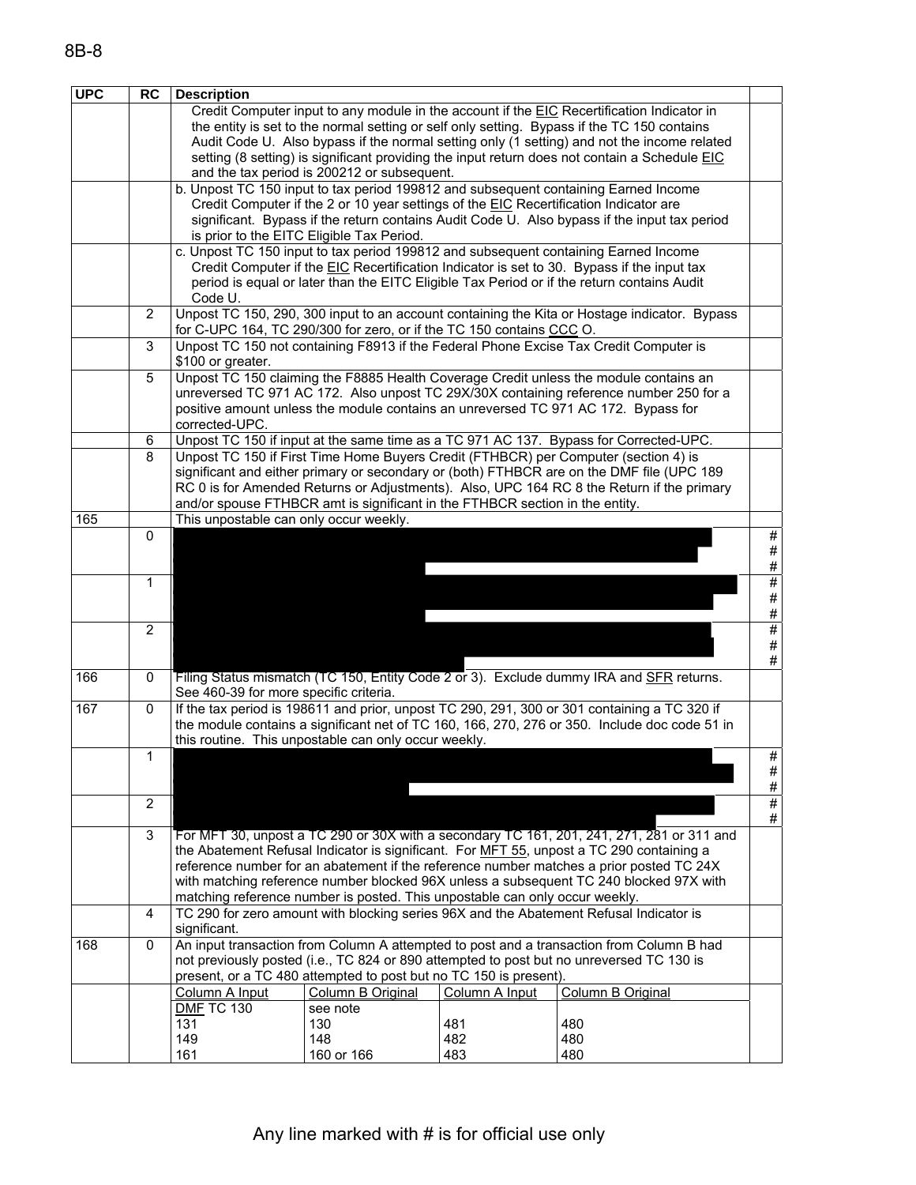| <b>UPC</b> | <b>RC</b>      | <b>Description</b>                     |                                                                                       |                |                                                                                               |                 |
|------------|----------------|----------------------------------------|---------------------------------------------------------------------------------------|----------------|-----------------------------------------------------------------------------------------------|-----------------|
|            |                |                                        |                                                                                       |                | Credit Computer input to any module in the account if the EIC Recertification Indicator in    |                 |
|            |                |                                        |                                                                                       |                | the entity is set to the normal setting or self only setting. Bypass if the TC 150 contains   |                 |
|            |                |                                        |                                                                                       |                | Audit Code U. Also bypass if the normal setting only (1 setting) and not the income related   |                 |
|            |                |                                        | and the tax period is 200212 or subsequent.                                           |                | setting (8 setting) is significant providing the input return does not contain a Schedule EIC |                 |
|            |                |                                        |                                                                                       |                | b. Unpost TC 150 input to tax period 199812 and subsequent containing Earned Income           |                 |
|            |                |                                        | Credit Computer if the 2 or 10 year settings of the EIC Recertification Indicator are |                |                                                                                               |                 |
|            |                |                                        |                                                                                       |                | significant. Bypass if the return contains Audit Code U. Also bypass if the input tax period  |                 |
|            |                |                                        | is prior to the EITC Eligible Tax Period.                                             |                |                                                                                               |                 |
|            |                |                                        |                                                                                       |                | c. Unpost TC 150 input to tax period 199812 and subsequent containing Earned Income           |                 |
|            |                |                                        |                                                                                       |                | Credit Computer if the EIC Recertification Indicator is set to 30. Bypass if the input tax    |                 |
|            |                | Code U.                                |                                                                                       |                | period is equal or later than the EITC Eligible Tax Period or if the return contains Audit    |                 |
|            | $\overline{2}$ |                                        |                                                                                       |                | Unpost TC 150, 290, 300 input to an account containing the Kita or Hostage indicator. Bypass  |                 |
|            |                |                                        | for C-UPC 164, TC 290/300 for zero, or if the TC 150 contains CCC O.                  |                |                                                                                               |                 |
|            | 3              |                                        |                                                                                       |                | Unpost TC 150 not containing F8913 if the Federal Phone Excise Tax Credit Computer is         |                 |
|            |                | \$100 or greater.                      |                                                                                       |                |                                                                                               |                 |
|            | 5              |                                        |                                                                                       |                | Unpost TC 150 claiming the F8885 Health Coverage Credit unless the module contains an         |                 |
|            |                |                                        |                                                                                       |                | unreversed TC 971 AC 172. Also unpost TC 29X/30X containing reference number 250 for a        |                 |
|            |                | corrected-UPC.                         |                                                                                       |                | positive amount unless the module contains an unreversed TC 971 AC 172. Bypass for            |                 |
|            | 6              |                                        |                                                                                       |                | Unpost TC 150 if input at the same time as a TC 971 AC 137. Bypass for Corrected-UPC.         |                 |
|            | 8              |                                        |                                                                                       |                | Unpost TC 150 if First Time Home Buyers Credit (FTHBCR) per Computer (section 4) is           |                 |
|            |                |                                        |                                                                                       |                | significant and either primary or secondary or (both) FTHBCR are on the DMF file (UPC 189     |                 |
|            |                |                                        |                                                                                       |                | RC 0 is for Amended Returns or Adjustments). Also, UPC 164 RC 8 the Return if the primary     |                 |
|            |                |                                        | and/or spouse FTHBCR amt is significant in the FTHBCR section in the entity.          |                |                                                                                               |                 |
| 165        |                | This unpostable can only occur weekly. |                                                                                       |                |                                                                                               |                 |
|            | 0              |                                        |                                                                                       |                |                                                                                               | #               |
|            |                |                                        |                                                                                       |                |                                                                                               | #<br>$\#$       |
|            | 1              |                                        |                                                                                       |                |                                                                                               | #               |
|            |                |                                        |                                                                                       |                |                                                                                               |                 |
|            |                |                                        |                                                                                       |                |                                                                                               | $\frac{\#}{\#}$ |
|            | $\overline{2}$ |                                        |                                                                                       |                |                                                                                               | #               |
|            |                |                                        |                                                                                       |                |                                                                                               | $\#$<br>$\#$    |
| 166        | 0              |                                        |                                                                                       |                | Filing Status mismatch (TC 150, Entity Code 2 or 3). Exclude dummy IRA and SFR returns.       |                 |
|            |                | See 460-39 for more specific criteria. |                                                                                       |                |                                                                                               |                 |
| 167        | $\pmb{0}$      |                                        |                                                                                       |                | If the tax period is 198611 and prior, unpost TC 290, 291, 300 or 301 containing a TC 320 if  |                 |
|            |                |                                        |                                                                                       |                | the module contains a significant net of TC 160, 166, 270, 276 or 350. Include doc code 51 in |                 |
|            |                |                                        | this routine. This unpostable can only occur weekly.                                  |                |                                                                                               |                 |
|            | 1              |                                        |                                                                                       |                |                                                                                               | #<br>$\#$       |
|            |                |                                        |                                                                                       |                |                                                                                               | $\#$            |
|            | $\overline{2}$ |                                        |                                                                                       |                |                                                                                               | $\#$            |
|            |                |                                        |                                                                                       |                |                                                                                               | $\#$            |
|            | 3              |                                        |                                                                                       |                | For MFT 30, unpost a TC 290 or 30X with a secondary TC 161, 201, 241, 271, 281 or 311 and     |                 |
|            |                |                                        |                                                                                       |                | the Abatement Refusal Indicator is significant. For MFT 55, unpost a TC 290 containing a      |                 |
|            |                |                                        |                                                                                       |                | reference number for an abatement if the reference number matches a prior posted TC 24X       |                 |
|            |                |                                        | matching reference number is posted. This unpostable can only occur weekly.           |                | with matching reference number blocked 96X unless a subsequent TC 240 blocked 97X with        |                 |
|            | $\overline{4}$ |                                        |                                                                                       |                | TC 290 for zero amount with blocking series 96X and the Abatement Refusal Indicator is        |                 |
|            |                | significant.                           |                                                                                       |                |                                                                                               |                 |
| 168        | 0              |                                        |                                                                                       |                | An input transaction from Column A attempted to post and a transaction from Column B had      |                 |
|            |                |                                        |                                                                                       |                | not previously posted (i.e., TC 824 or 890 attempted to post but no unreversed TC 130 is      |                 |
|            |                |                                        | present, or a TC 480 attempted to post but no TC 150 is present).                     |                |                                                                                               |                 |
|            |                | Column A Input                         | Column B Original                                                                     | Column A Input | Column B Original                                                                             |                 |
|            |                | <b>DMF TC 130</b><br>131               | see note<br>130                                                                       | 481            | 480                                                                                           |                 |
|            |                | 149                                    | 148                                                                                   | 482            | 480                                                                                           |                 |
|            |                | 161                                    | 160 or 166                                                                            | 483            | 480                                                                                           |                 |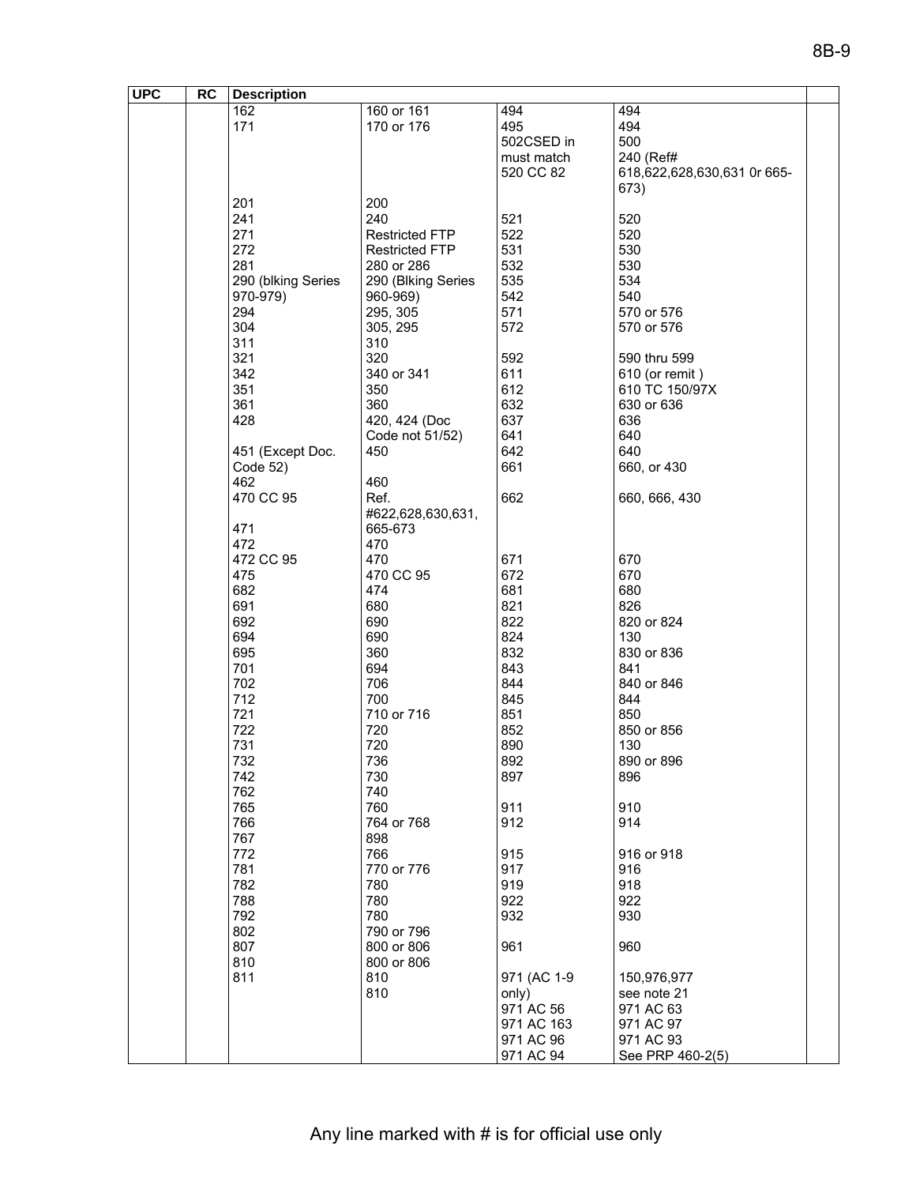| <b>UPC</b> | RC | <b>Description</b> |                       |             |                             |  |
|------------|----|--------------------|-----------------------|-------------|-----------------------------|--|
|            |    | 162                | 160 or 161            | 494         | 494                         |  |
|            |    | 171                | 170 or 176            | 495         | 494                         |  |
|            |    |                    |                       | 502CSED in  | 500                         |  |
|            |    |                    |                       | must match  | 240 (Ref#                   |  |
|            |    |                    |                       | 520 CC 82   | 618,622,628,630,631 Or 665- |  |
|            |    |                    |                       |             | 673)                        |  |
|            |    | 201                | 200                   |             |                             |  |
|            |    | 241                | 240                   | 521         | 520                         |  |
|            |    | 271                | <b>Restricted FTP</b> | 522         | 520                         |  |
|            |    |                    |                       |             |                             |  |
|            |    | 272                | <b>Restricted FTP</b> | 531         | 530                         |  |
|            |    | 281                | 280 or 286            | 532         | 530                         |  |
|            |    | 290 (blking Series | 290 (Blking Series    | 535         | 534                         |  |
|            |    | 970-979)           | 960-969)              | 542         | 540                         |  |
|            |    | 294                | 295, 305              | 571         | 570 or 576                  |  |
|            |    | 304                | 305, 295              | 572         | 570 or 576                  |  |
|            |    | 311                | 310                   |             |                             |  |
|            |    | 321                | 320                   | 592         | 590 thru 599                |  |
|            |    | 342                | 340 or 341            | 611         | 610 (or remit)              |  |
|            |    | 351                | 350                   | 612         | 610 TC 150/97X              |  |
|            |    | 361                | 360                   | 632         | 630 or 636                  |  |
|            |    | 428                | 420, 424 (Doc         | 637         | 636                         |  |
|            |    |                    | Code not 51/52)       | 641         | 640                         |  |
|            |    | 451 (Except Doc.   | 450                   | 642         | 640                         |  |
|            |    | Code 52)           |                       | 661         | 660, or 430                 |  |
|            |    | 462                | 460                   |             |                             |  |
|            |    | 470 CC 95          | Ref.                  | 662         | 660, 666, 430               |  |
|            |    |                    | #622,628,630,631,     |             |                             |  |
|            |    | 471                | 665-673               |             |                             |  |
|            |    | 472                | 470                   |             |                             |  |
|            |    | 472 CC 95          | 470                   | 671         | 670                         |  |
|            |    | 475                | 470 CC 95             | 672         | 670                         |  |
|            |    | 682                | 474                   | 681         | 680                         |  |
|            |    | 691                | 680                   | 821         | 826                         |  |
|            |    | 692                | 690                   | 822         | 820 or 824                  |  |
|            |    | 694                |                       |             |                             |  |
|            |    |                    | 690                   | 824         | 130                         |  |
|            |    | 695                | 360                   | 832         | 830 or 836                  |  |
|            |    | 701                | 694                   | 843         | 841                         |  |
|            |    | 702                | 706                   | 844         | 840 or 846                  |  |
|            |    | 712                | 700                   | 845         | 844                         |  |
|            |    | 721                | 710 or 716            | 851         | 850                         |  |
|            |    | 722                | 720                   | 852         | 850 or 856                  |  |
|            |    | 731                | 720                   | 890         | 130                         |  |
|            |    | 732                | 736                   | 892         | 890 or 896                  |  |
|            |    | 742                | 730                   | 897         | 896                         |  |
|            |    | 762                | 740                   |             |                             |  |
|            |    | 765                | 760                   | 911         | 910                         |  |
|            |    | 766                | 764 or 768            | 912         | 914                         |  |
|            |    | 767                | 898                   |             |                             |  |
|            |    | 772                | 766                   | 915         | 916 or 918                  |  |
|            |    | 781                | 770 or 776            | 917         | 916                         |  |
|            |    | 782                | 780                   | 919         | 918                         |  |
|            |    | 788                | 780                   | 922         | 922                         |  |
|            |    | 792                | 780                   | 932         | 930                         |  |
|            |    | 802                | 790 or 796            |             |                             |  |
|            |    | 807                | 800 or 806            | 961         | 960                         |  |
|            |    | 810                | 800 or 806            |             |                             |  |
|            |    | 811                | 810                   | 971 (AC 1-9 | 150,976,977                 |  |
|            |    |                    | 810                   | only)       | see note 21                 |  |
|            |    |                    |                       | 971 AC 56   | 971 AC 63                   |  |
|            |    |                    |                       | 971 AC 163  | 971 AC 97                   |  |
|            |    |                    |                       | 971 AC 96   | 971 AC 93                   |  |
|            |    |                    |                       | 971 AC 94   | See PRP 460-2(5)            |  |
|            |    |                    |                       |             |                             |  |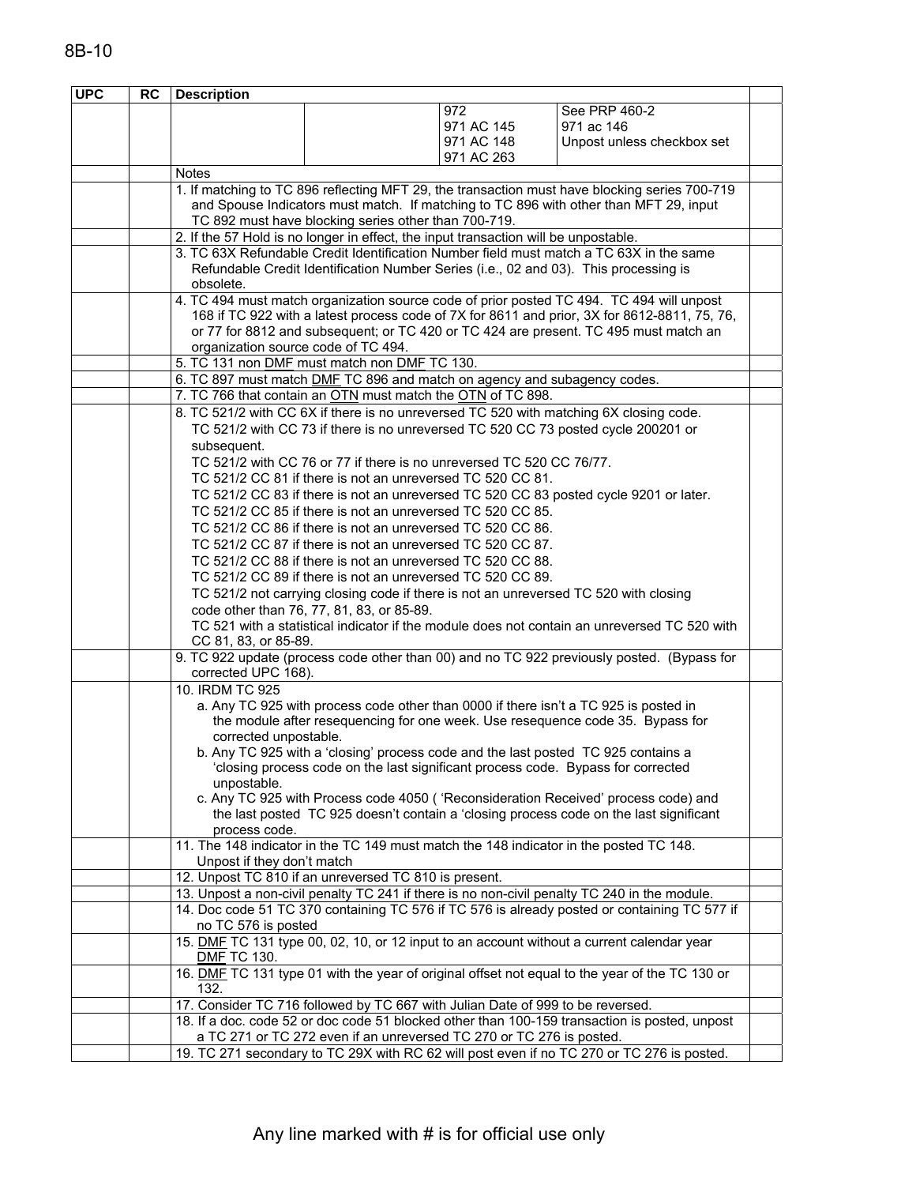| <b>UPC</b> | <b>RC</b> | <b>Description</b>                  |                                                                                     |            |                                                                                                                                                                                      |  |  |
|------------|-----------|-------------------------------------|-------------------------------------------------------------------------------------|------------|--------------------------------------------------------------------------------------------------------------------------------------------------------------------------------------|--|--|
|            |           |                                     |                                                                                     | 972.       | See PRP 460-2                                                                                                                                                                        |  |  |
|            |           |                                     |                                                                                     | 971 AC 145 | 971 ac 146                                                                                                                                                                           |  |  |
|            |           |                                     |                                                                                     | 971 AC 148 | Unpost unless checkbox set                                                                                                                                                           |  |  |
|            |           |                                     |                                                                                     | 971 AC 263 |                                                                                                                                                                                      |  |  |
|            |           | <b>Notes</b>                        |                                                                                     |            |                                                                                                                                                                                      |  |  |
|            |           |                                     |                                                                                     |            | 1. If matching to TC 896 reflecting MFT 29, the transaction must have blocking series 700-719                                                                                        |  |  |
|            |           |                                     |                                                                                     |            | and Spouse Indicators must match. If matching to TC 896 with other than MFT 29, input                                                                                                |  |  |
|            |           |                                     | TC 892 must have blocking series other than 700-719.                                |            |                                                                                                                                                                                      |  |  |
|            |           |                                     | 2. If the 57 Hold is no longer in effect, the input transaction will be unpostable. |            |                                                                                                                                                                                      |  |  |
|            |           |                                     |                                                                                     |            | 3. TC 63X Refundable Credit Identification Number field must match a TC 63X in the same                                                                                              |  |  |
|            |           |                                     |                                                                                     |            | Refundable Credit Identification Number Series (i.e., 02 and 03). This processing is                                                                                                 |  |  |
|            |           | obsolete.                           |                                                                                     |            |                                                                                                                                                                                      |  |  |
|            |           |                                     |                                                                                     |            | 4. TC 494 must match organization source code of prior posted TC 494. TC 494 will unpost                                                                                             |  |  |
|            |           |                                     |                                                                                     |            | 168 if TC 922 with a latest process code of 7X for 8611 and prior, 3X for 8612-8811, 75, 76,<br>or 77 for 8812 and subsequent; or TC 420 or TC 424 are present. TC 495 must match an |  |  |
|            |           | organization source code of TC 494. |                                                                                     |            |                                                                                                                                                                                      |  |  |
|            |           |                                     | 5. TC 131 non DMF must match non DMF TC 130.                                        |            |                                                                                                                                                                                      |  |  |
|            |           |                                     | 6. TC 897 must match DMF TC 896 and match on agency and subagency codes.            |            |                                                                                                                                                                                      |  |  |
|            |           |                                     | 7. TC 766 that contain an OTN must match the OTN of TC 898.                         |            |                                                                                                                                                                                      |  |  |
|            |           |                                     |                                                                                     |            | 8. TC 521/2 with CC 6X if there is no unreversed TC 520 with matching 6X closing code.                                                                                               |  |  |
|            |           |                                     |                                                                                     |            | TC 521/2 with CC 73 if there is no unreversed TC 520 CC 73 posted cycle 200201 or                                                                                                    |  |  |
|            |           | subsequent.                         |                                                                                     |            |                                                                                                                                                                                      |  |  |
|            |           |                                     | TC 521/2 with CC 76 or 77 if there is no unreversed TC 520 CC 76/77.                |            |                                                                                                                                                                                      |  |  |
|            |           |                                     | TC 521/2 CC 81 if there is not an unreversed TC 520 CC 81.                          |            |                                                                                                                                                                                      |  |  |
|            |           |                                     |                                                                                     |            | TC 521/2 CC 83 if there is not an unreversed TC 520 CC 83 posted cycle 9201 or later.                                                                                                |  |  |
|            |           |                                     | TC 521/2 CC 85 if there is not an unreversed TC 520 CC 85.                          |            |                                                                                                                                                                                      |  |  |
|            |           |                                     | TC 521/2 CC 86 if there is not an unreversed TC 520 CC 86.                          |            |                                                                                                                                                                                      |  |  |
|            |           |                                     | TC 521/2 CC 87 if there is not an unreversed TC 520 CC 87.                          |            |                                                                                                                                                                                      |  |  |
|            |           |                                     | TC 521/2 CC 88 if there is not an unreversed TC 520 CC 88.                          |            |                                                                                                                                                                                      |  |  |
|            |           |                                     | TC 521/2 CC 89 if there is not an unreversed TC 520 CC 89.                          |            |                                                                                                                                                                                      |  |  |
|            |           |                                     |                                                                                     |            | TC 521/2 not carrying closing code if there is not an unreversed TC 520 with closing                                                                                                 |  |  |
|            |           |                                     | code other than 76, 77, 81, 83, or 85-89.                                           |            |                                                                                                                                                                                      |  |  |
|            |           |                                     |                                                                                     |            | TC 521 with a statistical indicator if the module does not contain an unreversed TC 520 with                                                                                         |  |  |
|            |           | CC 81, 83, or 85-89.                |                                                                                     |            |                                                                                                                                                                                      |  |  |
|            |           |                                     |                                                                                     |            | 9. TC 922 update (process code other than 00) and no TC 922 previously posted. (Bypass for                                                                                           |  |  |
|            |           | corrected UPC 168).                 |                                                                                     |            |                                                                                                                                                                                      |  |  |
|            |           | 10. IRDM TC 925                     |                                                                                     |            |                                                                                                                                                                                      |  |  |
|            |           |                                     |                                                                                     |            | a. Any TC 925 with process code other than 0000 if there isn't a TC 925 is posted in                                                                                                 |  |  |
|            |           |                                     |                                                                                     |            | the module after resequencing for one week. Use resequence code 35. Bypass for                                                                                                       |  |  |
|            |           | corrected unpostable.               |                                                                                     |            | b. Any TC 925 with a 'closing' process code and the last posted TC 925 contains a                                                                                                    |  |  |
|            |           |                                     |                                                                                     |            | 'closing process code on the last significant process code. Bypass for corrected                                                                                                     |  |  |
|            |           | unpostable.                         |                                                                                     |            |                                                                                                                                                                                      |  |  |
|            |           |                                     |                                                                                     |            | c. Any TC 925 with Process code 4050 ('Reconsideration Received' process code) and                                                                                                   |  |  |
|            |           |                                     |                                                                                     |            | the last posted TC 925 doesn't contain a 'closing process code on the last significant                                                                                               |  |  |
|            |           | process code.                       |                                                                                     |            |                                                                                                                                                                                      |  |  |
|            |           |                                     |                                                                                     |            | 11. The 148 indicator in the TC 149 must match the 148 indicator in the posted TC 148.                                                                                               |  |  |
|            |           | Unpost if they don't match          |                                                                                     |            |                                                                                                                                                                                      |  |  |
|            |           |                                     | 12. Unpost TC 810 if an unreversed TC 810 is present.                               |            |                                                                                                                                                                                      |  |  |
|            |           |                                     |                                                                                     |            | 13. Unpost a non-civil penalty TC 241 if there is no non-civil penalty TC 240 in the module.                                                                                         |  |  |
|            |           |                                     |                                                                                     |            | 14. Doc code 51 TC 370 containing TC 576 if TC 576 is already posted or containing TC 577 if                                                                                         |  |  |
|            |           | no TC 576 is posted                 |                                                                                     |            |                                                                                                                                                                                      |  |  |
|            |           | <b>DMF TC 130.</b>                  |                                                                                     |            | 15. DMF TC 131 type 00, 02, 10, or 12 input to an account without a current calendar year                                                                                            |  |  |
|            |           |                                     |                                                                                     |            | 16. DMF TC 131 type 01 with the year of original offset not equal to the year of the TC 130 or                                                                                       |  |  |
|            |           | 132.                                |                                                                                     |            |                                                                                                                                                                                      |  |  |
|            |           |                                     | 17. Consider TC 716 followed by TC 667 with Julian Date of 999 to be reversed.      |            |                                                                                                                                                                                      |  |  |
|            |           |                                     | a TC 271 or TC 272 even if an unreversed TC 270 or TC 276 is posted.                |            | 18. If a doc. code 52 or doc code 51 blocked other than 100-159 transaction is posted, unpost                                                                                        |  |  |
|            |           |                                     |                                                                                     |            | 19. TC 271 secondary to TC 29X with RC 62 will post even if no TC 270 or TC 276 is posted.                                                                                           |  |  |
|            |           |                                     |                                                                                     |            |                                                                                                                                                                                      |  |  |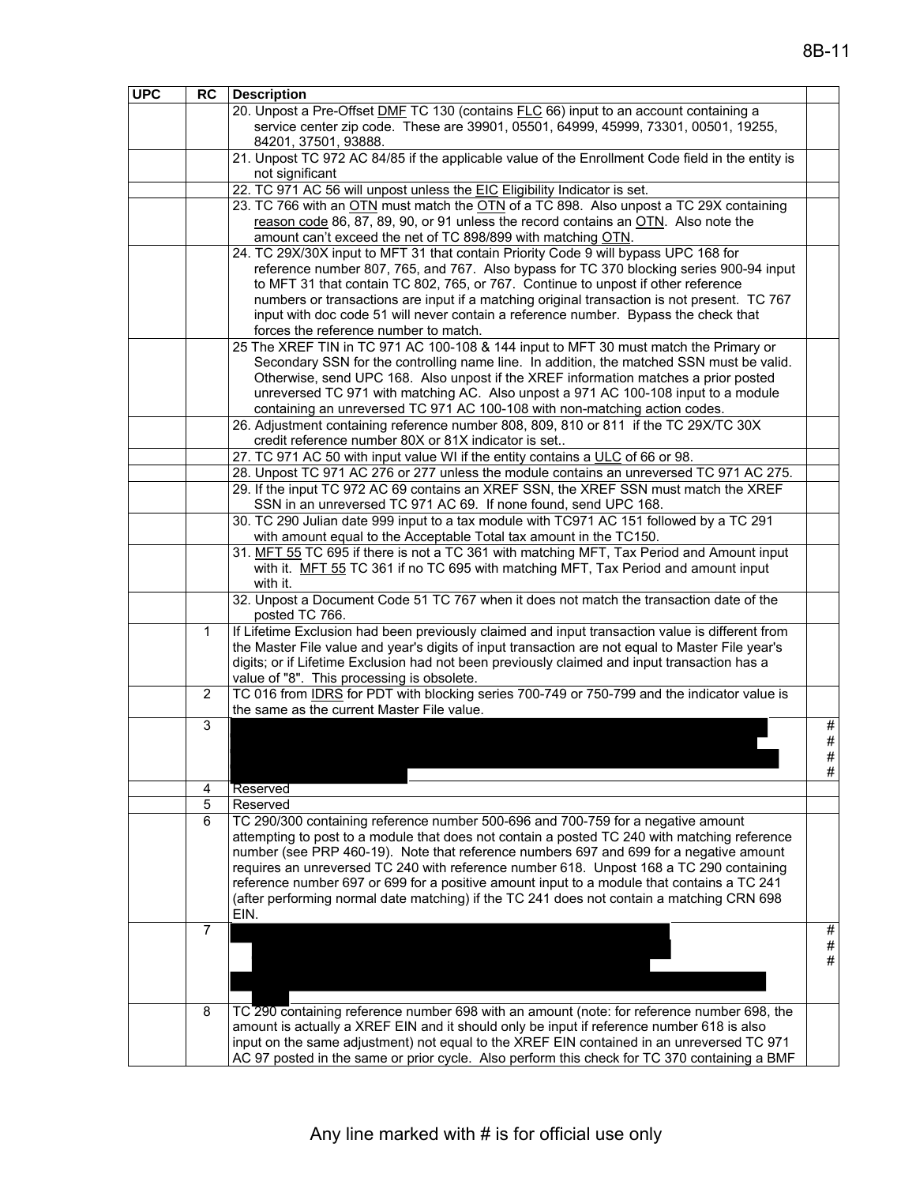| <b>UPC</b> | <b>RC</b>      | <b>Description</b>                                                                                                                                                                                  |      |
|------------|----------------|-----------------------------------------------------------------------------------------------------------------------------------------------------------------------------------------------------|------|
|            |                | 20. Unpost a Pre-Offset DMF TC 130 (contains FLC 66) input to an account containing a                                                                                                               |      |
|            |                | service center zip code. These are 39901, 05501, 64999, 45999, 73301, 00501, 19255,                                                                                                                 |      |
|            |                | 84201, 37501, 93888.                                                                                                                                                                                |      |
|            |                | 21. Unpost TC 972 AC 84/85 if the applicable value of the Enrollment Code field in the entity is                                                                                                    |      |
|            |                | not significant                                                                                                                                                                                     |      |
|            |                | 22. TC 971 AC 56 will unpost unless the EIC Eligibility Indicator is set.                                                                                                                           |      |
|            |                | 23. TC 766 with an OTN must match the OTN of a TC 898. Also unpost a TC 29X containing                                                                                                              |      |
|            |                | reason code 86, 87, 89, 90, or 91 unless the record contains an OTN. Also note the                                                                                                                  |      |
|            |                | amount can't exceed the net of TC 898/899 with matching OTN.                                                                                                                                        |      |
|            |                | 24. TC 29X/30X input to MFT 31 that contain Priority Code 9 will bypass UPC 168 for                                                                                                                 |      |
|            |                | reference number 807, 765, and 767. Also bypass for TC 370 blocking series 900-94 input                                                                                                             |      |
|            |                | to MFT 31 that contain TC 802, 765, or 767. Continue to unpost if other reference                                                                                                                   |      |
|            |                | numbers or transactions are input if a matching original transaction is not present. TC 767                                                                                                         |      |
|            |                | input with doc code 51 will never contain a reference number. Bypass the check that                                                                                                                 |      |
|            |                | forces the reference number to match.                                                                                                                                                               |      |
|            |                | 25 The XREF TIN in TC 971 AC 100-108 & 144 input to MFT 30 must match the Primary or                                                                                                                |      |
|            |                | Secondary SSN for the controlling name line. In addition, the matched SSN must be valid.                                                                                                            |      |
|            |                | Otherwise, send UPC 168. Also unpost if the XREF information matches a prior posted                                                                                                                 |      |
|            |                | unreversed TC 971 with matching AC. Also unpost a 971 AC 100-108 input to a module                                                                                                                  |      |
|            |                | containing an unreversed TC 971 AC 100-108 with non-matching action codes.                                                                                                                          |      |
|            |                | 26. Adjustment containing reference number 808, 809, 810 or 811 if the TC 29X/TC 30X                                                                                                                |      |
|            |                | credit reference number 80X or 81X indicator is set                                                                                                                                                 |      |
|            |                | 27. TC 971 AC 50 with input value WI if the entity contains a ULC of 66 or 98.                                                                                                                      |      |
|            |                | 28. Unpost TC 971 AC 276 or 277 unless the module contains an unreversed TC 971 AC 275.                                                                                                             |      |
|            |                | 29. If the input TC 972 AC 69 contains an XREF SSN, the XREF SSN must match the XREF                                                                                                                |      |
|            |                | SSN in an unreversed TC 971 AC 69. If none found, send UPC 168.                                                                                                                                     |      |
|            |                | 30. TC 290 Julian date 999 input to a tax module with TC971 AC 151 followed by a TC 291                                                                                                             |      |
|            |                | with amount equal to the Acceptable Total tax amount in the TC150.                                                                                                                                  |      |
|            |                | 31. MFT 55 TC 695 if there is not a TC 361 with matching MFT, Tax Period and Amount input                                                                                                           |      |
|            |                | with it. MFT 55 TC 361 if no TC 695 with matching MFT, Tax Period and amount input                                                                                                                  |      |
|            |                | with it.                                                                                                                                                                                            |      |
|            |                | 32. Unpost a Document Code 51 TC 767 when it does not match the transaction date of the                                                                                                             |      |
|            |                | posted TC 766.                                                                                                                                                                                      |      |
|            | 1              | If Lifetime Exclusion had been previously claimed and input transaction value is different from<br>the Master File value and year's digits of input transaction are not equal to Master File year's |      |
|            |                | digits; or if Lifetime Exclusion had not been previously claimed and input transaction has a                                                                                                        |      |
|            |                | value of "8". This processing is obsolete.                                                                                                                                                          |      |
|            | 2              | TC 016 from IDRS for PDT with blocking series 700-749 or 750-799 and the indicator value is                                                                                                         |      |
|            |                | the same as the current Master File value.                                                                                                                                                          |      |
|            | 3              |                                                                                                                                                                                                     | #    |
|            |                |                                                                                                                                                                                                     | #    |
|            |                |                                                                                                                                                                                                     | #    |
|            |                |                                                                                                                                                                                                     | $\#$ |
|            | 4              | Reserved                                                                                                                                                                                            |      |
|            | 5              | Reserved                                                                                                                                                                                            |      |
|            | 6              | TC 290/300 containing reference number 500-696 and 700-759 for a negative amount                                                                                                                    |      |
|            |                | attempting to post to a module that does not contain a posted TC 240 with matching reference                                                                                                        |      |
|            |                | number (see PRP 460-19). Note that reference numbers 697 and 699 for a negative amount                                                                                                              |      |
|            |                | requires an unreversed TC 240 with reference number 618. Unpost 168 a TC 290 containing                                                                                                             |      |
|            |                | reference number 697 or 699 for a positive amount input to a module that contains a TC 241                                                                                                          |      |
|            |                | (after performing normal date matching) if the TC 241 does not contain a matching CRN 698                                                                                                           |      |
|            |                | EIN.                                                                                                                                                                                                |      |
|            | $\overline{7}$ |                                                                                                                                                                                                     | #    |
|            |                |                                                                                                                                                                                                     | $\#$ |
|            |                |                                                                                                                                                                                                     | $\#$ |
|            |                |                                                                                                                                                                                                     |      |
|            |                |                                                                                                                                                                                                     |      |
|            | 8              | TC 290 containing reference number 698 with an amount (note: for reference number 698, the                                                                                                          |      |
|            |                | amount is actually a XREF EIN and it should only be input if reference number 618 is also                                                                                                           |      |
|            |                | input on the same adjustment) not equal to the XREF EIN contained in an unreversed TC 971                                                                                                           |      |
|            |                | AC 97 posted in the same or prior cycle. Also perform this check for TC 370 containing a BMF                                                                                                        |      |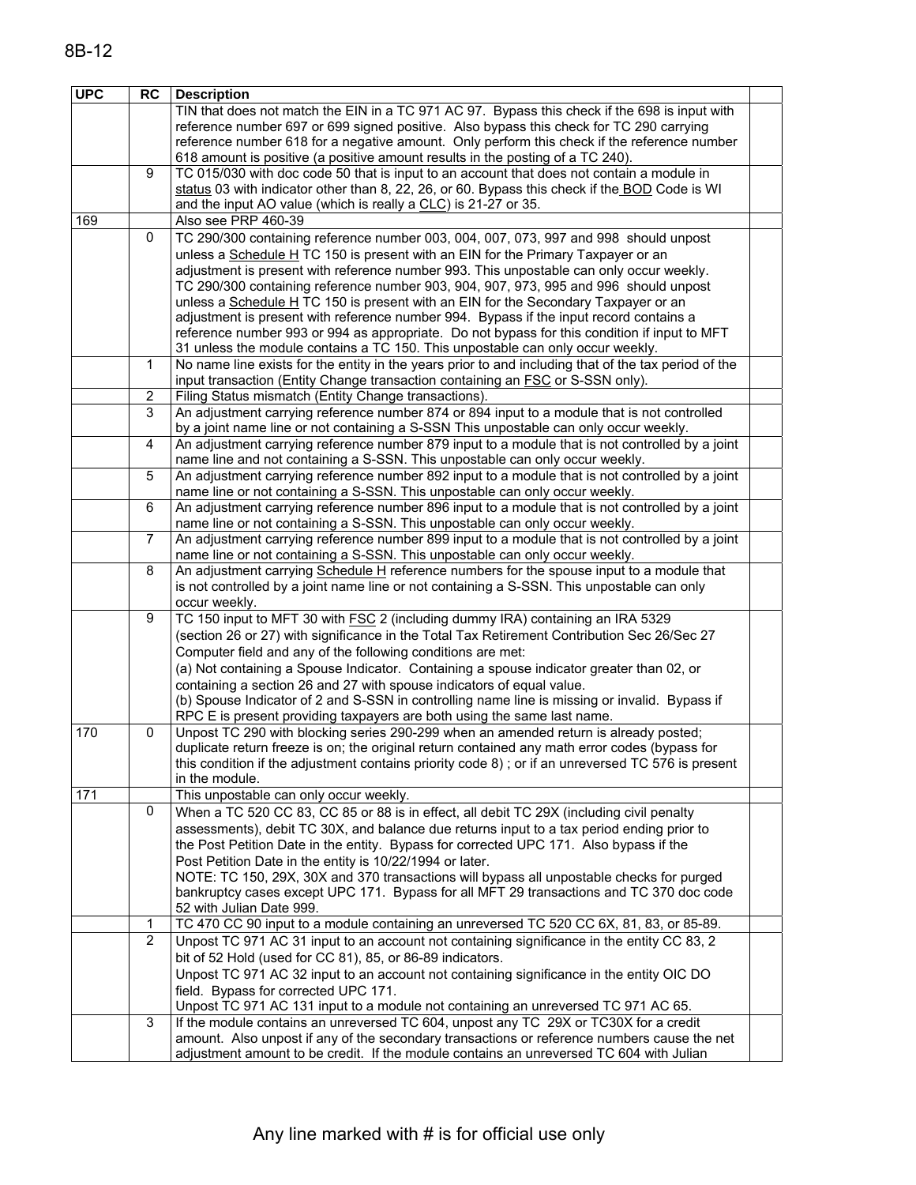| 8B-12 |  |  |
|-------|--|--|
|       |  |  |

| <b>UPC</b> | <b>RC</b>      | <b>Description</b>                                                                                                                                                              |  |
|------------|----------------|---------------------------------------------------------------------------------------------------------------------------------------------------------------------------------|--|
|            |                | TIN that does not match the EIN in a TC 971 AC 97. Bypass this check if the 698 is input with                                                                                   |  |
|            |                | reference number 697 or 699 signed positive. Also bypass this check for TC 290 carrying                                                                                         |  |
|            |                | reference number 618 for a negative amount. Only perform this check if the reference number                                                                                     |  |
|            |                | 618 amount is positive (a positive amount results in the posting of a TC 240).                                                                                                  |  |
|            | 9              | TC 015/030 with doc code 50 that is input to an account that does not contain a module in                                                                                       |  |
|            |                | status 03 with indicator other than 8, 22, 26, or 60. Bypass this check if the BOD Code is WI                                                                                   |  |
| 169        |                | and the input AO value (which is really a CLC) is 21-27 or 35.<br>Also see PRP 460-39                                                                                           |  |
|            | 0              | TC 290/300 containing reference number 003, 004, 007, 073, 997 and 998 should unpost                                                                                            |  |
|            |                | unless a Schedule H TC 150 is present with an EIN for the Primary Taxpayer or an                                                                                                |  |
|            |                | adjustment is present with reference number 993. This unpostable can only occur weekly.                                                                                         |  |
|            |                | TC 290/300 containing reference number 903, 904, 907, 973, 995 and 996 should unpost                                                                                            |  |
|            |                | unless a Schedule H TC 150 is present with an EIN for the Secondary Taxpayer or an                                                                                              |  |
|            |                | adjustment is present with reference number 994. Bypass if the input record contains a                                                                                          |  |
|            |                | reference number 993 or 994 as appropriate. Do not bypass for this condition if input to MFT                                                                                    |  |
|            |                | 31 unless the module contains a TC 150. This unpostable can only occur weekly.                                                                                                  |  |
|            | 1              | No name line exists for the entity in the years prior to and including that of the tax period of the                                                                            |  |
|            |                | input transaction (Entity Change transaction containing an <b>FSC</b> or S-SSN only).                                                                                           |  |
|            | $\overline{c}$ | Filing Status mismatch (Entity Change transactions).                                                                                                                            |  |
|            | 3              | An adjustment carrying reference number 874 or 894 input to a module that is not controlled                                                                                     |  |
|            |                | by a joint name line or not containing a S-SSN This unpostable can only occur weekly.                                                                                           |  |
|            | $\overline{4}$ | An adjustment carrying reference number 879 input to a module that is not controlled by a joint                                                                                 |  |
|            | 5              | name line and not containing a S-SSN. This unpostable can only occur weekly.<br>An adjustment carrying reference number 892 input to a module that is not controlled by a joint |  |
|            |                | name line or not containing a S-SSN. This unpostable can only occur weekly.                                                                                                     |  |
|            | 6              | An adjustment carrying reference number 896 input to a module that is not controlled by a joint                                                                                 |  |
|            |                | name line or not containing a S-SSN. This unpostable can only occur weekly.                                                                                                     |  |
|            | 7              | An adjustment carrying reference number 899 input to a module that is not controlled by a joint                                                                                 |  |
|            |                | name line or not containing a S-SSN. This unpostable can only occur weekly.                                                                                                     |  |
|            | 8              | An adjustment carrying Schedule H reference numbers for the spouse input to a module that                                                                                       |  |
|            |                | is not controlled by a joint name line or not containing a S-SSN. This unpostable can only                                                                                      |  |
|            | 9              | occur weekly.                                                                                                                                                                   |  |
|            |                | TC 150 input to MFT 30 with FSC 2 (including dummy IRA) containing an IRA 5329                                                                                                  |  |
|            |                | (section 26 or 27) with significance in the Total Tax Retirement Contribution Sec 26/Sec 27<br>Computer field and any of the following conditions are met:                      |  |
|            |                | (a) Not containing a Spouse Indicator. Containing a spouse indicator greater than 02, or                                                                                        |  |
|            |                | containing a section 26 and 27 with spouse indicators of equal value.                                                                                                           |  |
|            |                | (b) Spouse Indicator of 2 and S-SSN in controlling name line is missing or invalid. Bypass if                                                                                   |  |
|            |                | RPC E is present providing taxpayers are both using the same last name.                                                                                                         |  |
| 170        | 0              | Unpost TC 290 with blocking series 290-299 when an amended return is already posted;                                                                                            |  |
|            |                | duplicate return freeze is on; the original return contained any math error codes (bypass for                                                                                   |  |
|            |                | this condition if the adjustment contains priority code 8); or if an unreversed TC 576 is present                                                                               |  |
|            |                | in the module.                                                                                                                                                                  |  |
| 171        |                | This unpostable can only occur weekly.                                                                                                                                          |  |
|            | 0              | When a TC 520 CC 83, CC 85 or 88 is in effect, all debit TC 29X (including civil penalty                                                                                        |  |
|            |                | assessments), debit TC 30X, and balance due returns input to a tax period ending prior to                                                                                       |  |
|            |                | the Post Petition Date in the entity. Bypass for corrected UPC 171. Also bypass if the                                                                                          |  |
|            |                | Post Petition Date in the entity is 10/22/1994 or later.<br>NOTE: TC 150, 29X, 30X and 370 transactions will bypass all unpostable checks for purged                            |  |
|            |                | bankruptcy cases except UPC 171. Bypass for all MFT 29 transactions and TC 370 doc code                                                                                         |  |
|            |                | 52 with Julian Date 999.                                                                                                                                                        |  |
|            | 1              | TC 470 CC 90 input to a module containing an unreversed TC 520 CC 6X, 81, 83, or 85-89.                                                                                         |  |
|            | 2              | Unpost TC 971 AC 31 input to an account not containing significance in the entity CC 83, 2                                                                                      |  |
|            |                | bit of 52 Hold (used for CC 81), 85, or 86-89 indicators.                                                                                                                       |  |
|            |                | Unpost TC 971 AC 32 input to an account not containing significance in the entity OIC DO                                                                                        |  |
|            |                | field. Bypass for corrected UPC 171.                                                                                                                                            |  |
|            |                | Unpost TC 971 AC 131 input to a module not containing an unreversed TC 971 AC 65.                                                                                               |  |
|            | 3              | If the module contains an unreversed TC 604, unpost any TC 29X or TC30X for a credit                                                                                            |  |
|            |                | amount. Also unpost if any of the secondary transactions or reference numbers cause the net                                                                                     |  |
|            |                | adjustment amount to be credit. If the module contains an unreversed TC 604 with Julian                                                                                         |  |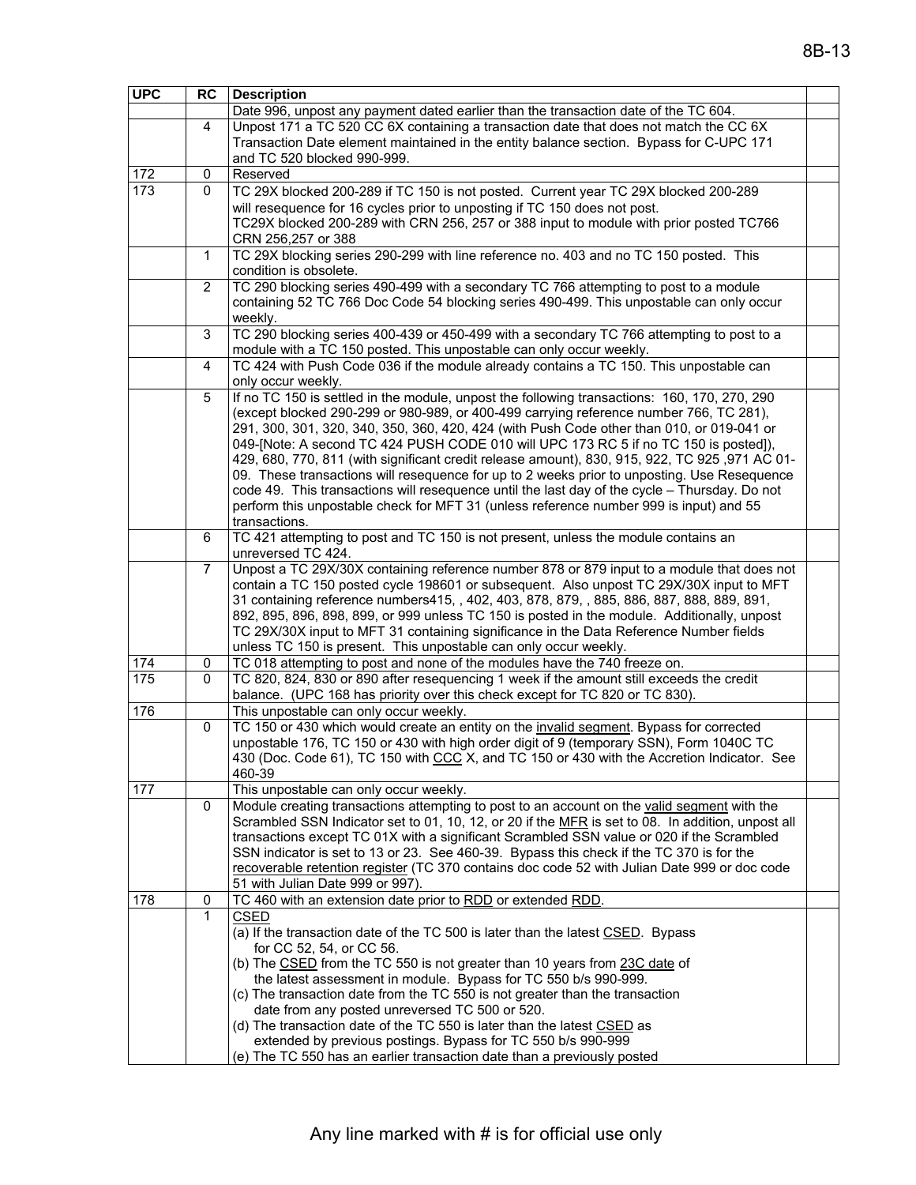| <b>UPC</b> | <b>RC</b>      | <b>Description</b>                                                                                                                                                                      |  |
|------------|----------------|-----------------------------------------------------------------------------------------------------------------------------------------------------------------------------------------|--|
|            |                | Date 996, unpost any payment dated earlier than the transaction date of the TC 604.                                                                                                     |  |
|            | 4              | Unpost 171 a TC 520 CC 6X containing a transaction date that does not match the CC 6X                                                                                                   |  |
|            |                | Transaction Date element maintained in the entity balance section. Bypass for C-UPC 171                                                                                                 |  |
|            |                | and TC 520 blocked 990-999.<br>Reserved                                                                                                                                                 |  |
| 172<br>173 | 0<br>0         | TC 29X blocked 200-289 if TC 150 is not posted. Current year TC 29X blocked 200-289                                                                                                     |  |
|            |                | will resequence for 16 cycles prior to unposting if TC 150 does not post.                                                                                                               |  |
|            |                | TC29X blocked 200-289 with CRN 256, 257 or 388 input to module with prior posted TC766                                                                                                  |  |
|            |                | CRN 256,257 or 388                                                                                                                                                                      |  |
|            | $\mathbf{1}$   | TC 29X blocking series 290-299 with line reference no. 403 and no TC 150 posted. This                                                                                                   |  |
|            |                | condition is obsolete.                                                                                                                                                                  |  |
|            | $\overline{2}$ | TC 290 blocking series 490-499 with a secondary TC 766 attempting to post to a module                                                                                                   |  |
|            |                | containing 52 TC 766 Doc Code 54 blocking series 490-499. This unpostable can only occur                                                                                                |  |
|            |                | weekly.                                                                                                                                                                                 |  |
|            | 3              | TC 290 blocking series 400-439 or 450-499 with a secondary TC 766 attempting to post to a                                                                                               |  |
|            | 4              | module with a TC 150 posted. This unpostable can only occur weekly.<br>TC 424 with Push Code 036 if the module already contains a TC 150. This unpostable can                           |  |
|            |                | only occur weekly.                                                                                                                                                                      |  |
|            | 5              | If no TC 150 is settled in the module, unpost the following transactions: 160, 170, 270, 290                                                                                            |  |
|            |                | (except blocked 290-299 or 980-989, or 400-499 carrying reference number 766, TC 281),                                                                                                  |  |
|            |                | 291, 300, 301, 320, 340, 350, 360, 420, 424 (with Push Code other than 010, or 019-041 or                                                                                               |  |
|            |                | 049-[Note: A second TC 424 PUSH CODE 010 will UPC 173 RC 5 if no TC 150 is posted]),                                                                                                    |  |
|            |                | 429, 680, 770, 811 (with significant credit release amount), 830, 915, 922, TC 925, 971 AC 01-                                                                                          |  |
|            |                | 09. These transactions will resequence for up to 2 weeks prior to unposting. Use Resequence                                                                                             |  |
|            |                | code 49. This transactions will resequence until the last day of the cycle - Thursday. Do not<br>perform this unpostable check for MFT 31 (unless reference number 999 is input) and 55 |  |
|            |                | transactions.                                                                                                                                                                           |  |
|            | 6              | TC 421 attempting to post and TC 150 is not present, unless the module contains an                                                                                                      |  |
|            |                | unreversed TC 424.                                                                                                                                                                      |  |
|            | 7              | Unpost a TC 29X/30X containing reference number 878 or 879 input to a module that does not                                                                                              |  |
|            |                | contain a TC 150 posted cycle 198601 or subsequent. Also unpost TC 29X/30X input to MFT                                                                                                 |  |
|            |                | 31 containing reference numbers415, , 402, 403, 878, 879, , 885, 886, 887, 888, 889, 891,                                                                                               |  |
|            |                | 892, 895, 896, 898, 899, or 999 unless TC 150 is posted in the module. Additionally, unpost                                                                                             |  |
|            |                | TC 29X/30X input to MFT 31 containing significance in the Data Reference Number fields<br>unless TC 150 is present. This unpostable can only occur weekly.                              |  |
| 174        | 0              | TC 018 attempting to post and none of the modules have the 740 freeze on.                                                                                                               |  |
| 175        | 0              | TC 820, 824, 830 or 890 after resequencing 1 week if the amount still exceeds the credit                                                                                                |  |
|            |                | balance. (UPC 168 has priority over this check except for TC 820 or TC 830).                                                                                                            |  |
| 176        |                | This unpostable can only occur weekly.                                                                                                                                                  |  |
|            | 0              | TC 150 or 430 which would create an entity on the invalid segment. Bypass for corrected                                                                                                 |  |
|            |                | unpostable 176, TC 150 or 430 with high order digit of 9 (temporary SSN), Form 1040C TC                                                                                                 |  |
|            |                | 430 (Doc. Code 61), TC 150 with CCC X, and TC 150 or 430 with the Accretion Indicator. See<br>460-39                                                                                    |  |
| 177        |                | This unpostable can only occur weekly.                                                                                                                                                  |  |
|            | 0              | Module creating transactions attempting to post to an account on the valid segment with the                                                                                             |  |
|            |                | Scrambled SSN Indicator set to 01, 10, 12, or 20 if the MFR is set to 08. In addition, unpost all                                                                                       |  |
|            |                | transactions except TC 01X with a significant Scrambled SSN value or 020 if the Scrambled                                                                                               |  |
|            |                | SSN indicator is set to 13 or 23. See 460-39. Bypass this check if the TC 370 is for the                                                                                                |  |
|            |                | recoverable retention register (TC 370 contains doc code 52 with Julian Date 999 or doc code                                                                                            |  |
|            |                | 51 with Julian Date 999 or 997).                                                                                                                                                        |  |
| 178        | 0<br>1         | TC 460 with an extension date prior to RDD or extended RDD.<br><b>CSED</b>                                                                                                              |  |
|            |                | (a) If the transaction date of the TC 500 is later than the latest CSED. Bypass                                                                                                         |  |
|            |                | for CC 52, 54, or CC 56.                                                                                                                                                                |  |
|            |                | (b) The CSED from the TC 550 is not greater than 10 years from 23C date of                                                                                                              |  |
|            |                | the latest assessment in module. Bypass for TC 550 b/s 990-999.                                                                                                                         |  |
|            |                | (c) The transaction date from the TC 550 is not greater than the transaction                                                                                                            |  |
|            |                | date from any posted unreversed TC 500 or 520.                                                                                                                                          |  |
|            |                | (d) The transaction date of the TC 550 is later than the latest CSED as                                                                                                                 |  |
|            |                | extended by previous postings. Bypass for TC 550 b/s 990-999                                                                                                                            |  |
|            |                | (e) The TC 550 has an earlier transaction date than a previously posted                                                                                                                 |  |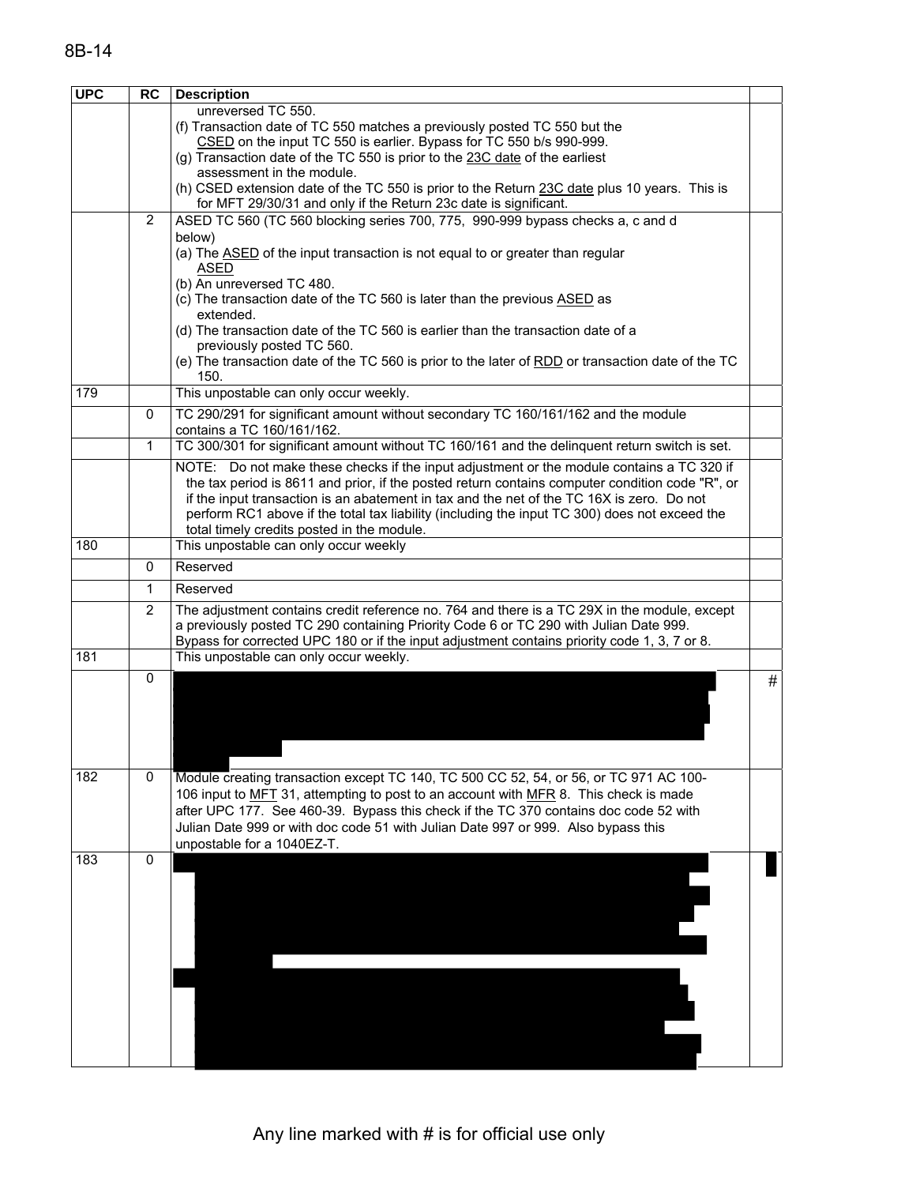| <b>UPC</b> | <b>RC</b>      | <b>Description</b>                                                                                                                                                                           |   |
|------------|----------------|----------------------------------------------------------------------------------------------------------------------------------------------------------------------------------------------|---|
|            |                | unreversed TC 550.                                                                                                                                                                           |   |
|            |                | (f) Transaction date of TC 550 matches a previously posted TC 550 but the                                                                                                                    |   |
|            |                | CSED on the input TC 550 is earlier. Bypass for TC 550 b/s 990-999.                                                                                                                          |   |
|            |                | (g) Transaction date of the TC 550 is prior to the 23C date of the earliest                                                                                                                  |   |
|            |                | assessment in the module.                                                                                                                                                                    |   |
|            |                | (h) CSED extension date of the TC 550 is prior to the Return 23C date plus 10 years. This is<br>for MFT 29/30/31 and only if the Return 23c date is significant.                             |   |
|            | $\overline{2}$ | ASED TC 560 (TC 560 blocking series 700, 775, 990-999 bypass checks a, c and d                                                                                                               |   |
|            |                | below)                                                                                                                                                                                       |   |
|            |                | (a) The <b>ASED</b> of the input transaction is not equal to or greater than regular                                                                                                         |   |
|            |                | <b>ASED</b>                                                                                                                                                                                  |   |
|            |                | (b) An unreversed TC 480.                                                                                                                                                                    |   |
|            |                | (c) The transaction date of the TC 560 is later than the previous ASED as                                                                                                                    |   |
|            |                | extended.<br>(d) The transaction date of the TC 560 is earlier than the transaction date of a                                                                                                |   |
|            |                | previously posted TC 560.                                                                                                                                                                    |   |
|            |                | (e) The transaction date of the TC 560 is prior to the later of RDD or transaction date of the TC                                                                                            |   |
|            |                | 150.                                                                                                                                                                                         |   |
| 179        |                | This unpostable can only occur weekly.                                                                                                                                                       |   |
|            | 0              | TC 290/291 for significant amount without secondary TC 160/161/162 and the module                                                                                                            |   |
|            |                | contains a TC 160/161/162.                                                                                                                                                                   |   |
|            | 1              | TC 300/301 for significant amount without TC 160/161 and the delinquent return switch is set.                                                                                                |   |
|            |                | NOTE: Do not make these checks if the input adjustment or the module contains a TC 320 if                                                                                                    |   |
|            |                | the tax period is 8611 and prior, if the posted return contains computer condition code "R", or<br>if the input transaction is an abatement in tax and the net of the TC 16X is zero. Do not |   |
|            |                | perform RC1 above if the total tax liability (including the input TC 300) does not exceed the                                                                                                |   |
|            |                | total timely credits posted in the module.                                                                                                                                                   |   |
| 180        |                | This unpostable can only occur weekly                                                                                                                                                        |   |
|            | 0              | Reserved                                                                                                                                                                                     |   |
|            | 1              | Reserved                                                                                                                                                                                     |   |
|            | 2              | The adjustment contains credit reference no. 764 and there is a TC 29X in the module, except                                                                                                 |   |
|            |                | a previously posted TC 290 containing Priority Code 6 or TC 290 with Julian Date 999.                                                                                                        |   |
|            |                | Bypass for corrected UPC 180 or if the input adjustment contains priority code 1, 3, 7 or 8.                                                                                                 |   |
| 181        |                | This unpostable can only occur weekly.                                                                                                                                                       |   |
|            | $\mathbf 0$    |                                                                                                                                                                                              | # |
|            |                |                                                                                                                                                                                              |   |
|            |                |                                                                                                                                                                                              |   |
|            |                |                                                                                                                                                                                              |   |
|            |                |                                                                                                                                                                                              |   |
| 182        | 0              | Module creating transaction except TC 140, TC 500 CC 52, 54, or 56, or TC 971 AC 100-                                                                                                        |   |
|            |                | 106 input to MFT 31, attempting to post to an account with MFR 8. This check is made                                                                                                         |   |
|            |                | after UPC 177. See 460-39. Bypass this check if the TC 370 contains doc code 52 with                                                                                                         |   |
|            |                | Julian Date 999 or with doc code 51 with Julian Date 997 or 999. Also bypass this                                                                                                            |   |
|            |                | unpostable for a 1040EZ-T.                                                                                                                                                                   |   |
| 183        | $\mathbf 0$    |                                                                                                                                                                                              |   |
|            |                |                                                                                                                                                                                              |   |
|            |                |                                                                                                                                                                                              |   |
|            |                |                                                                                                                                                                                              |   |
|            |                |                                                                                                                                                                                              |   |
|            |                |                                                                                                                                                                                              |   |
|            |                |                                                                                                                                                                                              |   |
|            |                |                                                                                                                                                                                              |   |
|            |                |                                                                                                                                                                                              |   |
|            |                |                                                                                                                                                                                              |   |
|            |                |                                                                                                                                                                                              |   |
|            |                |                                                                                                                                                                                              |   |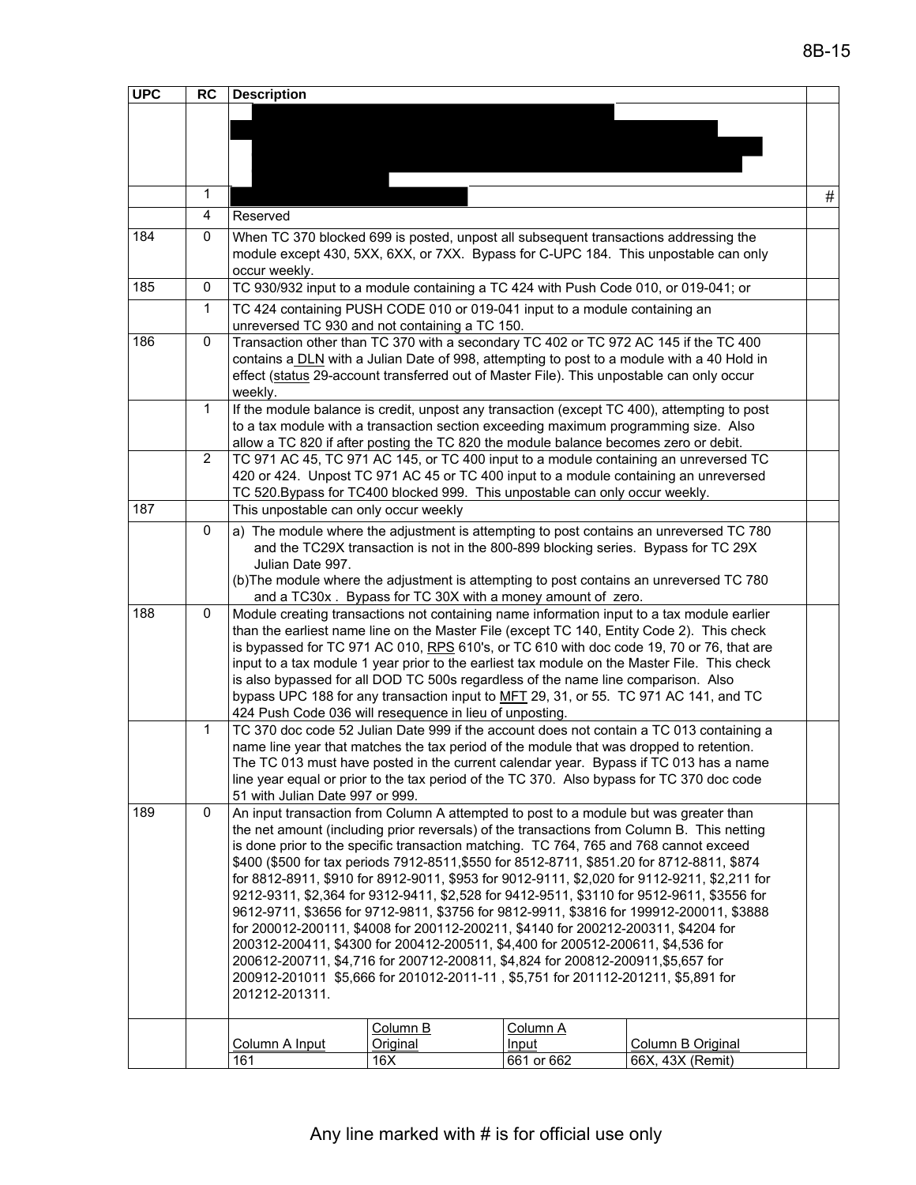| <b>UPC</b> | <b>RC</b>      | <b>Description</b>                                                                                                                                                                                                                                                                                                                                                                                                                                                                                                                                                                                                                                                                                                                                                                                                                                                                                                                                                                                                                                                     |                                                                                                                                                                                                                                                                                                                                                                                                                                                                                                                                                                                                                             |                                 |                                                                                                                                                                                    |   |  |
|------------|----------------|------------------------------------------------------------------------------------------------------------------------------------------------------------------------------------------------------------------------------------------------------------------------------------------------------------------------------------------------------------------------------------------------------------------------------------------------------------------------------------------------------------------------------------------------------------------------------------------------------------------------------------------------------------------------------------------------------------------------------------------------------------------------------------------------------------------------------------------------------------------------------------------------------------------------------------------------------------------------------------------------------------------------------------------------------------------------|-----------------------------------------------------------------------------------------------------------------------------------------------------------------------------------------------------------------------------------------------------------------------------------------------------------------------------------------------------------------------------------------------------------------------------------------------------------------------------------------------------------------------------------------------------------------------------------------------------------------------------|---------------------------------|------------------------------------------------------------------------------------------------------------------------------------------------------------------------------------|---|--|
|            |                |                                                                                                                                                                                                                                                                                                                                                                                                                                                                                                                                                                                                                                                                                                                                                                                                                                                                                                                                                                                                                                                                        |                                                                                                                                                                                                                                                                                                                                                                                                                                                                                                                                                                                                                             |                                 |                                                                                                                                                                                    |   |  |
|            |                |                                                                                                                                                                                                                                                                                                                                                                                                                                                                                                                                                                                                                                                                                                                                                                                                                                                                                                                                                                                                                                                                        |                                                                                                                                                                                                                                                                                                                                                                                                                                                                                                                                                                                                                             |                                 |                                                                                                                                                                                    |   |  |
|            |                |                                                                                                                                                                                                                                                                                                                                                                                                                                                                                                                                                                                                                                                                                                                                                                                                                                                                                                                                                                                                                                                                        |                                                                                                                                                                                                                                                                                                                                                                                                                                                                                                                                                                                                                             |                                 |                                                                                                                                                                                    |   |  |
|            | 1              |                                                                                                                                                                                                                                                                                                                                                                                                                                                                                                                                                                                                                                                                                                                                                                                                                                                                                                                                                                                                                                                                        |                                                                                                                                                                                                                                                                                                                                                                                                                                                                                                                                                                                                                             |                                 |                                                                                                                                                                                    | # |  |
|            | 4              | Reserved                                                                                                                                                                                                                                                                                                                                                                                                                                                                                                                                                                                                                                                                                                                                                                                                                                                                                                                                                                                                                                                               |                                                                                                                                                                                                                                                                                                                                                                                                                                                                                                                                                                                                                             |                                 |                                                                                                                                                                                    |   |  |
| 184        | $\mathbf 0$    | When TC 370 blocked 699 is posted, unpost all subsequent transactions addressing the<br>occur weekly.                                                                                                                                                                                                                                                                                                                                                                                                                                                                                                                                                                                                                                                                                                                                                                                                                                                                                                                                                                  |                                                                                                                                                                                                                                                                                                                                                                                                                                                                                                                                                                                                                             |                                 | module except 430, 5XX, 6XX, or 7XX. Bypass for C-UPC 184. This unpostable can only                                                                                                |   |  |
| 185        | 0              | TC 930/932 input to a module containing a TC 424 with Push Code 010, or 019-041; or                                                                                                                                                                                                                                                                                                                                                                                                                                                                                                                                                                                                                                                                                                                                                                                                                                                                                                                                                                                    |                                                                                                                                                                                                                                                                                                                                                                                                                                                                                                                                                                                                                             |                                 |                                                                                                                                                                                    |   |  |
|            | $\mathbf{1}$   |                                                                                                                                                                                                                                                                                                                                                                                                                                                                                                                                                                                                                                                                                                                                                                                                                                                                                                                                                                                                                                                                        | TC 424 containing PUSH CODE 010 or 019-041 input to a module containing an<br>unreversed TC 930 and not containing a TC 150.                                                                                                                                                                                                                                                                                                                                                                                                                                                                                                |                                 |                                                                                                                                                                                    |   |  |
| 186        | 0              | effect (status 29-account transferred out of Master File). This unpostable can only occur<br>weekly.                                                                                                                                                                                                                                                                                                                                                                                                                                                                                                                                                                                                                                                                                                                                                                                                                                                                                                                                                                   |                                                                                                                                                                                                                                                                                                                                                                                                                                                                                                                                                                                                                             |                                 | Transaction other than TC 370 with a secondary TC 402 or TC 972 AC 145 if the TC 400<br>contains a DLN with a Julian Date of 998, attempting to post to a module with a 40 Hold in |   |  |
|            | $\mathbf{1}$   | to a tax module with a transaction section exceeding maximum programming size. Also<br>allow a TC 820 if after posting the TC 820 the module balance becomes zero or debit.                                                                                                                                                                                                                                                                                                                                                                                                                                                                                                                                                                                                                                                                                                                                                                                                                                                                                            |                                                                                                                                                                                                                                                                                                                                                                                                                                                                                                                                                                                                                             |                                 | If the module balance is credit, unpost any transaction (except TC 400), attempting to post                                                                                        |   |  |
|            | $\overline{2}$ |                                                                                                                                                                                                                                                                                                                                                                                                                                                                                                                                                                                                                                                                                                                                                                                                                                                                                                                                                                                                                                                                        | TC 971 AC 45, TC 971 AC 145, or TC 400 input to a module containing an unreversed TC<br>420 or 424. Unpost TC 971 AC 45 or TC 400 input to a module containing an unreversed<br>TC 520. Bypass for TC400 blocked 999. This unpostable can only occur weekly.                                                                                                                                                                                                                                                                                                                                                                |                                 |                                                                                                                                                                                    |   |  |
| 187        |                |                                                                                                                                                                                                                                                                                                                                                                                                                                                                                                                                                                                                                                                                                                                                                                                                                                                                                                                                                                                                                                                                        | This unpostable can only occur weekly                                                                                                                                                                                                                                                                                                                                                                                                                                                                                                                                                                                       |                                 |                                                                                                                                                                                    |   |  |
|            | 0              | a) The module where the adjustment is attempting to post contains an unreversed TC 780<br>and the TC29X transaction is not in the 800-899 blocking series. Bypass for TC 29X<br>Julian Date 997.<br>(b) The module where the adjustment is attempting to post contains an unreversed TC 780<br>and a TC30x. Bypass for TC 30X with a money amount of zero.                                                                                                                                                                                                                                                                                                                                                                                                                                                                                                                                                                                                                                                                                                             |                                                                                                                                                                                                                                                                                                                                                                                                                                                                                                                                                                                                                             |                                 |                                                                                                                                                                                    |   |  |
| 188        | $\mathbf 0$    |                                                                                                                                                                                                                                                                                                                                                                                                                                                                                                                                                                                                                                                                                                                                                                                                                                                                                                                                                                                                                                                                        | Module creating transactions not containing name information input to a tax module earlier<br>than the earliest name line on the Master File (except TC 140, Entity Code 2). This check<br>is bypassed for TC 971 AC 010, RPS 610's, or TC 610 with doc code 19, 70 or 76, that are<br>input to a tax module 1 year prior to the earliest tax module on the Master File. This check<br>is also bypassed for all DOD TC 500s regardless of the name line comparison. Also<br>bypass UPC 188 for any transaction input to MFT 29, 31, or 55. TC 971 AC 141, and TC<br>424 Push Code 036 will resequence in lieu of unposting. |                                 |                                                                                                                                                                                    |   |  |
|            | $\mathbf{1}$   | TC 370 doc code 52 Julian Date 999 if the account does not contain a TC 013 containing a<br>name line year that matches the tax period of the module that was dropped to retention.<br>The TC 013 must have posted in the current calendar year. Bypass if TC 013 has a name<br>line year equal or prior to the tax period of the TC 370. Also bypass for TC 370 doc code                                                                                                                                                                                                                                                                                                                                                                                                                                                                                                                                                                                                                                                                                              |                                                                                                                                                                                                                                                                                                                                                                                                                                                                                                                                                                                                                             |                                 |                                                                                                                                                                                    |   |  |
| 189        | $\Omega$       | 51 with Julian Date 997 or 999.<br>An input transaction from Column A attempted to post to a module but was greater than<br>the net amount (including prior reversals) of the transactions from Column B. This netting<br>is done prior to the specific transaction matching. TC 764, 765 and 768 cannot exceed<br>\$400 (\$500 for tax periods 7912-8511, \$550 for 8512-8711, \$851.20 for 8712-8811, \$874<br>for 8812-8911, \$910 for 8912-9011, \$953 for 9012-9111, \$2,020 for 9112-9211, \$2,211 for<br>9212-9311, \$2,364 for 9312-9411, \$2,528 for 9412-9511, \$3110 for 9512-9611, \$3556 for<br>9612-9711, \$3656 for 9712-9811, \$3756 for 9812-9911, \$3816 for 199912-200011, \$3888<br>for 200012-200111, \$4008 for 200112-200211, \$4140 for 200212-200311, \$4204 for<br>200312-200411, \$4300 for 200412-200511, \$4,400 for 200512-200611, \$4,536 for<br>200612-200711, \$4,716 for 200712-200811, \$4,824 for 200812-200911, \$5,657 for<br>200912-201011 \$5,666 for 201012-2011-11, \$5,751 for 201112-201211, \$5,891 for<br>201212-201311. |                                                                                                                                                                                                                                                                                                                                                                                                                                                                                                                                                                                                                             |                                 |                                                                                                                                                                                    |   |  |
|            |                | Column A Input<br>161                                                                                                                                                                                                                                                                                                                                                                                                                                                                                                                                                                                                                                                                                                                                                                                                                                                                                                                                                                                                                                                  | Column B<br>Original<br>16X                                                                                                                                                                                                                                                                                                                                                                                                                                                                                                                                                                                                 | Column A<br>Input<br>661 or 662 | Column B Original<br>66X, 43X (Remit)                                                                                                                                              |   |  |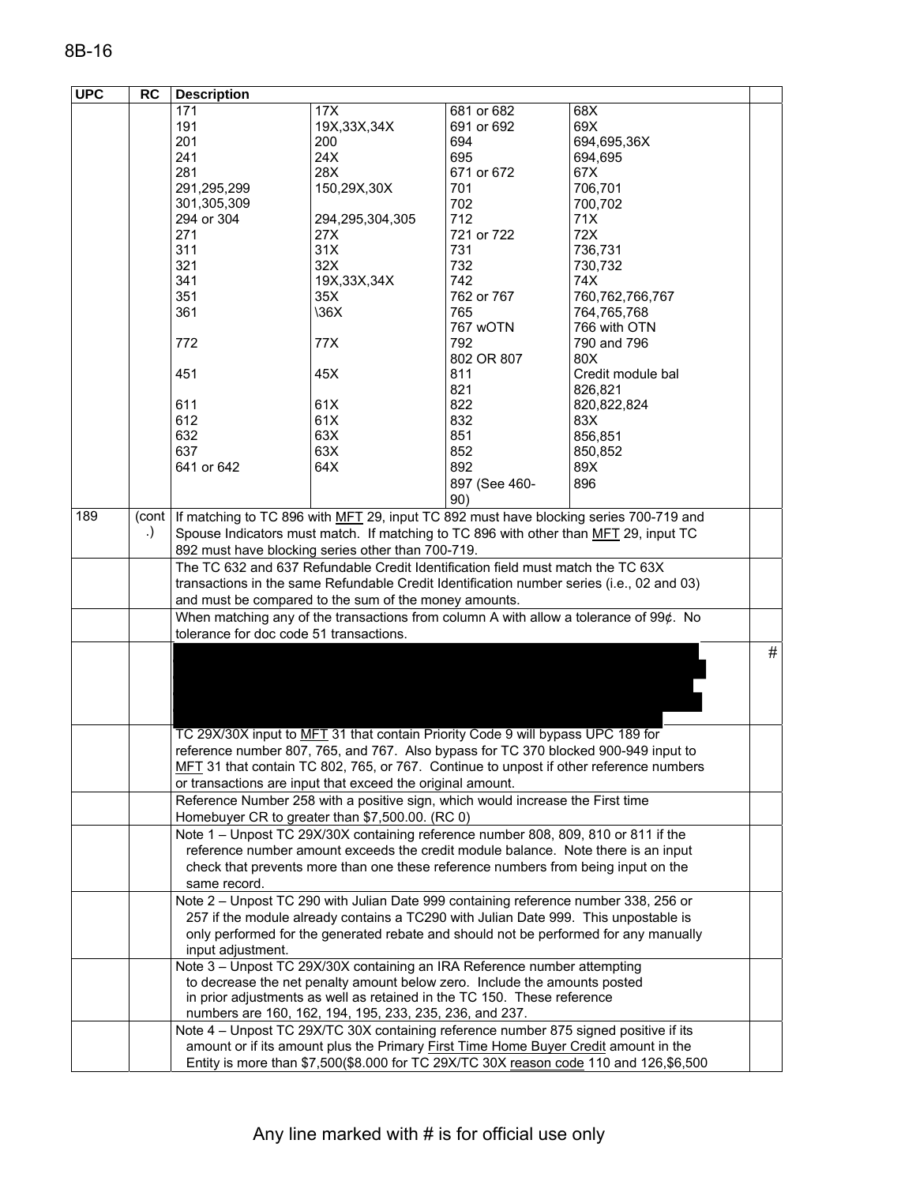| <b>UPC</b> | <b>RC</b> | <b>Description</b>                                                                        |                                                                                                                                                                                       |               |                                                                                        |      |  |  |
|------------|-----------|-------------------------------------------------------------------------------------------|---------------------------------------------------------------------------------------------------------------------------------------------------------------------------------------|---------------|----------------------------------------------------------------------------------------|------|--|--|
|            |           | 171                                                                                       | 17X                                                                                                                                                                                   | 681 or 682    | 68X                                                                                    |      |  |  |
|            |           | 191                                                                                       | 19X, 33X, 34X                                                                                                                                                                         | 691 or 692    | 69X                                                                                    |      |  |  |
|            |           | 201                                                                                       | 200                                                                                                                                                                                   | 694           | 694,695,36X                                                                            |      |  |  |
|            |           | 241                                                                                       | 24X                                                                                                                                                                                   | 695           | 694,695                                                                                |      |  |  |
|            |           | 281                                                                                       | 28X                                                                                                                                                                                   | 671 or 672    | 67X                                                                                    |      |  |  |
|            |           | 291,295,299                                                                               | 150,29X,30X                                                                                                                                                                           | 701           | 706,701                                                                                |      |  |  |
|            |           | 301,305,309                                                                               |                                                                                                                                                                                       | 702           | 700,702                                                                                |      |  |  |
|            |           | 294 or 304                                                                                | 294,295,304,305                                                                                                                                                                       | 712           | 71X                                                                                    |      |  |  |
|            |           | 271                                                                                       | 27X                                                                                                                                                                                   | 721 or 722    | 72X                                                                                    |      |  |  |
|            |           | 311                                                                                       | 31X                                                                                                                                                                                   | 731           | 736,731                                                                                |      |  |  |
|            |           | 321                                                                                       | 32X                                                                                                                                                                                   | 732           | 730,732                                                                                |      |  |  |
|            |           | 341                                                                                       | 19X, 33X, 34X                                                                                                                                                                         | 742           | 74X                                                                                    |      |  |  |
|            |           | 351                                                                                       | 35X                                                                                                                                                                                   | 762 or 767    | 760,762,766,767                                                                        |      |  |  |
|            |           | 361                                                                                       | \36X                                                                                                                                                                                  | 765           | 764,765,768                                                                            |      |  |  |
|            |           |                                                                                           |                                                                                                                                                                                       | 767 wOTN      | 766 with OTN                                                                           |      |  |  |
|            |           | 772                                                                                       | 77X                                                                                                                                                                                   | 792           | 790 and 796                                                                            |      |  |  |
|            |           |                                                                                           |                                                                                                                                                                                       | 802 OR 807    | 80X                                                                                    |      |  |  |
|            |           | 451                                                                                       | 45X                                                                                                                                                                                   | 811           | Credit module bal                                                                      |      |  |  |
|            |           |                                                                                           |                                                                                                                                                                                       | 821           | 826,821                                                                                |      |  |  |
|            |           | 611                                                                                       | 61X                                                                                                                                                                                   | 822           | 820,822,824                                                                            |      |  |  |
|            |           | 612                                                                                       | 61X                                                                                                                                                                                   | 832           | 83X                                                                                    |      |  |  |
|            |           | 632                                                                                       | 63X                                                                                                                                                                                   | 851           | 856,851                                                                                |      |  |  |
|            |           | 637                                                                                       | 63X                                                                                                                                                                                   | 852           | 850,852                                                                                |      |  |  |
|            |           | 641 or 642                                                                                | 64X                                                                                                                                                                                   | 892           | 89X                                                                                    |      |  |  |
|            |           |                                                                                           |                                                                                                                                                                                       | 897 (See 460- | 896                                                                                    |      |  |  |
|            |           |                                                                                           |                                                                                                                                                                                       | 90)           |                                                                                        |      |  |  |
| 189        |           |                                                                                           |                                                                                                                                                                                       |               |                                                                                        |      |  |  |
|            | .)        |                                                                                           | (cont   If matching to TC 896 with MFT 29, input TC 892 must have blocking series 700-719 and<br>Spouse Indicators must match. If matching to TC 896 with other than MFT 29, input TC |               |                                                                                        |      |  |  |
|            |           |                                                                                           | 892 must have blocking series other than 700-719.                                                                                                                                     |               |                                                                                        |      |  |  |
|            |           | The TC 632 and 637 Refundable Credit Identification field must match the TC 63X           |                                                                                                                                                                                       |               |                                                                                        |      |  |  |
|            |           | transactions in the same Refundable Credit Identification number series (i.e., 02 and 03) |                                                                                                                                                                                       |               |                                                                                        |      |  |  |
|            |           | and must be compared to the sum of the money amounts.                                     |                                                                                                                                                                                       |               |                                                                                        |      |  |  |
|            |           | When matching any of the transactions from column A with allow a tolerance of 99¢. No     |                                                                                                                                                                                       |               |                                                                                        |      |  |  |
|            |           | tolerance for doc code 51 transactions.                                                   |                                                                                                                                                                                       |               |                                                                                        |      |  |  |
|            |           |                                                                                           |                                                                                                                                                                                       |               |                                                                                        |      |  |  |
|            |           |                                                                                           |                                                                                                                                                                                       |               |                                                                                        | $\#$ |  |  |
|            |           |                                                                                           |                                                                                                                                                                                       |               |                                                                                        |      |  |  |
|            |           |                                                                                           |                                                                                                                                                                                       |               |                                                                                        |      |  |  |
|            |           |                                                                                           |                                                                                                                                                                                       |               |                                                                                        |      |  |  |
|            |           |                                                                                           |                                                                                                                                                                                       |               |                                                                                        |      |  |  |
|            |           | TC 29X/30X input to MFT 31 that contain Priority Code 9 will bypass UPC 189 for           |                                                                                                                                                                                       |               |                                                                                        |      |  |  |
|            |           | reference number 807, 765, and 767. Also bypass for TC 370 blocked 900-949 input to       |                                                                                                                                                                                       |               |                                                                                        |      |  |  |
|            |           |                                                                                           |                                                                                                                                                                                       |               | MFT 31 that contain TC 802, 765, or 767. Continue to unpost if other reference numbers |      |  |  |
|            |           | or transactions are input that exceed the original amount.                                |                                                                                                                                                                                       |               |                                                                                        |      |  |  |
|            |           | Reference Number 258 with a positive sign, which would increase the First time            |                                                                                                                                                                                       |               |                                                                                        |      |  |  |
|            |           | Homebuyer CR to greater than \$7,500.00. (RC 0)                                           |                                                                                                                                                                                       |               |                                                                                        |      |  |  |
|            |           | Note 1 – Unpost TC 29X/30X containing reference number 808, 809, 810 or 811 if the        |                                                                                                                                                                                       |               |                                                                                        |      |  |  |
|            |           |                                                                                           | reference number amount exceeds the credit module balance. Note there is an input                                                                                                     |               |                                                                                        |      |  |  |
|            |           |                                                                                           | check that prevents more than one these reference numbers from being input on the                                                                                                     |               |                                                                                        |      |  |  |
|            |           | same record.                                                                              |                                                                                                                                                                                       |               |                                                                                        |      |  |  |
|            |           | Note 2 - Unpost TC 290 with Julian Date 999 containing reference number 338, 256 or       |                                                                                                                                                                                       |               |                                                                                        |      |  |  |
|            |           |                                                                                           | 257 if the module already contains a TC290 with Julian Date 999. This unpostable is                                                                                                   |               |                                                                                        |      |  |  |
|            |           |                                                                                           |                                                                                                                                                                                       |               | only performed for the generated rebate and should not be performed for any manually   |      |  |  |
|            |           |                                                                                           |                                                                                                                                                                                       |               |                                                                                        |      |  |  |
|            |           | input adjustment.                                                                         |                                                                                                                                                                                       |               |                                                                                        |      |  |  |
|            |           | Note 3 - Unpost TC 29X/30X containing an IRA Reference number attempting                  |                                                                                                                                                                                       |               |                                                                                        |      |  |  |
|            |           |                                                                                           | to decrease the net penalty amount below zero. Include the amounts posted                                                                                                             |               |                                                                                        |      |  |  |
|            |           |                                                                                           | in prior adjustments as well as retained in the TC 150. These reference                                                                                                               |               |                                                                                        |      |  |  |
|            |           |                                                                                           | numbers are 160, 162, 194, 195, 233, 235, 236, and 237.                                                                                                                               |               |                                                                                        |      |  |  |
|            |           | Note 4 - Unpost TC 29X/TC 30X containing reference number 875 signed positive if its      |                                                                                                                                                                                       |               |                                                                                        |      |  |  |
|            |           |                                                                                           | amount or if its amount plus the Primary <b>First Time Home Buyer Credit</b> amount in the                                                                                            |               |                                                                                        |      |  |  |
|            |           |                                                                                           | Entity is more than \$7,500(\$8.000 for TC 29X/TC 30X reason code 110 and 126,\$6,500                                                                                                 |               |                                                                                        |      |  |  |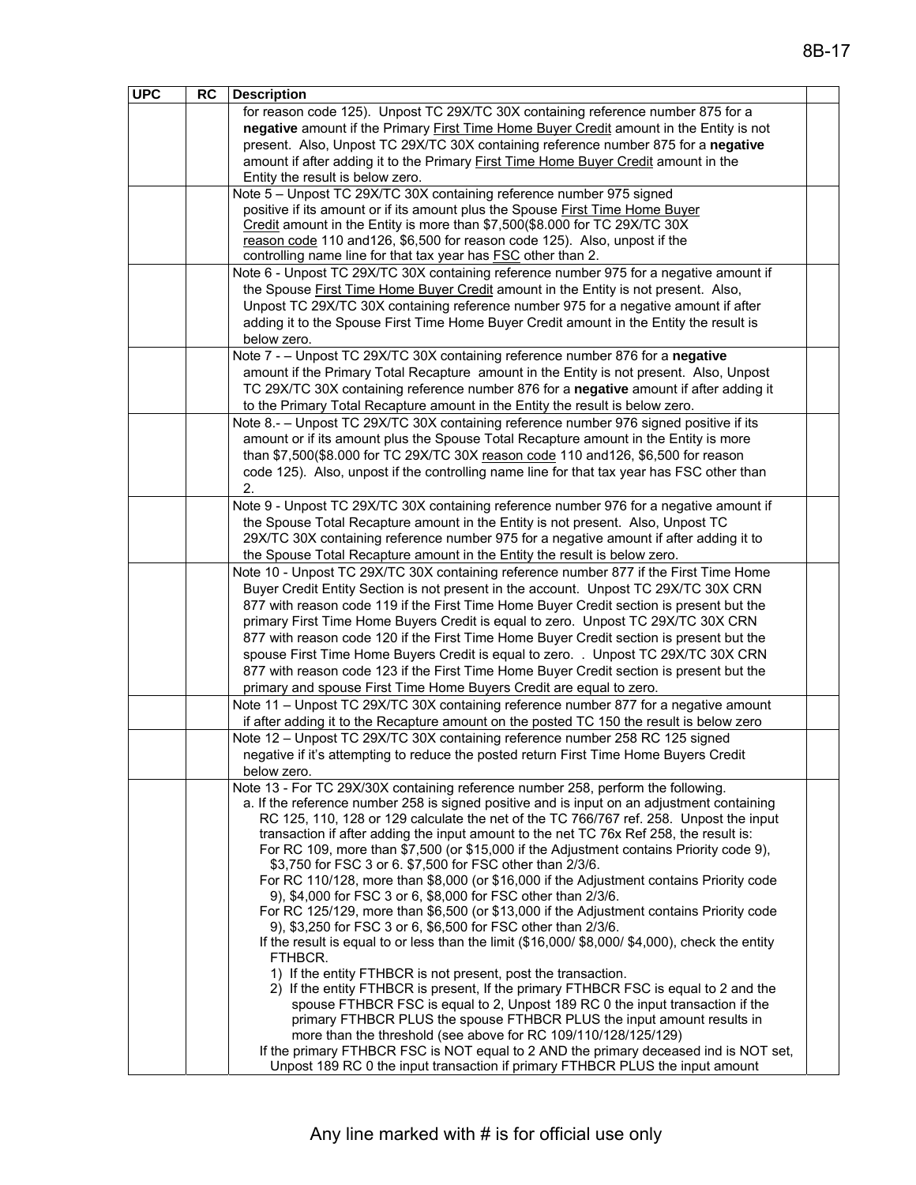| negative amount if the Primary First Time Home Buyer Credit amount in the Entity is not<br>present. Also, Unpost TC 29X/TC 30X containing reference number 875 for a negative<br>amount if after adding it to the Primary First Time Home Buyer Credit amount in the<br>Entity the result is below zero.<br>Note 5 - Unpost TC 29X/TC 30X containing reference number 975 signed<br>positive if its amount or if its amount plus the Spouse First Time Home Buyer<br>Credit amount in the Entity is more than \$7,500(\$8.000 for TC 29X/TC 30X<br>reason code 110 and 126, \$6,500 for reason code 125). Also, unpost if the<br>controlling name line for that tax year has <b>FSC</b> other than 2.<br>Note 6 - Unpost TC 29X/TC 30X containing reference number 975 for a negative amount if<br>the Spouse First Time Home Buyer Credit amount in the Entity is not present. Also,<br>Unpost TC 29X/TC 30X containing reference number 975 for a negative amount if after<br>adding it to the Spouse First Time Home Buyer Credit amount in the Entity the result is<br>below zero.<br>Note 7 - - Unpost TC 29X/TC 30X containing reference number 876 for a negative<br>amount if the Primary Total Recapture amount in the Entity is not present. Also, Unpost<br>TC 29X/TC 30X containing reference number 876 for a negative amount if after adding it<br>to the Primary Total Recapture amount in the Entity the result is below zero.<br>Note 8.- - Unpost TC 29X/TC 30X containing reference number 976 signed positive if its<br>amount or if its amount plus the Spouse Total Recapture amount in the Entity is more<br>than \$7,500(\$8.000 for TC 29X/TC 30X reason code 110 and 126, \$6,500 for reason<br>code 125). Also, unpost if the controlling name line for that tax year has FSC other than<br>2.<br>Note 9 - Unpost TC 29X/TC 30X containing reference number 976 for a negative amount if<br>the Spouse Total Recapture amount in the Entity is not present. Also, Unpost TC<br>29X/TC 30X containing reference number 975 for a negative amount if after adding it to<br>the Spouse Total Recapture amount in the Entity the result is below zero.<br>Note 10 - Unpost TC 29X/TC 30X containing reference number 877 if the First Time Home<br>Buyer Credit Entity Section is not present in the account. Unpost TC 29X/TC 30X CRN<br>877 with reason code 119 if the First Time Home Buyer Credit section is present but the<br>primary First Time Home Buyers Credit is equal to zero. Unpost TC 29X/TC 30X CRN<br>877 with reason code 120 if the First Time Home Buyer Credit section is present but the<br>spouse First Time Home Buyers Credit is equal to zero. . Unpost TC 29X/TC 30X CRN<br>877 with reason code 123 if the First Time Home Buyer Credit section is present but the<br>primary and spouse First Time Home Buyers Credit are equal to zero.<br>Note 11 - Unpost TC 29X/TC 30X containing reference number 877 for a negative amount<br>if after adding it to the Recapture amount on the posted TC 150 the result is below zero<br>Note 12 - Unpost TC 29X/TC 30X containing reference number 258 RC 125 signed<br>negative if it's attempting to reduce the posted return First Time Home Buyers Credit<br>below zero.<br>Note 13 - For TC 29X/30X containing reference number 258, perform the following.<br>a. If the reference number 258 is signed positive and is input on an adjustment containing<br>RC 125, 110, 128 or 129 calculate the net of the TC 766/767 ref. 258. Unpost the input<br>transaction if after adding the input amount to the net TC 76x Ref 258, the result is:<br>For RC 109, more than \$7,500 (or \$15,000 if the Adjustment contains Priority code 9),<br>\$3,750 for FSC 3 or 6. \$7,500 for FSC other than 2/3/6.<br>For RC 110/128, more than \$8,000 (or \$16,000 if the Adjustment contains Priority code<br>9), \$4,000 for FSC 3 or 6, \$8,000 for FSC other than 2/3/6.<br>For RC 125/129, more than \$6,500 (or \$13,000 if the Adjustment contains Priority code<br>9), \$3,250 for FSC 3 or 6, \$6,500 for FSC other than 2/3/6.<br>If the result is equal to or less than the limit (\$16,000/\$8,000/\$4,000), check the entity<br>FTHBCR.<br>1) If the entity FTHBCR is not present, post the transaction.<br>2) If the entity FTHBCR is present, If the primary FTHBCR FSC is equal to 2 and the<br>spouse FTHBCR FSC is equal to 2, Unpost 189 RC 0 the input transaction if the<br>primary FTHBCR PLUS the spouse FTHBCR PLUS the input amount results in<br>more than the threshold (see above for RC 109/110/128/125/129)<br>If the primary FTHBCR FSC is NOT equal to 2 AND the primary deceased ind is NOT set,<br>Unpost 189 RC 0 the input transaction if primary FTHBCR PLUS the input amount | <b>UPC</b> | RC | <b>Description</b>                                                               |  |
|------------------------------------------------------------------------------------------------------------------------------------------------------------------------------------------------------------------------------------------------------------------------------------------------------------------------------------------------------------------------------------------------------------------------------------------------------------------------------------------------------------------------------------------------------------------------------------------------------------------------------------------------------------------------------------------------------------------------------------------------------------------------------------------------------------------------------------------------------------------------------------------------------------------------------------------------------------------------------------------------------------------------------------------------------------------------------------------------------------------------------------------------------------------------------------------------------------------------------------------------------------------------------------------------------------------------------------------------------------------------------------------------------------------------------------------------------------------------------------------------------------------------------------------------------------------------------------------------------------------------------------------------------------------------------------------------------------------------------------------------------------------------------------------------------------------------------------------------------------------------------------------------------------------------------------------------------------------------------------------------------------------------------------------------------------------------------------------------------------------------------------------------------------------------------------------------------------------------------------------------------------------------------------------------------------------------------------------------------------------------------------------------------------------------------------------------------------------------------------------------------------------------------------------------------------------------------------------------------------------------------------------------------------------------------------------------------------------------------------------------------------------------------------------------------------------------------------------------------------------------------------------------------------------------------------------------------------------------------------------------------------------------------------------------------------------------------------------------------------------------------------------------------------------------------------------------------------------------------------------------------------------------------------------------------------------------------------------------------------------------------------------------------------------------------------------------------------------------------------------------------------------------------------------------------------------------------------------------------------------------------------------------------------------------------------------------------------------------------------------------------------------------------------------------------------------------------------------------------------------------------------------------------------------------------------------------------------------------------------------------------------------------------------------------------------------------------------------------------------------------------------------------------------------------------------------------------------------------------------------------------------------------------------------------------------------------------------------------------------------------------------------------------------------------------------------------------------------------------------------------------------------------------------------------------------------------------------------------------------------------------------------------------------------------------------------------------------------------------------------------------------------------------------------------------------|------------|----|----------------------------------------------------------------------------------|--|
|                                                                                                                                                                                                                                                                                                                                                                                                                                                                                                                                                                                                                                                                                                                                                                                                                                                                                                                                                                                                                                                                                                                                                                                                                                                                                                                                                                                                                                                                                                                                                                                                                                                                                                                                                                                                                                                                                                                                                                                                                                                                                                                                                                                                                                                                                                                                                                                                                                                                                                                                                                                                                                                                                                                                                                                                                                                                                                                                                                                                                                                                                                                                                                                                                                                                                                                                                                                                                                                                                                                                                                                                                                                                                                                                                                                                                                                                                                                                                                                                                                                                                                                                                                                                                                                                                                                                                                                                                                                                                                                                                                                                                                                                                                                                                                                                            |            |    | for reason code 125). Unpost TC 29X/TC 30X containing reference number 875 for a |  |
|                                                                                                                                                                                                                                                                                                                                                                                                                                                                                                                                                                                                                                                                                                                                                                                                                                                                                                                                                                                                                                                                                                                                                                                                                                                                                                                                                                                                                                                                                                                                                                                                                                                                                                                                                                                                                                                                                                                                                                                                                                                                                                                                                                                                                                                                                                                                                                                                                                                                                                                                                                                                                                                                                                                                                                                                                                                                                                                                                                                                                                                                                                                                                                                                                                                                                                                                                                                                                                                                                                                                                                                                                                                                                                                                                                                                                                                                                                                                                                                                                                                                                                                                                                                                                                                                                                                                                                                                                                                                                                                                                                                                                                                                                                                                                                                                            |            |    |                                                                                  |  |
|                                                                                                                                                                                                                                                                                                                                                                                                                                                                                                                                                                                                                                                                                                                                                                                                                                                                                                                                                                                                                                                                                                                                                                                                                                                                                                                                                                                                                                                                                                                                                                                                                                                                                                                                                                                                                                                                                                                                                                                                                                                                                                                                                                                                                                                                                                                                                                                                                                                                                                                                                                                                                                                                                                                                                                                                                                                                                                                                                                                                                                                                                                                                                                                                                                                                                                                                                                                                                                                                                                                                                                                                                                                                                                                                                                                                                                                                                                                                                                                                                                                                                                                                                                                                                                                                                                                                                                                                                                                                                                                                                                                                                                                                                                                                                                                                            |            |    |                                                                                  |  |
|                                                                                                                                                                                                                                                                                                                                                                                                                                                                                                                                                                                                                                                                                                                                                                                                                                                                                                                                                                                                                                                                                                                                                                                                                                                                                                                                                                                                                                                                                                                                                                                                                                                                                                                                                                                                                                                                                                                                                                                                                                                                                                                                                                                                                                                                                                                                                                                                                                                                                                                                                                                                                                                                                                                                                                                                                                                                                                                                                                                                                                                                                                                                                                                                                                                                                                                                                                                                                                                                                                                                                                                                                                                                                                                                                                                                                                                                                                                                                                                                                                                                                                                                                                                                                                                                                                                                                                                                                                                                                                                                                                                                                                                                                                                                                                                                            |            |    |                                                                                  |  |
|                                                                                                                                                                                                                                                                                                                                                                                                                                                                                                                                                                                                                                                                                                                                                                                                                                                                                                                                                                                                                                                                                                                                                                                                                                                                                                                                                                                                                                                                                                                                                                                                                                                                                                                                                                                                                                                                                                                                                                                                                                                                                                                                                                                                                                                                                                                                                                                                                                                                                                                                                                                                                                                                                                                                                                                                                                                                                                                                                                                                                                                                                                                                                                                                                                                                                                                                                                                                                                                                                                                                                                                                                                                                                                                                                                                                                                                                                                                                                                                                                                                                                                                                                                                                                                                                                                                                                                                                                                                                                                                                                                                                                                                                                                                                                                                                            |            |    |                                                                                  |  |
|                                                                                                                                                                                                                                                                                                                                                                                                                                                                                                                                                                                                                                                                                                                                                                                                                                                                                                                                                                                                                                                                                                                                                                                                                                                                                                                                                                                                                                                                                                                                                                                                                                                                                                                                                                                                                                                                                                                                                                                                                                                                                                                                                                                                                                                                                                                                                                                                                                                                                                                                                                                                                                                                                                                                                                                                                                                                                                                                                                                                                                                                                                                                                                                                                                                                                                                                                                                                                                                                                                                                                                                                                                                                                                                                                                                                                                                                                                                                                                                                                                                                                                                                                                                                                                                                                                                                                                                                                                                                                                                                                                                                                                                                                                                                                                                                            |            |    |                                                                                  |  |
|                                                                                                                                                                                                                                                                                                                                                                                                                                                                                                                                                                                                                                                                                                                                                                                                                                                                                                                                                                                                                                                                                                                                                                                                                                                                                                                                                                                                                                                                                                                                                                                                                                                                                                                                                                                                                                                                                                                                                                                                                                                                                                                                                                                                                                                                                                                                                                                                                                                                                                                                                                                                                                                                                                                                                                                                                                                                                                                                                                                                                                                                                                                                                                                                                                                                                                                                                                                                                                                                                                                                                                                                                                                                                                                                                                                                                                                                                                                                                                                                                                                                                                                                                                                                                                                                                                                                                                                                                                                                                                                                                                                                                                                                                                                                                                                                            |            |    |                                                                                  |  |
|                                                                                                                                                                                                                                                                                                                                                                                                                                                                                                                                                                                                                                                                                                                                                                                                                                                                                                                                                                                                                                                                                                                                                                                                                                                                                                                                                                                                                                                                                                                                                                                                                                                                                                                                                                                                                                                                                                                                                                                                                                                                                                                                                                                                                                                                                                                                                                                                                                                                                                                                                                                                                                                                                                                                                                                                                                                                                                                                                                                                                                                                                                                                                                                                                                                                                                                                                                                                                                                                                                                                                                                                                                                                                                                                                                                                                                                                                                                                                                                                                                                                                                                                                                                                                                                                                                                                                                                                                                                                                                                                                                                                                                                                                                                                                                                                            |            |    |                                                                                  |  |
|                                                                                                                                                                                                                                                                                                                                                                                                                                                                                                                                                                                                                                                                                                                                                                                                                                                                                                                                                                                                                                                                                                                                                                                                                                                                                                                                                                                                                                                                                                                                                                                                                                                                                                                                                                                                                                                                                                                                                                                                                                                                                                                                                                                                                                                                                                                                                                                                                                                                                                                                                                                                                                                                                                                                                                                                                                                                                                                                                                                                                                                                                                                                                                                                                                                                                                                                                                                                                                                                                                                                                                                                                                                                                                                                                                                                                                                                                                                                                                                                                                                                                                                                                                                                                                                                                                                                                                                                                                                                                                                                                                                                                                                                                                                                                                                                            |            |    |                                                                                  |  |
|                                                                                                                                                                                                                                                                                                                                                                                                                                                                                                                                                                                                                                                                                                                                                                                                                                                                                                                                                                                                                                                                                                                                                                                                                                                                                                                                                                                                                                                                                                                                                                                                                                                                                                                                                                                                                                                                                                                                                                                                                                                                                                                                                                                                                                                                                                                                                                                                                                                                                                                                                                                                                                                                                                                                                                                                                                                                                                                                                                                                                                                                                                                                                                                                                                                                                                                                                                                                                                                                                                                                                                                                                                                                                                                                                                                                                                                                                                                                                                                                                                                                                                                                                                                                                                                                                                                                                                                                                                                                                                                                                                                                                                                                                                                                                                                                            |            |    |                                                                                  |  |
|                                                                                                                                                                                                                                                                                                                                                                                                                                                                                                                                                                                                                                                                                                                                                                                                                                                                                                                                                                                                                                                                                                                                                                                                                                                                                                                                                                                                                                                                                                                                                                                                                                                                                                                                                                                                                                                                                                                                                                                                                                                                                                                                                                                                                                                                                                                                                                                                                                                                                                                                                                                                                                                                                                                                                                                                                                                                                                                                                                                                                                                                                                                                                                                                                                                                                                                                                                                                                                                                                                                                                                                                                                                                                                                                                                                                                                                                                                                                                                                                                                                                                                                                                                                                                                                                                                                                                                                                                                                                                                                                                                                                                                                                                                                                                                                                            |            |    |                                                                                  |  |
|                                                                                                                                                                                                                                                                                                                                                                                                                                                                                                                                                                                                                                                                                                                                                                                                                                                                                                                                                                                                                                                                                                                                                                                                                                                                                                                                                                                                                                                                                                                                                                                                                                                                                                                                                                                                                                                                                                                                                                                                                                                                                                                                                                                                                                                                                                                                                                                                                                                                                                                                                                                                                                                                                                                                                                                                                                                                                                                                                                                                                                                                                                                                                                                                                                                                                                                                                                                                                                                                                                                                                                                                                                                                                                                                                                                                                                                                                                                                                                                                                                                                                                                                                                                                                                                                                                                                                                                                                                                                                                                                                                                                                                                                                                                                                                                                            |            |    |                                                                                  |  |
|                                                                                                                                                                                                                                                                                                                                                                                                                                                                                                                                                                                                                                                                                                                                                                                                                                                                                                                                                                                                                                                                                                                                                                                                                                                                                                                                                                                                                                                                                                                                                                                                                                                                                                                                                                                                                                                                                                                                                                                                                                                                                                                                                                                                                                                                                                                                                                                                                                                                                                                                                                                                                                                                                                                                                                                                                                                                                                                                                                                                                                                                                                                                                                                                                                                                                                                                                                                                                                                                                                                                                                                                                                                                                                                                                                                                                                                                                                                                                                                                                                                                                                                                                                                                                                                                                                                                                                                                                                                                                                                                                                                                                                                                                                                                                                                                            |            |    |                                                                                  |  |
|                                                                                                                                                                                                                                                                                                                                                                                                                                                                                                                                                                                                                                                                                                                                                                                                                                                                                                                                                                                                                                                                                                                                                                                                                                                                                                                                                                                                                                                                                                                                                                                                                                                                                                                                                                                                                                                                                                                                                                                                                                                                                                                                                                                                                                                                                                                                                                                                                                                                                                                                                                                                                                                                                                                                                                                                                                                                                                                                                                                                                                                                                                                                                                                                                                                                                                                                                                                                                                                                                                                                                                                                                                                                                                                                                                                                                                                                                                                                                                                                                                                                                                                                                                                                                                                                                                                                                                                                                                                                                                                                                                                                                                                                                                                                                                                                            |            |    |                                                                                  |  |
|                                                                                                                                                                                                                                                                                                                                                                                                                                                                                                                                                                                                                                                                                                                                                                                                                                                                                                                                                                                                                                                                                                                                                                                                                                                                                                                                                                                                                                                                                                                                                                                                                                                                                                                                                                                                                                                                                                                                                                                                                                                                                                                                                                                                                                                                                                                                                                                                                                                                                                                                                                                                                                                                                                                                                                                                                                                                                                                                                                                                                                                                                                                                                                                                                                                                                                                                                                                                                                                                                                                                                                                                                                                                                                                                                                                                                                                                                                                                                                                                                                                                                                                                                                                                                                                                                                                                                                                                                                                                                                                                                                                                                                                                                                                                                                                                            |            |    |                                                                                  |  |
|                                                                                                                                                                                                                                                                                                                                                                                                                                                                                                                                                                                                                                                                                                                                                                                                                                                                                                                                                                                                                                                                                                                                                                                                                                                                                                                                                                                                                                                                                                                                                                                                                                                                                                                                                                                                                                                                                                                                                                                                                                                                                                                                                                                                                                                                                                                                                                                                                                                                                                                                                                                                                                                                                                                                                                                                                                                                                                                                                                                                                                                                                                                                                                                                                                                                                                                                                                                                                                                                                                                                                                                                                                                                                                                                                                                                                                                                                                                                                                                                                                                                                                                                                                                                                                                                                                                                                                                                                                                                                                                                                                                                                                                                                                                                                                                                            |            |    |                                                                                  |  |
|                                                                                                                                                                                                                                                                                                                                                                                                                                                                                                                                                                                                                                                                                                                                                                                                                                                                                                                                                                                                                                                                                                                                                                                                                                                                                                                                                                                                                                                                                                                                                                                                                                                                                                                                                                                                                                                                                                                                                                                                                                                                                                                                                                                                                                                                                                                                                                                                                                                                                                                                                                                                                                                                                                                                                                                                                                                                                                                                                                                                                                                                                                                                                                                                                                                                                                                                                                                                                                                                                                                                                                                                                                                                                                                                                                                                                                                                                                                                                                                                                                                                                                                                                                                                                                                                                                                                                                                                                                                                                                                                                                                                                                                                                                                                                                                                            |            |    |                                                                                  |  |
|                                                                                                                                                                                                                                                                                                                                                                                                                                                                                                                                                                                                                                                                                                                                                                                                                                                                                                                                                                                                                                                                                                                                                                                                                                                                                                                                                                                                                                                                                                                                                                                                                                                                                                                                                                                                                                                                                                                                                                                                                                                                                                                                                                                                                                                                                                                                                                                                                                                                                                                                                                                                                                                                                                                                                                                                                                                                                                                                                                                                                                                                                                                                                                                                                                                                                                                                                                                                                                                                                                                                                                                                                                                                                                                                                                                                                                                                                                                                                                                                                                                                                                                                                                                                                                                                                                                                                                                                                                                                                                                                                                                                                                                                                                                                                                                                            |            |    |                                                                                  |  |
|                                                                                                                                                                                                                                                                                                                                                                                                                                                                                                                                                                                                                                                                                                                                                                                                                                                                                                                                                                                                                                                                                                                                                                                                                                                                                                                                                                                                                                                                                                                                                                                                                                                                                                                                                                                                                                                                                                                                                                                                                                                                                                                                                                                                                                                                                                                                                                                                                                                                                                                                                                                                                                                                                                                                                                                                                                                                                                                                                                                                                                                                                                                                                                                                                                                                                                                                                                                                                                                                                                                                                                                                                                                                                                                                                                                                                                                                                                                                                                                                                                                                                                                                                                                                                                                                                                                                                                                                                                                                                                                                                                                                                                                                                                                                                                                                            |            |    |                                                                                  |  |
|                                                                                                                                                                                                                                                                                                                                                                                                                                                                                                                                                                                                                                                                                                                                                                                                                                                                                                                                                                                                                                                                                                                                                                                                                                                                                                                                                                                                                                                                                                                                                                                                                                                                                                                                                                                                                                                                                                                                                                                                                                                                                                                                                                                                                                                                                                                                                                                                                                                                                                                                                                                                                                                                                                                                                                                                                                                                                                                                                                                                                                                                                                                                                                                                                                                                                                                                                                                                                                                                                                                                                                                                                                                                                                                                                                                                                                                                                                                                                                                                                                                                                                                                                                                                                                                                                                                                                                                                                                                                                                                                                                                                                                                                                                                                                                                                            |            |    |                                                                                  |  |
|                                                                                                                                                                                                                                                                                                                                                                                                                                                                                                                                                                                                                                                                                                                                                                                                                                                                                                                                                                                                                                                                                                                                                                                                                                                                                                                                                                                                                                                                                                                                                                                                                                                                                                                                                                                                                                                                                                                                                                                                                                                                                                                                                                                                                                                                                                                                                                                                                                                                                                                                                                                                                                                                                                                                                                                                                                                                                                                                                                                                                                                                                                                                                                                                                                                                                                                                                                                                                                                                                                                                                                                                                                                                                                                                                                                                                                                                                                                                                                                                                                                                                                                                                                                                                                                                                                                                                                                                                                                                                                                                                                                                                                                                                                                                                                                                            |            |    |                                                                                  |  |
|                                                                                                                                                                                                                                                                                                                                                                                                                                                                                                                                                                                                                                                                                                                                                                                                                                                                                                                                                                                                                                                                                                                                                                                                                                                                                                                                                                                                                                                                                                                                                                                                                                                                                                                                                                                                                                                                                                                                                                                                                                                                                                                                                                                                                                                                                                                                                                                                                                                                                                                                                                                                                                                                                                                                                                                                                                                                                                                                                                                                                                                                                                                                                                                                                                                                                                                                                                                                                                                                                                                                                                                                                                                                                                                                                                                                                                                                                                                                                                                                                                                                                                                                                                                                                                                                                                                                                                                                                                                                                                                                                                                                                                                                                                                                                                                                            |            |    |                                                                                  |  |
|                                                                                                                                                                                                                                                                                                                                                                                                                                                                                                                                                                                                                                                                                                                                                                                                                                                                                                                                                                                                                                                                                                                                                                                                                                                                                                                                                                                                                                                                                                                                                                                                                                                                                                                                                                                                                                                                                                                                                                                                                                                                                                                                                                                                                                                                                                                                                                                                                                                                                                                                                                                                                                                                                                                                                                                                                                                                                                                                                                                                                                                                                                                                                                                                                                                                                                                                                                                                                                                                                                                                                                                                                                                                                                                                                                                                                                                                                                                                                                                                                                                                                                                                                                                                                                                                                                                                                                                                                                                                                                                                                                                                                                                                                                                                                                                                            |            |    |                                                                                  |  |
|                                                                                                                                                                                                                                                                                                                                                                                                                                                                                                                                                                                                                                                                                                                                                                                                                                                                                                                                                                                                                                                                                                                                                                                                                                                                                                                                                                                                                                                                                                                                                                                                                                                                                                                                                                                                                                                                                                                                                                                                                                                                                                                                                                                                                                                                                                                                                                                                                                                                                                                                                                                                                                                                                                                                                                                                                                                                                                                                                                                                                                                                                                                                                                                                                                                                                                                                                                                                                                                                                                                                                                                                                                                                                                                                                                                                                                                                                                                                                                                                                                                                                                                                                                                                                                                                                                                                                                                                                                                                                                                                                                                                                                                                                                                                                                                                            |            |    |                                                                                  |  |
|                                                                                                                                                                                                                                                                                                                                                                                                                                                                                                                                                                                                                                                                                                                                                                                                                                                                                                                                                                                                                                                                                                                                                                                                                                                                                                                                                                                                                                                                                                                                                                                                                                                                                                                                                                                                                                                                                                                                                                                                                                                                                                                                                                                                                                                                                                                                                                                                                                                                                                                                                                                                                                                                                                                                                                                                                                                                                                                                                                                                                                                                                                                                                                                                                                                                                                                                                                                                                                                                                                                                                                                                                                                                                                                                                                                                                                                                                                                                                                                                                                                                                                                                                                                                                                                                                                                                                                                                                                                                                                                                                                                                                                                                                                                                                                                                            |            |    |                                                                                  |  |
|                                                                                                                                                                                                                                                                                                                                                                                                                                                                                                                                                                                                                                                                                                                                                                                                                                                                                                                                                                                                                                                                                                                                                                                                                                                                                                                                                                                                                                                                                                                                                                                                                                                                                                                                                                                                                                                                                                                                                                                                                                                                                                                                                                                                                                                                                                                                                                                                                                                                                                                                                                                                                                                                                                                                                                                                                                                                                                                                                                                                                                                                                                                                                                                                                                                                                                                                                                                                                                                                                                                                                                                                                                                                                                                                                                                                                                                                                                                                                                                                                                                                                                                                                                                                                                                                                                                                                                                                                                                                                                                                                                                                                                                                                                                                                                                                            |            |    |                                                                                  |  |
|                                                                                                                                                                                                                                                                                                                                                                                                                                                                                                                                                                                                                                                                                                                                                                                                                                                                                                                                                                                                                                                                                                                                                                                                                                                                                                                                                                                                                                                                                                                                                                                                                                                                                                                                                                                                                                                                                                                                                                                                                                                                                                                                                                                                                                                                                                                                                                                                                                                                                                                                                                                                                                                                                                                                                                                                                                                                                                                                                                                                                                                                                                                                                                                                                                                                                                                                                                                                                                                                                                                                                                                                                                                                                                                                                                                                                                                                                                                                                                                                                                                                                                                                                                                                                                                                                                                                                                                                                                                                                                                                                                                                                                                                                                                                                                                                            |            |    |                                                                                  |  |
|                                                                                                                                                                                                                                                                                                                                                                                                                                                                                                                                                                                                                                                                                                                                                                                                                                                                                                                                                                                                                                                                                                                                                                                                                                                                                                                                                                                                                                                                                                                                                                                                                                                                                                                                                                                                                                                                                                                                                                                                                                                                                                                                                                                                                                                                                                                                                                                                                                                                                                                                                                                                                                                                                                                                                                                                                                                                                                                                                                                                                                                                                                                                                                                                                                                                                                                                                                                                                                                                                                                                                                                                                                                                                                                                                                                                                                                                                                                                                                                                                                                                                                                                                                                                                                                                                                                                                                                                                                                                                                                                                                                                                                                                                                                                                                                                            |            |    |                                                                                  |  |
|                                                                                                                                                                                                                                                                                                                                                                                                                                                                                                                                                                                                                                                                                                                                                                                                                                                                                                                                                                                                                                                                                                                                                                                                                                                                                                                                                                                                                                                                                                                                                                                                                                                                                                                                                                                                                                                                                                                                                                                                                                                                                                                                                                                                                                                                                                                                                                                                                                                                                                                                                                                                                                                                                                                                                                                                                                                                                                                                                                                                                                                                                                                                                                                                                                                                                                                                                                                                                                                                                                                                                                                                                                                                                                                                                                                                                                                                                                                                                                                                                                                                                                                                                                                                                                                                                                                                                                                                                                                                                                                                                                                                                                                                                                                                                                                                            |            |    |                                                                                  |  |
|                                                                                                                                                                                                                                                                                                                                                                                                                                                                                                                                                                                                                                                                                                                                                                                                                                                                                                                                                                                                                                                                                                                                                                                                                                                                                                                                                                                                                                                                                                                                                                                                                                                                                                                                                                                                                                                                                                                                                                                                                                                                                                                                                                                                                                                                                                                                                                                                                                                                                                                                                                                                                                                                                                                                                                                                                                                                                                                                                                                                                                                                                                                                                                                                                                                                                                                                                                                                                                                                                                                                                                                                                                                                                                                                                                                                                                                                                                                                                                                                                                                                                                                                                                                                                                                                                                                                                                                                                                                                                                                                                                                                                                                                                                                                                                                                            |            |    |                                                                                  |  |
|                                                                                                                                                                                                                                                                                                                                                                                                                                                                                                                                                                                                                                                                                                                                                                                                                                                                                                                                                                                                                                                                                                                                                                                                                                                                                                                                                                                                                                                                                                                                                                                                                                                                                                                                                                                                                                                                                                                                                                                                                                                                                                                                                                                                                                                                                                                                                                                                                                                                                                                                                                                                                                                                                                                                                                                                                                                                                                                                                                                                                                                                                                                                                                                                                                                                                                                                                                                                                                                                                                                                                                                                                                                                                                                                                                                                                                                                                                                                                                                                                                                                                                                                                                                                                                                                                                                                                                                                                                                                                                                                                                                                                                                                                                                                                                                                            |            |    |                                                                                  |  |
|                                                                                                                                                                                                                                                                                                                                                                                                                                                                                                                                                                                                                                                                                                                                                                                                                                                                                                                                                                                                                                                                                                                                                                                                                                                                                                                                                                                                                                                                                                                                                                                                                                                                                                                                                                                                                                                                                                                                                                                                                                                                                                                                                                                                                                                                                                                                                                                                                                                                                                                                                                                                                                                                                                                                                                                                                                                                                                                                                                                                                                                                                                                                                                                                                                                                                                                                                                                                                                                                                                                                                                                                                                                                                                                                                                                                                                                                                                                                                                                                                                                                                                                                                                                                                                                                                                                                                                                                                                                                                                                                                                                                                                                                                                                                                                                                            |            |    |                                                                                  |  |
|                                                                                                                                                                                                                                                                                                                                                                                                                                                                                                                                                                                                                                                                                                                                                                                                                                                                                                                                                                                                                                                                                                                                                                                                                                                                                                                                                                                                                                                                                                                                                                                                                                                                                                                                                                                                                                                                                                                                                                                                                                                                                                                                                                                                                                                                                                                                                                                                                                                                                                                                                                                                                                                                                                                                                                                                                                                                                                                                                                                                                                                                                                                                                                                                                                                                                                                                                                                                                                                                                                                                                                                                                                                                                                                                                                                                                                                                                                                                                                                                                                                                                                                                                                                                                                                                                                                                                                                                                                                                                                                                                                                                                                                                                                                                                                                                            |            |    |                                                                                  |  |
|                                                                                                                                                                                                                                                                                                                                                                                                                                                                                                                                                                                                                                                                                                                                                                                                                                                                                                                                                                                                                                                                                                                                                                                                                                                                                                                                                                                                                                                                                                                                                                                                                                                                                                                                                                                                                                                                                                                                                                                                                                                                                                                                                                                                                                                                                                                                                                                                                                                                                                                                                                                                                                                                                                                                                                                                                                                                                                                                                                                                                                                                                                                                                                                                                                                                                                                                                                                                                                                                                                                                                                                                                                                                                                                                                                                                                                                                                                                                                                                                                                                                                                                                                                                                                                                                                                                                                                                                                                                                                                                                                                                                                                                                                                                                                                                                            |            |    |                                                                                  |  |
|                                                                                                                                                                                                                                                                                                                                                                                                                                                                                                                                                                                                                                                                                                                                                                                                                                                                                                                                                                                                                                                                                                                                                                                                                                                                                                                                                                                                                                                                                                                                                                                                                                                                                                                                                                                                                                                                                                                                                                                                                                                                                                                                                                                                                                                                                                                                                                                                                                                                                                                                                                                                                                                                                                                                                                                                                                                                                                                                                                                                                                                                                                                                                                                                                                                                                                                                                                                                                                                                                                                                                                                                                                                                                                                                                                                                                                                                                                                                                                                                                                                                                                                                                                                                                                                                                                                                                                                                                                                                                                                                                                                                                                                                                                                                                                                                            |            |    |                                                                                  |  |
|                                                                                                                                                                                                                                                                                                                                                                                                                                                                                                                                                                                                                                                                                                                                                                                                                                                                                                                                                                                                                                                                                                                                                                                                                                                                                                                                                                                                                                                                                                                                                                                                                                                                                                                                                                                                                                                                                                                                                                                                                                                                                                                                                                                                                                                                                                                                                                                                                                                                                                                                                                                                                                                                                                                                                                                                                                                                                                                                                                                                                                                                                                                                                                                                                                                                                                                                                                                                                                                                                                                                                                                                                                                                                                                                                                                                                                                                                                                                                                                                                                                                                                                                                                                                                                                                                                                                                                                                                                                                                                                                                                                                                                                                                                                                                                                                            |            |    |                                                                                  |  |
|                                                                                                                                                                                                                                                                                                                                                                                                                                                                                                                                                                                                                                                                                                                                                                                                                                                                                                                                                                                                                                                                                                                                                                                                                                                                                                                                                                                                                                                                                                                                                                                                                                                                                                                                                                                                                                                                                                                                                                                                                                                                                                                                                                                                                                                                                                                                                                                                                                                                                                                                                                                                                                                                                                                                                                                                                                                                                                                                                                                                                                                                                                                                                                                                                                                                                                                                                                                                                                                                                                                                                                                                                                                                                                                                                                                                                                                                                                                                                                                                                                                                                                                                                                                                                                                                                                                                                                                                                                                                                                                                                                                                                                                                                                                                                                                                            |            |    |                                                                                  |  |
|                                                                                                                                                                                                                                                                                                                                                                                                                                                                                                                                                                                                                                                                                                                                                                                                                                                                                                                                                                                                                                                                                                                                                                                                                                                                                                                                                                                                                                                                                                                                                                                                                                                                                                                                                                                                                                                                                                                                                                                                                                                                                                                                                                                                                                                                                                                                                                                                                                                                                                                                                                                                                                                                                                                                                                                                                                                                                                                                                                                                                                                                                                                                                                                                                                                                                                                                                                                                                                                                                                                                                                                                                                                                                                                                                                                                                                                                                                                                                                                                                                                                                                                                                                                                                                                                                                                                                                                                                                                                                                                                                                                                                                                                                                                                                                                                            |            |    |                                                                                  |  |
|                                                                                                                                                                                                                                                                                                                                                                                                                                                                                                                                                                                                                                                                                                                                                                                                                                                                                                                                                                                                                                                                                                                                                                                                                                                                                                                                                                                                                                                                                                                                                                                                                                                                                                                                                                                                                                                                                                                                                                                                                                                                                                                                                                                                                                                                                                                                                                                                                                                                                                                                                                                                                                                                                                                                                                                                                                                                                                                                                                                                                                                                                                                                                                                                                                                                                                                                                                                                                                                                                                                                                                                                                                                                                                                                                                                                                                                                                                                                                                                                                                                                                                                                                                                                                                                                                                                                                                                                                                                                                                                                                                                                                                                                                                                                                                                                            |            |    |                                                                                  |  |
|                                                                                                                                                                                                                                                                                                                                                                                                                                                                                                                                                                                                                                                                                                                                                                                                                                                                                                                                                                                                                                                                                                                                                                                                                                                                                                                                                                                                                                                                                                                                                                                                                                                                                                                                                                                                                                                                                                                                                                                                                                                                                                                                                                                                                                                                                                                                                                                                                                                                                                                                                                                                                                                                                                                                                                                                                                                                                                                                                                                                                                                                                                                                                                                                                                                                                                                                                                                                                                                                                                                                                                                                                                                                                                                                                                                                                                                                                                                                                                                                                                                                                                                                                                                                                                                                                                                                                                                                                                                                                                                                                                                                                                                                                                                                                                                                            |            |    |                                                                                  |  |
|                                                                                                                                                                                                                                                                                                                                                                                                                                                                                                                                                                                                                                                                                                                                                                                                                                                                                                                                                                                                                                                                                                                                                                                                                                                                                                                                                                                                                                                                                                                                                                                                                                                                                                                                                                                                                                                                                                                                                                                                                                                                                                                                                                                                                                                                                                                                                                                                                                                                                                                                                                                                                                                                                                                                                                                                                                                                                                                                                                                                                                                                                                                                                                                                                                                                                                                                                                                                                                                                                                                                                                                                                                                                                                                                                                                                                                                                                                                                                                                                                                                                                                                                                                                                                                                                                                                                                                                                                                                                                                                                                                                                                                                                                                                                                                                                            |            |    |                                                                                  |  |
|                                                                                                                                                                                                                                                                                                                                                                                                                                                                                                                                                                                                                                                                                                                                                                                                                                                                                                                                                                                                                                                                                                                                                                                                                                                                                                                                                                                                                                                                                                                                                                                                                                                                                                                                                                                                                                                                                                                                                                                                                                                                                                                                                                                                                                                                                                                                                                                                                                                                                                                                                                                                                                                                                                                                                                                                                                                                                                                                                                                                                                                                                                                                                                                                                                                                                                                                                                                                                                                                                                                                                                                                                                                                                                                                                                                                                                                                                                                                                                                                                                                                                                                                                                                                                                                                                                                                                                                                                                                                                                                                                                                                                                                                                                                                                                                                            |            |    |                                                                                  |  |
|                                                                                                                                                                                                                                                                                                                                                                                                                                                                                                                                                                                                                                                                                                                                                                                                                                                                                                                                                                                                                                                                                                                                                                                                                                                                                                                                                                                                                                                                                                                                                                                                                                                                                                                                                                                                                                                                                                                                                                                                                                                                                                                                                                                                                                                                                                                                                                                                                                                                                                                                                                                                                                                                                                                                                                                                                                                                                                                                                                                                                                                                                                                                                                                                                                                                                                                                                                                                                                                                                                                                                                                                                                                                                                                                                                                                                                                                                                                                                                                                                                                                                                                                                                                                                                                                                                                                                                                                                                                                                                                                                                                                                                                                                                                                                                                                            |            |    |                                                                                  |  |
|                                                                                                                                                                                                                                                                                                                                                                                                                                                                                                                                                                                                                                                                                                                                                                                                                                                                                                                                                                                                                                                                                                                                                                                                                                                                                                                                                                                                                                                                                                                                                                                                                                                                                                                                                                                                                                                                                                                                                                                                                                                                                                                                                                                                                                                                                                                                                                                                                                                                                                                                                                                                                                                                                                                                                                                                                                                                                                                                                                                                                                                                                                                                                                                                                                                                                                                                                                                                                                                                                                                                                                                                                                                                                                                                                                                                                                                                                                                                                                                                                                                                                                                                                                                                                                                                                                                                                                                                                                                                                                                                                                                                                                                                                                                                                                                                            |            |    |                                                                                  |  |
|                                                                                                                                                                                                                                                                                                                                                                                                                                                                                                                                                                                                                                                                                                                                                                                                                                                                                                                                                                                                                                                                                                                                                                                                                                                                                                                                                                                                                                                                                                                                                                                                                                                                                                                                                                                                                                                                                                                                                                                                                                                                                                                                                                                                                                                                                                                                                                                                                                                                                                                                                                                                                                                                                                                                                                                                                                                                                                                                                                                                                                                                                                                                                                                                                                                                                                                                                                                                                                                                                                                                                                                                                                                                                                                                                                                                                                                                                                                                                                                                                                                                                                                                                                                                                                                                                                                                                                                                                                                                                                                                                                                                                                                                                                                                                                                                            |            |    |                                                                                  |  |
|                                                                                                                                                                                                                                                                                                                                                                                                                                                                                                                                                                                                                                                                                                                                                                                                                                                                                                                                                                                                                                                                                                                                                                                                                                                                                                                                                                                                                                                                                                                                                                                                                                                                                                                                                                                                                                                                                                                                                                                                                                                                                                                                                                                                                                                                                                                                                                                                                                                                                                                                                                                                                                                                                                                                                                                                                                                                                                                                                                                                                                                                                                                                                                                                                                                                                                                                                                                                                                                                                                                                                                                                                                                                                                                                                                                                                                                                                                                                                                                                                                                                                                                                                                                                                                                                                                                                                                                                                                                                                                                                                                                                                                                                                                                                                                                                            |            |    |                                                                                  |  |
|                                                                                                                                                                                                                                                                                                                                                                                                                                                                                                                                                                                                                                                                                                                                                                                                                                                                                                                                                                                                                                                                                                                                                                                                                                                                                                                                                                                                                                                                                                                                                                                                                                                                                                                                                                                                                                                                                                                                                                                                                                                                                                                                                                                                                                                                                                                                                                                                                                                                                                                                                                                                                                                                                                                                                                                                                                                                                                                                                                                                                                                                                                                                                                                                                                                                                                                                                                                                                                                                                                                                                                                                                                                                                                                                                                                                                                                                                                                                                                                                                                                                                                                                                                                                                                                                                                                                                                                                                                                                                                                                                                                                                                                                                                                                                                                                            |            |    |                                                                                  |  |
|                                                                                                                                                                                                                                                                                                                                                                                                                                                                                                                                                                                                                                                                                                                                                                                                                                                                                                                                                                                                                                                                                                                                                                                                                                                                                                                                                                                                                                                                                                                                                                                                                                                                                                                                                                                                                                                                                                                                                                                                                                                                                                                                                                                                                                                                                                                                                                                                                                                                                                                                                                                                                                                                                                                                                                                                                                                                                                                                                                                                                                                                                                                                                                                                                                                                                                                                                                                                                                                                                                                                                                                                                                                                                                                                                                                                                                                                                                                                                                                                                                                                                                                                                                                                                                                                                                                                                                                                                                                                                                                                                                                                                                                                                                                                                                                                            |            |    |                                                                                  |  |
|                                                                                                                                                                                                                                                                                                                                                                                                                                                                                                                                                                                                                                                                                                                                                                                                                                                                                                                                                                                                                                                                                                                                                                                                                                                                                                                                                                                                                                                                                                                                                                                                                                                                                                                                                                                                                                                                                                                                                                                                                                                                                                                                                                                                                                                                                                                                                                                                                                                                                                                                                                                                                                                                                                                                                                                                                                                                                                                                                                                                                                                                                                                                                                                                                                                                                                                                                                                                                                                                                                                                                                                                                                                                                                                                                                                                                                                                                                                                                                                                                                                                                                                                                                                                                                                                                                                                                                                                                                                                                                                                                                                                                                                                                                                                                                                                            |            |    |                                                                                  |  |
|                                                                                                                                                                                                                                                                                                                                                                                                                                                                                                                                                                                                                                                                                                                                                                                                                                                                                                                                                                                                                                                                                                                                                                                                                                                                                                                                                                                                                                                                                                                                                                                                                                                                                                                                                                                                                                                                                                                                                                                                                                                                                                                                                                                                                                                                                                                                                                                                                                                                                                                                                                                                                                                                                                                                                                                                                                                                                                                                                                                                                                                                                                                                                                                                                                                                                                                                                                                                                                                                                                                                                                                                                                                                                                                                                                                                                                                                                                                                                                                                                                                                                                                                                                                                                                                                                                                                                                                                                                                                                                                                                                                                                                                                                                                                                                                                            |            |    |                                                                                  |  |
|                                                                                                                                                                                                                                                                                                                                                                                                                                                                                                                                                                                                                                                                                                                                                                                                                                                                                                                                                                                                                                                                                                                                                                                                                                                                                                                                                                                                                                                                                                                                                                                                                                                                                                                                                                                                                                                                                                                                                                                                                                                                                                                                                                                                                                                                                                                                                                                                                                                                                                                                                                                                                                                                                                                                                                                                                                                                                                                                                                                                                                                                                                                                                                                                                                                                                                                                                                                                                                                                                                                                                                                                                                                                                                                                                                                                                                                                                                                                                                                                                                                                                                                                                                                                                                                                                                                                                                                                                                                                                                                                                                                                                                                                                                                                                                                                            |            |    |                                                                                  |  |
|                                                                                                                                                                                                                                                                                                                                                                                                                                                                                                                                                                                                                                                                                                                                                                                                                                                                                                                                                                                                                                                                                                                                                                                                                                                                                                                                                                                                                                                                                                                                                                                                                                                                                                                                                                                                                                                                                                                                                                                                                                                                                                                                                                                                                                                                                                                                                                                                                                                                                                                                                                                                                                                                                                                                                                                                                                                                                                                                                                                                                                                                                                                                                                                                                                                                                                                                                                                                                                                                                                                                                                                                                                                                                                                                                                                                                                                                                                                                                                                                                                                                                                                                                                                                                                                                                                                                                                                                                                                                                                                                                                                                                                                                                                                                                                                                            |            |    |                                                                                  |  |
|                                                                                                                                                                                                                                                                                                                                                                                                                                                                                                                                                                                                                                                                                                                                                                                                                                                                                                                                                                                                                                                                                                                                                                                                                                                                                                                                                                                                                                                                                                                                                                                                                                                                                                                                                                                                                                                                                                                                                                                                                                                                                                                                                                                                                                                                                                                                                                                                                                                                                                                                                                                                                                                                                                                                                                                                                                                                                                                                                                                                                                                                                                                                                                                                                                                                                                                                                                                                                                                                                                                                                                                                                                                                                                                                                                                                                                                                                                                                                                                                                                                                                                                                                                                                                                                                                                                                                                                                                                                                                                                                                                                                                                                                                                                                                                                                            |            |    |                                                                                  |  |
|                                                                                                                                                                                                                                                                                                                                                                                                                                                                                                                                                                                                                                                                                                                                                                                                                                                                                                                                                                                                                                                                                                                                                                                                                                                                                                                                                                                                                                                                                                                                                                                                                                                                                                                                                                                                                                                                                                                                                                                                                                                                                                                                                                                                                                                                                                                                                                                                                                                                                                                                                                                                                                                                                                                                                                                                                                                                                                                                                                                                                                                                                                                                                                                                                                                                                                                                                                                                                                                                                                                                                                                                                                                                                                                                                                                                                                                                                                                                                                                                                                                                                                                                                                                                                                                                                                                                                                                                                                                                                                                                                                                                                                                                                                                                                                                                            |            |    |                                                                                  |  |
|                                                                                                                                                                                                                                                                                                                                                                                                                                                                                                                                                                                                                                                                                                                                                                                                                                                                                                                                                                                                                                                                                                                                                                                                                                                                                                                                                                                                                                                                                                                                                                                                                                                                                                                                                                                                                                                                                                                                                                                                                                                                                                                                                                                                                                                                                                                                                                                                                                                                                                                                                                                                                                                                                                                                                                                                                                                                                                                                                                                                                                                                                                                                                                                                                                                                                                                                                                                                                                                                                                                                                                                                                                                                                                                                                                                                                                                                                                                                                                                                                                                                                                                                                                                                                                                                                                                                                                                                                                                                                                                                                                                                                                                                                                                                                                                                            |            |    |                                                                                  |  |
|                                                                                                                                                                                                                                                                                                                                                                                                                                                                                                                                                                                                                                                                                                                                                                                                                                                                                                                                                                                                                                                                                                                                                                                                                                                                                                                                                                                                                                                                                                                                                                                                                                                                                                                                                                                                                                                                                                                                                                                                                                                                                                                                                                                                                                                                                                                                                                                                                                                                                                                                                                                                                                                                                                                                                                                                                                                                                                                                                                                                                                                                                                                                                                                                                                                                                                                                                                                                                                                                                                                                                                                                                                                                                                                                                                                                                                                                                                                                                                                                                                                                                                                                                                                                                                                                                                                                                                                                                                                                                                                                                                                                                                                                                                                                                                                                            |            |    |                                                                                  |  |
|                                                                                                                                                                                                                                                                                                                                                                                                                                                                                                                                                                                                                                                                                                                                                                                                                                                                                                                                                                                                                                                                                                                                                                                                                                                                                                                                                                                                                                                                                                                                                                                                                                                                                                                                                                                                                                                                                                                                                                                                                                                                                                                                                                                                                                                                                                                                                                                                                                                                                                                                                                                                                                                                                                                                                                                                                                                                                                                                                                                                                                                                                                                                                                                                                                                                                                                                                                                                                                                                                                                                                                                                                                                                                                                                                                                                                                                                                                                                                                                                                                                                                                                                                                                                                                                                                                                                                                                                                                                                                                                                                                                                                                                                                                                                                                                                            |            |    |                                                                                  |  |
|                                                                                                                                                                                                                                                                                                                                                                                                                                                                                                                                                                                                                                                                                                                                                                                                                                                                                                                                                                                                                                                                                                                                                                                                                                                                                                                                                                                                                                                                                                                                                                                                                                                                                                                                                                                                                                                                                                                                                                                                                                                                                                                                                                                                                                                                                                                                                                                                                                                                                                                                                                                                                                                                                                                                                                                                                                                                                                                                                                                                                                                                                                                                                                                                                                                                                                                                                                                                                                                                                                                                                                                                                                                                                                                                                                                                                                                                                                                                                                                                                                                                                                                                                                                                                                                                                                                                                                                                                                                                                                                                                                                                                                                                                                                                                                                                            |            |    |                                                                                  |  |
|                                                                                                                                                                                                                                                                                                                                                                                                                                                                                                                                                                                                                                                                                                                                                                                                                                                                                                                                                                                                                                                                                                                                                                                                                                                                                                                                                                                                                                                                                                                                                                                                                                                                                                                                                                                                                                                                                                                                                                                                                                                                                                                                                                                                                                                                                                                                                                                                                                                                                                                                                                                                                                                                                                                                                                                                                                                                                                                                                                                                                                                                                                                                                                                                                                                                                                                                                                                                                                                                                                                                                                                                                                                                                                                                                                                                                                                                                                                                                                                                                                                                                                                                                                                                                                                                                                                                                                                                                                                                                                                                                                                                                                                                                                                                                                                                            |            |    |                                                                                  |  |
|                                                                                                                                                                                                                                                                                                                                                                                                                                                                                                                                                                                                                                                                                                                                                                                                                                                                                                                                                                                                                                                                                                                                                                                                                                                                                                                                                                                                                                                                                                                                                                                                                                                                                                                                                                                                                                                                                                                                                                                                                                                                                                                                                                                                                                                                                                                                                                                                                                                                                                                                                                                                                                                                                                                                                                                                                                                                                                                                                                                                                                                                                                                                                                                                                                                                                                                                                                                                                                                                                                                                                                                                                                                                                                                                                                                                                                                                                                                                                                                                                                                                                                                                                                                                                                                                                                                                                                                                                                                                                                                                                                                                                                                                                                                                                                                                            |            |    |                                                                                  |  |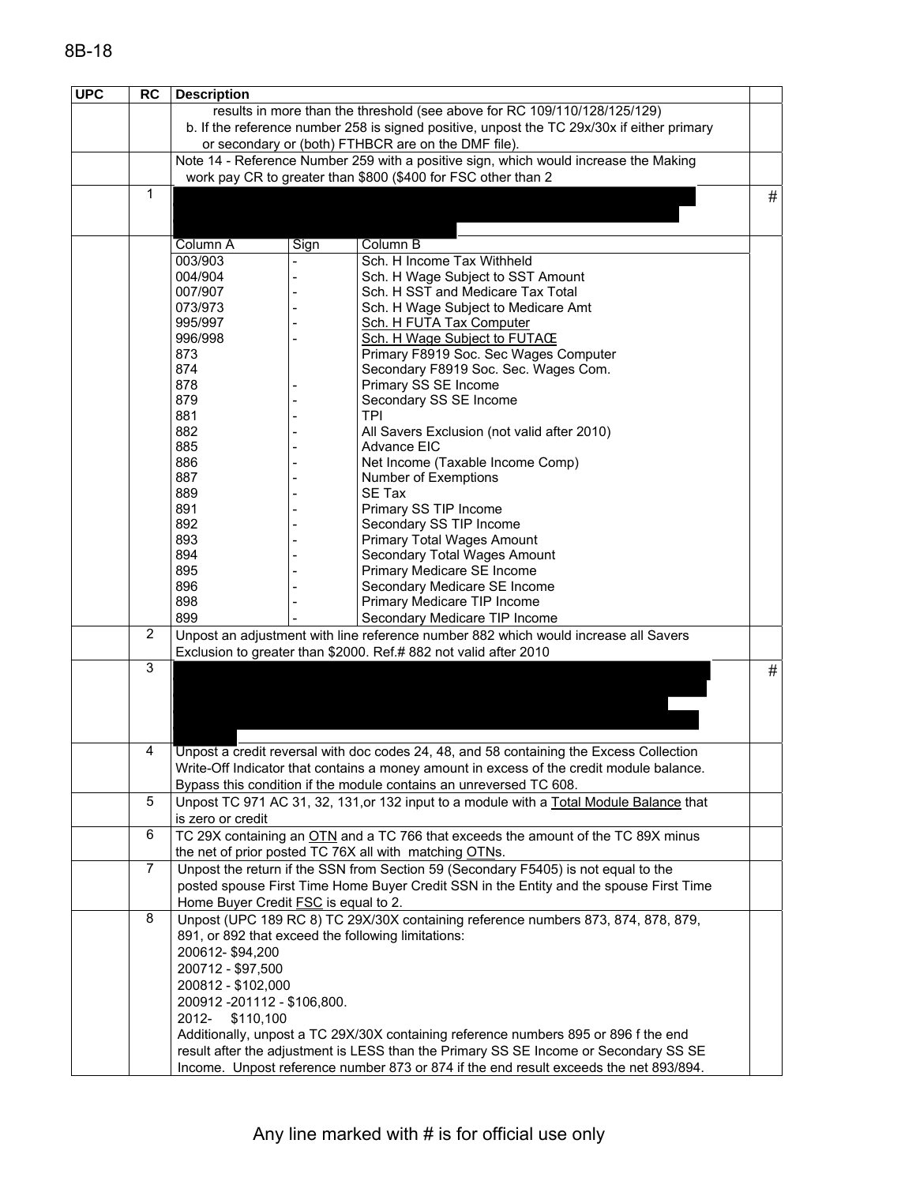| results in more than the threshold (see above for RC 109/110/128/125/129)<br>b. If the reference number 258 is signed positive, unpost the TC 29x/30x if either primary<br>or secondary or (both) FTHBCR are on the DMF file).<br>Note 14 - Reference Number 259 with a positive sign, which would increase the Making<br>work pay CR to greater than \$800 (\$400 for FSC other than 2<br>1<br>#<br>Column B<br>Column A<br>Sign<br>Sch. H Income Tax Withheld<br>003/903<br>004/904<br>Sch. H Wage Subject to SST Amount<br>007/907<br>Sch. H SST and Medicare Tax Total<br>073/973<br>Sch. H Wage Subject to Medicare Amt<br>995/997<br>Sch. H FUTA Tax Computer<br>996/998<br>Sch. H Wage Subject to FUTACE<br>873<br>Primary F8919 Soc. Sec Wages Computer<br>874<br>Secondary F8919 Soc. Sec. Wages Com.<br>878<br>Primary SS SE Income<br>879<br>Secondary SS SE Income<br>881<br>TPI<br>882<br>All Savers Exclusion (not valid after 2010)<br>885<br>Advance EIC<br>886<br>Net Income (Taxable Income Comp)<br>887<br>Number of Exemptions<br>889<br><b>SE Tax</b><br>891<br>Primary SS TIP Income<br>892<br>Secondary SS TIP Income<br>893<br>Primary Total Wages Amount<br>894<br>Secondary Total Wages Amount<br>895<br>Primary Medicare SE Income<br>896<br>Secondary Medicare SE Income<br>898<br>Primary Medicare TIP Income<br>899<br>Secondary Medicare TIP Income<br>$\overline{c}$<br>Unpost an adjustment with line reference number 882 which would increase all Savers<br>Exclusion to greater than \$2000. Ref.# 882 not valid after 2010<br>3<br>#<br>4<br>Unpost a credit reversal with doc codes 24, 48, and 58 containing the Excess Collection<br>Write-Off Indicator that contains a money amount in excess of the credit module balance.<br>Bypass this condition if the module contains an unreversed TC 608.<br>5<br>Unpost TC 971 AC 31, 32, 131, or 132 input to a module with a Total Module Balance that<br>is zero or credit<br>6<br>TC 29X containing an OTN and a TC 766 that exceeds the amount of the TC 89X minus<br>the net of prior posted TC 76X all with matching OTNs.<br>7<br>Unpost the return if the SSN from Section 59 (Secondary F5405) is not equal to the<br>posted spouse First Time Home Buyer Credit SSN in the Entity and the spouse First Time<br>Home Buyer Credit FSC is equal to 2.<br>8<br>Unpost (UPC 189 RC 8) TC 29X/30X containing reference numbers 873, 874, 878, 879,<br>891, or 892 that exceed the following limitations:<br>200612-\$94,200<br>200712 - \$97,500<br>200812 - \$102,000<br>200912 - 201112 - \$106,800.<br>2012-<br>\$110,100<br>Additionally, unpost a TC 29X/30X containing reference numbers 895 or 896 f the end<br>result after the adjustment is LESS than the Primary SS SE Income or Secondary SS SE<br>Income. Unpost reference number 873 or 874 if the end result exceeds the net 893/894. | <b>UPC</b> | <b>RC</b> | <b>Description</b> |  |  |  |
|-----------------------------------------------------------------------------------------------------------------------------------------------------------------------------------------------------------------------------------------------------------------------------------------------------------------------------------------------------------------------------------------------------------------------------------------------------------------------------------------------------------------------------------------------------------------------------------------------------------------------------------------------------------------------------------------------------------------------------------------------------------------------------------------------------------------------------------------------------------------------------------------------------------------------------------------------------------------------------------------------------------------------------------------------------------------------------------------------------------------------------------------------------------------------------------------------------------------------------------------------------------------------------------------------------------------------------------------------------------------------------------------------------------------------------------------------------------------------------------------------------------------------------------------------------------------------------------------------------------------------------------------------------------------------------------------------------------------------------------------------------------------------------------------------------------------------------------------------------------------------------------------------------------------------------------------------------------------------------------------------------------------------------------------------------------------------------------------------------------------------------------------------------------------------------------------------------------------------------------------------------------------------------------------------------------------------------------------------------------------------------------------------------------------------------------------------------------------------------------------------------------------------------------------------------------------------------------------------------------------------------------------------------------------------------------------------------------------------------------------------------------------------------------------------------------------------------------------------------------------------------------------------|------------|-----------|--------------------|--|--|--|
|                                                                                                                                                                                                                                                                                                                                                                                                                                                                                                                                                                                                                                                                                                                                                                                                                                                                                                                                                                                                                                                                                                                                                                                                                                                                                                                                                                                                                                                                                                                                                                                                                                                                                                                                                                                                                                                                                                                                                                                                                                                                                                                                                                                                                                                                                                                                                                                                                                                                                                                                                                                                                                                                                                                                                                                                                                                                                               |            |           |                    |  |  |  |
|                                                                                                                                                                                                                                                                                                                                                                                                                                                                                                                                                                                                                                                                                                                                                                                                                                                                                                                                                                                                                                                                                                                                                                                                                                                                                                                                                                                                                                                                                                                                                                                                                                                                                                                                                                                                                                                                                                                                                                                                                                                                                                                                                                                                                                                                                                                                                                                                                                                                                                                                                                                                                                                                                                                                                                                                                                                                                               |            |           |                    |  |  |  |
|                                                                                                                                                                                                                                                                                                                                                                                                                                                                                                                                                                                                                                                                                                                                                                                                                                                                                                                                                                                                                                                                                                                                                                                                                                                                                                                                                                                                                                                                                                                                                                                                                                                                                                                                                                                                                                                                                                                                                                                                                                                                                                                                                                                                                                                                                                                                                                                                                                                                                                                                                                                                                                                                                                                                                                                                                                                                                               |            |           |                    |  |  |  |
|                                                                                                                                                                                                                                                                                                                                                                                                                                                                                                                                                                                                                                                                                                                                                                                                                                                                                                                                                                                                                                                                                                                                                                                                                                                                                                                                                                                                                                                                                                                                                                                                                                                                                                                                                                                                                                                                                                                                                                                                                                                                                                                                                                                                                                                                                                                                                                                                                                                                                                                                                                                                                                                                                                                                                                                                                                                                                               |            |           |                    |  |  |  |
|                                                                                                                                                                                                                                                                                                                                                                                                                                                                                                                                                                                                                                                                                                                                                                                                                                                                                                                                                                                                                                                                                                                                                                                                                                                                                                                                                                                                                                                                                                                                                                                                                                                                                                                                                                                                                                                                                                                                                                                                                                                                                                                                                                                                                                                                                                                                                                                                                                                                                                                                                                                                                                                                                                                                                                                                                                                                                               |            |           |                    |  |  |  |
|                                                                                                                                                                                                                                                                                                                                                                                                                                                                                                                                                                                                                                                                                                                                                                                                                                                                                                                                                                                                                                                                                                                                                                                                                                                                                                                                                                                                                                                                                                                                                                                                                                                                                                                                                                                                                                                                                                                                                                                                                                                                                                                                                                                                                                                                                                                                                                                                                                                                                                                                                                                                                                                                                                                                                                                                                                                                                               |            |           |                    |  |  |  |
|                                                                                                                                                                                                                                                                                                                                                                                                                                                                                                                                                                                                                                                                                                                                                                                                                                                                                                                                                                                                                                                                                                                                                                                                                                                                                                                                                                                                                                                                                                                                                                                                                                                                                                                                                                                                                                                                                                                                                                                                                                                                                                                                                                                                                                                                                                                                                                                                                                                                                                                                                                                                                                                                                                                                                                                                                                                                                               |            |           |                    |  |  |  |
|                                                                                                                                                                                                                                                                                                                                                                                                                                                                                                                                                                                                                                                                                                                                                                                                                                                                                                                                                                                                                                                                                                                                                                                                                                                                                                                                                                                                                                                                                                                                                                                                                                                                                                                                                                                                                                                                                                                                                                                                                                                                                                                                                                                                                                                                                                                                                                                                                                                                                                                                                                                                                                                                                                                                                                                                                                                                                               |            |           |                    |  |  |  |
|                                                                                                                                                                                                                                                                                                                                                                                                                                                                                                                                                                                                                                                                                                                                                                                                                                                                                                                                                                                                                                                                                                                                                                                                                                                                                                                                                                                                                                                                                                                                                                                                                                                                                                                                                                                                                                                                                                                                                                                                                                                                                                                                                                                                                                                                                                                                                                                                                                                                                                                                                                                                                                                                                                                                                                                                                                                                                               |            |           |                    |  |  |  |
|                                                                                                                                                                                                                                                                                                                                                                                                                                                                                                                                                                                                                                                                                                                                                                                                                                                                                                                                                                                                                                                                                                                                                                                                                                                                                                                                                                                                                                                                                                                                                                                                                                                                                                                                                                                                                                                                                                                                                                                                                                                                                                                                                                                                                                                                                                                                                                                                                                                                                                                                                                                                                                                                                                                                                                                                                                                                                               |            |           |                    |  |  |  |
|                                                                                                                                                                                                                                                                                                                                                                                                                                                                                                                                                                                                                                                                                                                                                                                                                                                                                                                                                                                                                                                                                                                                                                                                                                                                                                                                                                                                                                                                                                                                                                                                                                                                                                                                                                                                                                                                                                                                                                                                                                                                                                                                                                                                                                                                                                                                                                                                                                                                                                                                                                                                                                                                                                                                                                                                                                                                                               |            |           |                    |  |  |  |
|                                                                                                                                                                                                                                                                                                                                                                                                                                                                                                                                                                                                                                                                                                                                                                                                                                                                                                                                                                                                                                                                                                                                                                                                                                                                                                                                                                                                                                                                                                                                                                                                                                                                                                                                                                                                                                                                                                                                                                                                                                                                                                                                                                                                                                                                                                                                                                                                                                                                                                                                                                                                                                                                                                                                                                                                                                                                                               |            |           |                    |  |  |  |
|                                                                                                                                                                                                                                                                                                                                                                                                                                                                                                                                                                                                                                                                                                                                                                                                                                                                                                                                                                                                                                                                                                                                                                                                                                                                                                                                                                                                                                                                                                                                                                                                                                                                                                                                                                                                                                                                                                                                                                                                                                                                                                                                                                                                                                                                                                                                                                                                                                                                                                                                                                                                                                                                                                                                                                                                                                                                                               |            |           |                    |  |  |  |
|                                                                                                                                                                                                                                                                                                                                                                                                                                                                                                                                                                                                                                                                                                                                                                                                                                                                                                                                                                                                                                                                                                                                                                                                                                                                                                                                                                                                                                                                                                                                                                                                                                                                                                                                                                                                                                                                                                                                                                                                                                                                                                                                                                                                                                                                                                                                                                                                                                                                                                                                                                                                                                                                                                                                                                                                                                                                                               |            |           |                    |  |  |  |
|                                                                                                                                                                                                                                                                                                                                                                                                                                                                                                                                                                                                                                                                                                                                                                                                                                                                                                                                                                                                                                                                                                                                                                                                                                                                                                                                                                                                                                                                                                                                                                                                                                                                                                                                                                                                                                                                                                                                                                                                                                                                                                                                                                                                                                                                                                                                                                                                                                                                                                                                                                                                                                                                                                                                                                                                                                                                                               |            |           |                    |  |  |  |
|                                                                                                                                                                                                                                                                                                                                                                                                                                                                                                                                                                                                                                                                                                                                                                                                                                                                                                                                                                                                                                                                                                                                                                                                                                                                                                                                                                                                                                                                                                                                                                                                                                                                                                                                                                                                                                                                                                                                                                                                                                                                                                                                                                                                                                                                                                                                                                                                                                                                                                                                                                                                                                                                                                                                                                                                                                                                                               |            |           |                    |  |  |  |
|                                                                                                                                                                                                                                                                                                                                                                                                                                                                                                                                                                                                                                                                                                                                                                                                                                                                                                                                                                                                                                                                                                                                                                                                                                                                                                                                                                                                                                                                                                                                                                                                                                                                                                                                                                                                                                                                                                                                                                                                                                                                                                                                                                                                                                                                                                                                                                                                                                                                                                                                                                                                                                                                                                                                                                                                                                                                                               |            |           |                    |  |  |  |
|                                                                                                                                                                                                                                                                                                                                                                                                                                                                                                                                                                                                                                                                                                                                                                                                                                                                                                                                                                                                                                                                                                                                                                                                                                                                                                                                                                                                                                                                                                                                                                                                                                                                                                                                                                                                                                                                                                                                                                                                                                                                                                                                                                                                                                                                                                                                                                                                                                                                                                                                                                                                                                                                                                                                                                                                                                                                                               |            |           |                    |  |  |  |
|                                                                                                                                                                                                                                                                                                                                                                                                                                                                                                                                                                                                                                                                                                                                                                                                                                                                                                                                                                                                                                                                                                                                                                                                                                                                                                                                                                                                                                                                                                                                                                                                                                                                                                                                                                                                                                                                                                                                                                                                                                                                                                                                                                                                                                                                                                                                                                                                                                                                                                                                                                                                                                                                                                                                                                                                                                                                                               |            |           |                    |  |  |  |
|                                                                                                                                                                                                                                                                                                                                                                                                                                                                                                                                                                                                                                                                                                                                                                                                                                                                                                                                                                                                                                                                                                                                                                                                                                                                                                                                                                                                                                                                                                                                                                                                                                                                                                                                                                                                                                                                                                                                                                                                                                                                                                                                                                                                                                                                                                                                                                                                                                                                                                                                                                                                                                                                                                                                                                                                                                                                                               |            |           |                    |  |  |  |
|                                                                                                                                                                                                                                                                                                                                                                                                                                                                                                                                                                                                                                                                                                                                                                                                                                                                                                                                                                                                                                                                                                                                                                                                                                                                                                                                                                                                                                                                                                                                                                                                                                                                                                                                                                                                                                                                                                                                                                                                                                                                                                                                                                                                                                                                                                                                                                                                                                                                                                                                                                                                                                                                                                                                                                                                                                                                                               |            |           |                    |  |  |  |
|                                                                                                                                                                                                                                                                                                                                                                                                                                                                                                                                                                                                                                                                                                                                                                                                                                                                                                                                                                                                                                                                                                                                                                                                                                                                                                                                                                                                                                                                                                                                                                                                                                                                                                                                                                                                                                                                                                                                                                                                                                                                                                                                                                                                                                                                                                                                                                                                                                                                                                                                                                                                                                                                                                                                                                                                                                                                                               |            |           |                    |  |  |  |
|                                                                                                                                                                                                                                                                                                                                                                                                                                                                                                                                                                                                                                                                                                                                                                                                                                                                                                                                                                                                                                                                                                                                                                                                                                                                                                                                                                                                                                                                                                                                                                                                                                                                                                                                                                                                                                                                                                                                                                                                                                                                                                                                                                                                                                                                                                                                                                                                                                                                                                                                                                                                                                                                                                                                                                                                                                                                                               |            |           |                    |  |  |  |
|                                                                                                                                                                                                                                                                                                                                                                                                                                                                                                                                                                                                                                                                                                                                                                                                                                                                                                                                                                                                                                                                                                                                                                                                                                                                                                                                                                                                                                                                                                                                                                                                                                                                                                                                                                                                                                                                                                                                                                                                                                                                                                                                                                                                                                                                                                                                                                                                                                                                                                                                                                                                                                                                                                                                                                                                                                                                                               |            |           |                    |  |  |  |
|                                                                                                                                                                                                                                                                                                                                                                                                                                                                                                                                                                                                                                                                                                                                                                                                                                                                                                                                                                                                                                                                                                                                                                                                                                                                                                                                                                                                                                                                                                                                                                                                                                                                                                                                                                                                                                                                                                                                                                                                                                                                                                                                                                                                                                                                                                                                                                                                                                                                                                                                                                                                                                                                                                                                                                                                                                                                                               |            |           |                    |  |  |  |
|                                                                                                                                                                                                                                                                                                                                                                                                                                                                                                                                                                                                                                                                                                                                                                                                                                                                                                                                                                                                                                                                                                                                                                                                                                                                                                                                                                                                                                                                                                                                                                                                                                                                                                                                                                                                                                                                                                                                                                                                                                                                                                                                                                                                                                                                                                                                                                                                                                                                                                                                                                                                                                                                                                                                                                                                                                                                                               |            |           |                    |  |  |  |
|                                                                                                                                                                                                                                                                                                                                                                                                                                                                                                                                                                                                                                                                                                                                                                                                                                                                                                                                                                                                                                                                                                                                                                                                                                                                                                                                                                                                                                                                                                                                                                                                                                                                                                                                                                                                                                                                                                                                                                                                                                                                                                                                                                                                                                                                                                                                                                                                                                                                                                                                                                                                                                                                                                                                                                                                                                                                                               |            |           |                    |  |  |  |
|                                                                                                                                                                                                                                                                                                                                                                                                                                                                                                                                                                                                                                                                                                                                                                                                                                                                                                                                                                                                                                                                                                                                                                                                                                                                                                                                                                                                                                                                                                                                                                                                                                                                                                                                                                                                                                                                                                                                                                                                                                                                                                                                                                                                                                                                                                                                                                                                                                                                                                                                                                                                                                                                                                                                                                                                                                                                                               |            |           |                    |  |  |  |
|                                                                                                                                                                                                                                                                                                                                                                                                                                                                                                                                                                                                                                                                                                                                                                                                                                                                                                                                                                                                                                                                                                                                                                                                                                                                                                                                                                                                                                                                                                                                                                                                                                                                                                                                                                                                                                                                                                                                                                                                                                                                                                                                                                                                                                                                                                                                                                                                                                                                                                                                                                                                                                                                                                                                                                                                                                                                                               |            |           |                    |  |  |  |
|                                                                                                                                                                                                                                                                                                                                                                                                                                                                                                                                                                                                                                                                                                                                                                                                                                                                                                                                                                                                                                                                                                                                                                                                                                                                                                                                                                                                                                                                                                                                                                                                                                                                                                                                                                                                                                                                                                                                                                                                                                                                                                                                                                                                                                                                                                                                                                                                                                                                                                                                                                                                                                                                                                                                                                                                                                                                                               |            |           |                    |  |  |  |
|                                                                                                                                                                                                                                                                                                                                                                                                                                                                                                                                                                                                                                                                                                                                                                                                                                                                                                                                                                                                                                                                                                                                                                                                                                                                                                                                                                                                                                                                                                                                                                                                                                                                                                                                                                                                                                                                                                                                                                                                                                                                                                                                                                                                                                                                                                                                                                                                                                                                                                                                                                                                                                                                                                                                                                                                                                                                                               |            |           |                    |  |  |  |
|                                                                                                                                                                                                                                                                                                                                                                                                                                                                                                                                                                                                                                                                                                                                                                                                                                                                                                                                                                                                                                                                                                                                                                                                                                                                                                                                                                                                                                                                                                                                                                                                                                                                                                                                                                                                                                                                                                                                                                                                                                                                                                                                                                                                                                                                                                                                                                                                                                                                                                                                                                                                                                                                                                                                                                                                                                                                                               |            |           |                    |  |  |  |
|                                                                                                                                                                                                                                                                                                                                                                                                                                                                                                                                                                                                                                                                                                                                                                                                                                                                                                                                                                                                                                                                                                                                                                                                                                                                                                                                                                                                                                                                                                                                                                                                                                                                                                                                                                                                                                                                                                                                                                                                                                                                                                                                                                                                                                                                                                                                                                                                                                                                                                                                                                                                                                                                                                                                                                                                                                                                                               |            |           |                    |  |  |  |
|                                                                                                                                                                                                                                                                                                                                                                                                                                                                                                                                                                                                                                                                                                                                                                                                                                                                                                                                                                                                                                                                                                                                                                                                                                                                                                                                                                                                                                                                                                                                                                                                                                                                                                                                                                                                                                                                                                                                                                                                                                                                                                                                                                                                                                                                                                                                                                                                                                                                                                                                                                                                                                                                                                                                                                                                                                                                                               |            |           |                    |  |  |  |
|                                                                                                                                                                                                                                                                                                                                                                                                                                                                                                                                                                                                                                                                                                                                                                                                                                                                                                                                                                                                                                                                                                                                                                                                                                                                                                                                                                                                                                                                                                                                                                                                                                                                                                                                                                                                                                                                                                                                                                                                                                                                                                                                                                                                                                                                                                                                                                                                                                                                                                                                                                                                                                                                                                                                                                                                                                                                                               |            |           |                    |  |  |  |
|                                                                                                                                                                                                                                                                                                                                                                                                                                                                                                                                                                                                                                                                                                                                                                                                                                                                                                                                                                                                                                                                                                                                                                                                                                                                                                                                                                                                                                                                                                                                                                                                                                                                                                                                                                                                                                                                                                                                                                                                                                                                                                                                                                                                                                                                                                                                                                                                                                                                                                                                                                                                                                                                                                                                                                                                                                                                                               |            |           |                    |  |  |  |
|                                                                                                                                                                                                                                                                                                                                                                                                                                                                                                                                                                                                                                                                                                                                                                                                                                                                                                                                                                                                                                                                                                                                                                                                                                                                                                                                                                                                                                                                                                                                                                                                                                                                                                                                                                                                                                                                                                                                                                                                                                                                                                                                                                                                                                                                                                                                                                                                                                                                                                                                                                                                                                                                                                                                                                                                                                                                                               |            |           |                    |  |  |  |
|                                                                                                                                                                                                                                                                                                                                                                                                                                                                                                                                                                                                                                                                                                                                                                                                                                                                                                                                                                                                                                                                                                                                                                                                                                                                                                                                                                                                                                                                                                                                                                                                                                                                                                                                                                                                                                                                                                                                                                                                                                                                                                                                                                                                                                                                                                                                                                                                                                                                                                                                                                                                                                                                                                                                                                                                                                                                                               |            |           |                    |  |  |  |
|                                                                                                                                                                                                                                                                                                                                                                                                                                                                                                                                                                                                                                                                                                                                                                                                                                                                                                                                                                                                                                                                                                                                                                                                                                                                                                                                                                                                                                                                                                                                                                                                                                                                                                                                                                                                                                                                                                                                                                                                                                                                                                                                                                                                                                                                                                                                                                                                                                                                                                                                                                                                                                                                                                                                                                                                                                                                                               |            |           |                    |  |  |  |
|                                                                                                                                                                                                                                                                                                                                                                                                                                                                                                                                                                                                                                                                                                                                                                                                                                                                                                                                                                                                                                                                                                                                                                                                                                                                                                                                                                                                                                                                                                                                                                                                                                                                                                                                                                                                                                                                                                                                                                                                                                                                                                                                                                                                                                                                                                                                                                                                                                                                                                                                                                                                                                                                                                                                                                                                                                                                                               |            |           |                    |  |  |  |
|                                                                                                                                                                                                                                                                                                                                                                                                                                                                                                                                                                                                                                                                                                                                                                                                                                                                                                                                                                                                                                                                                                                                                                                                                                                                                                                                                                                                                                                                                                                                                                                                                                                                                                                                                                                                                                                                                                                                                                                                                                                                                                                                                                                                                                                                                                                                                                                                                                                                                                                                                                                                                                                                                                                                                                                                                                                                                               |            |           |                    |  |  |  |
|                                                                                                                                                                                                                                                                                                                                                                                                                                                                                                                                                                                                                                                                                                                                                                                                                                                                                                                                                                                                                                                                                                                                                                                                                                                                                                                                                                                                                                                                                                                                                                                                                                                                                                                                                                                                                                                                                                                                                                                                                                                                                                                                                                                                                                                                                                                                                                                                                                                                                                                                                                                                                                                                                                                                                                                                                                                                                               |            |           |                    |  |  |  |
|                                                                                                                                                                                                                                                                                                                                                                                                                                                                                                                                                                                                                                                                                                                                                                                                                                                                                                                                                                                                                                                                                                                                                                                                                                                                                                                                                                                                                                                                                                                                                                                                                                                                                                                                                                                                                                                                                                                                                                                                                                                                                                                                                                                                                                                                                                                                                                                                                                                                                                                                                                                                                                                                                                                                                                                                                                                                                               |            |           |                    |  |  |  |
|                                                                                                                                                                                                                                                                                                                                                                                                                                                                                                                                                                                                                                                                                                                                                                                                                                                                                                                                                                                                                                                                                                                                                                                                                                                                                                                                                                                                                                                                                                                                                                                                                                                                                                                                                                                                                                                                                                                                                                                                                                                                                                                                                                                                                                                                                                                                                                                                                                                                                                                                                                                                                                                                                                                                                                                                                                                                                               |            |           |                    |  |  |  |
|                                                                                                                                                                                                                                                                                                                                                                                                                                                                                                                                                                                                                                                                                                                                                                                                                                                                                                                                                                                                                                                                                                                                                                                                                                                                                                                                                                                                                                                                                                                                                                                                                                                                                                                                                                                                                                                                                                                                                                                                                                                                                                                                                                                                                                                                                                                                                                                                                                                                                                                                                                                                                                                                                                                                                                                                                                                                                               |            |           |                    |  |  |  |
|                                                                                                                                                                                                                                                                                                                                                                                                                                                                                                                                                                                                                                                                                                                                                                                                                                                                                                                                                                                                                                                                                                                                                                                                                                                                                                                                                                                                                                                                                                                                                                                                                                                                                                                                                                                                                                                                                                                                                                                                                                                                                                                                                                                                                                                                                                                                                                                                                                                                                                                                                                                                                                                                                                                                                                                                                                                                                               |            |           |                    |  |  |  |
|                                                                                                                                                                                                                                                                                                                                                                                                                                                                                                                                                                                                                                                                                                                                                                                                                                                                                                                                                                                                                                                                                                                                                                                                                                                                                                                                                                                                                                                                                                                                                                                                                                                                                                                                                                                                                                                                                                                                                                                                                                                                                                                                                                                                                                                                                                                                                                                                                                                                                                                                                                                                                                                                                                                                                                                                                                                                                               |            |           |                    |  |  |  |
|                                                                                                                                                                                                                                                                                                                                                                                                                                                                                                                                                                                                                                                                                                                                                                                                                                                                                                                                                                                                                                                                                                                                                                                                                                                                                                                                                                                                                                                                                                                                                                                                                                                                                                                                                                                                                                                                                                                                                                                                                                                                                                                                                                                                                                                                                                                                                                                                                                                                                                                                                                                                                                                                                                                                                                                                                                                                                               |            |           |                    |  |  |  |
|                                                                                                                                                                                                                                                                                                                                                                                                                                                                                                                                                                                                                                                                                                                                                                                                                                                                                                                                                                                                                                                                                                                                                                                                                                                                                                                                                                                                                                                                                                                                                                                                                                                                                                                                                                                                                                                                                                                                                                                                                                                                                                                                                                                                                                                                                                                                                                                                                                                                                                                                                                                                                                                                                                                                                                                                                                                                                               |            |           |                    |  |  |  |
|                                                                                                                                                                                                                                                                                                                                                                                                                                                                                                                                                                                                                                                                                                                                                                                                                                                                                                                                                                                                                                                                                                                                                                                                                                                                                                                                                                                                                                                                                                                                                                                                                                                                                                                                                                                                                                                                                                                                                                                                                                                                                                                                                                                                                                                                                                                                                                                                                                                                                                                                                                                                                                                                                                                                                                                                                                                                                               |            |           |                    |  |  |  |
|                                                                                                                                                                                                                                                                                                                                                                                                                                                                                                                                                                                                                                                                                                                                                                                                                                                                                                                                                                                                                                                                                                                                                                                                                                                                                                                                                                                                                                                                                                                                                                                                                                                                                                                                                                                                                                                                                                                                                                                                                                                                                                                                                                                                                                                                                                                                                                                                                                                                                                                                                                                                                                                                                                                                                                                                                                                                                               |            |           |                    |  |  |  |
|                                                                                                                                                                                                                                                                                                                                                                                                                                                                                                                                                                                                                                                                                                                                                                                                                                                                                                                                                                                                                                                                                                                                                                                                                                                                                                                                                                                                                                                                                                                                                                                                                                                                                                                                                                                                                                                                                                                                                                                                                                                                                                                                                                                                                                                                                                                                                                                                                                                                                                                                                                                                                                                                                                                                                                                                                                                                                               |            |           |                    |  |  |  |
|                                                                                                                                                                                                                                                                                                                                                                                                                                                                                                                                                                                                                                                                                                                                                                                                                                                                                                                                                                                                                                                                                                                                                                                                                                                                                                                                                                                                                                                                                                                                                                                                                                                                                                                                                                                                                                                                                                                                                                                                                                                                                                                                                                                                                                                                                                                                                                                                                                                                                                                                                                                                                                                                                                                                                                                                                                                                                               |            |           |                    |  |  |  |
|                                                                                                                                                                                                                                                                                                                                                                                                                                                                                                                                                                                                                                                                                                                                                                                                                                                                                                                                                                                                                                                                                                                                                                                                                                                                                                                                                                                                                                                                                                                                                                                                                                                                                                                                                                                                                                                                                                                                                                                                                                                                                                                                                                                                                                                                                                                                                                                                                                                                                                                                                                                                                                                                                                                                                                                                                                                                                               |            |           |                    |  |  |  |
|                                                                                                                                                                                                                                                                                                                                                                                                                                                                                                                                                                                                                                                                                                                                                                                                                                                                                                                                                                                                                                                                                                                                                                                                                                                                                                                                                                                                                                                                                                                                                                                                                                                                                                                                                                                                                                                                                                                                                                                                                                                                                                                                                                                                                                                                                                                                                                                                                                                                                                                                                                                                                                                                                                                                                                                                                                                                                               |            |           |                    |  |  |  |
|                                                                                                                                                                                                                                                                                                                                                                                                                                                                                                                                                                                                                                                                                                                                                                                                                                                                                                                                                                                                                                                                                                                                                                                                                                                                                                                                                                                                                                                                                                                                                                                                                                                                                                                                                                                                                                                                                                                                                                                                                                                                                                                                                                                                                                                                                                                                                                                                                                                                                                                                                                                                                                                                                                                                                                                                                                                                                               |            |           |                    |  |  |  |
|                                                                                                                                                                                                                                                                                                                                                                                                                                                                                                                                                                                                                                                                                                                                                                                                                                                                                                                                                                                                                                                                                                                                                                                                                                                                                                                                                                                                                                                                                                                                                                                                                                                                                                                                                                                                                                                                                                                                                                                                                                                                                                                                                                                                                                                                                                                                                                                                                                                                                                                                                                                                                                                                                                                                                                                                                                                                                               |            |           |                    |  |  |  |
|                                                                                                                                                                                                                                                                                                                                                                                                                                                                                                                                                                                                                                                                                                                                                                                                                                                                                                                                                                                                                                                                                                                                                                                                                                                                                                                                                                                                                                                                                                                                                                                                                                                                                                                                                                                                                                                                                                                                                                                                                                                                                                                                                                                                                                                                                                                                                                                                                                                                                                                                                                                                                                                                                                                                                                                                                                                                                               |            |           |                    |  |  |  |
|                                                                                                                                                                                                                                                                                                                                                                                                                                                                                                                                                                                                                                                                                                                                                                                                                                                                                                                                                                                                                                                                                                                                                                                                                                                                                                                                                                                                                                                                                                                                                                                                                                                                                                                                                                                                                                                                                                                                                                                                                                                                                                                                                                                                                                                                                                                                                                                                                                                                                                                                                                                                                                                                                                                                                                                                                                                                                               |            |           |                    |  |  |  |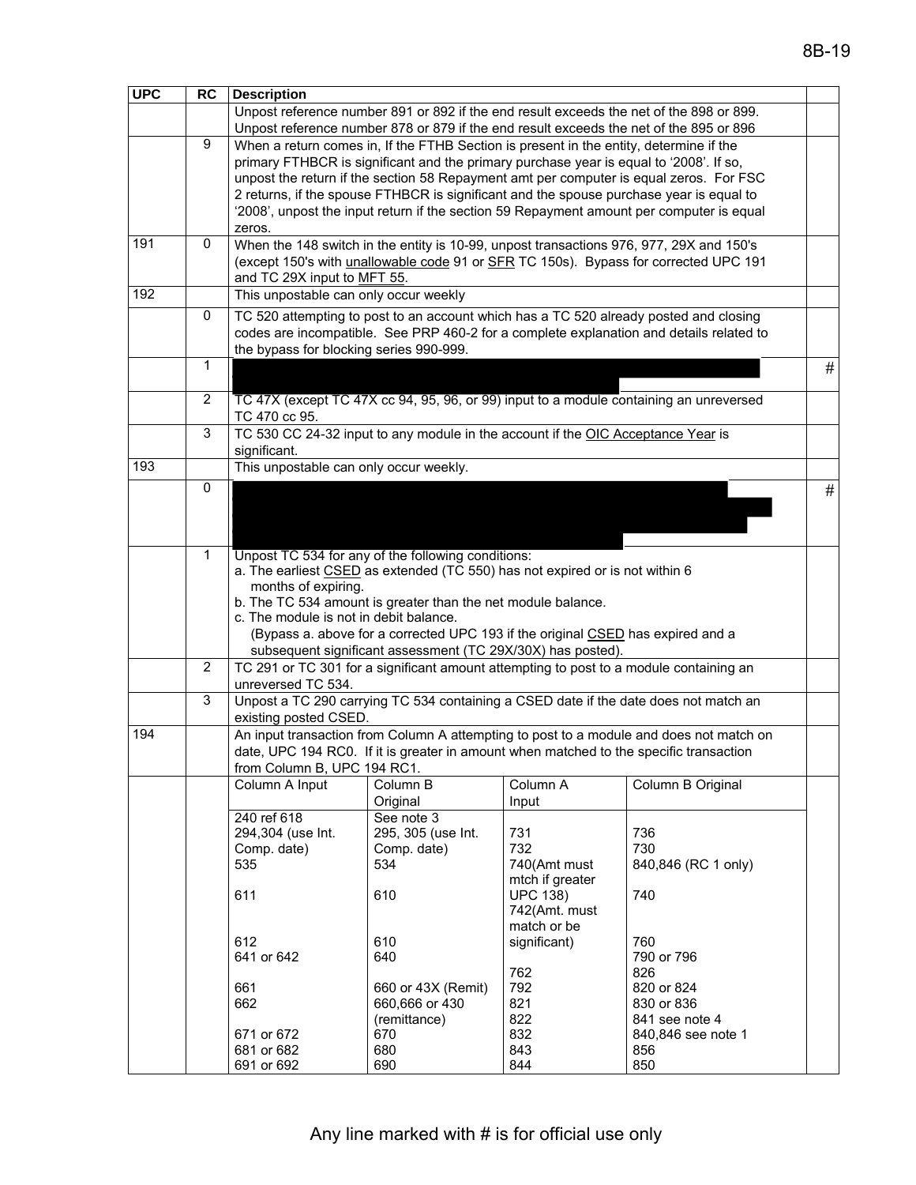| <b>UPC</b>                             | <b>RC</b>                                                                       | <b>Description</b>                                                                      |                                                                                        |                 |                                                                                          |      |  |  |  |
|----------------------------------------|---------------------------------------------------------------------------------|-----------------------------------------------------------------------------------------|----------------------------------------------------------------------------------------|-----------------|------------------------------------------------------------------------------------------|------|--|--|--|
|                                        |                                                                                 |                                                                                         |                                                                                        |                 | Unpost reference number 891 or 892 if the end result exceeds the net of the 898 or 899.  |      |  |  |  |
|                                        |                                                                                 |                                                                                         | Unpost reference number 878 or 879 if the end result exceeds the net of the 895 or 896 |                 |                                                                                          |      |  |  |  |
|                                        | 9                                                                               |                                                                                         | When a return comes in, If the FTHB Section is present in the entity, determine if the |                 |                                                                                          |      |  |  |  |
|                                        |                                                                                 |                                                                                         | primary FTHBCR is significant and the primary purchase year is equal to '2008'. If so, |                 |                                                                                          |      |  |  |  |
|                                        |                                                                                 |                                                                                         |                                                                                        |                 | unpost the return if the section 58 Repayment amt per computer is equal zeros. For FSC   |      |  |  |  |
|                                        |                                                                                 |                                                                                         |                                                                                        |                 | 2 returns, if the spouse FTHBCR is significant and the spouse purchase year is equal to  |      |  |  |  |
|                                        |                                                                                 |                                                                                         |                                                                                        |                 | '2008', unpost the input return if the section 59 Repayment amount per computer is equal |      |  |  |  |
|                                        |                                                                                 | zeros.                                                                                  |                                                                                        |                 |                                                                                          |      |  |  |  |
| 191                                    | 0                                                                               |                                                                                         |                                                                                        |                 | When the 148 switch in the entity is 10-99, unpost transactions 976, 977, 29X and 150's  |      |  |  |  |
|                                        |                                                                                 |                                                                                         |                                                                                        |                 | (except 150's with unallowable code 91 or SFR TC 150s). Bypass for corrected UPC 191     |      |  |  |  |
|                                        |                                                                                 |                                                                                         | and TC 29X input to MFT 55.                                                            |                 |                                                                                          |      |  |  |  |
| 192                                    |                                                                                 | This unpostable can only occur weekly                                                   |                                                                                        |                 |                                                                                          |      |  |  |  |
|                                        | 0                                                                               |                                                                                         |                                                                                        |                 | TC 520 attempting to post to an account which has a TC 520 already posted and closing    |      |  |  |  |
|                                        |                                                                                 | codes are incompatible. See PRP 460-2 for a complete explanation and details related to |                                                                                        |                 |                                                                                          |      |  |  |  |
|                                        |                                                                                 | the bypass for blocking series 990-999.                                                 |                                                                                        |                 |                                                                                          |      |  |  |  |
|                                        | $\mathbf{1}$                                                                    |                                                                                         |                                                                                        |                 |                                                                                          | #    |  |  |  |
|                                        |                                                                                 |                                                                                         |                                                                                        |                 |                                                                                          |      |  |  |  |
|                                        | $\overline{2}$                                                                  |                                                                                         |                                                                                        |                 | TC 47X (except TC 47X cc 94, 95, 96, or 99) input to a module containing an unreversed   |      |  |  |  |
|                                        |                                                                                 | TC 470 cc 95.                                                                           |                                                                                        |                 |                                                                                          |      |  |  |  |
|                                        | 3                                                                               |                                                                                         | TC 530 CC 24-32 input to any module in the account if the OIC Acceptance Year is       |                 |                                                                                          |      |  |  |  |
|                                        |                                                                                 | significant.                                                                            |                                                                                        |                 |                                                                                          |      |  |  |  |
| 193                                    |                                                                                 | This unpostable can only occur weekly.                                                  |                                                                                        |                 |                                                                                          |      |  |  |  |
|                                        | 0                                                                               |                                                                                         |                                                                                        |                 |                                                                                          | $\#$ |  |  |  |
|                                        |                                                                                 |                                                                                         |                                                                                        |                 |                                                                                          |      |  |  |  |
|                                        |                                                                                 |                                                                                         |                                                                                        |                 |                                                                                          |      |  |  |  |
|                                        |                                                                                 |                                                                                         |                                                                                        |                 |                                                                                          |      |  |  |  |
|                                        | $\mathbf{1}$                                                                    |                                                                                         | Unpost TC 534 for any of the following conditions:                                     |                 |                                                                                          |      |  |  |  |
|                                        |                                                                                 |                                                                                         | a. The earliest CSED as extended (TC 550) has not expired or is not within 6           |                 |                                                                                          |      |  |  |  |
|                                        |                                                                                 | months of expiring.<br>b. The TC 534 amount is greater than the net module balance.     |                                                                                        |                 |                                                                                          |      |  |  |  |
| c. The module is not in debit balance. |                                                                                 |                                                                                         |                                                                                        |                 |                                                                                          |      |  |  |  |
|                                        | (Bypass a. above for a corrected UPC 193 if the original CSED has expired and a |                                                                                         |                                                                                        |                 |                                                                                          |      |  |  |  |
|                                        |                                                                                 |                                                                                         | subsequent significant assessment (TC 29X/30X) has posted).                            |                 |                                                                                          |      |  |  |  |
|                                        | $\overline{2}$                                                                  |                                                                                         | TC 291 or TC 301 for a significant amount attempting to post to a module containing an |                 |                                                                                          |      |  |  |  |
|                                        |                                                                                 | unreversed TC 534.                                                                      |                                                                                        |                 |                                                                                          |      |  |  |  |
|                                        | 3                                                                               |                                                                                         |                                                                                        |                 | Unpost a TC 290 carrying TC 534 containing a CSED date if the date does not match an     |      |  |  |  |
|                                        |                                                                                 | existing posted CSED.                                                                   |                                                                                        |                 |                                                                                          |      |  |  |  |
| 194                                    |                                                                                 |                                                                                         |                                                                                        |                 | An input transaction from Column A attempting to post to a module and does not match on  |      |  |  |  |
|                                        |                                                                                 |                                                                                         | date, UPC 194 RC0. If it is greater in amount when matched to the specific transaction |                 |                                                                                          |      |  |  |  |
|                                        |                                                                                 | from Column B, UPC 194 RC1.                                                             |                                                                                        |                 |                                                                                          |      |  |  |  |
|                                        |                                                                                 | Column A Input                                                                          | Column B                                                                               | Column A        | Column B Original                                                                        |      |  |  |  |
|                                        |                                                                                 |                                                                                         | Original                                                                               | Input           |                                                                                          |      |  |  |  |
|                                        |                                                                                 | 240 ref 618                                                                             | See note 3                                                                             |                 |                                                                                          |      |  |  |  |
|                                        |                                                                                 | 294,304 (use Int.<br>Comp. date)                                                        | 295, 305 (use Int.<br>Comp. date)                                                      | 731<br>732      | 736<br>730                                                                               |      |  |  |  |
|                                        |                                                                                 | 535                                                                                     | 534                                                                                    | 740(Amt must    | 840,846 (RC 1 only)                                                                      |      |  |  |  |
|                                        |                                                                                 |                                                                                         |                                                                                        | mtch if greater |                                                                                          |      |  |  |  |
|                                        |                                                                                 | 611                                                                                     | 610                                                                                    | <b>UPC 138)</b> | 740                                                                                      |      |  |  |  |
|                                        |                                                                                 |                                                                                         |                                                                                        | 742(Amt. must   |                                                                                          |      |  |  |  |
|                                        |                                                                                 |                                                                                         |                                                                                        | match or be     |                                                                                          |      |  |  |  |
|                                        |                                                                                 | 612                                                                                     | 610                                                                                    | significant)    | 760                                                                                      |      |  |  |  |
|                                        |                                                                                 | 641 or 642                                                                              | 640                                                                                    |                 | 790 or 796                                                                               |      |  |  |  |
|                                        |                                                                                 |                                                                                         |                                                                                        | 762             | 826                                                                                      |      |  |  |  |
|                                        |                                                                                 | 661<br>662                                                                              | 660 or 43X (Remit)                                                                     | 792<br>821      | 820 or 824                                                                               |      |  |  |  |
|                                        |                                                                                 |                                                                                         | 660,666 or 430<br>(remittance)                                                         | 822             | 830 or 836<br>841 see note 4                                                             |      |  |  |  |
|                                        |                                                                                 | 671 or 672                                                                              | 670                                                                                    | 832             | 840,846 see note 1                                                                       |      |  |  |  |
|                                        |                                                                                 | 681 or 682                                                                              | 680                                                                                    | 843             | 856                                                                                      |      |  |  |  |
|                                        |                                                                                 | 691 or 692                                                                              | 690                                                                                    | 844             | 850                                                                                      |      |  |  |  |
|                                        |                                                                                 |                                                                                         |                                                                                        |                 |                                                                                          |      |  |  |  |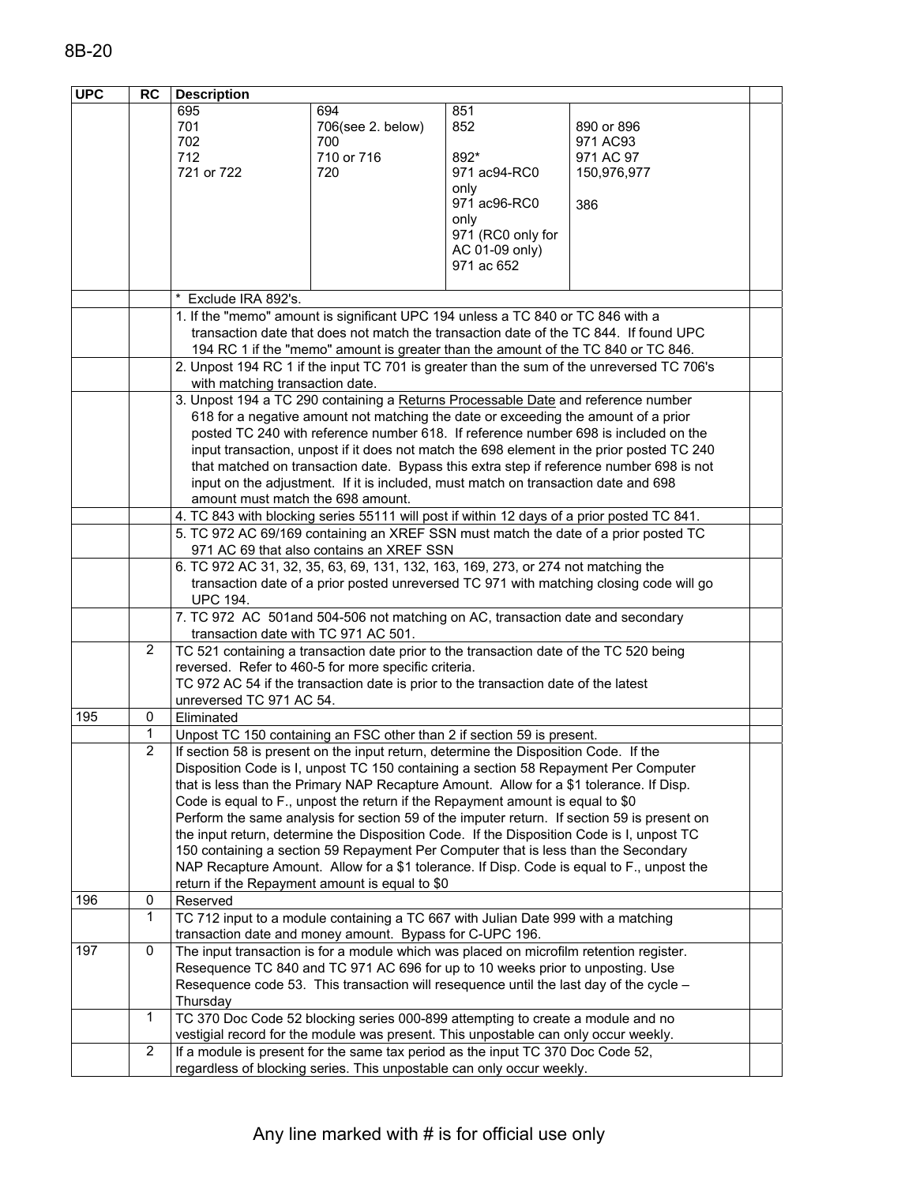| 695<br>694<br>851<br>701<br>852<br>706(see 2. below)<br>890 or 896<br>702<br>700<br>971 AC93<br>712<br>710 or 716<br>892*<br>971 AC 97<br>721 or 722<br>720<br>971 ac94-RC0<br>150,976,977<br>only<br>971 ac96-RC0<br>386<br>only<br>971 (RC0 only for<br>AC 01-09 only)<br>971 ac 652<br>Exclude IRA 892's.<br>1. If the "memo" amount is significant UPC 194 unless a TC 840 or TC 846 with a<br>transaction date that does not match the transaction date of the TC 844. If found UPC<br>194 RC 1 if the "memo" amount is greater than the amount of the TC 840 or TC 846.<br>2. Unpost 194 RC 1 if the input TC 701 is greater than the sum of the unreversed TC 706's<br>with matching transaction date.<br>3. Unpost 194 a TC 290 containing a Returns Processable Date and reference number<br>618 for a negative amount not matching the date or exceeding the amount of a prior<br>posted TC 240 with reference number 618. If reference number 698 is included on the<br>input transaction, unpost if it does not match the 698 element in the prior posted TC 240<br>that matched on transaction date. Bypass this extra step if reference number 698 is not<br>input on the adjustment. If it is included, must match on transaction date and 698<br>amount must match the 698 amount.<br>4. TC 843 with blocking series 55111 will post if within 12 days of a prior posted TC 841.<br>5. TC 972 AC 69/169 containing an XREF SSN must match the date of a prior posted TC<br>971 AC 69 that also contains an XREF SSN<br>6. TC 972 AC 31, 32, 35, 63, 69, 131, 132, 163, 169, 273, or 274 not matching the<br>transaction date of a prior posted unreversed TC 971 with matching closing code will go<br><b>UPC 194.</b><br>7. TC 972 AC 501 and 504-506 not matching on AC, transaction date and secondary<br>transaction date with TC 971 AC 501.<br>$\overline{2}$<br>TC 521 containing a transaction date prior to the transaction date of the TC 520 being<br>reversed. Refer to 460-5 for more specific criteria.<br>TC 972 AC 54 if the transaction date is prior to the transaction date of the latest<br>unreversed TC 971 AC 54.<br>195<br>Eliminated<br>0<br>1<br>Unpost TC 150 containing an FSC other than 2 if section 59 is present.<br>$\overline{2}$<br>If section 58 is present on the input return, determine the Disposition Code. If the<br>Disposition Code is I, unpost TC 150 containing a section 58 Repayment Per Computer<br>that is less than the Primary NAP Recapture Amount. Allow for a \$1 tolerance. If Disp.<br>Code is equal to F., unpost the return if the Repayment amount is equal to \$0<br>Perform the same analysis for section 59 of the imputer return. If section 59 is present on<br>the input return, determine the Disposition Code. If the Disposition Code is I, unpost TC<br>150 containing a section 59 Repayment Per Computer that is less than the Secondary<br>NAP Recapture Amount. Allow for a \$1 tolerance. If Disp. Code is equal to F., unpost the<br>return if the Repayment amount is equal to \$0<br>196<br>0<br>Reserved<br>1<br>TC 712 input to a module containing a TC 667 with Julian Date 999 with a matching<br>transaction date and money amount. Bypass for C-UPC 196.<br>0<br>197<br>The input transaction is for a module which was placed on microfilm retention register.<br>Resequence TC 840 and TC 971 AC 696 for up to 10 weeks prior to unposting. Use<br>Resequence code 53. This transaction will resequence until the last day of the cycle -<br>Thursday<br>$\mathbf{1}$<br>TC 370 Doc Code 52 blocking series 000-899 attempting to create a module and no<br>vestigial record for the module was present. This unpostable can only occur weekly.<br>$\overline{c}$<br>If a module is present for the same tax period as the input TC 370 Doc Code 52,<br>regardless of blocking series. This unpostable can only occur weekly. | <b>UPC</b> | RC | <b>Description</b> |  |  |  |  |  |  |
|---------------------------------------------------------------------------------------------------------------------------------------------------------------------------------------------------------------------------------------------------------------------------------------------------------------------------------------------------------------------------------------------------------------------------------------------------------------------------------------------------------------------------------------------------------------------------------------------------------------------------------------------------------------------------------------------------------------------------------------------------------------------------------------------------------------------------------------------------------------------------------------------------------------------------------------------------------------------------------------------------------------------------------------------------------------------------------------------------------------------------------------------------------------------------------------------------------------------------------------------------------------------------------------------------------------------------------------------------------------------------------------------------------------------------------------------------------------------------------------------------------------------------------------------------------------------------------------------------------------------------------------------------------------------------------------------------------------------------------------------------------------------------------------------------------------------------------------------------------------------------------------------------------------------------------------------------------------------------------------------------------------------------------------------------------------------------------------------------------------------------------------------------------------------------------------------------------------------------------------------------------------------------------------------------------------------------------------------------------------------------------------------------------------------------------------------------------------------------------------------------------------------------------------------------------------------------------------------------------------------------------------------------------------------------------------------------------------------------------------------------------------------------------------------------------------------------------------------------------------------------------------------------------------------------------------------------------------------------------------------------------------------------------------------------------------------------------------------------------------------------------------------------------------------------------------------------------------------------------------------------------------------------------------------------------------------------------------------------------------------------------------------------------------------------------------------------------------------------------------------------------------------------------------------------------------------------------------------------------------------------------------------------------------------------------------------------------------------------------------------------------------------------------------------------------------------------------------------------------------------------------------------------------------------------------------|------------|----|--------------------|--|--|--|--|--|--|
|                                                                                                                                                                                                                                                                                                                                                                                                                                                                                                                                                                                                                                                                                                                                                                                                                                                                                                                                                                                                                                                                                                                                                                                                                                                                                                                                                                                                                                                                                                                                                                                                                                                                                                                                                                                                                                                                                                                                                                                                                                                                                                                                                                                                                                                                                                                                                                                                                                                                                                                                                                                                                                                                                                                                                                                                                                                                                                                                                                                                                                                                                                                                                                                                                                                                                                                                                                                                                                                                                                                                                                                                                                                                                                                                                                                                                                                                                                                                       |            |    |                    |  |  |  |  |  |  |
|                                                                                                                                                                                                                                                                                                                                                                                                                                                                                                                                                                                                                                                                                                                                                                                                                                                                                                                                                                                                                                                                                                                                                                                                                                                                                                                                                                                                                                                                                                                                                                                                                                                                                                                                                                                                                                                                                                                                                                                                                                                                                                                                                                                                                                                                                                                                                                                                                                                                                                                                                                                                                                                                                                                                                                                                                                                                                                                                                                                                                                                                                                                                                                                                                                                                                                                                                                                                                                                                                                                                                                                                                                                                                                                                                                                                                                                                                                                                       |            |    |                    |  |  |  |  |  |  |
|                                                                                                                                                                                                                                                                                                                                                                                                                                                                                                                                                                                                                                                                                                                                                                                                                                                                                                                                                                                                                                                                                                                                                                                                                                                                                                                                                                                                                                                                                                                                                                                                                                                                                                                                                                                                                                                                                                                                                                                                                                                                                                                                                                                                                                                                                                                                                                                                                                                                                                                                                                                                                                                                                                                                                                                                                                                                                                                                                                                                                                                                                                                                                                                                                                                                                                                                                                                                                                                                                                                                                                                                                                                                                                                                                                                                                                                                                                                                       |            |    |                    |  |  |  |  |  |  |
|                                                                                                                                                                                                                                                                                                                                                                                                                                                                                                                                                                                                                                                                                                                                                                                                                                                                                                                                                                                                                                                                                                                                                                                                                                                                                                                                                                                                                                                                                                                                                                                                                                                                                                                                                                                                                                                                                                                                                                                                                                                                                                                                                                                                                                                                                                                                                                                                                                                                                                                                                                                                                                                                                                                                                                                                                                                                                                                                                                                                                                                                                                                                                                                                                                                                                                                                                                                                                                                                                                                                                                                                                                                                                                                                                                                                                                                                                                                                       |            |    |                    |  |  |  |  |  |  |
|                                                                                                                                                                                                                                                                                                                                                                                                                                                                                                                                                                                                                                                                                                                                                                                                                                                                                                                                                                                                                                                                                                                                                                                                                                                                                                                                                                                                                                                                                                                                                                                                                                                                                                                                                                                                                                                                                                                                                                                                                                                                                                                                                                                                                                                                                                                                                                                                                                                                                                                                                                                                                                                                                                                                                                                                                                                                                                                                                                                                                                                                                                                                                                                                                                                                                                                                                                                                                                                                                                                                                                                                                                                                                                                                                                                                                                                                                                                                       |            |    |                    |  |  |  |  |  |  |
|                                                                                                                                                                                                                                                                                                                                                                                                                                                                                                                                                                                                                                                                                                                                                                                                                                                                                                                                                                                                                                                                                                                                                                                                                                                                                                                                                                                                                                                                                                                                                                                                                                                                                                                                                                                                                                                                                                                                                                                                                                                                                                                                                                                                                                                                                                                                                                                                                                                                                                                                                                                                                                                                                                                                                                                                                                                                                                                                                                                                                                                                                                                                                                                                                                                                                                                                                                                                                                                                                                                                                                                                                                                                                                                                                                                                                                                                                                                                       |            |    |                    |  |  |  |  |  |  |
|                                                                                                                                                                                                                                                                                                                                                                                                                                                                                                                                                                                                                                                                                                                                                                                                                                                                                                                                                                                                                                                                                                                                                                                                                                                                                                                                                                                                                                                                                                                                                                                                                                                                                                                                                                                                                                                                                                                                                                                                                                                                                                                                                                                                                                                                                                                                                                                                                                                                                                                                                                                                                                                                                                                                                                                                                                                                                                                                                                                                                                                                                                                                                                                                                                                                                                                                                                                                                                                                                                                                                                                                                                                                                                                                                                                                                                                                                                                                       |            |    |                    |  |  |  |  |  |  |
|                                                                                                                                                                                                                                                                                                                                                                                                                                                                                                                                                                                                                                                                                                                                                                                                                                                                                                                                                                                                                                                                                                                                                                                                                                                                                                                                                                                                                                                                                                                                                                                                                                                                                                                                                                                                                                                                                                                                                                                                                                                                                                                                                                                                                                                                                                                                                                                                                                                                                                                                                                                                                                                                                                                                                                                                                                                                                                                                                                                                                                                                                                                                                                                                                                                                                                                                                                                                                                                                                                                                                                                                                                                                                                                                                                                                                                                                                                                                       |            |    |                    |  |  |  |  |  |  |
|                                                                                                                                                                                                                                                                                                                                                                                                                                                                                                                                                                                                                                                                                                                                                                                                                                                                                                                                                                                                                                                                                                                                                                                                                                                                                                                                                                                                                                                                                                                                                                                                                                                                                                                                                                                                                                                                                                                                                                                                                                                                                                                                                                                                                                                                                                                                                                                                                                                                                                                                                                                                                                                                                                                                                                                                                                                                                                                                                                                                                                                                                                                                                                                                                                                                                                                                                                                                                                                                                                                                                                                                                                                                                                                                                                                                                                                                                                                                       |            |    |                    |  |  |  |  |  |  |
|                                                                                                                                                                                                                                                                                                                                                                                                                                                                                                                                                                                                                                                                                                                                                                                                                                                                                                                                                                                                                                                                                                                                                                                                                                                                                                                                                                                                                                                                                                                                                                                                                                                                                                                                                                                                                                                                                                                                                                                                                                                                                                                                                                                                                                                                                                                                                                                                                                                                                                                                                                                                                                                                                                                                                                                                                                                                                                                                                                                                                                                                                                                                                                                                                                                                                                                                                                                                                                                                                                                                                                                                                                                                                                                                                                                                                                                                                                                                       |            |    |                    |  |  |  |  |  |  |
|                                                                                                                                                                                                                                                                                                                                                                                                                                                                                                                                                                                                                                                                                                                                                                                                                                                                                                                                                                                                                                                                                                                                                                                                                                                                                                                                                                                                                                                                                                                                                                                                                                                                                                                                                                                                                                                                                                                                                                                                                                                                                                                                                                                                                                                                                                                                                                                                                                                                                                                                                                                                                                                                                                                                                                                                                                                                                                                                                                                                                                                                                                                                                                                                                                                                                                                                                                                                                                                                                                                                                                                                                                                                                                                                                                                                                                                                                                                                       |            |    |                    |  |  |  |  |  |  |
|                                                                                                                                                                                                                                                                                                                                                                                                                                                                                                                                                                                                                                                                                                                                                                                                                                                                                                                                                                                                                                                                                                                                                                                                                                                                                                                                                                                                                                                                                                                                                                                                                                                                                                                                                                                                                                                                                                                                                                                                                                                                                                                                                                                                                                                                                                                                                                                                                                                                                                                                                                                                                                                                                                                                                                                                                                                                                                                                                                                                                                                                                                                                                                                                                                                                                                                                                                                                                                                                                                                                                                                                                                                                                                                                                                                                                                                                                                                                       |            |    |                    |  |  |  |  |  |  |
|                                                                                                                                                                                                                                                                                                                                                                                                                                                                                                                                                                                                                                                                                                                                                                                                                                                                                                                                                                                                                                                                                                                                                                                                                                                                                                                                                                                                                                                                                                                                                                                                                                                                                                                                                                                                                                                                                                                                                                                                                                                                                                                                                                                                                                                                                                                                                                                                                                                                                                                                                                                                                                                                                                                                                                                                                                                                                                                                                                                                                                                                                                                                                                                                                                                                                                                                                                                                                                                                                                                                                                                                                                                                                                                                                                                                                                                                                                                                       |            |    |                    |  |  |  |  |  |  |
|                                                                                                                                                                                                                                                                                                                                                                                                                                                                                                                                                                                                                                                                                                                                                                                                                                                                                                                                                                                                                                                                                                                                                                                                                                                                                                                                                                                                                                                                                                                                                                                                                                                                                                                                                                                                                                                                                                                                                                                                                                                                                                                                                                                                                                                                                                                                                                                                                                                                                                                                                                                                                                                                                                                                                                                                                                                                                                                                                                                                                                                                                                                                                                                                                                                                                                                                                                                                                                                                                                                                                                                                                                                                                                                                                                                                                                                                                                                                       |            |    |                    |  |  |  |  |  |  |
|                                                                                                                                                                                                                                                                                                                                                                                                                                                                                                                                                                                                                                                                                                                                                                                                                                                                                                                                                                                                                                                                                                                                                                                                                                                                                                                                                                                                                                                                                                                                                                                                                                                                                                                                                                                                                                                                                                                                                                                                                                                                                                                                                                                                                                                                                                                                                                                                                                                                                                                                                                                                                                                                                                                                                                                                                                                                                                                                                                                                                                                                                                                                                                                                                                                                                                                                                                                                                                                                                                                                                                                                                                                                                                                                                                                                                                                                                                                                       |            |    |                    |  |  |  |  |  |  |
|                                                                                                                                                                                                                                                                                                                                                                                                                                                                                                                                                                                                                                                                                                                                                                                                                                                                                                                                                                                                                                                                                                                                                                                                                                                                                                                                                                                                                                                                                                                                                                                                                                                                                                                                                                                                                                                                                                                                                                                                                                                                                                                                                                                                                                                                                                                                                                                                                                                                                                                                                                                                                                                                                                                                                                                                                                                                                                                                                                                                                                                                                                                                                                                                                                                                                                                                                                                                                                                                                                                                                                                                                                                                                                                                                                                                                                                                                                                                       |            |    |                    |  |  |  |  |  |  |
|                                                                                                                                                                                                                                                                                                                                                                                                                                                                                                                                                                                                                                                                                                                                                                                                                                                                                                                                                                                                                                                                                                                                                                                                                                                                                                                                                                                                                                                                                                                                                                                                                                                                                                                                                                                                                                                                                                                                                                                                                                                                                                                                                                                                                                                                                                                                                                                                                                                                                                                                                                                                                                                                                                                                                                                                                                                                                                                                                                                                                                                                                                                                                                                                                                                                                                                                                                                                                                                                                                                                                                                                                                                                                                                                                                                                                                                                                                                                       |            |    |                    |  |  |  |  |  |  |
|                                                                                                                                                                                                                                                                                                                                                                                                                                                                                                                                                                                                                                                                                                                                                                                                                                                                                                                                                                                                                                                                                                                                                                                                                                                                                                                                                                                                                                                                                                                                                                                                                                                                                                                                                                                                                                                                                                                                                                                                                                                                                                                                                                                                                                                                                                                                                                                                                                                                                                                                                                                                                                                                                                                                                                                                                                                                                                                                                                                                                                                                                                                                                                                                                                                                                                                                                                                                                                                                                                                                                                                                                                                                                                                                                                                                                                                                                                                                       |            |    |                    |  |  |  |  |  |  |
|                                                                                                                                                                                                                                                                                                                                                                                                                                                                                                                                                                                                                                                                                                                                                                                                                                                                                                                                                                                                                                                                                                                                                                                                                                                                                                                                                                                                                                                                                                                                                                                                                                                                                                                                                                                                                                                                                                                                                                                                                                                                                                                                                                                                                                                                                                                                                                                                                                                                                                                                                                                                                                                                                                                                                                                                                                                                                                                                                                                                                                                                                                                                                                                                                                                                                                                                                                                                                                                                                                                                                                                                                                                                                                                                                                                                                                                                                                                                       |            |    |                    |  |  |  |  |  |  |
|                                                                                                                                                                                                                                                                                                                                                                                                                                                                                                                                                                                                                                                                                                                                                                                                                                                                                                                                                                                                                                                                                                                                                                                                                                                                                                                                                                                                                                                                                                                                                                                                                                                                                                                                                                                                                                                                                                                                                                                                                                                                                                                                                                                                                                                                                                                                                                                                                                                                                                                                                                                                                                                                                                                                                                                                                                                                                                                                                                                                                                                                                                                                                                                                                                                                                                                                                                                                                                                                                                                                                                                                                                                                                                                                                                                                                                                                                                                                       |            |    |                    |  |  |  |  |  |  |
|                                                                                                                                                                                                                                                                                                                                                                                                                                                                                                                                                                                                                                                                                                                                                                                                                                                                                                                                                                                                                                                                                                                                                                                                                                                                                                                                                                                                                                                                                                                                                                                                                                                                                                                                                                                                                                                                                                                                                                                                                                                                                                                                                                                                                                                                                                                                                                                                                                                                                                                                                                                                                                                                                                                                                                                                                                                                                                                                                                                                                                                                                                                                                                                                                                                                                                                                                                                                                                                                                                                                                                                                                                                                                                                                                                                                                                                                                                                                       |            |    |                    |  |  |  |  |  |  |
|                                                                                                                                                                                                                                                                                                                                                                                                                                                                                                                                                                                                                                                                                                                                                                                                                                                                                                                                                                                                                                                                                                                                                                                                                                                                                                                                                                                                                                                                                                                                                                                                                                                                                                                                                                                                                                                                                                                                                                                                                                                                                                                                                                                                                                                                                                                                                                                                                                                                                                                                                                                                                                                                                                                                                                                                                                                                                                                                                                                                                                                                                                                                                                                                                                                                                                                                                                                                                                                                                                                                                                                                                                                                                                                                                                                                                                                                                                                                       |            |    |                    |  |  |  |  |  |  |
|                                                                                                                                                                                                                                                                                                                                                                                                                                                                                                                                                                                                                                                                                                                                                                                                                                                                                                                                                                                                                                                                                                                                                                                                                                                                                                                                                                                                                                                                                                                                                                                                                                                                                                                                                                                                                                                                                                                                                                                                                                                                                                                                                                                                                                                                                                                                                                                                                                                                                                                                                                                                                                                                                                                                                                                                                                                                                                                                                                                                                                                                                                                                                                                                                                                                                                                                                                                                                                                                                                                                                                                                                                                                                                                                                                                                                                                                                                                                       |            |    |                    |  |  |  |  |  |  |
|                                                                                                                                                                                                                                                                                                                                                                                                                                                                                                                                                                                                                                                                                                                                                                                                                                                                                                                                                                                                                                                                                                                                                                                                                                                                                                                                                                                                                                                                                                                                                                                                                                                                                                                                                                                                                                                                                                                                                                                                                                                                                                                                                                                                                                                                                                                                                                                                                                                                                                                                                                                                                                                                                                                                                                                                                                                                                                                                                                                                                                                                                                                                                                                                                                                                                                                                                                                                                                                                                                                                                                                                                                                                                                                                                                                                                                                                                                                                       |            |    |                    |  |  |  |  |  |  |
|                                                                                                                                                                                                                                                                                                                                                                                                                                                                                                                                                                                                                                                                                                                                                                                                                                                                                                                                                                                                                                                                                                                                                                                                                                                                                                                                                                                                                                                                                                                                                                                                                                                                                                                                                                                                                                                                                                                                                                                                                                                                                                                                                                                                                                                                                                                                                                                                                                                                                                                                                                                                                                                                                                                                                                                                                                                                                                                                                                                                                                                                                                                                                                                                                                                                                                                                                                                                                                                                                                                                                                                                                                                                                                                                                                                                                                                                                                                                       |            |    |                    |  |  |  |  |  |  |
|                                                                                                                                                                                                                                                                                                                                                                                                                                                                                                                                                                                                                                                                                                                                                                                                                                                                                                                                                                                                                                                                                                                                                                                                                                                                                                                                                                                                                                                                                                                                                                                                                                                                                                                                                                                                                                                                                                                                                                                                                                                                                                                                                                                                                                                                                                                                                                                                                                                                                                                                                                                                                                                                                                                                                                                                                                                                                                                                                                                                                                                                                                                                                                                                                                                                                                                                                                                                                                                                                                                                                                                                                                                                                                                                                                                                                                                                                                                                       |            |    |                    |  |  |  |  |  |  |
|                                                                                                                                                                                                                                                                                                                                                                                                                                                                                                                                                                                                                                                                                                                                                                                                                                                                                                                                                                                                                                                                                                                                                                                                                                                                                                                                                                                                                                                                                                                                                                                                                                                                                                                                                                                                                                                                                                                                                                                                                                                                                                                                                                                                                                                                                                                                                                                                                                                                                                                                                                                                                                                                                                                                                                                                                                                                                                                                                                                                                                                                                                                                                                                                                                                                                                                                                                                                                                                                                                                                                                                                                                                                                                                                                                                                                                                                                                                                       |            |    |                    |  |  |  |  |  |  |
|                                                                                                                                                                                                                                                                                                                                                                                                                                                                                                                                                                                                                                                                                                                                                                                                                                                                                                                                                                                                                                                                                                                                                                                                                                                                                                                                                                                                                                                                                                                                                                                                                                                                                                                                                                                                                                                                                                                                                                                                                                                                                                                                                                                                                                                                                                                                                                                                                                                                                                                                                                                                                                                                                                                                                                                                                                                                                                                                                                                                                                                                                                                                                                                                                                                                                                                                                                                                                                                                                                                                                                                                                                                                                                                                                                                                                                                                                                                                       |            |    |                    |  |  |  |  |  |  |
|                                                                                                                                                                                                                                                                                                                                                                                                                                                                                                                                                                                                                                                                                                                                                                                                                                                                                                                                                                                                                                                                                                                                                                                                                                                                                                                                                                                                                                                                                                                                                                                                                                                                                                                                                                                                                                                                                                                                                                                                                                                                                                                                                                                                                                                                                                                                                                                                                                                                                                                                                                                                                                                                                                                                                                                                                                                                                                                                                                                                                                                                                                                                                                                                                                                                                                                                                                                                                                                                                                                                                                                                                                                                                                                                                                                                                                                                                                                                       |            |    |                    |  |  |  |  |  |  |
|                                                                                                                                                                                                                                                                                                                                                                                                                                                                                                                                                                                                                                                                                                                                                                                                                                                                                                                                                                                                                                                                                                                                                                                                                                                                                                                                                                                                                                                                                                                                                                                                                                                                                                                                                                                                                                                                                                                                                                                                                                                                                                                                                                                                                                                                                                                                                                                                                                                                                                                                                                                                                                                                                                                                                                                                                                                                                                                                                                                                                                                                                                                                                                                                                                                                                                                                                                                                                                                                                                                                                                                                                                                                                                                                                                                                                                                                                                                                       |            |    |                    |  |  |  |  |  |  |
|                                                                                                                                                                                                                                                                                                                                                                                                                                                                                                                                                                                                                                                                                                                                                                                                                                                                                                                                                                                                                                                                                                                                                                                                                                                                                                                                                                                                                                                                                                                                                                                                                                                                                                                                                                                                                                                                                                                                                                                                                                                                                                                                                                                                                                                                                                                                                                                                                                                                                                                                                                                                                                                                                                                                                                                                                                                                                                                                                                                                                                                                                                                                                                                                                                                                                                                                                                                                                                                                                                                                                                                                                                                                                                                                                                                                                                                                                                                                       |            |    |                    |  |  |  |  |  |  |
|                                                                                                                                                                                                                                                                                                                                                                                                                                                                                                                                                                                                                                                                                                                                                                                                                                                                                                                                                                                                                                                                                                                                                                                                                                                                                                                                                                                                                                                                                                                                                                                                                                                                                                                                                                                                                                                                                                                                                                                                                                                                                                                                                                                                                                                                                                                                                                                                                                                                                                                                                                                                                                                                                                                                                                                                                                                                                                                                                                                                                                                                                                                                                                                                                                                                                                                                                                                                                                                                                                                                                                                                                                                                                                                                                                                                                                                                                                                                       |            |    |                    |  |  |  |  |  |  |
|                                                                                                                                                                                                                                                                                                                                                                                                                                                                                                                                                                                                                                                                                                                                                                                                                                                                                                                                                                                                                                                                                                                                                                                                                                                                                                                                                                                                                                                                                                                                                                                                                                                                                                                                                                                                                                                                                                                                                                                                                                                                                                                                                                                                                                                                                                                                                                                                                                                                                                                                                                                                                                                                                                                                                                                                                                                                                                                                                                                                                                                                                                                                                                                                                                                                                                                                                                                                                                                                                                                                                                                                                                                                                                                                                                                                                                                                                                                                       |            |    |                    |  |  |  |  |  |  |
|                                                                                                                                                                                                                                                                                                                                                                                                                                                                                                                                                                                                                                                                                                                                                                                                                                                                                                                                                                                                                                                                                                                                                                                                                                                                                                                                                                                                                                                                                                                                                                                                                                                                                                                                                                                                                                                                                                                                                                                                                                                                                                                                                                                                                                                                                                                                                                                                                                                                                                                                                                                                                                                                                                                                                                                                                                                                                                                                                                                                                                                                                                                                                                                                                                                                                                                                                                                                                                                                                                                                                                                                                                                                                                                                                                                                                                                                                                                                       |            |    |                    |  |  |  |  |  |  |
|                                                                                                                                                                                                                                                                                                                                                                                                                                                                                                                                                                                                                                                                                                                                                                                                                                                                                                                                                                                                                                                                                                                                                                                                                                                                                                                                                                                                                                                                                                                                                                                                                                                                                                                                                                                                                                                                                                                                                                                                                                                                                                                                                                                                                                                                                                                                                                                                                                                                                                                                                                                                                                                                                                                                                                                                                                                                                                                                                                                                                                                                                                                                                                                                                                                                                                                                                                                                                                                                                                                                                                                                                                                                                                                                                                                                                                                                                                                                       |            |    |                    |  |  |  |  |  |  |
|                                                                                                                                                                                                                                                                                                                                                                                                                                                                                                                                                                                                                                                                                                                                                                                                                                                                                                                                                                                                                                                                                                                                                                                                                                                                                                                                                                                                                                                                                                                                                                                                                                                                                                                                                                                                                                                                                                                                                                                                                                                                                                                                                                                                                                                                                                                                                                                                                                                                                                                                                                                                                                                                                                                                                                                                                                                                                                                                                                                                                                                                                                                                                                                                                                                                                                                                                                                                                                                                                                                                                                                                                                                                                                                                                                                                                                                                                                                                       |            |    |                    |  |  |  |  |  |  |
|                                                                                                                                                                                                                                                                                                                                                                                                                                                                                                                                                                                                                                                                                                                                                                                                                                                                                                                                                                                                                                                                                                                                                                                                                                                                                                                                                                                                                                                                                                                                                                                                                                                                                                                                                                                                                                                                                                                                                                                                                                                                                                                                                                                                                                                                                                                                                                                                                                                                                                                                                                                                                                                                                                                                                                                                                                                                                                                                                                                                                                                                                                                                                                                                                                                                                                                                                                                                                                                                                                                                                                                                                                                                                                                                                                                                                                                                                                                                       |            |    |                    |  |  |  |  |  |  |
|                                                                                                                                                                                                                                                                                                                                                                                                                                                                                                                                                                                                                                                                                                                                                                                                                                                                                                                                                                                                                                                                                                                                                                                                                                                                                                                                                                                                                                                                                                                                                                                                                                                                                                                                                                                                                                                                                                                                                                                                                                                                                                                                                                                                                                                                                                                                                                                                                                                                                                                                                                                                                                                                                                                                                                                                                                                                                                                                                                                                                                                                                                                                                                                                                                                                                                                                                                                                                                                                                                                                                                                                                                                                                                                                                                                                                                                                                                                                       |            |    |                    |  |  |  |  |  |  |
|                                                                                                                                                                                                                                                                                                                                                                                                                                                                                                                                                                                                                                                                                                                                                                                                                                                                                                                                                                                                                                                                                                                                                                                                                                                                                                                                                                                                                                                                                                                                                                                                                                                                                                                                                                                                                                                                                                                                                                                                                                                                                                                                                                                                                                                                                                                                                                                                                                                                                                                                                                                                                                                                                                                                                                                                                                                                                                                                                                                                                                                                                                                                                                                                                                                                                                                                                                                                                                                                                                                                                                                                                                                                                                                                                                                                                                                                                                                                       |            |    |                    |  |  |  |  |  |  |
|                                                                                                                                                                                                                                                                                                                                                                                                                                                                                                                                                                                                                                                                                                                                                                                                                                                                                                                                                                                                                                                                                                                                                                                                                                                                                                                                                                                                                                                                                                                                                                                                                                                                                                                                                                                                                                                                                                                                                                                                                                                                                                                                                                                                                                                                                                                                                                                                                                                                                                                                                                                                                                                                                                                                                                                                                                                                                                                                                                                                                                                                                                                                                                                                                                                                                                                                                                                                                                                                                                                                                                                                                                                                                                                                                                                                                                                                                                                                       |            |    |                    |  |  |  |  |  |  |
|                                                                                                                                                                                                                                                                                                                                                                                                                                                                                                                                                                                                                                                                                                                                                                                                                                                                                                                                                                                                                                                                                                                                                                                                                                                                                                                                                                                                                                                                                                                                                                                                                                                                                                                                                                                                                                                                                                                                                                                                                                                                                                                                                                                                                                                                                                                                                                                                                                                                                                                                                                                                                                                                                                                                                                                                                                                                                                                                                                                                                                                                                                                                                                                                                                                                                                                                                                                                                                                                                                                                                                                                                                                                                                                                                                                                                                                                                                                                       |            |    |                    |  |  |  |  |  |  |
|                                                                                                                                                                                                                                                                                                                                                                                                                                                                                                                                                                                                                                                                                                                                                                                                                                                                                                                                                                                                                                                                                                                                                                                                                                                                                                                                                                                                                                                                                                                                                                                                                                                                                                                                                                                                                                                                                                                                                                                                                                                                                                                                                                                                                                                                                                                                                                                                                                                                                                                                                                                                                                                                                                                                                                                                                                                                                                                                                                                                                                                                                                                                                                                                                                                                                                                                                                                                                                                                                                                                                                                                                                                                                                                                                                                                                                                                                                                                       |            |    |                    |  |  |  |  |  |  |
|                                                                                                                                                                                                                                                                                                                                                                                                                                                                                                                                                                                                                                                                                                                                                                                                                                                                                                                                                                                                                                                                                                                                                                                                                                                                                                                                                                                                                                                                                                                                                                                                                                                                                                                                                                                                                                                                                                                                                                                                                                                                                                                                                                                                                                                                                                                                                                                                                                                                                                                                                                                                                                                                                                                                                                                                                                                                                                                                                                                                                                                                                                                                                                                                                                                                                                                                                                                                                                                                                                                                                                                                                                                                                                                                                                                                                                                                                                                                       |            |    |                    |  |  |  |  |  |  |
|                                                                                                                                                                                                                                                                                                                                                                                                                                                                                                                                                                                                                                                                                                                                                                                                                                                                                                                                                                                                                                                                                                                                                                                                                                                                                                                                                                                                                                                                                                                                                                                                                                                                                                                                                                                                                                                                                                                                                                                                                                                                                                                                                                                                                                                                                                                                                                                                                                                                                                                                                                                                                                                                                                                                                                                                                                                                                                                                                                                                                                                                                                                                                                                                                                                                                                                                                                                                                                                                                                                                                                                                                                                                                                                                                                                                                                                                                                                                       |            |    |                    |  |  |  |  |  |  |
|                                                                                                                                                                                                                                                                                                                                                                                                                                                                                                                                                                                                                                                                                                                                                                                                                                                                                                                                                                                                                                                                                                                                                                                                                                                                                                                                                                                                                                                                                                                                                                                                                                                                                                                                                                                                                                                                                                                                                                                                                                                                                                                                                                                                                                                                                                                                                                                                                                                                                                                                                                                                                                                                                                                                                                                                                                                                                                                                                                                                                                                                                                                                                                                                                                                                                                                                                                                                                                                                                                                                                                                                                                                                                                                                                                                                                                                                                                                                       |            |    |                    |  |  |  |  |  |  |
|                                                                                                                                                                                                                                                                                                                                                                                                                                                                                                                                                                                                                                                                                                                                                                                                                                                                                                                                                                                                                                                                                                                                                                                                                                                                                                                                                                                                                                                                                                                                                                                                                                                                                                                                                                                                                                                                                                                                                                                                                                                                                                                                                                                                                                                                                                                                                                                                                                                                                                                                                                                                                                                                                                                                                                                                                                                                                                                                                                                                                                                                                                                                                                                                                                                                                                                                                                                                                                                                                                                                                                                                                                                                                                                                                                                                                                                                                                                                       |            |    |                    |  |  |  |  |  |  |
|                                                                                                                                                                                                                                                                                                                                                                                                                                                                                                                                                                                                                                                                                                                                                                                                                                                                                                                                                                                                                                                                                                                                                                                                                                                                                                                                                                                                                                                                                                                                                                                                                                                                                                                                                                                                                                                                                                                                                                                                                                                                                                                                                                                                                                                                                                                                                                                                                                                                                                                                                                                                                                                                                                                                                                                                                                                                                                                                                                                                                                                                                                                                                                                                                                                                                                                                                                                                                                                                                                                                                                                                                                                                                                                                                                                                                                                                                                                                       |            |    |                    |  |  |  |  |  |  |
|                                                                                                                                                                                                                                                                                                                                                                                                                                                                                                                                                                                                                                                                                                                                                                                                                                                                                                                                                                                                                                                                                                                                                                                                                                                                                                                                                                                                                                                                                                                                                                                                                                                                                                                                                                                                                                                                                                                                                                                                                                                                                                                                                                                                                                                                                                                                                                                                                                                                                                                                                                                                                                                                                                                                                                                                                                                                                                                                                                                                                                                                                                                                                                                                                                                                                                                                                                                                                                                                                                                                                                                                                                                                                                                                                                                                                                                                                                                                       |            |    |                    |  |  |  |  |  |  |
|                                                                                                                                                                                                                                                                                                                                                                                                                                                                                                                                                                                                                                                                                                                                                                                                                                                                                                                                                                                                                                                                                                                                                                                                                                                                                                                                                                                                                                                                                                                                                                                                                                                                                                                                                                                                                                                                                                                                                                                                                                                                                                                                                                                                                                                                                                                                                                                                                                                                                                                                                                                                                                                                                                                                                                                                                                                                                                                                                                                                                                                                                                                                                                                                                                                                                                                                                                                                                                                                                                                                                                                                                                                                                                                                                                                                                                                                                                                                       |            |    |                    |  |  |  |  |  |  |
|                                                                                                                                                                                                                                                                                                                                                                                                                                                                                                                                                                                                                                                                                                                                                                                                                                                                                                                                                                                                                                                                                                                                                                                                                                                                                                                                                                                                                                                                                                                                                                                                                                                                                                                                                                                                                                                                                                                                                                                                                                                                                                                                                                                                                                                                                                                                                                                                                                                                                                                                                                                                                                                                                                                                                                                                                                                                                                                                                                                                                                                                                                                                                                                                                                                                                                                                                                                                                                                                                                                                                                                                                                                                                                                                                                                                                                                                                                                                       |            |    |                    |  |  |  |  |  |  |
|                                                                                                                                                                                                                                                                                                                                                                                                                                                                                                                                                                                                                                                                                                                                                                                                                                                                                                                                                                                                                                                                                                                                                                                                                                                                                                                                                                                                                                                                                                                                                                                                                                                                                                                                                                                                                                                                                                                                                                                                                                                                                                                                                                                                                                                                                                                                                                                                                                                                                                                                                                                                                                                                                                                                                                                                                                                                                                                                                                                                                                                                                                                                                                                                                                                                                                                                                                                                                                                                                                                                                                                                                                                                                                                                                                                                                                                                                                                                       |            |    |                    |  |  |  |  |  |  |
|                                                                                                                                                                                                                                                                                                                                                                                                                                                                                                                                                                                                                                                                                                                                                                                                                                                                                                                                                                                                                                                                                                                                                                                                                                                                                                                                                                                                                                                                                                                                                                                                                                                                                                                                                                                                                                                                                                                                                                                                                                                                                                                                                                                                                                                                                                                                                                                                                                                                                                                                                                                                                                                                                                                                                                                                                                                                                                                                                                                                                                                                                                                                                                                                                                                                                                                                                                                                                                                                                                                                                                                                                                                                                                                                                                                                                                                                                                                                       |            |    |                    |  |  |  |  |  |  |
|                                                                                                                                                                                                                                                                                                                                                                                                                                                                                                                                                                                                                                                                                                                                                                                                                                                                                                                                                                                                                                                                                                                                                                                                                                                                                                                                                                                                                                                                                                                                                                                                                                                                                                                                                                                                                                                                                                                                                                                                                                                                                                                                                                                                                                                                                                                                                                                                                                                                                                                                                                                                                                                                                                                                                                                                                                                                                                                                                                                                                                                                                                                                                                                                                                                                                                                                                                                                                                                                                                                                                                                                                                                                                                                                                                                                                                                                                                                                       |            |    |                    |  |  |  |  |  |  |
|                                                                                                                                                                                                                                                                                                                                                                                                                                                                                                                                                                                                                                                                                                                                                                                                                                                                                                                                                                                                                                                                                                                                                                                                                                                                                                                                                                                                                                                                                                                                                                                                                                                                                                                                                                                                                                                                                                                                                                                                                                                                                                                                                                                                                                                                                                                                                                                                                                                                                                                                                                                                                                                                                                                                                                                                                                                                                                                                                                                                                                                                                                                                                                                                                                                                                                                                                                                                                                                                                                                                                                                                                                                                                                                                                                                                                                                                                                                                       |            |    |                    |  |  |  |  |  |  |
|                                                                                                                                                                                                                                                                                                                                                                                                                                                                                                                                                                                                                                                                                                                                                                                                                                                                                                                                                                                                                                                                                                                                                                                                                                                                                                                                                                                                                                                                                                                                                                                                                                                                                                                                                                                                                                                                                                                                                                                                                                                                                                                                                                                                                                                                                                                                                                                                                                                                                                                                                                                                                                                                                                                                                                                                                                                                                                                                                                                                                                                                                                                                                                                                                                                                                                                                                                                                                                                                                                                                                                                                                                                                                                                                                                                                                                                                                                                                       |            |    |                    |  |  |  |  |  |  |
|                                                                                                                                                                                                                                                                                                                                                                                                                                                                                                                                                                                                                                                                                                                                                                                                                                                                                                                                                                                                                                                                                                                                                                                                                                                                                                                                                                                                                                                                                                                                                                                                                                                                                                                                                                                                                                                                                                                                                                                                                                                                                                                                                                                                                                                                                                                                                                                                                                                                                                                                                                                                                                                                                                                                                                                                                                                                                                                                                                                                                                                                                                                                                                                                                                                                                                                                                                                                                                                                                                                                                                                                                                                                                                                                                                                                                                                                                                                                       |            |    |                    |  |  |  |  |  |  |
|                                                                                                                                                                                                                                                                                                                                                                                                                                                                                                                                                                                                                                                                                                                                                                                                                                                                                                                                                                                                                                                                                                                                                                                                                                                                                                                                                                                                                                                                                                                                                                                                                                                                                                                                                                                                                                                                                                                                                                                                                                                                                                                                                                                                                                                                                                                                                                                                                                                                                                                                                                                                                                                                                                                                                                                                                                                                                                                                                                                                                                                                                                                                                                                                                                                                                                                                                                                                                                                                                                                                                                                                                                                                                                                                                                                                                                                                                                                                       |            |    |                    |  |  |  |  |  |  |
|                                                                                                                                                                                                                                                                                                                                                                                                                                                                                                                                                                                                                                                                                                                                                                                                                                                                                                                                                                                                                                                                                                                                                                                                                                                                                                                                                                                                                                                                                                                                                                                                                                                                                                                                                                                                                                                                                                                                                                                                                                                                                                                                                                                                                                                                                                                                                                                                                                                                                                                                                                                                                                                                                                                                                                                                                                                                                                                                                                                                                                                                                                                                                                                                                                                                                                                                                                                                                                                                                                                                                                                                                                                                                                                                                                                                                                                                                                                                       |            |    |                    |  |  |  |  |  |  |
|                                                                                                                                                                                                                                                                                                                                                                                                                                                                                                                                                                                                                                                                                                                                                                                                                                                                                                                                                                                                                                                                                                                                                                                                                                                                                                                                                                                                                                                                                                                                                                                                                                                                                                                                                                                                                                                                                                                                                                                                                                                                                                                                                                                                                                                                                                                                                                                                                                                                                                                                                                                                                                                                                                                                                                                                                                                                                                                                                                                                                                                                                                                                                                                                                                                                                                                                                                                                                                                                                                                                                                                                                                                                                                                                                                                                                                                                                                                                       |            |    |                    |  |  |  |  |  |  |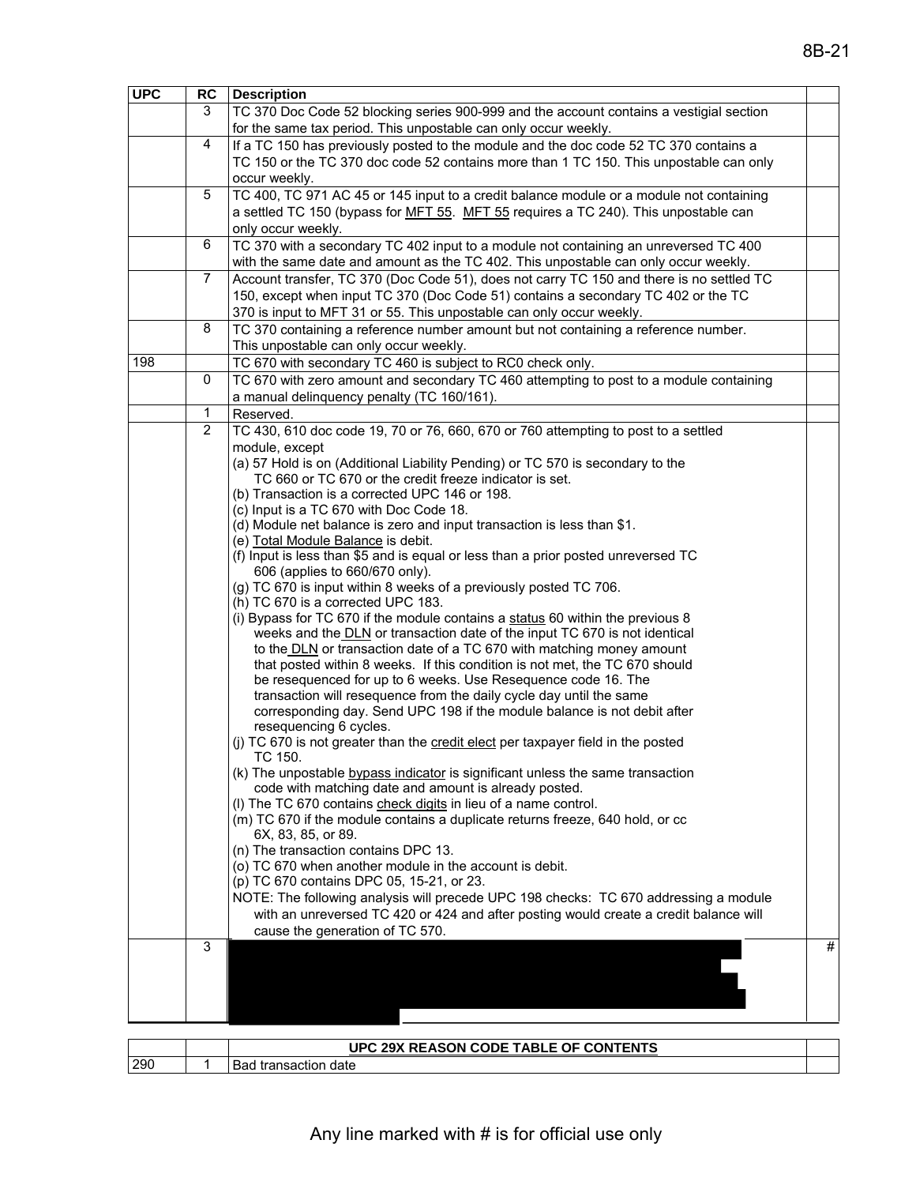| <b>UPC</b> | <b>RC</b>      | <b>Description</b>                                                                                                                                                              |   |
|------------|----------------|---------------------------------------------------------------------------------------------------------------------------------------------------------------------------------|---|
|            | 3              | TC 370 Doc Code 52 blocking series 900-999 and the account contains a vestigial section                                                                                         |   |
|            |                | for the same tax period. This unpostable can only occur weekly.                                                                                                                 |   |
|            | $\overline{4}$ | If a TC 150 has previously posted to the module and the doc code 52 TC 370 contains a                                                                                           |   |
|            |                | TC 150 or the TC 370 doc code 52 contains more than 1 TC 150. This unpostable can only                                                                                          |   |
|            |                | occur weekly.                                                                                                                                                                   |   |
|            | 5              | TC 400, TC 971 AC 45 or 145 input to a credit balance module or a module not containing                                                                                         |   |
|            |                | a settled TC 150 (bypass for MFT 55. MFT 55 requires a TC 240). This unpostable can                                                                                             |   |
|            | 6              | only occur weekly.                                                                                                                                                              |   |
|            |                | TC 370 with a secondary TC 402 input to a module not containing an unreversed TC 400                                                                                            |   |
|            | $\overline{7}$ | with the same date and amount as the TC 402. This unpostable can only occur weekly.<br>Account transfer, TC 370 (Doc Code 51), does not carry TC 150 and there is no settled TC |   |
|            |                | 150, except when input TC 370 (Doc Code 51) contains a secondary TC 402 or the TC                                                                                               |   |
|            |                | 370 is input to MFT 31 or 55. This unpostable can only occur weekly.                                                                                                            |   |
|            | 8              | TC 370 containing a reference number amount but not containing a reference number.                                                                                              |   |
|            |                | This unpostable can only occur weekly.                                                                                                                                          |   |
| 198        |                | TC 670 with secondary TC 460 is subject to RC0 check only.                                                                                                                      |   |
|            | 0              | TC 670 with zero amount and secondary TC 460 attempting to post to a module containing                                                                                          |   |
|            |                | a manual delinquency penalty (TC 160/161).                                                                                                                                      |   |
|            | 1              | Reserved.                                                                                                                                                                       |   |
|            | $\overline{2}$ | TC 430, 610 doc code 19, 70 or 76, 660, 670 or 760 attempting to post to a settled                                                                                              |   |
|            |                | module, except                                                                                                                                                                  |   |
|            |                | (a) 57 Hold is on (Additional Liability Pending) or TC 570 is secondary to the                                                                                                  |   |
|            |                | TC 660 or TC 670 or the credit freeze indicator is set.<br>(b) Transaction is a corrected UPC 146 or 198.                                                                       |   |
|            |                | (c) Input is a TC 670 with Doc Code 18.                                                                                                                                         |   |
|            |                | (d) Module net balance is zero and input transaction is less than \$1.                                                                                                          |   |
|            |                | (e) Total Module Balance is debit.                                                                                                                                              |   |
|            |                | (f) Input is less than \$5 and is equal or less than a prior posted unreversed TC                                                                                               |   |
|            |                | 606 (applies to 660/670 only).                                                                                                                                                  |   |
|            |                | (g) TC 670 is input within 8 weeks of a previously posted TC 706.                                                                                                               |   |
|            |                | (h) TC 670 is a corrected UPC 183.<br>(i) Bypass for TC 670 if the module contains a status 60 within the previous 8                                                            |   |
|            |                | weeks and the DLN or transaction date of the input TC 670 is not identical                                                                                                      |   |
|            |                | to the DLN or transaction date of a TC 670 with matching money amount                                                                                                           |   |
|            |                | that posted within 8 weeks. If this condition is not met, the TC 670 should                                                                                                     |   |
|            |                | be resequenced for up to 6 weeks. Use Resequence code 16. The                                                                                                                   |   |
|            |                | transaction will resequence from the daily cycle day until the same                                                                                                             |   |
|            |                | corresponding day. Send UPC 198 if the module balance is not debit after                                                                                                        |   |
|            |                | resequencing 6 cycles.<br>(i) TC 670 is not greater than the credit elect per taxpayer field in the posted                                                                      |   |
|            |                | TC 150.                                                                                                                                                                         |   |
|            |                | (k) The unpostable bypass indicator is significant unless the same transaction                                                                                                  |   |
|            |                | code with matching date and amount is already posted.                                                                                                                           |   |
|            |                | (I) The TC 670 contains check digits in lieu of a name control.                                                                                                                 |   |
|            |                | (m) TC 670 if the module contains a duplicate returns freeze, 640 hold, or cc                                                                                                   |   |
|            |                | 6X, 83, 85, or 89.<br>(n) The transaction contains DPC 13.                                                                                                                      |   |
|            |                | (o) TC 670 when another module in the account is debit.                                                                                                                         |   |
|            |                | (p) TC 670 contains DPC 05, 15-21, or 23.                                                                                                                                       |   |
|            |                | NOTE: The following analysis will precede UPC 198 checks: TC 670 addressing a module                                                                                            |   |
|            |                | with an unreversed TC 420 or 424 and after posting would create a credit balance will                                                                                           |   |
|            |                | cause the generation of TC 570.                                                                                                                                                 |   |
|            | 3              |                                                                                                                                                                                 | # |
|            |                |                                                                                                                                                                                 |   |
|            |                |                                                                                                                                                                                 |   |
|            |                |                                                                                                                                                                                 |   |
|            |                |                                                                                                                                                                                 |   |

|     | UPC 29X REASON CODE TABLE OF CONTENTS |  |
|-----|---------------------------------------|--|
| 290 | date<br>transaction<br>ומכ            |  |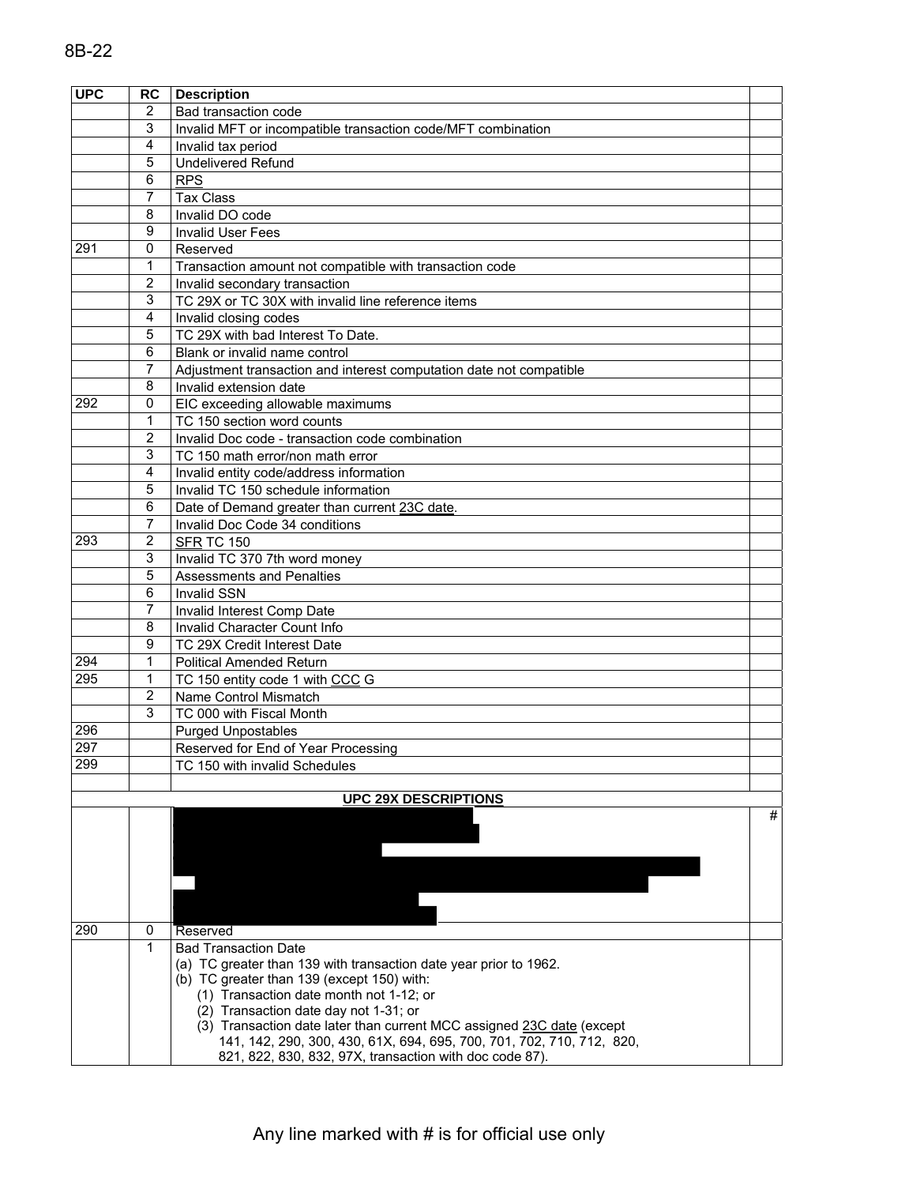| <b>UPC</b> | RC                  | <b>Description</b>                                                    |   |
|------------|---------------------|-----------------------------------------------------------------------|---|
|            | 2                   | Bad transaction code                                                  |   |
|            | 3                   | Invalid MFT or incompatible transaction code/MFT combination          |   |
|            | 4                   | Invalid tax period                                                    |   |
|            | 5                   | <b>Undelivered Refund</b>                                             |   |
|            | 6                   | <b>RPS</b>                                                            |   |
|            | 7                   | <b>Tax Class</b>                                                      |   |
|            | 8                   | Invalid DO code                                                       |   |
|            | 9                   | <b>Invalid User Fees</b>                                              |   |
| 291        | 0                   | Reserved                                                              |   |
|            | 1                   | Transaction amount not compatible with transaction code               |   |
|            | $\overline{2}$      | Invalid secondary transaction                                         |   |
|            | 3                   | TC 29X or TC 30X with invalid line reference items                    |   |
|            | 4                   | Invalid closing codes                                                 |   |
|            | 5                   | TC 29X with bad Interest To Date.                                     |   |
|            | 6                   | Blank or invalid name control                                         |   |
|            | 7                   | Adjustment transaction and interest computation date not compatible   |   |
|            | 8                   | Invalid extension date                                                |   |
| 292        | $\mathbf 0$         | EIC exceeding allowable maximums                                      |   |
|            | 1                   | TC 150 section word counts                                            |   |
|            | $\overline{2}$      | Invalid Doc code - transaction code combination                       |   |
|            | 3                   | TC 150 math error/non math error                                      |   |
|            | 4                   | Invalid entity code/address information                               |   |
|            | 5                   | Invalid TC 150 schedule information                                   |   |
|            | 6                   | Date of Demand greater than current 23C date.                         |   |
|            | 7                   | Invalid Doc Code 34 conditions                                        |   |
| 293        | 2                   | SFR TC 150                                                            |   |
|            | 3                   | Invalid TC 370 7th word money                                         |   |
|            | 5                   | <b>Assessments and Penalties</b>                                      |   |
|            | 6                   | <b>Invalid SSN</b>                                                    |   |
|            | 7                   | Invalid Interest Comp Date                                            |   |
|            | 8                   | Invalid Character Count Info                                          |   |
|            | 9                   | TC 29X Credit Interest Date                                           |   |
| 294        | 1                   | <b>Political Amended Return</b>                                       |   |
| 295        | 1                   | TC 150 entity code 1 with CCC G                                       |   |
|            | $\overline{2}$<br>3 | Name Control Mismatch                                                 |   |
|            |                     | TC 000 with Fiscal Month                                              |   |
| 296<br>297 |                     | <b>Purged Unpostables</b>                                             |   |
| 299        |                     | Reserved for End of Year Processing                                   |   |
|            |                     | TC 150 with invalid Schedules                                         |   |
|            |                     | <b>UPC 29X DESCRIPTIONS</b>                                           |   |
|            |                     |                                                                       | # |
|            |                     |                                                                       |   |
|            |                     |                                                                       |   |
|            |                     |                                                                       |   |
|            |                     |                                                                       |   |
|            |                     |                                                                       |   |
|            |                     |                                                                       |   |
| 290        | 0                   | Reserved                                                              |   |
|            | 1                   | <b>Bad Transaction Date</b>                                           |   |
|            |                     | (a) TC greater than 139 with transaction date year prior to 1962.     |   |
|            |                     | (b) TC greater than 139 (except 150) with:                            |   |
|            |                     | (1) Transaction date month not 1-12; or                               |   |
|            |                     | (2) Transaction date day not 1-31; or                                 |   |
|            |                     | (3) Transaction date later than current MCC assigned 23C date (except |   |
|            |                     | 141, 142, 290, 300, 430, 61X, 694, 695, 700, 701, 702, 710, 712, 820, |   |
|            |                     | 821, 822, 830, 832, 97X, transaction with doc code 87).               |   |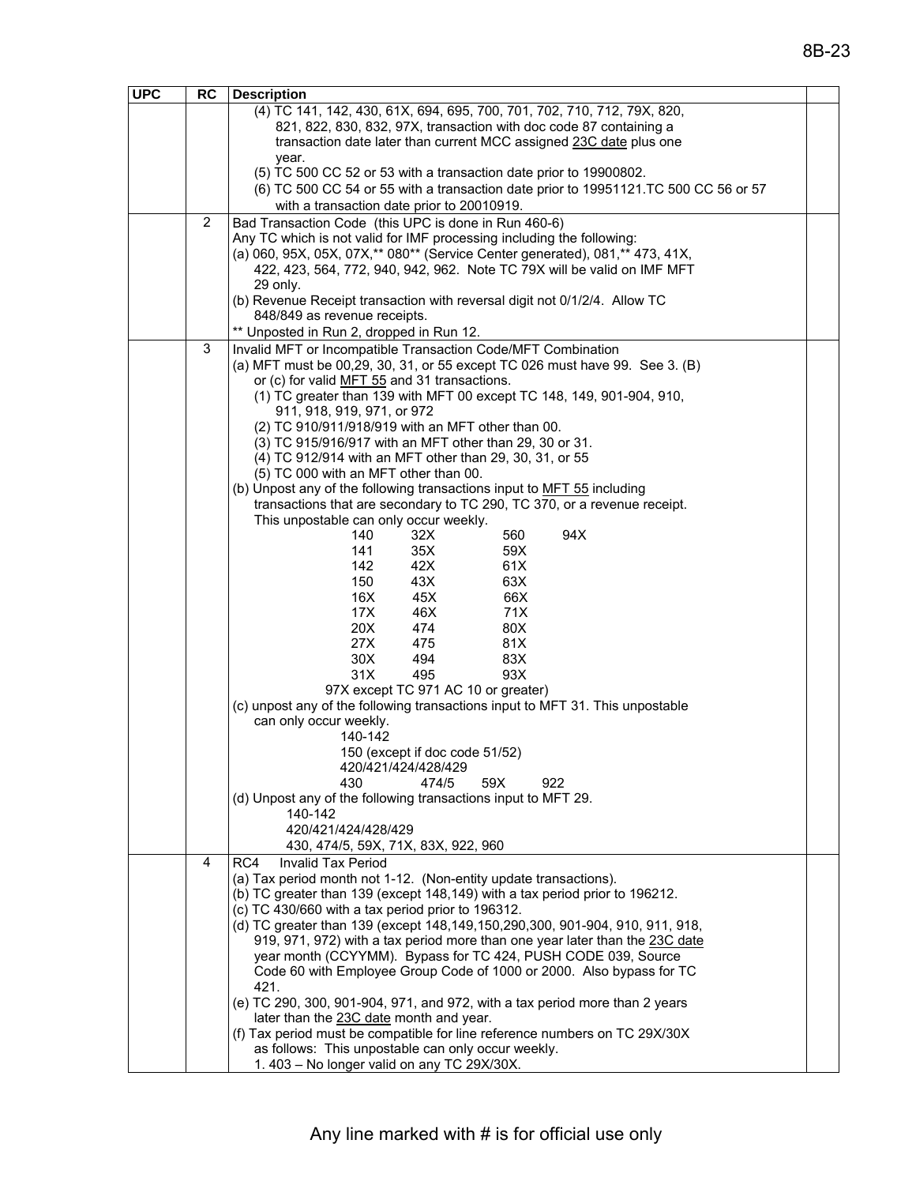| <b>UPC</b> | <b>RC</b> | <b>Description</b>                                                                                                                              |  |
|------------|-----------|-------------------------------------------------------------------------------------------------------------------------------------------------|--|
|            |           | (4) TC 141, 142, 430, 61X, 694, 695, 700, 701, 702, 710, 712, 79X, 820,                                                                         |  |
|            |           | 821, 822, 830, 832, 97X, transaction with doc code 87 containing a                                                                              |  |
|            |           | transaction date later than current MCC assigned 23C date plus one                                                                              |  |
|            |           | year.                                                                                                                                           |  |
|            |           | (5) TC 500 CC 52 or 53 with a transaction date prior to 19900802.                                                                               |  |
|            |           | (6) TC 500 CC 54 or 55 with a transaction date prior to 19951121.TC 500 CC 56 or 57                                                             |  |
|            |           | with a transaction date prior to 20010919.                                                                                                      |  |
|            | 2         | Bad Transaction Code (this UPC is done in Run 460-6)                                                                                            |  |
|            |           | Any TC which is not valid for IMF processing including the following:                                                                           |  |
|            |           | (a) 060, 95X, 05X, 07X,** 080** (Service Center generated), 081,** 473, 41X,                                                                    |  |
|            |           | 422, 423, 564, 772, 940, 942, 962. Note TC 79X will be valid on IMF MFT                                                                         |  |
|            |           | 29 only.                                                                                                                                        |  |
|            |           | (b) Revenue Receipt transaction with reversal digit not 0/1/2/4. Allow TC                                                                       |  |
|            |           | 848/849 as revenue receipts.                                                                                                                    |  |
|            |           | ** Unposted in Run 2, dropped in Run 12.                                                                                                        |  |
|            | 3         | Invalid MFT or Incompatible Transaction Code/MFT Combination                                                                                    |  |
|            |           | (a) MFT must be 00,29, 30, 31, or 55 except TC 026 must have 99. See 3. (B)                                                                     |  |
|            |           | or (c) for valid MFT 55 and 31 transactions.                                                                                                    |  |
|            |           | (1) TC greater than 139 with MFT 00 except TC 148, 149, 901-904, 910,                                                                           |  |
|            |           | 911, 918, 919, 971, or 972                                                                                                                      |  |
|            |           | (2) TC 910/911/918/919 with an MFT other than 00.                                                                                               |  |
|            |           | (3) TC 915/916/917 with an MFT other than 29, 30 or 31.                                                                                         |  |
|            |           | (4) TC 912/914 with an MFT other than 29, 30, 31, or 55                                                                                         |  |
|            |           | (5) TC 000 with an MFT other than 00.                                                                                                           |  |
|            |           | (b) Unpost any of the following transactions input to MFT 55 including                                                                          |  |
|            |           | transactions that are secondary to TC 290, TC 370, or a revenue receipt.                                                                        |  |
|            |           | This unpostable can only occur weekly.<br>32X<br>94X<br>140<br>560                                                                              |  |
|            |           | 35X<br>141<br>59X                                                                                                                               |  |
|            |           | 42X<br>142<br>61X                                                                                                                               |  |
|            |           | 150<br>43X<br>63X                                                                                                                               |  |
|            |           | 16X<br>45X<br>66X                                                                                                                               |  |
|            |           | 17X<br>46X<br>71X                                                                                                                               |  |
|            |           | 20X<br>474<br>80X                                                                                                                               |  |
|            |           | 27X<br>475<br>81X                                                                                                                               |  |
|            |           | 30X<br>494<br>83X                                                                                                                               |  |
|            |           | 31X<br>93X<br>495                                                                                                                               |  |
|            |           | 97X except TC 971 AC 10 or greater)                                                                                                             |  |
|            |           | (c) unpost any of the following transactions input to MFT 31. This unpostable                                                                   |  |
|            |           | can only occur weekly.                                                                                                                          |  |
|            |           | 140-142                                                                                                                                         |  |
|            |           | 150 (except if doc code 51/52)                                                                                                                  |  |
|            |           | 420/421/424/428/429                                                                                                                             |  |
|            |           | 430<br>474/5<br>59X<br>922                                                                                                                      |  |
|            |           | (d) Unpost any of the following transactions input to MFT 29.                                                                                   |  |
|            |           | 140-142                                                                                                                                         |  |
|            |           | 420/421/424/428/429                                                                                                                             |  |
|            |           | 430, 474/5, 59X, 71X, 83X, 922, 960                                                                                                             |  |
|            | 4         | RC4<br>Invalid Tax Period                                                                                                                       |  |
|            |           | (a) Tax period month not 1-12. (Non-entity update transactions).<br>(b) TC greater than 139 (except 148,149) with a tax period prior to 196212. |  |
|            |           | (c) TC 430/660 with a tax period prior to 196312.                                                                                               |  |
|            |           | (d) TC greater than 139 (except 148, 149, 150, 290, 300, 901-904, 910, 911, 918,                                                                |  |
|            |           | 919, 971, 972) with a tax period more than one year later than the 23C date                                                                     |  |
|            |           | year month (CCYYMM). Bypass for TC 424, PUSH CODE 039, Source                                                                                   |  |
|            |           | Code 60 with Employee Group Code of 1000 or 2000. Also bypass for TC                                                                            |  |
|            |           | 421.                                                                                                                                            |  |
|            |           | (e) TC 290, 300, 901-904, 971, and 972, with a tax period more than 2 years                                                                     |  |
|            |           | later than the 23C date month and year.                                                                                                         |  |
|            |           | (f) Tax period must be compatible for line reference numbers on TC 29X/30X                                                                      |  |
|            |           | as follows: This unpostable can only occur weekly.                                                                                              |  |
|            |           | 1.403 - No longer valid on any TC 29X/30X.                                                                                                      |  |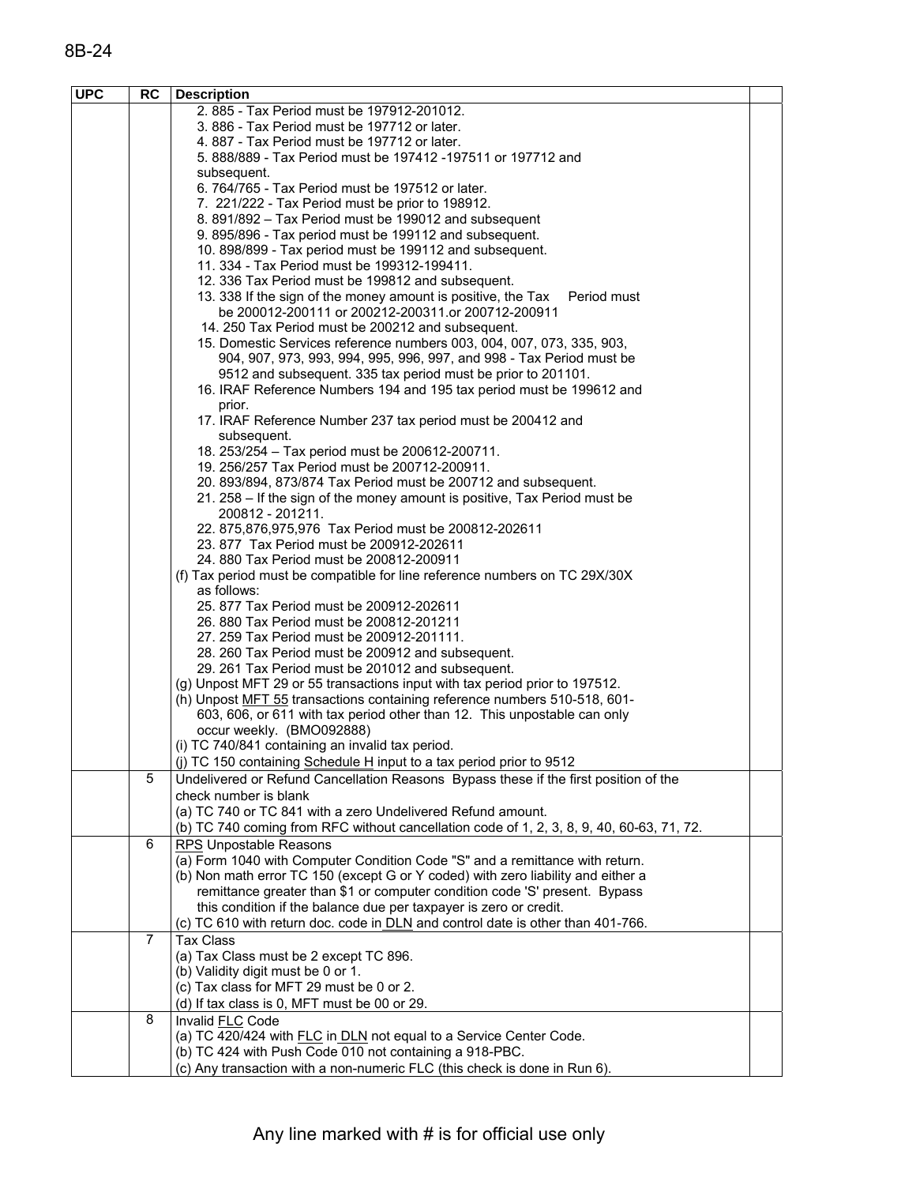| <b>UPC</b> | <b>RC</b>      | <b>Description</b>                                                                                                                                               |  |
|------------|----------------|------------------------------------------------------------------------------------------------------------------------------------------------------------------|--|
|            |                | 2.885 - Tax Period must be 197912-201012.                                                                                                                        |  |
|            |                | 3.886 - Tax Period must be 197712 or later.                                                                                                                      |  |
|            |                | 4.887 - Tax Period must be 197712 or later.                                                                                                                      |  |
|            |                | 5. 888/889 - Tax Period must be 197412 -197511 or 197712 and                                                                                                     |  |
|            |                | subsequent.<br>6. 764/765 - Tax Period must be 197512 or later.                                                                                                  |  |
|            |                | 7. 221/222 - Tax Period must be prior to 198912.                                                                                                                 |  |
|            |                | 8. 891/892 - Tax Period must be 199012 and subsequent                                                                                                            |  |
|            |                | 9. 895/896 - Tax period must be 199112 and subsequent.                                                                                                           |  |
|            |                | 10. 898/899 - Tax period must be 199112 and subsequent.                                                                                                          |  |
|            |                | 11. 334 - Tax Period must be 199312-199411.                                                                                                                      |  |
|            |                | 12. 336 Tax Period must be 199812 and subsequent.                                                                                                                |  |
|            |                | 13. 338 If the sign of the money amount is positive, the Tax<br>Period must                                                                                      |  |
|            |                | be 200012-200111 or 200212-200311.or 200712-200911                                                                                                               |  |
|            |                | 14. 250 Tax Period must be 200212 and subsequent.                                                                                                                |  |
|            |                | 15. Domestic Services reference numbers 003, 004, 007, 073, 335, 903,                                                                                            |  |
|            |                | 904, 907, 973, 993, 994, 995, 996, 997, and 998 - Tax Period must be                                                                                             |  |
|            |                | 9512 and subsequent. 335 tax period must be prior to 201101.                                                                                                     |  |
|            |                | 16. IRAF Reference Numbers 194 and 195 tax period must be 199612 and                                                                                             |  |
|            |                | prior.                                                                                                                                                           |  |
|            |                | 17. IRAF Reference Number 237 tax period must be 200412 and<br>subsequent.                                                                                       |  |
|            |                | 18. 253/254 - Tax period must be 200612-200711.                                                                                                                  |  |
|            |                | 19. 256/257 Tax Period must be 200712-200911.                                                                                                                    |  |
|            |                | 20. 893/894, 873/874 Tax Period must be 200712 and subsequent.                                                                                                   |  |
|            |                | 21. 258 – If the sign of the money amount is positive, Tax Period must be                                                                                        |  |
|            |                | 200812 - 201211.                                                                                                                                                 |  |
|            |                | 22. 875,876,975,976 Tax Period must be 200812-202611                                                                                                             |  |
|            |                | 23.877 Tax Period must be 200912-202611                                                                                                                          |  |
|            |                | 24.880 Tax Period must be 200812-200911                                                                                                                          |  |
|            |                | (f) Tax period must be compatible for line reference numbers on TC 29X/30X                                                                                       |  |
|            |                | as follows:                                                                                                                                                      |  |
|            |                | 25. 877 Tax Period must be 200912-202611                                                                                                                         |  |
|            |                | 26.880 Tax Period must be 200812-201211                                                                                                                          |  |
|            |                | 27. 259 Tax Period must be 200912-201111.<br>28. 260 Tax Period must be 200912 and subsequent.                                                                   |  |
|            |                | 29. 261 Tax Period must be 201012 and subsequent.                                                                                                                |  |
|            |                | (g) Unpost MFT 29 or 55 transactions input with tax period prior to 197512.                                                                                      |  |
|            |                | (h) Unpost MFT 55 transactions containing reference numbers 510-518, 601-                                                                                        |  |
|            |                | 603, 606, or 611 with tax period other than 12. This unpostable can only                                                                                         |  |
|            |                | occur weekly. (BMO092888)                                                                                                                                        |  |
|            |                | (i) TC 740/841 containing an invalid tax period.                                                                                                                 |  |
|            |                | (j) TC 150 containing Schedule H input to a tax period prior to 9512                                                                                             |  |
|            | 5              | Undelivered or Refund Cancellation Reasons Bypass these if the first position of the                                                                             |  |
|            |                | check number is blank                                                                                                                                            |  |
|            |                | (a) TC 740 or TC 841 with a zero Undelivered Refund amount.                                                                                                      |  |
|            |                | (b) TC 740 coming from RFC without cancellation code of 1, 2, 3, 8, 9, 40, 60-63, 71, 72.                                                                        |  |
|            | 6              | RPS Unpostable Reasons                                                                                                                                           |  |
|            |                | (a) Form 1040 with Computer Condition Code "S" and a remittance with return.<br>(b) Non math error TC 150 (except G or Y coded) with zero liability and either a |  |
|            |                | remittance greater than \$1 or computer condition code 'S' present. Bypass                                                                                       |  |
|            |                | this condition if the balance due per taxpayer is zero or credit.                                                                                                |  |
|            |                | (c) TC 610 with return doc. code in DLN and control date is other than 401-766.                                                                                  |  |
|            | $\overline{7}$ | <b>Tax Class</b>                                                                                                                                                 |  |
|            |                | (a) Tax Class must be 2 except TC 896.                                                                                                                           |  |
|            |                | (b) Validity digit must be 0 or 1.                                                                                                                               |  |
|            |                | (c) Tax class for MFT 29 must be 0 or 2.                                                                                                                         |  |
|            |                | (d) If tax class is 0, MFT must be 00 or 29.                                                                                                                     |  |
|            | 8              | Invalid FLC Code                                                                                                                                                 |  |
|            |                | (a) TC 420/424 with FLC in DLN not equal to a Service Center Code.                                                                                               |  |
|            |                | (b) TC 424 with Push Code 010 not containing a 918-PBC.                                                                                                          |  |
|            |                | (c) Any transaction with a non-numeric FLC (this check is done in Run 6).                                                                                        |  |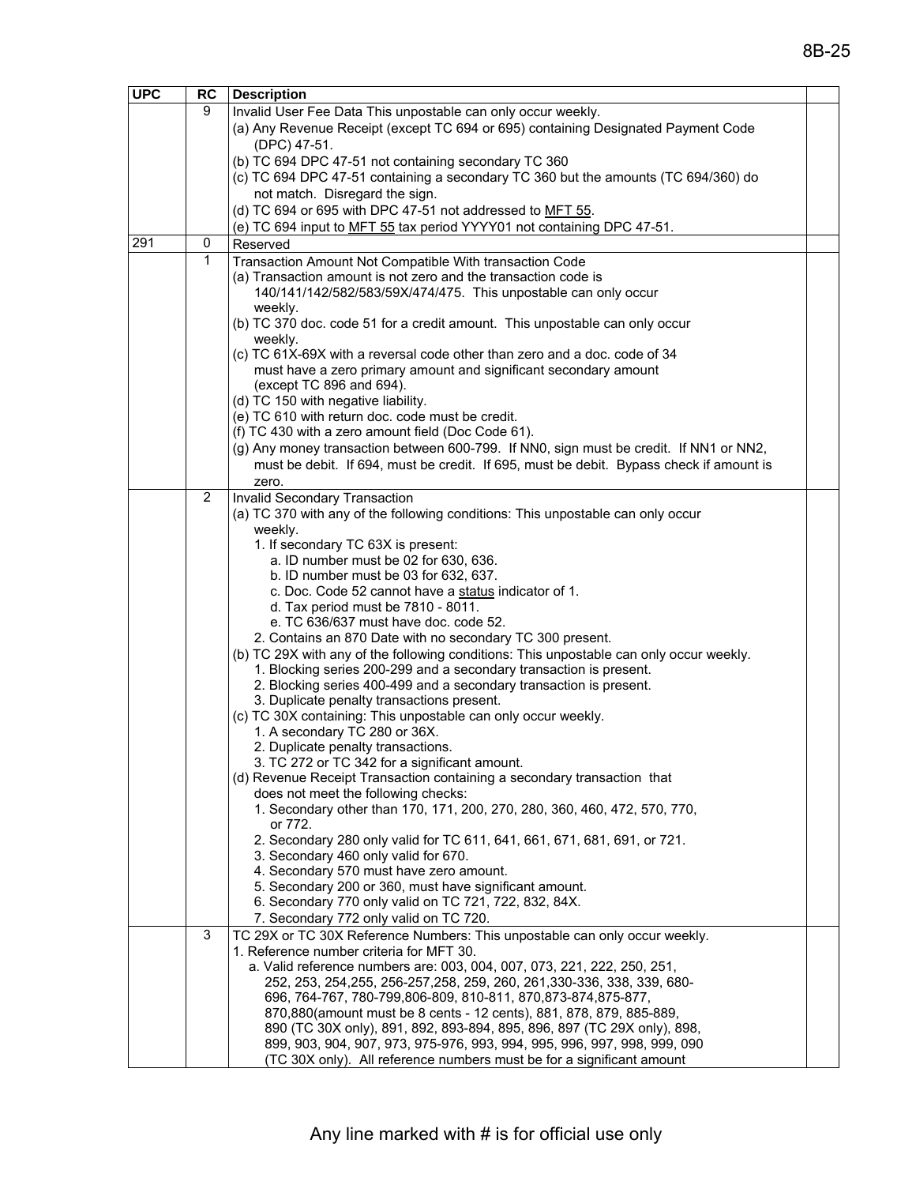| <b>UPC</b> | RC | <b>Description</b>                                                                                               |  |
|------------|----|------------------------------------------------------------------------------------------------------------------|--|
|            | 9  | Invalid User Fee Data This unpostable can only occur weekly.                                                     |  |
|            |    | (a) Any Revenue Receipt (except TC 694 or 695) containing Designated Payment Code                                |  |
|            |    | (DPC) 47-51.                                                                                                     |  |
|            |    | (b) TC 694 DPC 47-51 not containing secondary TC 360                                                             |  |
|            |    | (c) TC 694 DPC 47-51 containing a secondary TC 360 but the amounts (TC 694/360) do                               |  |
|            |    | not match. Disregard the sign.                                                                                   |  |
|            |    | (d) TC 694 or 695 with DPC 47-51 not addressed to MFT 55.                                                        |  |
|            |    | (e) TC 694 input to MFT 55 tax period YYYY01 not containing DPC 47-51.                                           |  |
| 291        | 0  | Reserved                                                                                                         |  |
|            |    |                                                                                                                  |  |
|            | 1  | Transaction Amount Not Compatible With transaction Code                                                          |  |
|            |    | (a) Transaction amount is not zero and the transaction code is                                                   |  |
|            |    | 140/141/142/582/583/59X/474/475. This unpostable can only occur                                                  |  |
|            |    | weekly.                                                                                                          |  |
|            |    | (b) TC 370 doc. code 51 for a credit amount. This unpostable can only occur                                      |  |
|            |    | weekly.                                                                                                          |  |
|            |    | (c) TC 61X-69X with a reversal code other than zero and a doc. code of 34                                        |  |
|            |    | must have a zero primary amount and significant secondary amount                                                 |  |
|            |    | (except TC 896 and 694).                                                                                         |  |
|            |    | (d) TC 150 with negative liability.                                                                              |  |
|            |    | (e) TC 610 with return doc. code must be credit.                                                                 |  |
|            |    | (f) TC 430 with a zero amount field (Doc Code 61).                                                               |  |
|            |    | (g) Any money transaction between 600-799. If NN0, sign must be credit. If NN1 or NN2,                           |  |
|            |    | must be debit. If 694, must be credit. If 695, must be debit. Bypass check if amount is                          |  |
|            |    | zero.                                                                                                            |  |
|            | 2  | <b>Invalid Secondary Transaction</b>                                                                             |  |
|            |    | (a) TC 370 with any of the following conditions: This unpostable can only occur                                  |  |
|            |    | weekly.                                                                                                          |  |
|            |    | 1. If secondary TC 63X is present:                                                                               |  |
|            |    | a. ID number must be 02 for 630, 636.                                                                            |  |
|            |    | b. ID number must be 03 for 632, 637.                                                                            |  |
|            |    | c. Doc. Code 52 cannot have a status indicator of 1.                                                             |  |
|            |    | d. Tax period must be 7810 - 8011.                                                                               |  |
|            |    | e. TC 636/637 must have doc. code 52.                                                                            |  |
|            |    | 2. Contains an 870 Date with no secondary TC 300 present.                                                        |  |
|            |    | (b) TC 29X with any of the following conditions: This unpostable can only occur weekly.                          |  |
|            |    | 1. Blocking series 200-299 and a secondary transaction is present.                                               |  |
|            |    | 2. Blocking series 400-499 and a secondary transaction is present.                                               |  |
|            |    | 3. Duplicate penalty transactions present.                                                                       |  |
|            |    | (c) TC 30X containing: This unpostable can only occur weekly.                                                    |  |
|            |    | 1. A secondary TC 280 or 36X.                                                                                    |  |
|            |    | 2. Duplicate penalty transactions.                                                                               |  |
|            |    | 3. TC 272 or TC 342 for a significant amount.                                                                    |  |
|            |    | (d) Revenue Receipt Transaction containing a secondary transaction that                                          |  |
|            |    | does not meet the following checks:<br>1. Secondary other than 170, 171, 200, 270, 280, 360, 460, 472, 570, 770, |  |
|            |    | or 772.                                                                                                          |  |
|            |    | 2. Secondary 280 only valid for TC 611, 641, 661, 671, 681, 691, or 721.                                         |  |
|            |    | 3. Secondary 460 only valid for 670.                                                                             |  |
|            |    | 4. Secondary 570 must have zero amount.                                                                          |  |
|            |    | 5. Secondary 200 or 360, must have significant amount.                                                           |  |
|            |    | 6. Secondary 770 only valid on TC 721, 722, 832, 84X.                                                            |  |
|            |    |                                                                                                                  |  |
|            | 3  | 7. Secondary 772 only valid on TC 720.                                                                           |  |
|            |    | TC 29X or TC 30X Reference Numbers: This unpostable can only occur weekly.                                       |  |
|            |    | 1. Reference number criteria for MFT 30.                                                                         |  |
|            |    | a. Valid reference numbers are: 003, 004, 007, 073, 221, 222, 250, 251,                                          |  |
|            |    | 252, 253, 254, 255, 256-257, 258, 259, 260, 261, 330-336, 338, 339, 680-                                         |  |
|            |    | 696, 764-767, 780-799, 806-809, 810-811, 870, 873-874, 875-877,                                                  |  |
|            |    | 870,880(amount must be 8 cents - 12 cents), 881, 878, 879, 885-889,                                              |  |
|            |    | 890 (TC 30X only), 891, 892, 893-894, 895, 896, 897 (TC 29X only), 898,                                          |  |
|            |    | 899, 903, 904, 907, 973, 975-976, 993, 994, 995, 996, 997, 998, 999, 090                                         |  |
|            |    | (TC 30X only). All reference numbers must be for a significant amount                                            |  |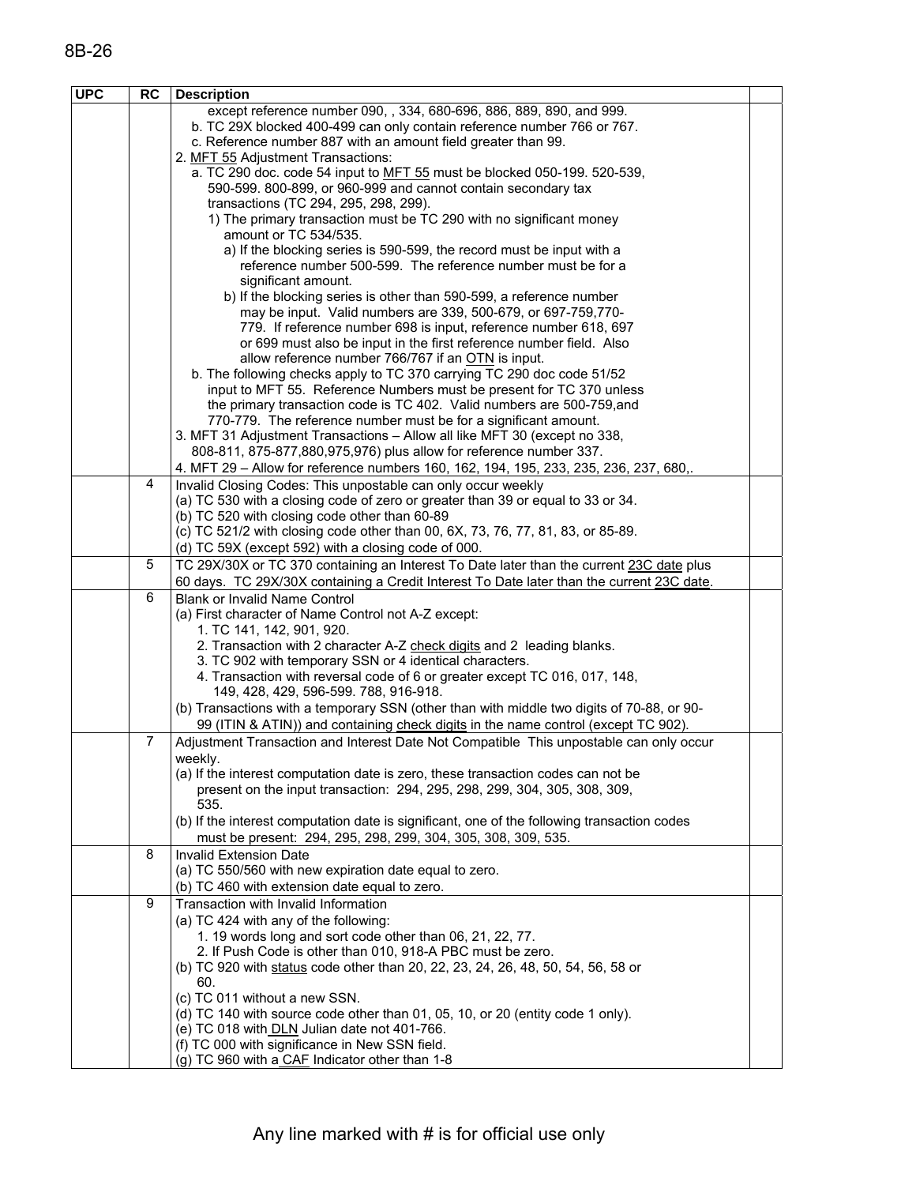| <b>UPC</b> | <b>RC</b>      | <b>Description</b>                                                                                                                              |  |
|------------|----------------|-------------------------------------------------------------------------------------------------------------------------------------------------|--|
|            |                | except reference number 090, , 334, 680-696, 886, 889, 890, and 999.                                                                            |  |
|            |                | b. TC 29X blocked 400-499 can only contain reference number 766 or 767.                                                                         |  |
|            |                | c. Reference number 887 with an amount field greater than 99.                                                                                   |  |
|            |                | 2. MFT 55 Adjustment Transactions:                                                                                                              |  |
|            |                | a. TC 290 doc. code 54 input to MFT 55 must be blocked 050-199. 520-539,                                                                        |  |
|            |                | 590-599. 800-899, or 960-999 and cannot contain secondary tax<br>transactions (TC 294, 295, 298, 299).                                          |  |
|            |                | 1) The primary transaction must be TC 290 with no significant money                                                                             |  |
|            |                | amount or TC 534/535.                                                                                                                           |  |
|            |                | a) If the blocking series is 590-599, the record must be input with a                                                                           |  |
|            |                | reference number 500-599. The reference number must be for a                                                                                    |  |
|            |                | significant amount.                                                                                                                             |  |
|            |                | b) If the blocking series is other than 590-599, a reference number                                                                             |  |
|            |                | may be input. Valid numbers are 339, 500-679, or 697-759,770-                                                                                   |  |
|            |                | 779. If reference number 698 is input, reference number 618, 697                                                                                |  |
|            |                | or 699 must also be input in the first reference number field. Also<br>allow reference number 766/767 if an OTN is input.                       |  |
|            |                | b. The following checks apply to TC 370 carrying TC 290 doc code 51/52                                                                          |  |
|            |                | input to MFT 55. Reference Numbers must be present for TC 370 unless                                                                            |  |
|            |                | the primary transaction code is TC 402. Valid numbers are 500-759, and                                                                          |  |
|            |                | 770-779. The reference number must be for a significant amount.                                                                                 |  |
|            |                | 3. MFT 31 Adjustment Transactions - Allow all like MFT 30 (except no 338,                                                                       |  |
|            |                | 808-811, 875-877,880,975,976) plus allow for reference number 337.                                                                              |  |
|            |                | 4. MFT 29 - Allow for reference numbers 160, 162, 194, 195, 233, 235, 236, 237, 680,.                                                           |  |
|            | 4              | Invalid Closing Codes: This unpostable can only occur weekly                                                                                    |  |
|            |                | (a) TC 530 with a closing code of zero or greater than 39 or equal to 33 or 34.                                                                 |  |
|            |                | (b) TC 520 with closing code other than 60-89                                                                                                   |  |
|            |                | (c) TC 521/2 with closing code other than 00, 6X, 73, 76, 77, 81, 83, or 85-89.                                                                 |  |
|            | 5              | (d) TC 59X (except 592) with a closing code of 000.<br>TC 29X/30X or TC 370 containing an Interest To Date later than the current 23C date plus |  |
|            |                | 60 days. TC 29X/30X containing a Credit Interest To Date later than the current 23C date.                                                       |  |
|            | 6              | <b>Blank or Invalid Name Control</b>                                                                                                            |  |
|            |                | (a) First character of Name Control not A-Z except:                                                                                             |  |
|            |                | 1. TC 141, 142, 901, 920.                                                                                                                       |  |
|            |                | 2. Transaction with 2 character A-Z check digits and 2 leading blanks.                                                                          |  |
|            |                | 3. TC 902 with temporary SSN or 4 identical characters.                                                                                         |  |
|            |                | 4. Transaction with reversal code of 6 or greater except TC 016, 017, 148,                                                                      |  |
|            |                | 149, 428, 429, 596-599. 788, 916-918.<br>(b) Transactions with a temporary SSN (other than with middle two digits of 70-88, or 90-              |  |
|            |                | 99 (ITIN & ATIN)) and containing check digits in the name control (except TC 902).                                                              |  |
|            | $\overline{7}$ | Adjustment Transaction and Interest Date Not Compatible This unpostable can only occur                                                          |  |
|            |                | weekly.                                                                                                                                         |  |
|            |                | (a) If the interest computation date is zero, these transaction codes can not be                                                                |  |
|            |                | present on the input transaction: 294, 295, 298, 299, 304, 305, 308, 309,                                                                       |  |
|            |                | 535.                                                                                                                                            |  |
|            |                | (b) If the interest computation date is significant, one of the following transaction codes                                                     |  |
|            |                | must be present: 294, 295, 298, 299, 304, 305, 308, 309, 535.                                                                                   |  |
|            | 8              | <b>Invalid Extension Date</b>                                                                                                                   |  |
|            |                | (a) TC 550/560 with new expiration date equal to zero.                                                                                          |  |
|            | 9              | (b) TC 460 with extension date equal to zero.                                                                                                   |  |
|            |                | Transaction with Invalid Information<br>(a) TC 424 with any of the following:                                                                   |  |
|            |                | 1. 19 words long and sort code other than 06, 21, 22, 77.                                                                                       |  |
|            |                | 2. If Push Code is other than 010, 918-A PBC must be zero.                                                                                      |  |
|            |                | (b) TC 920 with status code other than 20, 22, 23, 24, 26, 48, 50, 54, 56, 58 or                                                                |  |
|            |                | 60.                                                                                                                                             |  |
|            |                | (c) TC 011 without a new SSN.                                                                                                                   |  |
|            |                | (d) TC 140 with source code other than 01, 05, 10, or 20 (entity code 1 only).                                                                  |  |
|            |                | (e) TC 018 with DLN Julian date not 401-766.                                                                                                    |  |
|            |                | (f) TC 000 with significance in New SSN field.                                                                                                  |  |
|            |                | (g) TC 960 with a CAF Indicator other than 1-8                                                                                                  |  |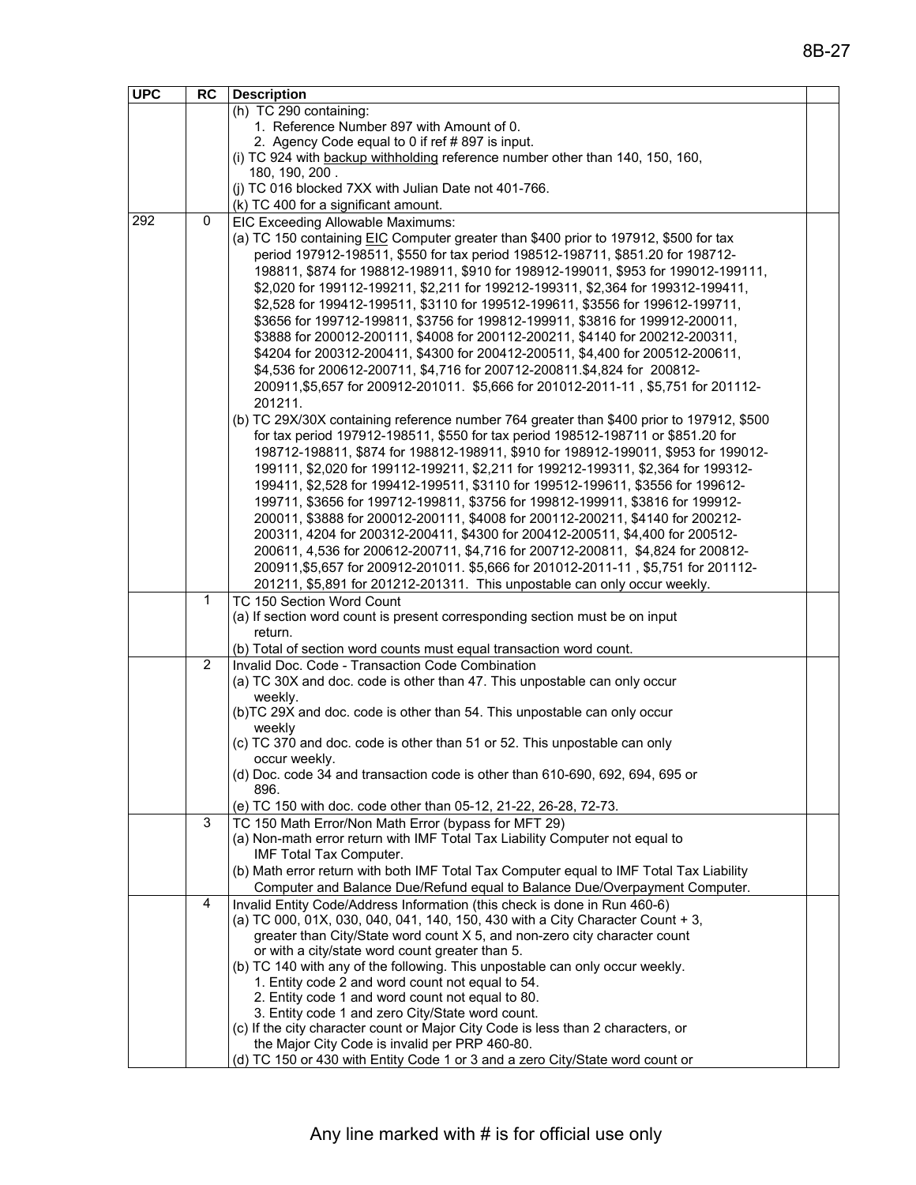| <b>UPC</b> | RC          | <b>Description</b>                                                                                                                   |  |
|------------|-------------|--------------------------------------------------------------------------------------------------------------------------------------|--|
|            |             | (h) TC 290 containing:                                                                                                               |  |
|            |             | 1. Reference Number 897 with Amount of 0.                                                                                            |  |
|            |             | 2. Agency Code equal to 0 if ref #897 is input.                                                                                      |  |
|            |             | (i) TC 924 with backup withholding reference number other than 140, 150, 160,                                                        |  |
|            |             | 180, 190, 200.                                                                                                                       |  |
|            |             | (j) TC 016 blocked 7XX with Julian Date not 401-766.                                                                                 |  |
|            |             | (k) TC 400 for a significant amount.                                                                                                 |  |
| 292        | $\mathbf 0$ | EIC Exceeding Allowable Maximums:                                                                                                    |  |
|            |             | (a) TC 150 containing EIC Computer greater than \$400 prior to 197912, \$500 for tax                                                 |  |
|            |             | period 197912-198511, \$550 for tax period 198512-198711, \$851.20 for 198712-                                                       |  |
|            |             | 198811, \$874 for 198812-198911, \$910 for 198912-199011, \$953 for 199012-199111,                                                   |  |
|            |             | \$2,020 for 199112-199211, \$2,211 for 199212-199311, \$2,364 for 199312-199411,                                                     |  |
|            |             | \$2,528 for 199412-199511, \$3110 for 199512-199611, \$3556 for 199612-199711,                                                       |  |
|            |             | \$3656 for 199712-199811, \$3756 for 199812-199911, \$3816 for 199912-200011,                                                        |  |
|            |             | \$3888 for 200012-200111, \$4008 for 200112-200211, \$4140 for 200212-200311,                                                        |  |
|            |             | \$4204 for 200312-200411, \$4300 for 200412-200511, \$4,400 for 200512-200611,                                                       |  |
|            |             | \$4,536 for 200612-200711, \$4,716 for 200712-200811.\$4,824 for 200812-                                                             |  |
|            |             | 200911,\$5,657 for 200912-201011. \$5,666 for 201012-2011-11, \$5,751 for 201112-                                                    |  |
|            |             | 201211.                                                                                                                              |  |
|            |             | (b) TC 29X/30X containing reference number 764 greater than \$400 prior to 197912, \$500                                             |  |
|            |             | for tax period 197912-198511, \$550 for tax period 198512-198711 or \$851.20 for                                                     |  |
|            |             | 198712-198811, \$874 for 198812-198911, \$910 for 198912-199011, \$953 for 199012-                                                   |  |
|            |             | 199111, \$2,020 for 199112-199211, \$2,211 for 199212-199311, \$2,364 for 199312-                                                    |  |
|            |             | 199411, \$2,528 for 199412-199511, \$3110 for 199512-199611, \$3556 for 199612-                                                      |  |
|            |             | 199711, \$3656 for 199712-199811, \$3756 for 199812-199911, \$3816 for 199912-                                                       |  |
|            |             | 200011, \$3888 for 200012-200111, \$4008 for 200112-200211, \$4140 for 200212-                                                       |  |
|            |             | 200311, 4204 for 200312-200411, \$4300 for 200412-200511, \$4,400 for 200512-                                                        |  |
|            |             | 200611, 4,536 for 200612-200711, \$4,716 for 200712-200811, \$4,824 for 200812-                                                      |  |
|            |             | 200911,\$5,657 for 200912-201011. \$5,666 for 201012-2011-11, \$5,751 for 201112-                                                    |  |
|            |             | 201211, \$5,891 for 201212-201311. This unpostable can only occur weekly.                                                            |  |
|            | 1           | TC 150 Section Word Count                                                                                                            |  |
|            |             | (a) If section word count is present corresponding section must be on input                                                          |  |
|            |             | return.                                                                                                                              |  |
|            |             | (b) Total of section word counts must equal transaction word count.                                                                  |  |
|            | 2           | Invalid Doc. Code - Transaction Code Combination                                                                                     |  |
|            |             | (a) TC 30X and doc. code is other than 47. This unpostable can only occur                                                            |  |
|            |             | weekly.                                                                                                                              |  |
|            |             | (b)TC 29X and doc. code is other than 54. This unpostable can only occur                                                             |  |
|            |             | weekly                                                                                                                               |  |
|            |             | (c) TC 370 and doc. code is other than 51 or 52. This unpostable can only                                                            |  |
|            |             | occur weekly.                                                                                                                        |  |
|            |             | (d) Doc. code 34 and transaction code is other than 610-690, 692, 694, 695 or                                                        |  |
|            |             | 896.                                                                                                                                 |  |
|            | 3           | (e) TC 150 with doc. code other than 05-12, 21-22, 26-28, 72-73.                                                                     |  |
|            |             | TC 150 Math Error/Non Math Error (bypass for MFT 29)<br>(a) Non-math error return with IMF Total Tax Liability Computer not equal to |  |
|            |             | IMF Total Tax Computer.                                                                                                              |  |
|            |             | (b) Math error return with both IMF Total Tax Computer equal to IMF Total Tax Liability                                              |  |
|            |             | Computer and Balance Due/Refund equal to Balance Due/Overpayment Computer.                                                           |  |
|            | 4           | Invalid Entity Code/Address Information (this check is done in Run 460-6)                                                            |  |
|            |             | (a) TC 000, 01X, 030, 040, 041, 140, 150, 430 with a City Character Count + 3,                                                       |  |
|            |             | greater than City/State word count X 5, and non-zero city character count                                                            |  |
|            |             | or with a city/state word count greater than 5.                                                                                      |  |
|            |             | (b) TC 140 with any of the following. This unpostable can only occur weekly.                                                         |  |
|            |             | 1. Entity code 2 and word count not equal to 54.                                                                                     |  |
|            |             | 2. Entity code 1 and word count not equal to 80.                                                                                     |  |
|            |             | 3. Entity code 1 and zero City/State word count.                                                                                     |  |
|            |             | (c) If the city character count or Major City Code is less than 2 characters, or                                                     |  |
|            |             | the Major City Code is invalid per PRP 460-80.                                                                                       |  |
|            |             | (d) TC 150 or 430 with Entity Code 1 or 3 and a zero City/State word count or                                                        |  |
|            |             |                                                                                                                                      |  |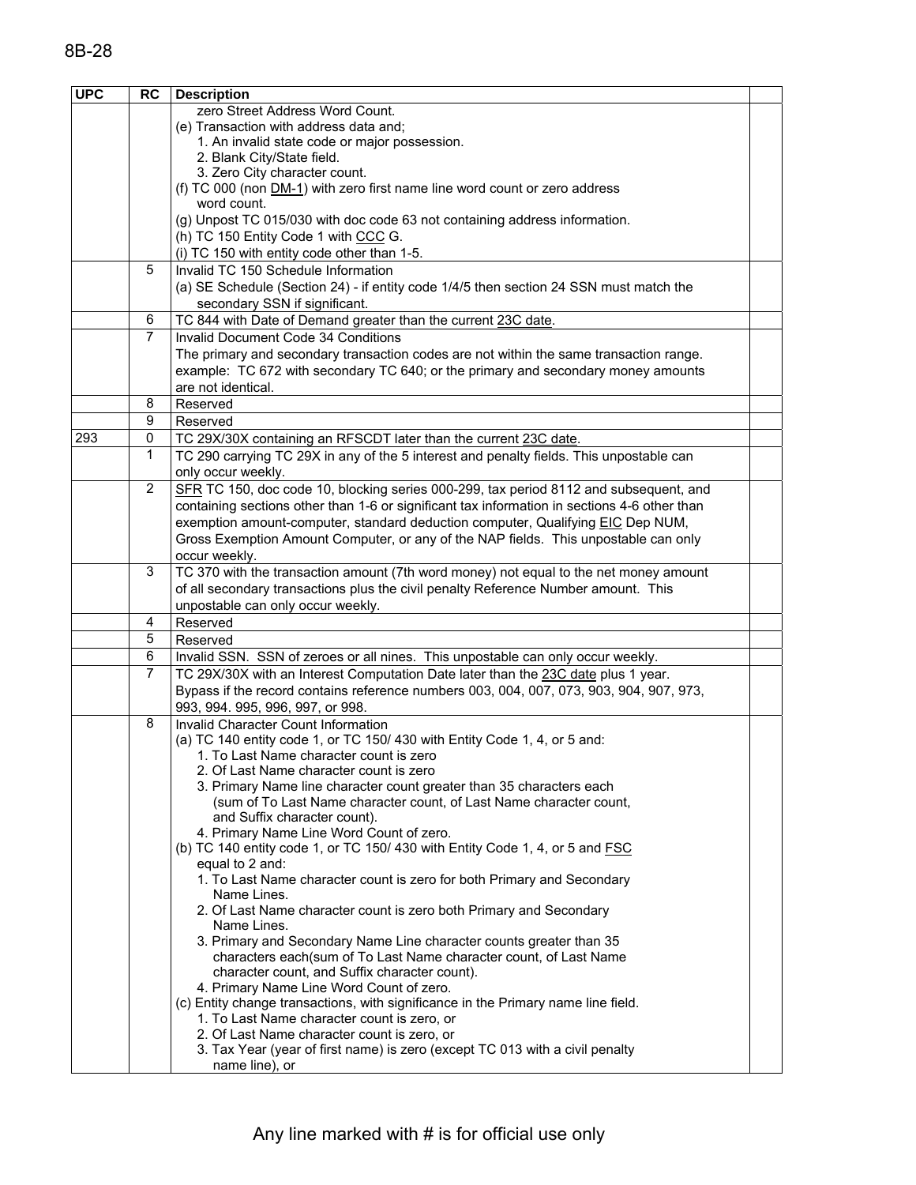| <b>UPC</b> | <b>RC</b>      | <b>Description</b>                                                                           |  |
|------------|----------------|----------------------------------------------------------------------------------------------|--|
|            |                | zero Street Address Word Count.                                                              |  |
|            |                | (e) Transaction with address data and;                                                       |  |
|            |                | 1. An invalid state code or major possession.                                                |  |
|            |                | 2. Blank City/State field.                                                                   |  |
|            |                | 3. Zero City character count.                                                                |  |
|            |                | (f) TC 000 (non DM-1) with zero first name line word count or zero address                   |  |
|            |                | word count.                                                                                  |  |
|            |                | (g) Unpost TC 015/030 with doc code 63 not containing address information.                   |  |
|            |                | (h) TC 150 Entity Code 1 with CCC G.                                                         |  |
|            |                | (i) TC 150 with entity code other than 1-5.                                                  |  |
|            | 5              | Invalid TC 150 Schedule Information                                                          |  |
|            |                | (a) SE Schedule (Section 24) - if entity code 1/4/5 then section 24 SSN must match the       |  |
|            |                | secondary SSN if significant.                                                                |  |
|            | 6              | TC 844 with Date of Demand greater than the current 23C date.                                |  |
|            | $\overline{7}$ | Invalid Document Code 34 Conditions                                                          |  |
|            |                | The primary and secondary transaction codes are not within the same transaction range.       |  |
|            |                | example: TC 672 with secondary TC 640; or the primary and secondary money amounts            |  |
|            |                | are not identical.                                                                           |  |
|            | 8              | Reserved                                                                                     |  |
|            | 9              | Reserved                                                                                     |  |
| 293        | 0              | TC 29X/30X containing an RFSCDT later than the current 23C date.                             |  |
|            | 1              | TC 290 carrying TC 29X in any of the 5 interest and penalty fields. This unpostable can      |  |
|            |                | only occur weekly.                                                                           |  |
|            | $\overline{2}$ | SFR TC 150, doc code 10, blocking series 000-299, tax period 8112 and subsequent, and        |  |
|            |                | containing sections other than 1-6 or significant tax information in sections 4-6 other than |  |
|            |                | exemption amount-computer, standard deduction computer, Qualifying EIC Dep NUM,              |  |
|            |                | Gross Exemption Amount Computer, or any of the NAP fields. This unpostable can only          |  |
|            |                | occur weekly.                                                                                |  |
|            | 3              | TC 370 with the transaction amount (7th word money) not equal to the net money amount        |  |
|            |                | of all secondary transactions plus the civil penalty Reference Number amount. This           |  |
|            |                | unpostable can only occur weekly.                                                            |  |
|            | 4              | Reserved                                                                                     |  |
|            | 5              | Reserved                                                                                     |  |
|            | 6              | Invalid SSN. SSN of zeroes or all nines. This unpostable can only occur weekly.              |  |
|            | 7              | TC 29X/30X with an Interest Computation Date later than the 23C date plus 1 year.            |  |
|            |                | Bypass if the record contains reference numbers 003, 004, 007, 073, 903, 904, 907, 973,      |  |
|            |                | 993, 994. 995, 996, 997, or 998.                                                             |  |
|            | 8              | Invalid Character Count Information                                                          |  |
|            |                | (a) TC 140 entity code 1, or TC 150/ 430 with Entity Code 1, 4, or 5 and:                    |  |
|            |                | 1. To Last Name character count is zero                                                      |  |
|            |                | 2. Of Last Name character count is zero                                                      |  |
|            |                | 3. Primary Name line character count greater than 35 characters each                         |  |
|            |                | (sum of To Last Name character count, of Last Name character count,                          |  |
|            |                | and Suffix character count).                                                                 |  |
|            |                | 4. Primary Name Line Word Count of zero.                                                     |  |
|            |                | (b) TC 140 entity code 1, or TC 150/430 with Entity Code 1, 4, or 5 and FSC                  |  |
|            |                | equal to 2 and:                                                                              |  |
|            |                | 1. To Last Name character count is zero for both Primary and Secondary<br>Name Lines.        |  |
|            |                | 2. Of Last Name character count is zero both Primary and Secondary                           |  |
|            |                | Name Lines.                                                                                  |  |
|            |                | 3. Primary and Secondary Name Line character counts greater than 35                          |  |
|            |                | characters each(sum of To Last Name character count, of Last Name                            |  |
|            |                | character count, and Suffix character count).                                                |  |
|            |                | 4. Primary Name Line Word Count of zero.                                                     |  |
|            |                | (c) Entity change transactions, with significance in the Primary name line field.            |  |
|            |                | 1. To Last Name character count is zero, or                                                  |  |
|            |                | 2. Of Last Name character count is zero, or                                                  |  |
|            |                | 3. Tax Year (year of first name) is zero (except TC 013 with a civil penalty                 |  |
|            |                | name line), or                                                                               |  |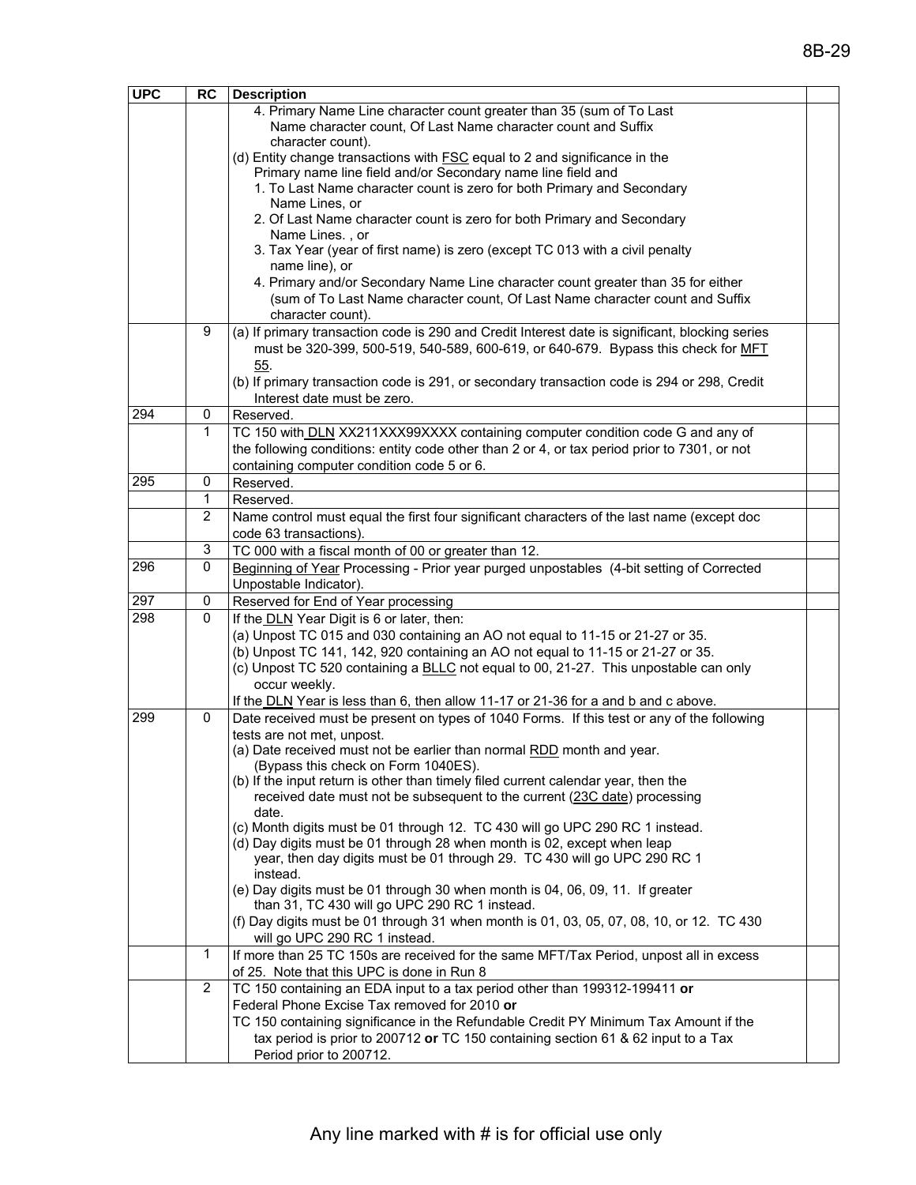| <b>UPC</b> | <b>RC</b>      | <b>Description</b>                                                                                                                                                      |
|------------|----------------|-------------------------------------------------------------------------------------------------------------------------------------------------------------------------|
|            |                | 4. Primary Name Line character count greater than 35 (sum of To Last                                                                                                    |
|            |                | Name character count, Of Last Name character count and Suffix                                                                                                           |
|            |                | character count).<br>(d) Entity change transactions with <b>FSC</b> equal to 2 and significance in the                                                                  |
|            |                | Primary name line field and/or Secondary name line field and                                                                                                            |
|            |                | 1. To Last Name character count is zero for both Primary and Secondary                                                                                                  |
|            |                | Name Lines, or                                                                                                                                                          |
|            |                | 2. Of Last Name character count is zero for both Primary and Secondary                                                                                                  |
|            |                | Name Lines., or                                                                                                                                                         |
|            |                | 3. Tax Year (year of first name) is zero (except TC 013 with a civil penalty<br>name line), or                                                                          |
|            |                | 4. Primary and/or Secondary Name Line character count greater than 35 for either                                                                                        |
|            |                | (sum of To Last Name character count, Of Last Name character count and Suffix                                                                                           |
|            |                | character count).                                                                                                                                                       |
|            | 9              | (a) If primary transaction code is 290 and Credit Interest date is significant, blocking series                                                                         |
|            |                | must be 320-399, 500-519, 540-589, 600-619, or 640-679. Bypass this check for MFT                                                                                       |
|            |                | 55.<br>(b) If primary transaction code is 291, or secondary transaction code is 294 or 298, Credit                                                                      |
|            |                | Interest date must be zero.                                                                                                                                             |
| 294        | 0              | Reserved.                                                                                                                                                               |
|            | 1              | TC 150 with DLN XX211XXX99XXXX containing computer condition code G and any of                                                                                          |
|            |                | the following conditions: entity code other than 2 or 4, or tax period prior to 7301, or not                                                                            |
|            |                | containing computer condition code 5 or 6.                                                                                                                              |
| 295        | $\mathbf 0$    | Reserved.                                                                                                                                                               |
|            | $\mathbf 1$    | Reserved.                                                                                                                                                               |
|            | $\overline{2}$ | Name control must equal the first four significant characters of the last name (except doc<br>code 63 transactions).                                                    |
|            | 3              | TC 000 with a fiscal month of 00 or greater than 12.                                                                                                                    |
| 296        | 0              | Beginning of Year Processing - Prior year purged unpostables (4-bit setting of Corrected                                                                                |
|            |                | Unpostable Indicator).                                                                                                                                                  |
| 297        | 0              | Reserved for End of Year processing                                                                                                                                     |
| 298        | $\mathbf 0$    | If the DLN Year Digit is 6 or later, then:                                                                                                                              |
|            |                | (a) Unpost TC 015 and 030 containing an AO not equal to 11-15 or 21-27 or 35.                                                                                           |
|            |                | (b) Unpost TC 141, 142, 920 containing an AO not equal to 11-15 or 21-27 or 35.<br>(c) Unpost TC 520 containing a BLLC not equal to 00, 21-27. This unpostable can only |
|            |                | occur weekly.                                                                                                                                                           |
|            |                | If the DLN Year is less than 6, then allow 11-17 or 21-36 for a and b and c above.                                                                                      |
| 299        | 0              | Date received must be present on types of 1040 Forms. If this test or any of the following                                                                              |
|            |                | tests are not met, unpost.                                                                                                                                              |
|            |                | (a) Date received must not be earlier than normal RDD month and year.                                                                                                   |
|            |                | (Bypass this check on Form 1040ES).<br>(b) If the input return is other than timely filed current calendar year, then the                                               |
|            |                | received date must not be subsequent to the current (23C date) processing                                                                                               |
|            |                | date.                                                                                                                                                                   |
|            |                | (c) Month digits must be 01 through 12. TC 430 will go UPC 290 RC 1 instead.                                                                                            |
|            |                | (d) Day digits must be 01 through 28 when month is 02, except when leap                                                                                                 |
|            |                | year, then day digits must be 01 through 29. TC 430 will go UPC 290 RC 1<br>instead.                                                                                    |
|            |                | (e) Day digits must be 01 through 30 when month is 04, 06, 09, 11. If greater                                                                                           |
|            |                | than 31, TC 430 will go UPC 290 RC 1 instead.                                                                                                                           |
|            |                | (f) Day digits must be 01 through 31 when month is 01, 03, 05, 07, 08, 10, or 12. TC 430                                                                                |
|            |                | will go UPC 290 RC 1 instead.                                                                                                                                           |
|            | $\mathbf{1}$   | If more than 25 TC 150s are received for the same MFT/Tax Period, unpost all in excess                                                                                  |
|            | 2              | of 25. Note that this UPC is done in Run 8<br>TC 150 containing an EDA input to a tax period other than 199312-199411 or                                                |
|            |                | Federal Phone Excise Tax removed for 2010 or                                                                                                                            |
|            |                | TC 150 containing significance in the Refundable Credit PY Minimum Tax Amount if the                                                                                    |
|            |                | tax period is prior to 200712 or TC 150 containing section 61 & 62 input to a Tax                                                                                       |
|            |                | Period prior to 200712.                                                                                                                                                 |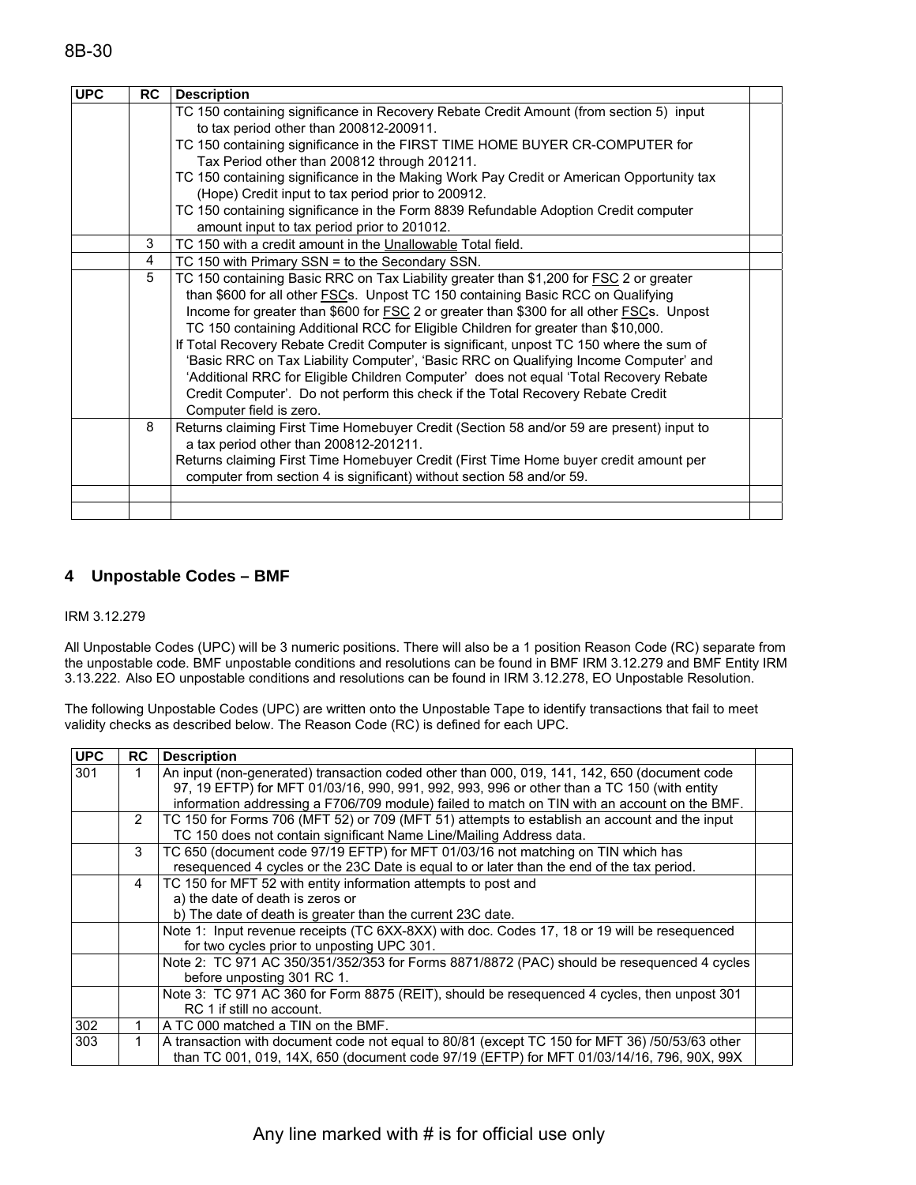| <b>UPC</b> | <b>RC</b> | <b>Description</b>                                                                       |  |
|------------|-----------|------------------------------------------------------------------------------------------|--|
|            |           | TC 150 containing significance in Recovery Rebate Credit Amount (from section 5) input   |  |
|            |           | to tax period other than 200812-200911.                                                  |  |
|            |           | TC 150 containing significance in the FIRST TIME HOME BUYER CR-COMPUTER for              |  |
|            |           | Tax Period other than 200812 through 201211.                                             |  |
|            |           | TC 150 containing significance in the Making Work Pay Credit or American Opportunity tax |  |
|            |           | (Hope) Credit input to tax period prior to 200912.                                       |  |
|            |           | TC 150 containing significance in the Form 8839 Refundable Adoption Credit computer      |  |
|            |           | amount input to tax period prior to 201012.                                              |  |
|            | 3         | TC 150 with a credit amount in the Unallowable Total field.                              |  |
|            | 4         | TC 150 with Primary SSN = to the Secondary SSN.                                          |  |
|            | 5         | TC 150 containing Basic RRC on Tax Liability greater than \$1,200 for FSC 2 or greater   |  |
|            |           | than \$600 for all other <b>FSCs</b> . Unpost TC 150 containing Basic RCC on Qualifying  |  |
|            |           | Income for greater than \$600 for FSC 2 or greater than \$300 for all other FSCs. Unpost |  |
|            |           | TC 150 containing Additional RCC for Eligible Children for greater than \$10,000.        |  |
|            |           | If Total Recovery Rebate Credit Computer is significant, unpost TC 150 where the sum of  |  |
|            |           | 'Basic RRC on Tax Liability Computer', 'Basic RRC on Qualifying Income Computer' and     |  |
|            |           | 'Additional RRC for Eligible Children Computer' does not equal 'Total Recovery Rebate    |  |
|            |           | Credit Computer'. Do not perform this check if the Total Recovery Rebate Credit          |  |
|            |           | Computer field is zero.                                                                  |  |
|            | 8         | Returns claiming First Time Homebuyer Credit (Section 58 and/or 59 are present) input to |  |
|            |           | a tax period other than 200812-201211.                                                   |  |
|            |           | Returns claiming First Time Homebuyer Credit (First Time Home buyer credit amount per    |  |
|            |           | computer from section 4 is significant) without section 58 and/or 59.                    |  |
|            |           |                                                                                          |  |
|            |           |                                                                                          |  |

#### **4 Unpostable Codes – BMF**

#### IRM 3.12.279

All Unpostable Codes (UPC) will be 3 numeric positions. There will also be a 1 position Reason Code (RC) separate from the unpostable code. BMF unpostable conditions and resolutions can be found in BMF IRM 3.12.279 and BMF Entity IRM 3.13.222. Also EO unpostable conditions and resolutions can be found in IRM 3.12.278, EO Unpostable Resolution.

The following Unpostable Codes (UPC) are written onto the Unpostable Tape to identify transactions that fail to meet validity checks as described below. The Reason Code (RC) is defined for each UPC.

| <b>UPC</b> | <b>RC</b>      | <b>Description</b>                                                                                                                                                                          |  |
|------------|----------------|---------------------------------------------------------------------------------------------------------------------------------------------------------------------------------------------|--|
| 301        | 1.             | An input (non-generated) transaction coded other than 000, 019, 141, 142, 650 (document code<br>97, 19 EFTP) for MFT 01/03/16, 990, 991, 992, 993, 996 or other than a TC 150 (with entity  |  |
|            |                | information addressing a F706/709 module) failed to match on TIN with an account on the BMF.                                                                                                |  |
|            | $\overline{2}$ | TC 150 for Forms 706 (MFT 52) or 709 (MFT 51) attempts to establish an account and the input<br>TC 150 does not contain significant Name Line/Mailing Address data.                         |  |
|            | 3              | TC 650 (document code 97/19 EFTP) for MFT 01/03/16 not matching on TIN which has<br>resequenced 4 cycles or the 23C Date is equal to or later than the end of the tax period.               |  |
|            | 4              | TC 150 for MFT 52 with entity information attempts to post and<br>a) the date of death is zeros or                                                                                          |  |
|            |                | b) The date of death is greater than the current 23C date.                                                                                                                                  |  |
|            |                | Note 1: Input revenue receipts (TC 6XX-8XX) with doc. Codes 17, 18 or 19 will be resequenced<br>for two cycles prior to unposting UPC 301.                                                  |  |
|            |                | Note 2: TC 971 AC 350/351/352/353 for Forms 8871/8872 (PAC) should be resequenced 4 cycles<br>before unposting 301 RC 1.                                                                    |  |
|            |                | Note 3: TC 971 AC 360 for Form 8875 (REIT), should be resequenced 4 cycles, then unpost 301<br>RC 1 if still no account.                                                                    |  |
| 302        |                | A TC 000 matched a TIN on the BMF.                                                                                                                                                          |  |
| 303        |                | A transaction with document code not equal to 80/81 (except TC 150 for MFT 36) /50/53/63 other<br>than TC 001, 019, 14X, 650 (document code 97/19 (EFTP) for MFT 01/03/14/16, 796, 90X, 99X |  |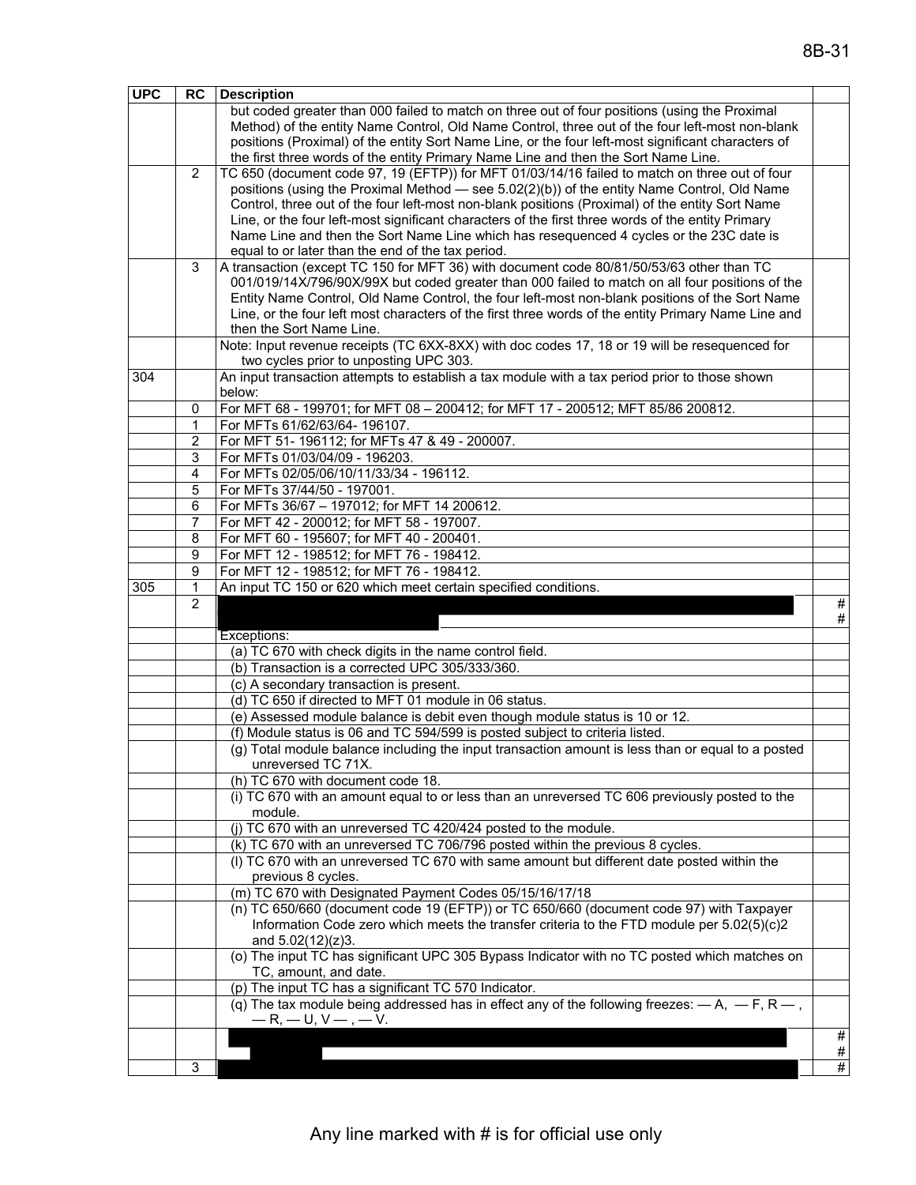| <b>UPC</b> | <b>RC</b>      | <b>Description</b>                                                                                                                            |           |
|------------|----------------|-----------------------------------------------------------------------------------------------------------------------------------------------|-----------|
|            |                | but coded greater than 000 failed to match on three out of four positions (using the Proximal                                                 |           |
|            |                | Method) of the entity Name Control, Old Name Control, three out of the four left-most non-blank                                               |           |
|            |                | positions (Proximal) of the entity Sort Name Line, or the four left-most significant characters of                                            |           |
|            |                | the first three words of the entity Primary Name Line and then the Sort Name Line.                                                            |           |
|            | 2              | TC 650 (document code 97, 19 (EFTP)) for MFT 01/03/14/16 failed to match on three out of four                                                 |           |
|            |                | positions (using the Proximal Method — see 5.02(2)(b)) of the entity Name Control, Old Name                                                   |           |
|            |                | Control, three out of the four left-most non-blank positions (Proximal) of the entity Sort Name                                               |           |
|            |                | Line, or the four left-most significant characters of the first three words of the entity Primary                                             |           |
|            |                | Name Line and then the Sort Name Line which has resequenced 4 cycles or the 23C date is                                                       |           |
|            | 3              | equal to or later than the end of the tax period.<br>A transaction (except TC 150 for MFT 36) with document code 80/81/50/53/63 other than TC |           |
|            |                | 001/019/14X/796/90X/99X but coded greater than 000 failed to match on all four positions of the                                               |           |
|            |                | Entity Name Control, Old Name Control, the four left-most non-blank positions of the Sort Name                                                |           |
|            |                | Line, or the four left most characters of the first three words of the entity Primary Name Line and                                           |           |
|            |                | then the Sort Name Line.                                                                                                                      |           |
|            |                | Note: Input revenue receipts (TC 6XX-8XX) with doc codes 17, 18 or 19 will be resequenced for                                                 |           |
|            |                | two cycles prior to unposting UPC 303.                                                                                                        |           |
| 304        |                | An input transaction attempts to establish a tax module with a tax period prior to those shown                                                |           |
|            |                | below:                                                                                                                                        |           |
|            | 0              | For MFT 68 - 199701; for MFT 08 - 200412; for MFT 17 - 200512; MFT 85/86 200812.                                                              |           |
|            | 1              | For MFTs 61/62/63/64-196107.                                                                                                                  |           |
|            | $\overline{c}$ | For MFT 51- 196112; for MFTs 47 & 49 - 200007.                                                                                                |           |
|            | 3              | For MFTs 01/03/04/09 - 196203.                                                                                                                |           |
|            | 4              | For MFTs 02/05/06/10/11/33/34 - 196112.                                                                                                       |           |
|            | 5              | For MFTs 37/44/50 - 197001.                                                                                                                   |           |
|            | 6              | For MFTs 36/67 - 197012; for MFT 14 200612.                                                                                                   |           |
|            | 7              | For MFT 42 - 200012; for MFT 58 - 197007.                                                                                                     |           |
|            | 8              | For MFT 60 - 195607; for MFT 40 - 200401.                                                                                                     |           |
|            | 9              | For MFT 12 - 198512; for MFT 76 - 198412.                                                                                                     |           |
|            | 9              | For MFT 12 - 198512; for MFT 76 - 198412.                                                                                                     |           |
|            |                |                                                                                                                                               |           |
| 305        | 1              | An input TC 150 or 620 which meet certain specified conditions.                                                                               |           |
|            | $\overline{2}$ |                                                                                                                                               |           |
|            |                |                                                                                                                                               | #         |
|            |                | Exceptions:                                                                                                                                   |           |
|            |                | (a) TC 670 with check digits in the name control field.                                                                                       |           |
|            |                | (b) Transaction is a corrected UPC 305/333/360.                                                                                               | #         |
|            |                | (c) A secondary transaction is present.                                                                                                       |           |
|            |                | (d) TC 650 if directed to MFT 01 module in 06 status.                                                                                         |           |
|            |                | (e) Assessed module balance is debit even though module status is 10 or 12.                                                                   |           |
|            |                | (f) Module status is 06 and TC 594/599 is posted subject to criteria listed.                                                                  |           |
|            |                | (g) Total module balance including the input transaction amount is less than or equal to a posted                                             |           |
|            |                | unreversed TC 71X.                                                                                                                            |           |
|            |                | (h) TC 670 with document code 18.                                                                                                             |           |
|            |                | (i) TC 670 with an amount equal to or less than an unreversed TC 606 previously posted to the<br>module.                                      |           |
|            |                | (j) TC 670 with an unreversed TC 420/424 posted to the module.                                                                                |           |
|            |                | (k) TC 670 with an unreversed TC 706/796 posted within the previous 8 cycles.                                                                 |           |
|            |                | (I) TC 670 with an unreversed TC 670 with same amount but different date posted within the                                                    |           |
|            |                | previous 8 cycles.                                                                                                                            |           |
|            |                | (m) TC 670 with Designated Payment Codes 05/15/16/17/18                                                                                       |           |
|            |                | (n) TC 650/660 (document code 19 (EFTP)) or TC 650/660 (document code 97) with Taxpayer                                                       |           |
|            |                | Information Code zero which meets the transfer criteria to the FTD module per 5.02(5)(c)2                                                     |           |
|            |                | and 5.02(12)(z)3.                                                                                                                             |           |
|            |                | (o) The input TC has significant UPC 305 Bypass Indicator with no TC posted which matches on                                                  |           |
|            |                | TC, amount, and date.                                                                                                                         |           |
|            |                | (p) The input TC has a significant TC 570 Indicator.                                                                                          |           |
|            |                | (q) The tax module being addressed has in effect any of the following freezes: $-A$ , $-F$ , $R$ ,                                            |           |
|            |                | $-R, -U, V-, -V.$                                                                                                                             |           |
|            |                |                                                                                                                                               | #<br>$\#$ |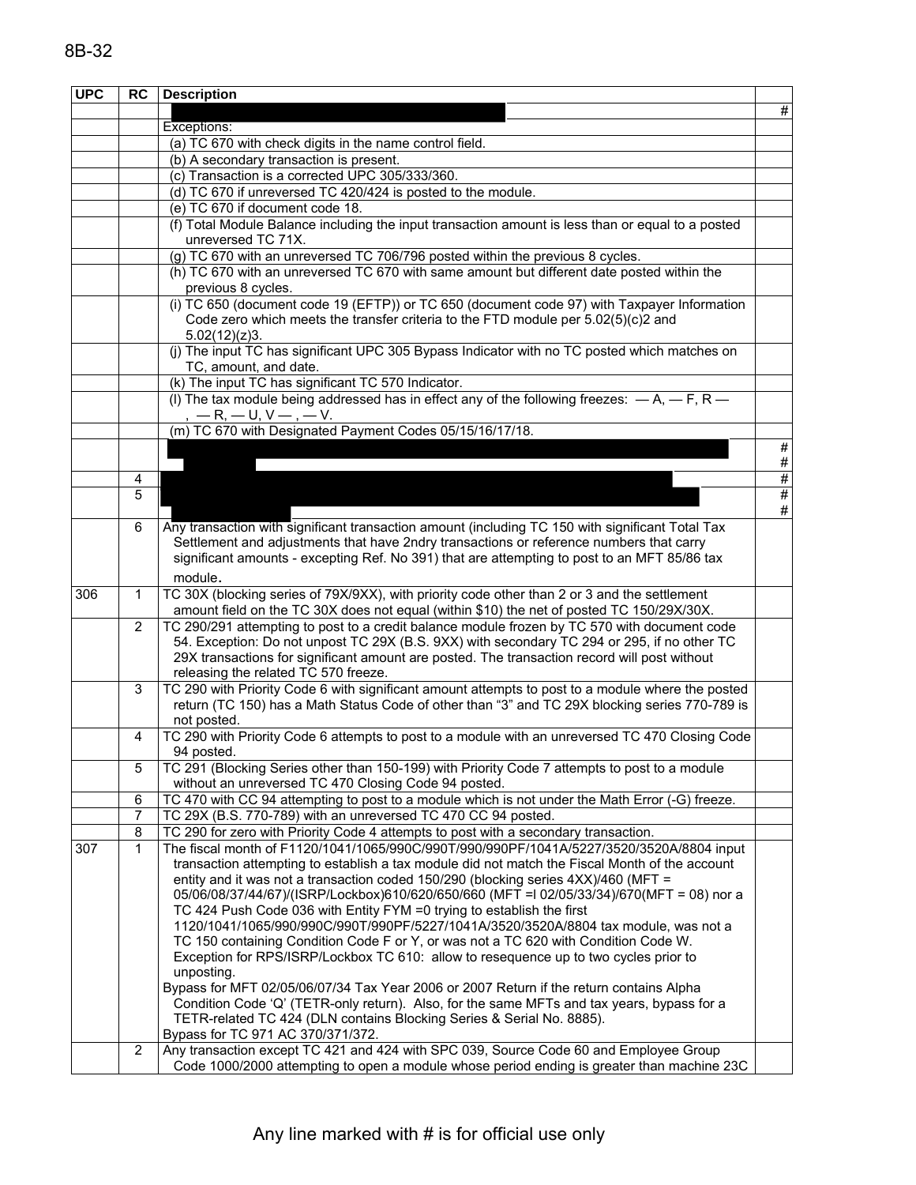| <b>UPC</b> | <b>RC</b>    | <b>Description</b>                                                                                                                                                         |                         |
|------------|--------------|----------------------------------------------------------------------------------------------------------------------------------------------------------------------------|-------------------------|
|            |              |                                                                                                                                                                            | #                       |
|            |              | Exceptions:                                                                                                                                                                |                         |
|            |              | (a) TC 670 with check digits in the name control field.                                                                                                                    |                         |
|            |              | (b) A secondary transaction is present.                                                                                                                                    |                         |
|            |              | (c) Transaction is a corrected UPC 305/333/360.                                                                                                                            |                         |
|            |              | (d) TC 670 if unreversed TC 420/424 is posted to the module.                                                                                                               |                         |
|            |              | (e) TC 670 if document code 18.                                                                                                                                            |                         |
|            |              | (f) Total Module Balance including the input transaction amount is less than or equal to a posted                                                                          |                         |
|            |              | unreversed TC 71X.                                                                                                                                                         |                         |
|            |              | (g) TC 670 with an unreversed TC 706/796 posted within the previous 8 cycles.                                                                                              |                         |
|            |              | (h) TC 670 with an unreversed TC 670 with same amount but different date posted within the                                                                                 |                         |
|            |              | previous 8 cycles.                                                                                                                                                         |                         |
|            |              | (i) TC 650 (document code 19 (EFTP)) or TC 650 (document code 97) with Taxpayer Information                                                                                |                         |
|            |              | Code zero which meets the transfer criteria to the FTD module per 5.02(5)(c)2 and                                                                                          |                         |
|            |              | 5.02(12)(z)3.                                                                                                                                                              |                         |
|            |              | (j) The input TC has significant UPC 305 Bypass Indicator with no TC posted which matches on                                                                               |                         |
|            |              | TC, amount, and date.                                                                                                                                                      |                         |
|            |              | (k) The input TC has significant TC 570 Indicator.                                                                                                                         |                         |
|            |              | (I) The tax module being addressed has in effect any of the following freezes: $-A$ , $-F$ , $R$ $-$                                                                       |                         |
|            |              | $, -R, -U, V-, -V.$                                                                                                                                                        |                         |
|            |              | (m) TC 670 with Designated Payment Codes 05/15/16/17/18.                                                                                                                   |                         |
|            |              |                                                                                                                                                                            | $\overline{\mathbf{t}}$ |
|            |              |                                                                                                                                                                            | $\#$                    |
|            | 4            |                                                                                                                                                                            | $\frac{\#}{\#}$         |
|            | 5            |                                                                                                                                                                            |                         |
|            |              |                                                                                                                                                                            | $\#$                    |
|            | 6            | Any transaction with significant transaction amount (including TC 150 with significant Total Tax                                                                           |                         |
|            |              | Settlement and adjustments that have 2ndry transactions or reference numbers that carry                                                                                    |                         |
|            |              | significant amounts - excepting Ref. No 391) that are attempting to post to an MFT 85/86 tax                                                                               |                         |
|            |              | module.                                                                                                                                                                    |                         |
| 306        | 1            | TC 30X (blocking series of 79X/9XX), with priority code other than 2 or 3 and the settlement                                                                               |                         |
|            |              | amount field on the TC 30X does not equal (within \$10) the net of posted TC 150/29X/30X.                                                                                  |                         |
|            | 2            | TC 290/291 attempting to post to a credit balance module frozen by TC 570 with document code                                                                               |                         |
|            |              | 54. Exception: Do not unpost TC 29X (B.S. 9XX) with secondary TC 294 or 295, if no other TC                                                                                |                         |
|            |              | 29X transactions for significant amount are posted. The transaction record will post without                                                                               |                         |
|            |              | releasing the related TC 570 freeze.                                                                                                                                       |                         |
|            | 3            | TC 290 with Priority Code 6 with significant amount attempts to post to a module where the posted                                                                          |                         |
|            |              | return (TC 150) has a Math Status Code of other than "3" and TC 29X blocking series 770-789 is                                                                             |                         |
|            |              | not posted.                                                                                                                                                                |                         |
|            | 4            | TC 290 with Priority Code 6 attempts to post to a module with an unreversed TC 470 Closing Code                                                                            |                         |
|            |              | 94 posted.                                                                                                                                                                 |                         |
|            | 5            | TC 291 (Blocking Series other than 150-199) with Priority Code 7 attempts to post to a module                                                                              |                         |
|            |              | without an unreversed TC 470 Closing Code 94 posted.                                                                                                                       |                         |
|            | 6            | TC 470 with CC 94 attempting to post to a module which is not under the Math Error (-G) freeze.                                                                            |                         |
|            | 7            | TC 29X (B.S. 770-789) with an unreversed TC 470 CC 94 posted.                                                                                                              |                         |
|            | 8            | TC 290 for zero with Priority Code 4 attempts to post with a secondary transaction.                                                                                        |                         |
| 307        | $\mathbf{1}$ | The fiscal month of F1120/1041/1065/990C/990T/990/990PF/1041A/5227/3520/3520A/8804 input                                                                                   |                         |
|            |              | transaction attempting to establish a tax module did not match the Fiscal Month of the account                                                                             |                         |
|            |              | entity and it was not a transaction coded 150/290 (blocking series 4XX)/460 (MFT =                                                                                         |                         |
|            |              | 05/06/08/37/44/67)/(ISRP/Lockbox)610/620/650/660 (MFT = 02/05/33/34)/670(MFT = 08) nor a                                                                                   |                         |
|            |              | TC 424 Push Code 036 with Entity FYM =0 trying to establish the first                                                                                                      |                         |
|            |              | 1120/1041/1065/990/990C/990T/990PF/5227/1041A/3520/3520A/8804 tax module, was not a<br>TC 150 containing Condition Code F or Y, or was not a TC 620 with Condition Code W. |                         |
|            |              |                                                                                                                                                                            |                         |
|            |              | Exception for RPS/ISRP/Lockbox TC 610: allow to resequence up to two cycles prior to<br>unposting.                                                                         |                         |
|            |              | Bypass for MFT 02/05/06/07/34 Tax Year 2006 or 2007 Return if the return contains Alpha                                                                                    |                         |
|            |              | Condition Code 'Q' (TETR-only return). Also, for the same MFTs and tax years, bypass for a                                                                                 |                         |
|            |              | TETR-related TC 424 (DLN contains Blocking Series & Serial No. 8885).                                                                                                      |                         |
|            |              | Bypass for TC 971 AC 370/371/372.                                                                                                                                          |                         |
|            | 2            | Any transaction except TC 421 and 424 with SPC 039, Source Code 60 and Employee Group                                                                                      |                         |
|            |              | Code 1000/2000 attempting to open a module whose period ending is greater than machine 23C                                                                                 |                         |
|            |              |                                                                                                                                                                            |                         |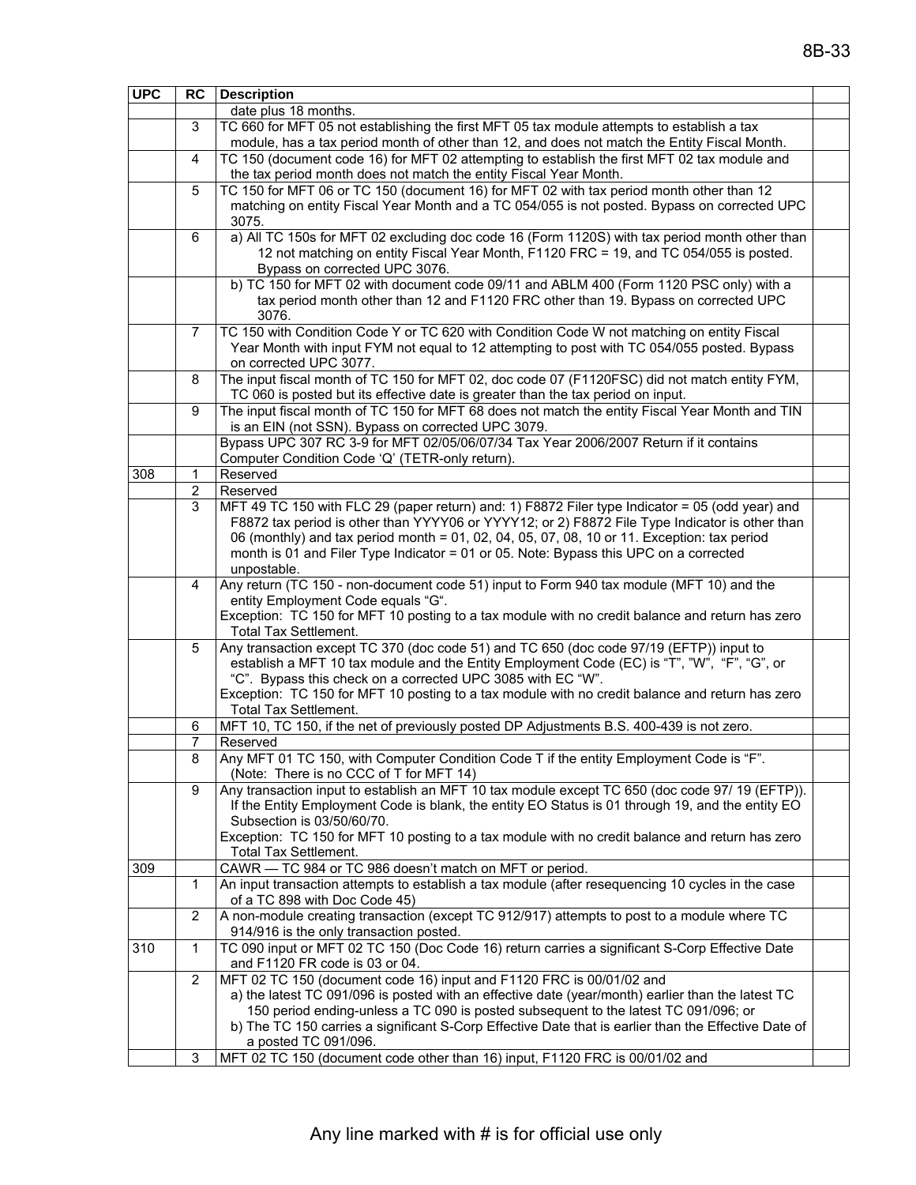|     | 3                          | date plus 18 months.<br>TC 660 for MFT 05 not establishing the first MFT 05 tax module attempts to establish a tax                                                                                                                                                                                                                                                                                                                                                               |  |  |  |  |  |
|-----|----------------------------|----------------------------------------------------------------------------------------------------------------------------------------------------------------------------------------------------------------------------------------------------------------------------------------------------------------------------------------------------------------------------------------------------------------------------------------------------------------------------------|--|--|--|--|--|
|     |                            |                                                                                                                                                                                                                                                                                                                                                                                                                                                                                  |  |  |  |  |  |
|     |                            |                                                                                                                                                                                                                                                                                                                                                                                                                                                                                  |  |  |  |  |  |
|     |                            | module, has a tax period month of other than 12, and does not match the Entity Fiscal Month.                                                                                                                                                                                                                                                                                                                                                                                     |  |  |  |  |  |
|     | 4                          | TC 150 (document code 16) for MFT 02 attempting to establish the first MFT 02 tax module and<br>the tax period month does not match the entity Fiscal Year Month.                                                                                                                                                                                                                                                                                                                |  |  |  |  |  |
|     | 5                          | TC 150 for MFT 06 or TC 150 (document 16) for MFT 02 with tax period month other than 12                                                                                                                                                                                                                                                                                                                                                                                         |  |  |  |  |  |
|     |                            | matching on entity Fiscal Year Month and a TC 054/055 is not posted. Bypass on corrected UPC<br>3075.                                                                                                                                                                                                                                                                                                                                                                            |  |  |  |  |  |
|     | 6                          | a) All TC 150s for MFT 02 excluding doc code 16 (Form 1120S) with tax period month other than<br>12 not matching on entity Fiscal Year Month, F1120 FRC = 19, and TC 054/055 is posted.<br>Bypass on corrected UPC 3076.                                                                                                                                                                                                                                                         |  |  |  |  |  |
|     |                            | b) TC 150 for MFT 02 with document code 09/11 and ABLM 400 (Form 1120 PSC only) with a<br>tax period month other than 12 and F1120 FRC other than 19. Bypass on corrected UPC<br>3076.                                                                                                                                                                                                                                                                                           |  |  |  |  |  |
|     | 7                          | TC 150 with Condition Code Y or TC 620 with Condition Code W not matching on entity Fiscal<br>Year Month with input FYM not equal to 12 attempting to post with TC 054/055 posted. Bypass<br>on corrected UPC 3077.                                                                                                                                                                                                                                                              |  |  |  |  |  |
|     | 8                          | The input fiscal month of TC 150 for MFT 02, doc code 07 (F1120FSC) did not match entity FYM,<br>TC 060 is posted but its effective date is greater than the tax period on input.                                                                                                                                                                                                                                                                                                |  |  |  |  |  |
|     | 9                          | The input fiscal month of TC 150 for MFT 68 does not match the entity Fiscal Year Month and TIN<br>is an EIN (not SSN). Bypass on corrected UPC 3079.                                                                                                                                                                                                                                                                                                                            |  |  |  |  |  |
|     |                            | Bypass UPC 307 RC 3-9 for MFT 02/05/06/07/34 Tax Year 2006/2007 Return if it contains<br>Computer Condition Code 'Q' (TETR-only return).                                                                                                                                                                                                                                                                                                                                         |  |  |  |  |  |
| 308 | 1                          | Reserved                                                                                                                                                                                                                                                                                                                                                                                                                                                                         |  |  |  |  |  |
|     | $\overline{2}$             | Reserved                                                                                                                                                                                                                                                                                                                                                                                                                                                                         |  |  |  |  |  |
|     | 3                          | MFT 49 TC 150 with FLC 29 (paper return) and: 1) F8872 Filer type Indicator = 05 (odd year) and<br>F8872 tax period is other than YYYY06 or YYYY12; or 2) F8872 File Type Indicator is other than<br>06 (monthly) and tax period month = 01, 02, 04, 05, 07, 08, 10 or 11. Exception: tax period<br>month is 01 and Filer Type Indicator = 01 or 05. Note: Bypass this UPC on a corrected<br>unpostable.                                                                         |  |  |  |  |  |
|     | 4                          | Any return (TC 150 - non-document code 51) input to Form 940 tax module (MFT 10) and the<br>entity Employment Code equals "G".<br>Exception: TC 150 for MFT 10 posting to a tax module with no credit balance and return has zero<br>Total Tax Settlement.                                                                                                                                                                                                                       |  |  |  |  |  |
|     | 5                          | Any transaction except TC 370 (doc code 51) and TC 650 (doc code 97/19 (EFTP)) input to<br>establish a MFT 10 tax module and the Entity Employment Code (EC) is "T", "W", "F", "G", or<br>"C". Bypass this check on a corrected UPC 3085 with EC "W".<br>Exception: TC 150 for MFT 10 posting to a tax module with no credit balance and return has zero<br>Total Tax Settlement.                                                                                                |  |  |  |  |  |
|     | 6                          | MFT 10, TC 150, if the net of previously posted DP Adjustments B.S. 400-439 is not zero.                                                                                                                                                                                                                                                                                                                                                                                         |  |  |  |  |  |
|     | 7                          | Reserved                                                                                                                                                                                                                                                                                                                                                                                                                                                                         |  |  |  |  |  |
|     | 8                          | Any MFT 01 TC 150, with Computer Condition Code T if the entity Employment Code is "F".<br>(Note: There is no CCC of T for MFT 14)                                                                                                                                                                                                                                                                                                                                               |  |  |  |  |  |
|     | 9                          | Any transaction input to establish an MFT 10 tax module except TC 650 (doc code 97/ 19 (EFTP)).<br>If the Entity Employment Code is blank, the entity EO Status is 01 through 19, and the entity EO<br>Subsection is 03/50/60/70.<br>Exception: TC 150 for MFT 10 posting to a tax module with no credit balance and return has zero                                                                                                                                             |  |  |  |  |  |
| 309 |                            | Total Tax Settlement.<br>CAWR - TC 984 or TC 986 doesn't match on MFT or period.                                                                                                                                                                                                                                                                                                                                                                                                 |  |  |  |  |  |
|     | 1                          | An input transaction attempts to establish a tax module (after resequencing 10 cycles in the case<br>of a TC 898 with Doc Code 45)                                                                                                                                                                                                                                                                                                                                               |  |  |  |  |  |
|     | 2                          | A non-module creating transaction (except TC 912/917) attempts to post to a module where TC<br>914/916 is the only transaction posted.                                                                                                                                                                                                                                                                                                                                           |  |  |  |  |  |
| 310 | $\mathbf{1}$               | TC 090 input or MFT 02 TC 150 (Doc Code 16) return carries a significant S-Corp Effective Date<br>and F1120 FR code is 03 or 04.                                                                                                                                                                                                                                                                                                                                                 |  |  |  |  |  |
|     | $\mathbf{2}^{\prime}$<br>3 | MFT 02 TC 150 (document code 16) input and F1120 FRC is 00/01/02 and<br>a) the latest TC 091/096 is posted with an effective date (year/month) earlier than the latest TC<br>150 period ending-unless a TC 090 is posted subsequent to the latest TC 091/096; or<br>b) The TC 150 carries a significant S-Corp Effective Date that is earlier than the Effective Date of<br>a posted TC 091/096.<br>MFT 02 TC 150 (document code other than 16) input, F1120 FRC is 00/01/02 and |  |  |  |  |  |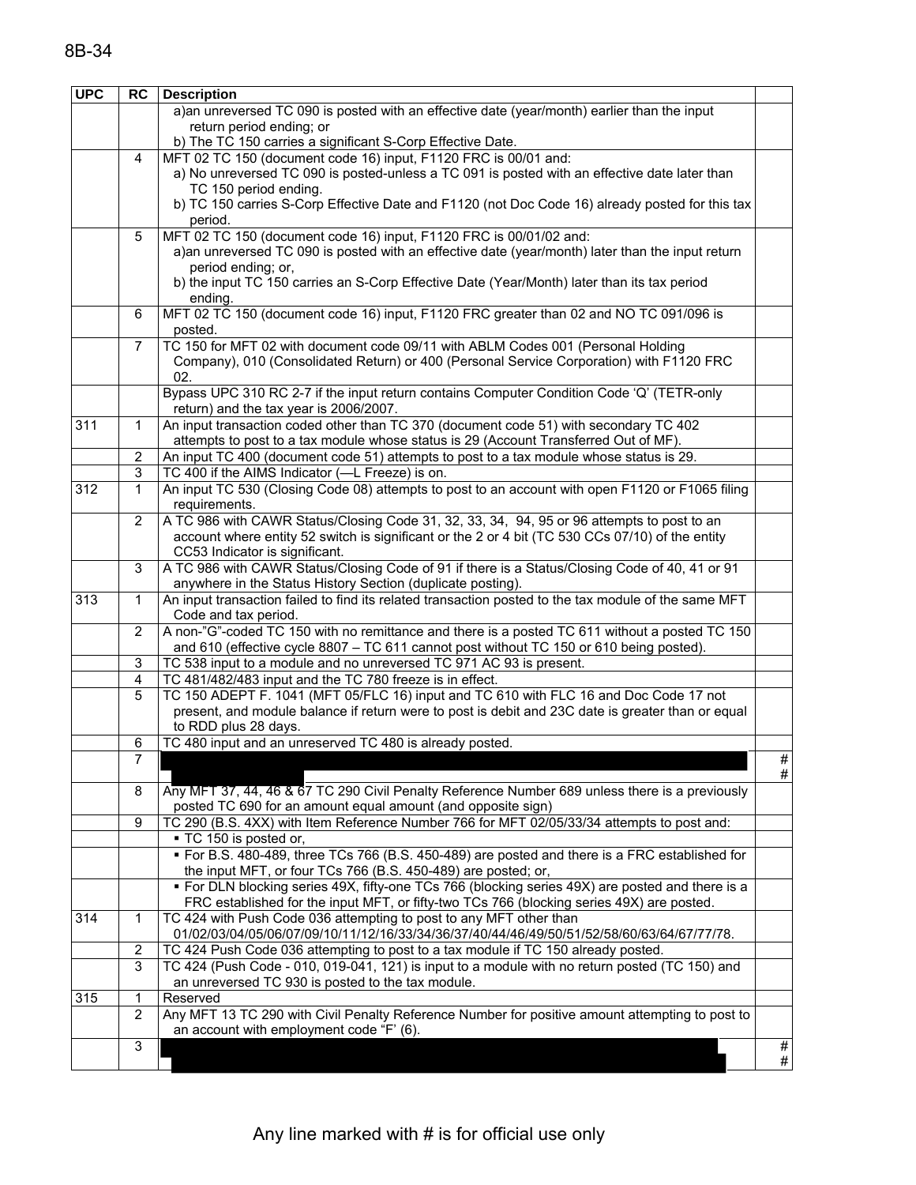| <b>UPC</b> | <b>RC</b>                                                                                                        | <b>Description</b>                                                                                                                                                |      |  |  |  |
|------------|------------------------------------------------------------------------------------------------------------------|-------------------------------------------------------------------------------------------------------------------------------------------------------------------|------|--|--|--|
|            |                                                                                                                  | a) an unreversed TC 090 is posted with an effective date (year/month) earlier than the input                                                                      |      |  |  |  |
|            |                                                                                                                  | return period ending; or                                                                                                                                          |      |  |  |  |
|            |                                                                                                                  | b) The TC 150 carries a significant S-Corp Effective Date.                                                                                                        |      |  |  |  |
|            | 4                                                                                                                | MFT 02 TC 150 (document code 16) input, F1120 FRC is 00/01 and:                                                                                                   |      |  |  |  |
|            |                                                                                                                  | a) No unreversed TC 090 is posted-unless a TC 091 is posted with an effective date later than                                                                     |      |  |  |  |
|            |                                                                                                                  | TC 150 period ending.                                                                                                                                             |      |  |  |  |
|            |                                                                                                                  | b) TC 150 carries S-Corp Effective Date and F1120 (not Doc Code 16) already posted for this tax                                                                   |      |  |  |  |
|            |                                                                                                                  | period.                                                                                                                                                           |      |  |  |  |
|            | 5                                                                                                                | MFT 02 TC 150 (document code 16) input, F1120 FRC is 00/01/02 and:                                                                                                |      |  |  |  |
|            |                                                                                                                  | a) an unreversed TC 090 is posted with an effective date (year/month) later than the input return                                                                 |      |  |  |  |
|            |                                                                                                                  | period ending; or,                                                                                                                                                |      |  |  |  |
|            |                                                                                                                  | b) the input TC 150 carries an S-Corp Effective Date (Year/Month) later than its tax period                                                                       |      |  |  |  |
|            |                                                                                                                  | ending.                                                                                                                                                           |      |  |  |  |
|            | 6                                                                                                                | MFT 02 TC 150 (document code 16) input, F1120 FRC greater than 02 and NO TC 091/096 is                                                                            |      |  |  |  |
|            |                                                                                                                  | posted.                                                                                                                                                           |      |  |  |  |
|            | $\overline{7}$                                                                                                   | TC 150 for MFT 02 with document code 09/11 with ABLM Codes 001 (Personal Holding                                                                                  |      |  |  |  |
|            |                                                                                                                  | Company), 010 (Consolidated Return) or 400 (Personal Service Corporation) with F1120 FRC                                                                          |      |  |  |  |
|            | 02.                                                                                                              |                                                                                                                                                                   |      |  |  |  |
|            |                                                                                                                  | Bypass UPC 310 RC 2-7 if the input return contains Computer Condition Code 'Q' (TETR-only                                                                         |      |  |  |  |
| 311        | $\mathbf{1}$                                                                                                     | return) and the tax year is 2006/2007.<br>An input transaction coded other than TC 370 (document code 51) with secondary TC 402                                   |      |  |  |  |
|            |                                                                                                                  | attempts to post to a tax module whose status is 29 (Account Transferred Out of MF).                                                                              |      |  |  |  |
|            | 2                                                                                                                | An input TC 400 (document code 51) attempts to post to a tax module whose status is 29.                                                                           |      |  |  |  |
|            | 3                                                                                                                | TC 400 if the AIMS Indicator (-L Freeze) is on.                                                                                                                   |      |  |  |  |
| 312        | $\mathbf 1$                                                                                                      | An input TC 530 (Closing Code 08) attempts to post to an account with open F1120 or F1065 filing                                                                  |      |  |  |  |
|            |                                                                                                                  | requirements.                                                                                                                                                     |      |  |  |  |
|            | $\mathbf{2}^{\prime}$                                                                                            | A TC 986 with CAWR Status/Closing Code 31, 32, 33, 34, 94, 95 or 96 attempts to post to an                                                                        |      |  |  |  |
|            |                                                                                                                  | account where entity 52 switch is significant or the 2 or 4 bit (TC 530 CCs 07/10) of the entity                                                                  |      |  |  |  |
|            |                                                                                                                  | CC53 Indicator is significant.                                                                                                                                    |      |  |  |  |
|            | 3                                                                                                                | A TC 986 with CAWR Status/Closing Code of 91 if there is a Status/Closing Code of 40, 41 or 91                                                                    |      |  |  |  |
|            |                                                                                                                  | anywhere in the Status History Section (duplicate posting).                                                                                                       |      |  |  |  |
| 313        | 1                                                                                                                | An input transaction failed to find its related transaction posted to the tax module of the same MFT                                                              |      |  |  |  |
|            |                                                                                                                  | Code and tax period.                                                                                                                                              |      |  |  |  |
|            | A non-"G"-coded TC 150 with no remittance and there is a posted TC 611 without a posted TC 150<br>$\overline{2}$ |                                                                                                                                                                   |      |  |  |  |
|            |                                                                                                                  | and 610 (effective cycle 8807 - TC 611 cannot post without TC 150 or 610 being posted).                                                                           |      |  |  |  |
|            | 3                                                                                                                | TC 538 input to a module and no unreversed TC 971 AC 93 is present.                                                                                               |      |  |  |  |
|            | 4                                                                                                                | TC 481/482/483 input and the TC 780 freeze is in effect.                                                                                                          |      |  |  |  |
|            | 5                                                                                                                | TC 150 ADEPT F. 1041 (MFT 05/FLC 16) input and TC 610 with FLC 16 and Doc Code 17 not                                                                             |      |  |  |  |
|            |                                                                                                                  | present, and module balance if return were to post is debit and 23C date is greater than or equal                                                                 |      |  |  |  |
|            |                                                                                                                  | to RDD plus 28 days.                                                                                                                                              |      |  |  |  |
|            | 6                                                                                                                | TC 480 input and an unreserved TC 480 is already posted.                                                                                                          |      |  |  |  |
|            | $\overline{7}$                                                                                                   |                                                                                                                                                                   | $\#$ |  |  |  |
|            |                                                                                                                  |                                                                                                                                                                   | #    |  |  |  |
|            | 8                                                                                                                | Any MFT 37, 44, 46 & 67 TC 290 Civil Penalty Reference Number 689 unless there is a previously                                                                    |      |  |  |  |
|            |                                                                                                                  | posted TC 690 for an amount equal amount (and opposite sign)                                                                                                      |      |  |  |  |
|            | 9                                                                                                                | TC 290 (B.S. 4XX) with Item Reference Number 766 for MFT 02/05/33/34 attempts to post and:                                                                        |      |  |  |  |
|            |                                                                                                                  | - TC 150 is posted or,                                                                                                                                            |      |  |  |  |
|            |                                                                                                                  | " For B.S. 480-489, three TCs 766 (B.S. 450-489) are posted and there is a FRC established for                                                                    |      |  |  |  |
|            |                                                                                                                  | the input MFT, or four TCs 766 (B.S. 450-489) are posted; or,<br>• For DLN blocking series 49X, fifty-one TCs 766 (blocking series 49X) are posted and there is a |      |  |  |  |
|            |                                                                                                                  | FRC established for the input MFT, or fifty-two TCs 766 (blocking series 49X) are posted.                                                                         |      |  |  |  |
| 314        | $\mathbf 1$                                                                                                      | TC 424 with Push Code 036 attempting to post to any MFT other than                                                                                                |      |  |  |  |
|            |                                                                                                                  | 01/02/03/04/05/06/07/09/10/11/12/16/33/34/36/37/40/44/46/49/50/51/52/58/60/63/64/67/77/78.                                                                        |      |  |  |  |
|            | $\overline{c}$                                                                                                   | TC 424 Push Code 036 attempting to post to a tax module if TC 150 already posted.                                                                                 |      |  |  |  |
|            | 3                                                                                                                |                                                                                                                                                                   |      |  |  |  |
|            |                                                                                                                  | TC 424 (Push Code - 010, 019-041, 121) is input to a module with no return posted (TC 150) and<br>an unreversed TC 930 is posted to the tax module.               |      |  |  |  |
| 315        | 1                                                                                                                | Reserved                                                                                                                                                          |      |  |  |  |
|            | $\overline{2}$                                                                                                   | Any MFT 13 TC 290 with Civil Penalty Reference Number for positive amount attempting to post to                                                                   |      |  |  |  |
|            |                                                                                                                  | an account with employment code "F' (6).                                                                                                                          |      |  |  |  |
|            | 3                                                                                                                |                                                                                                                                                                   | $\#$ |  |  |  |
|            |                                                                                                                  |                                                                                                                                                                   | #    |  |  |  |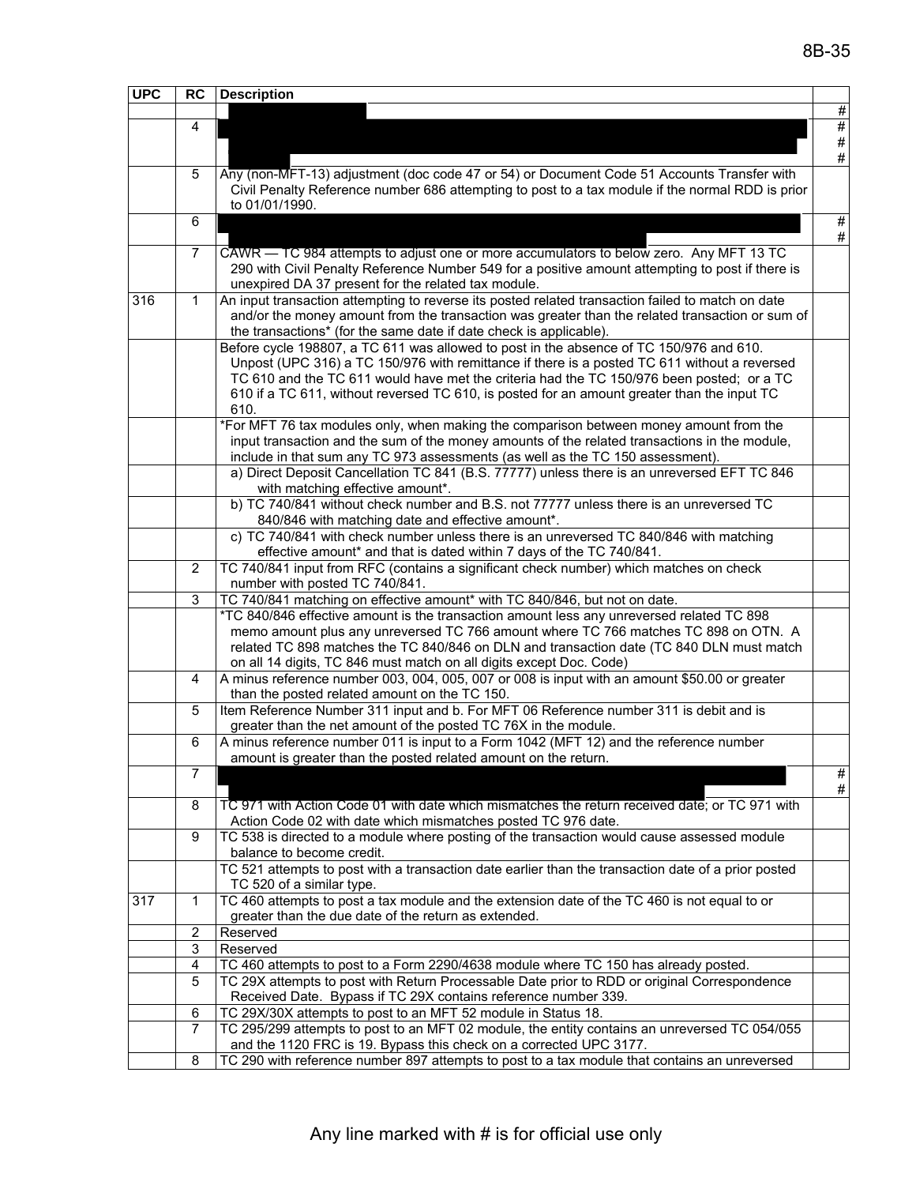| <b>UPC</b> | <b>RC</b>                                                                                     | <b>Description</b>                                                                                                                                                                       |      |  |
|------------|-----------------------------------------------------------------------------------------------|------------------------------------------------------------------------------------------------------------------------------------------------------------------------------------------|------|--|
|            |                                                                                               |                                                                                                                                                                                          | $\#$ |  |
|            | 4                                                                                             |                                                                                                                                                                                          | #    |  |
|            |                                                                                               |                                                                                                                                                                                          | $\#$ |  |
|            |                                                                                               |                                                                                                                                                                                          | $\#$ |  |
|            | 5                                                                                             | Any (non-MFT-13) adjustment (doc code 47 or 54) or Document Code 51 Accounts Transfer with                                                                                               |      |  |
|            |                                                                                               | Civil Penalty Reference number 686 attempting to post to a tax module if the normal RDD is prior<br>to 01/01/1990.                                                                       |      |  |
|            | 6                                                                                             |                                                                                                                                                                                          | #    |  |
|            |                                                                                               |                                                                                                                                                                                          | #    |  |
|            | 7                                                                                             | CAWR - TC 984 attempts to adjust one or more accumulators to below zero. Any MFT 13 TC                                                                                                   |      |  |
|            |                                                                                               | 290 with Civil Penalty Reference Number 549 for a positive amount attempting to post if there is                                                                                         |      |  |
|            |                                                                                               | unexpired DA 37 present for the related tax module.                                                                                                                                      |      |  |
| 316        | 1                                                                                             | An input transaction attempting to reverse its posted related transaction failed to match on date                                                                                        |      |  |
|            |                                                                                               | and/or the money amount from the transaction was greater than the related transaction or sum of                                                                                          |      |  |
|            |                                                                                               | the transactions* (for the same date if date check is applicable).                                                                                                                       |      |  |
|            |                                                                                               | Before cycle 198807, a TC 611 was allowed to post in the absence of TC 150/976 and 610.                                                                                                  |      |  |
|            |                                                                                               | Unpost (UPC 316) a TC 150/976 with remittance if there is a posted TC 611 without a reversed                                                                                             |      |  |
|            |                                                                                               | TC 610 and the TC 611 would have met the criteria had the TC 150/976 been posted; or a TC<br>610 if a TC 611, without reversed TC 610, is posted for an amount greater than the input TC |      |  |
|            |                                                                                               | 610.                                                                                                                                                                                     |      |  |
|            | *For MFT 76 tax modules only, when making the comparison between money amount from the        |                                                                                                                                                                                          |      |  |
|            | input transaction and the sum of the money amounts of the related transactions in the module, |                                                                                                                                                                                          |      |  |
|            |                                                                                               | include in that sum any TC 973 assessments (as well as the TC 150 assessment).                                                                                                           |      |  |
|            |                                                                                               | a) Direct Deposit Cancellation TC 841 (B.S. 77777) unless there is an unreversed EFT TC 846                                                                                              |      |  |
|            |                                                                                               | with matching effective amount*.                                                                                                                                                         |      |  |
|            |                                                                                               | b) TC 740/841 without check number and B.S. not 77777 unless there is an unreversed TC                                                                                                   |      |  |
|            |                                                                                               | 840/846 with matching date and effective amount*.                                                                                                                                        |      |  |
|            |                                                                                               | c) TC 740/841 with check number unless there is an unreversed TC 840/846 with matching                                                                                                   |      |  |
|            | $\overline{2}$                                                                                | effective amount* and that is dated within 7 days of the TC 740/841.<br>TC 740/841 input from RFC (contains a significant check number) which matches on check                           |      |  |
|            |                                                                                               | number with posted TC 740/841.                                                                                                                                                           |      |  |
|            | 3                                                                                             | TC 740/841 matching on effective amount* with TC 840/846, but not on date.                                                                                                               |      |  |
|            |                                                                                               | *TC 840/846 effective amount is the transaction amount less any unreversed related TC 898                                                                                                |      |  |
|            |                                                                                               | memo amount plus any unreversed TC 766 amount where TC 766 matches TC 898 on OTN. A                                                                                                      |      |  |
|            |                                                                                               | related TC 898 matches the TC 840/846 on DLN and transaction date (TC 840 DLN must match                                                                                                 |      |  |
|            |                                                                                               | on all 14 digits, TC 846 must match on all digits except Doc. Code)                                                                                                                      |      |  |
|            | 4                                                                                             | A minus reference number 003, 004, 005, 007 or 008 is input with an amount \$50.00 or greater                                                                                            |      |  |
|            |                                                                                               | than the posted related amount on the TC 150.<br>Item Reference Number 311 input and b. For MFT 06 Reference number 311 is debit and is                                                  |      |  |
|            | 5                                                                                             | greater than the net amount of the posted TC 76X in the module.                                                                                                                          |      |  |
|            | 6                                                                                             | A minus reference number 011 is input to a Form 1042 (MFT 12) and the reference number                                                                                                   |      |  |
|            |                                                                                               | amount is greater than the posted related amount on the return.                                                                                                                          |      |  |
|            | 7                                                                                             |                                                                                                                                                                                          | $\#$ |  |
|            |                                                                                               |                                                                                                                                                                                          | #    |  |
|            | 8                                                                                             | TC 971 with Action Code 01 with date which mismatches the return received date; or TC 971 with                                                                                           |      |  |
|            |                                                                                               | Action Code 02 with date which mismatches posted TC 976 date.                                                                                                                            |      |  |
|            | 9                                                                                             | TC 538 is directed to a module where posting of the transaction would cause assessed module                                                                                              |      |  |
|            |                                                                                               | balance to become credit.                                                                                                                                                                |      |  |
|            |                                                                                               | TC 521 attempts to post with a transaction date earlier than the transaction date of a prior posted<br>TC 520 of a similar type.                                                         |      |  |
| 317        | 1                                                                                             | TC 460 attempts to post a tax module and the extension date of the TC 460 is not equal to or                                                                                             |      |  |
|            |                                                                                               | greater than the due date of the return as extended.                                                                                                                                     |      |  |
|            | $\overline{c}$                                                                                | Reserved                                                                                                                                                                                 |      |  |
|            | 3                                                                                             | Reserved                                                                                                                                                                                 |      |  |
|            | 4                                                                                             | TC 460 attempts to post to a Form 2290/4638 module where TC 150 has already posted.                                                                                                      |      |  |
|            | 5                                                                                             | TC 29X attempts to post with Return Processable Date prior to RDD or original Correspondence                                                                                             |      |  |
|            |                                                                                               | Received Date. Bypass if TC 29X contains reference number 339.                                                                                                                           |      |  |
|            | 6                                                                                             | TC 29X/30X attempts to post to an MFT 52 module in Status 18.                                                                                                                            |      |  |
|            | $\overline{7}$                                                                                | TC 295/299 attempts to post to an MFT 02 module, the entity contains an unreversed TC 054/055                                                                                            |      |  |
|            |                                                                                               | and the 1120 FRC is 19. Bypass this check on a corrected UPC 3177.                                                                                                                       |      |  |
|            | 8                                                                                             | TC 290 with reference number 897 attempts to post to a tax module that contains an unreversed                                                                                            |      |  |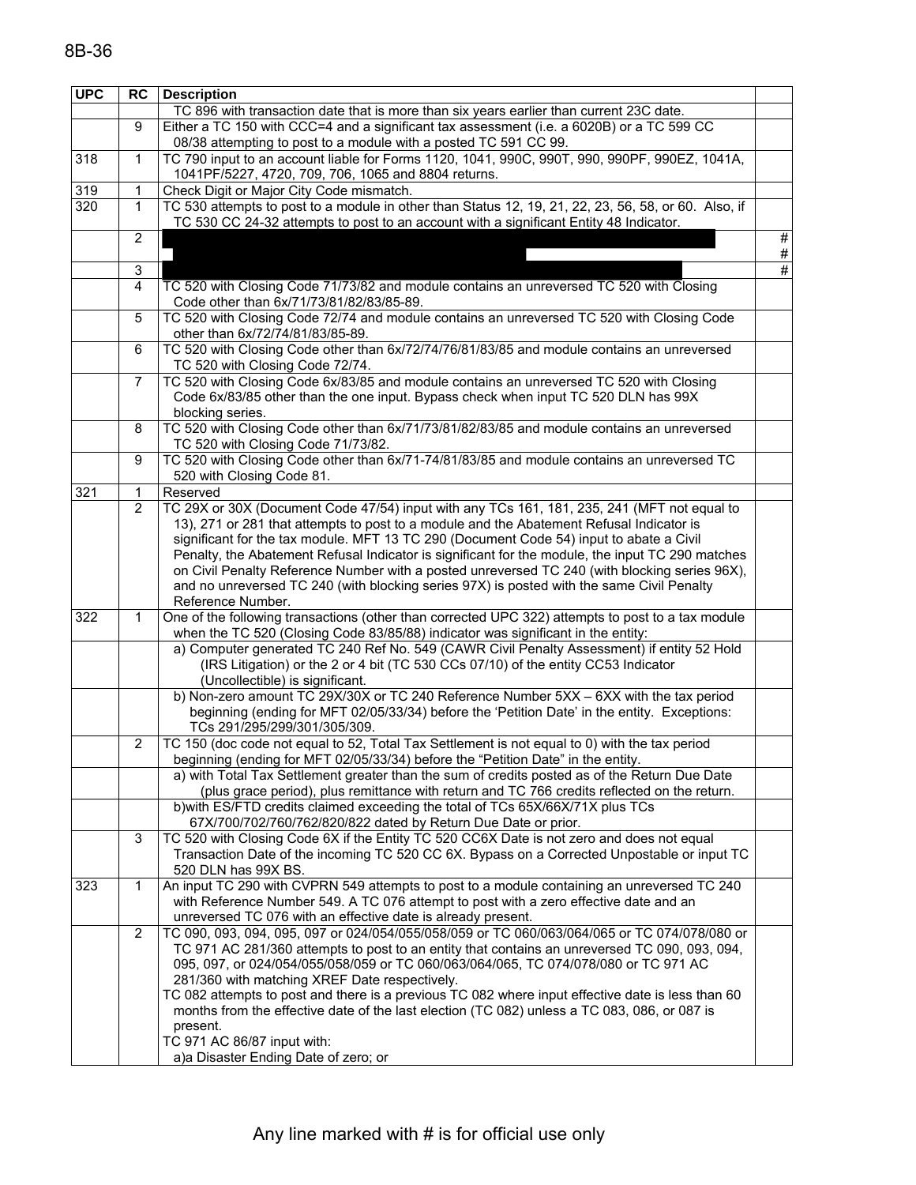| <b>UPC</b> | <b>RC</b>                 | <b>Description</b>                                                                                                                                                             |      |
|------------|---------------------------|--------------------------------------------------------------------------------------------------------------------------------------------------------------------------------|------|
|            |                           | TC 896 with transaction date that is more than six years earlier than current 23C date.                                                                                        |      |
|            | 9                         | Either a TC 150 with CCC=4 and a significant tax assessment (i.e. a 6020B) or a TC 599 CC                                                                                      |      |
|            |                           | 08/38 attempting to post to a module with a posted TC 591 CC 99.                                                                                                               |      |
| 318        | $\mathbf{1}$              | TC 790 input to an account liable for Forms 1120, 1041, 990C, 990T, 990, 990PF, 990EZ, 1041A,                                                                                  |      |
|            |                           | 1041PF/5227, 4720, 709, 706, 1065 and 8804 returns.                                                                                                                            |      |
| 319        | 1                         | Check Digit or Major City Code mismatch.                                                                                                                                       |      |
| 320        | $\mathbf 1$               | TC 530 attempts to post to a module in other than Status 12, 19, 21, 22, 23, 56, 58, or 60. Also, if                                                                           |      |
|            |                           | TC 530 CC 24-32 attempts to post to an account with a significant Entity 48 Indicator.                                                                                         |      |
|            | $\overline{2}$            |                                                                                                                                                                                | $\#$ |
|            |                           |                                                                                                                                                                                | $\#$ |
|            | $\ensuremath{\mathsf{3}}$ |                                                                                                                                                                                | #    |
|            | 4                         | TC 520 with Closing Code 71/73/82 and module contains an unreversed TC 520 with Closing                                                                                        |      |
|            |                           | Code other than 6x/71/73/81/82/83/85-89.                                                                                                                                       |      |
|            | 5                         | TC 520 with Closing Code 72/74 and module contains an unreversed TC 520 with Closing Code                                                                                      |      |
|            |                           | other than 6x/72/74/81/83/85-89.                                                                                                                                               |      |
|            | 6                         | TC 520 with Closing Code other than 6x/72/74/76/81/83/85 and module contains an unreversed                                                                                     |      |
|            |                           | TC 520 with Closing Code 72/74.                                                                                                                                                |      |
|            | 7                         | TC 520 with Closing Code 6x/83/85 and module contains an unreversed TC 520 with Closing                                                                                        |      |
|            |                           | Code 6x/83/85 other than the one input. Bypass check when input TC 520 DLN has 99X                                                                                             |      |
|            |                           | blocking series.                                                                                                                                                               |      |
|            | 8                         | TC 520 with Closing Code other than 6x/71/73/81/82/83/85 and module contains an unreversed                                                                                     |      |
|            |                           | TC 520 with Closing Code 71/73/82.                                                                                                                                             |      |
|            | 9                         | TC 520 with Closing Code other than 6x/71-74/81/83/85 and module contains an unreversed TC                                                                                     |      |
| 321        |                           | 520 with Closing Code 81.<br>Reserved                                                                                                                                          |      |
|            | 1<br>2                    | TC 29X or 30X (Document Code 47/54) input with any TCs 161, 181, 235, 241 (MFT not equal to                                                                                    |      |
|            |                           | 13), 271 or 281 that attempts to post to a module and the Abatement Refusal Indicator is                                                                                       |      |
|            |                           | significant for the tax module. MFT 13 TC 290 (Document Code 54) input to abate a Civil                                                                                        |      |
|            |                           | Penalty, the Abatement Refusal Indicator is significant for the module, the input TC 290 matches                                                                               |      |
|            |                           | on Civil Penalty Reference Number with a posted unreversed TC 240 (with blocking series 96X),                                                                                  |      |
|            |                           | and no unreversed TC 240 (with blocking series 97X) is posted with the same Civil Penalty                                                                                      |      |
|            |                           | Reference Number.                                                                                                                                                              |      |
| 322        | 1                         | One of the following transactions (other than corrected UPC 322) attempts to post to a tax module                                                                              |      |
|            |                           | when the TC 520 (Closing Code 83/85/88) indicator was significant in the entity:                                                                                               |      |
|            |                           | a) Computer generated TC 240 Ref No. 549 (CAWR Civil Penalty Assessment) if entity 52 Hold                                                                                     |      |
|            |                           | (IRS Litigation) or the 2 or 4 bit (TC 530 CCs 07/10) of the entity CC53 Indicator                                                                                             |      |
|            |                           | (Uncollectible) is significant.                                                                                                                                                |      |
|            |                           | b) Non-zero amount TC 29X/30X or TC 240 Reference Number 5XX - 6XX with the tax period                                                                                         |      |
|            |                           | beginning (ending for MFT 02/05/33/34) before the 'Petition Date' in the entity. Exceptions:                                                                                   |      |
|            |                           | TCs 291/295/299/301/305/309.                                                                                                                                                   |      |
|            | $\overline{2}$            | TC 150 (doc code not equal to 52, Total Tax Settlement is not equal to 0) with the tax period                                                                                  |      |
|            |                           | beginning (ending for MFT 02/05/33/34) before the "Petition Date" in the entity.                                                                                               |      |
|            |                           | a) with Total Tax Settlement greater than the sum of credits posted as of the Return Due Date                                                                                  |      |
|            |                           | (plus grace period), plus remittance with return and TC 766 credits reflected on the return.<br>b) with ES/FTD credits claimed exceeding the total of TCs 65X/66X/71X plus TCs |      |
|            |                           | 67X/700/702/760/762/820/822 dated by Return Due Date or prior.                                                                                                                 |      |
|            | 3                         | TC 520 with Closing Code 6X if the Entity TC 520 CC6X Date is not zero and does not equal                                                                                      |      |
|            |                           | Transaction Date of the incoming TC 520 CC 6X. Bypass on a Corrected Unpostable or input TC                                                                                    |      |
|            |                           | 520 DLN has 99X BS.                                                                                                                                                            |      |
| 323        | $\mathbf{1}$              | An input TC 290 with CVPRN 549 attempts to post to a module containing an unreversed TC 240                                                                                    |      |
|            |                           | with Reference Number 549. A TC 076 attempt to post with a zero effective date and an                                                                                          |      |
|            |                           | unreversed TC 076 with an effective date is already present.                                                                                                                   |      |
|            | $\overline{2}$            | TC 090, 093, 094, 095, 097 or 024/054/055/058/059 or TC 060/063/064/065 or TC 074/078/080 or                                                                                   |      |
|            |                           | TC 971 AC 281/360 attempts to post to an entity that contains an unreversed TC 090, 093, 094,                                                                                  |      |
|            |                           | 095, 097, or 024/054/055/058/059 or TC 060/063/064/065, TC 074/078/080 or TC 971 AC                                                                                            |      |
|            |                           | 281/360 with matching XREF Date respectively.                                                                                                                                  |      |
|            |                           | TC 082 attempts to post and there is a previous TC 082 where input effective date is less than 60                                                                              |      |
|            |                           | months from the effective date of the last election (TC 082) unless a TC 083, 086, or 087 is                                                                                   |      |
|            |                           | present.                                                                                                                                                                       |      |
|            |                           | TC 971 AC 86/87 input with:                                                                                                                                                    |      |
|            |                           | a)a Disaster Ending Date of zero; or                                                                                                                                           |      |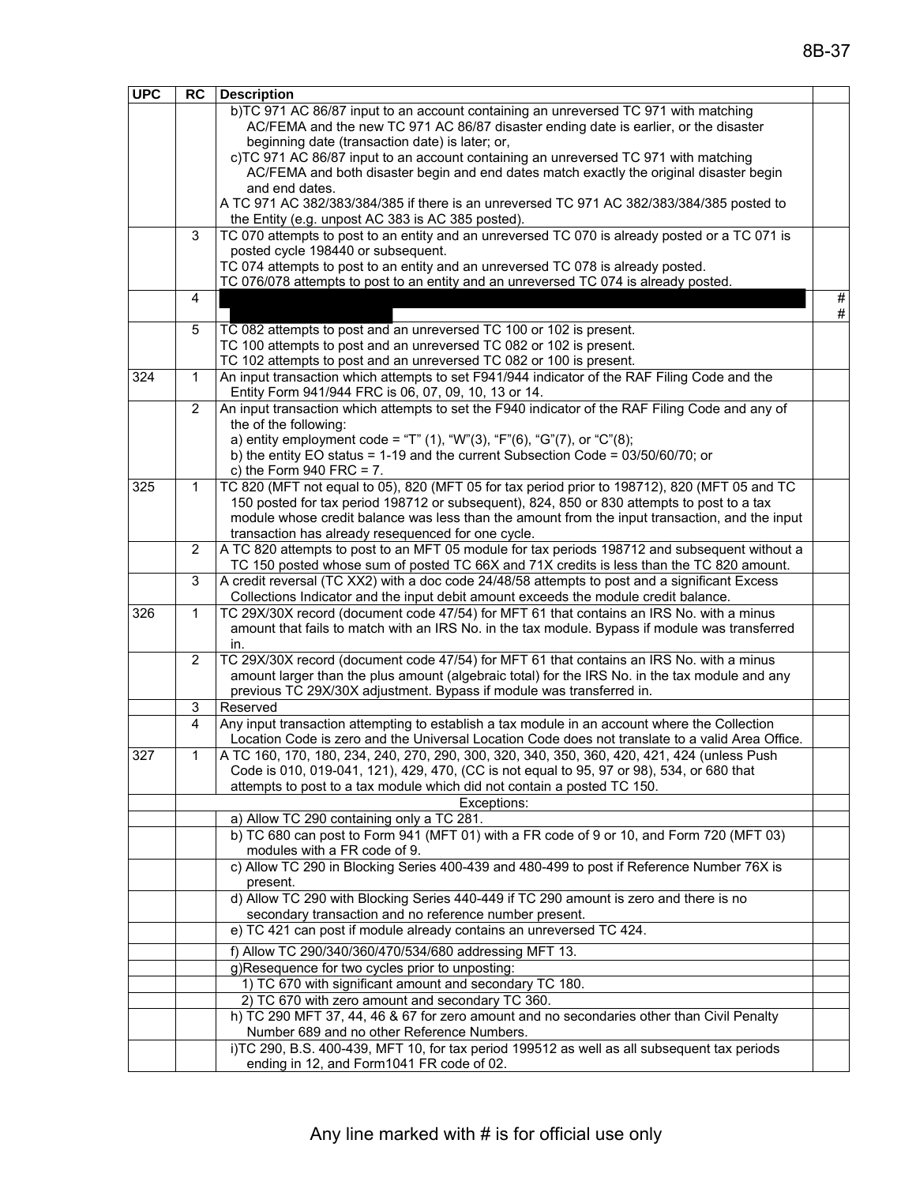| <b>UPC</b> | <b>RC</b>    | <b>Description</b>                                                                                                          |      |
|------------|--------------|-----------------------------------------------------------------------------------------------------------------------------|------|
|            |              | b)TC 971 AC 86/87 input to an account containing an unreversed TC 971 with matching                                         |      |
|            |              | AC/FEMA and the new TC 971 AC 86/87 disaster ending date is earlier, or the disaster                                        |      |
|            |              | beginning date (transaction date) is later; or,                                                                             |      |
|            |              | c)TC 971 AC 86/87 input to an account containing an unreversed TC 971 with matching                                         |      |
|            |              | AC/FEMA and both disaster begin and end dates match exactly the original disaster begin                                     |      |
|            |              | and end dates.                                                                                                              |      |
|            |              | A TC 971 AC 382/383/384/385 if there is an unreversed TC 971 AC 382/383/384/385 posted to                                   |      |
|            |              | the Entity (e.g. unpost AC 383 is AC 385 posted).                                                                           |      |
|            | 3            | TC 070 attempts to post to an entity and an unreversed TC 070 is already posted or a TC 071 is                              |      |
|            |              | posted cycle 198440 or subsequent.                                                                                          |      |
|            |              | TC 074 attempts to post to an entity and an unreversed TC 078 is already posted.                                            |      |
|            |              | TC 076/078 attempts to post to an entity and an unreversed TC 074 is already posted.                                        |      |
|            | 4            |                                                                                                                             | $\#$ |
|            |              |                                                                                                                             | $\#$ |
|            | 5            | TC 082 attempts to post and an unreversed TC 100 or 102 is present.                                                         |      |
|            |              | TC 100 attempts to post and an unreversed TC 082 or 102 is present.                                                         |      |
|            |              | TC 102 attempts to post and an unreversed TC 082 or 100 is present.                                                         |      |
| 324        | $\mathbf{1}$ | An input transaction which attempts to set F941/944 indicator of the RAF Filing Code and the                                |      |
|            |              | Entity Form 941/944 FRC is 06, 07, 09, 10, 13 or 14.                                                                        |      |
|            | 2            | An input transaction which attempts to set the F940 indicator of the RAF Filing Code and any of                             |      |
|            |              | the of the following:                                                                                                       |      |
|            |              | a) entity employment code = "T" (1), "W"(3), "F"(6), "G"(7), or "C"(8);                                                     |      |
|            |              | b) the entity EO status = $1-19$ and the current Subsection Code = $03/50/60/70$ ; or                                       |      |
| 325        | 1            | c) the Form $940$ FRC = 7.<br>TC 820 (MFT not equal to 05), 820 (MFT 05 for tax period prior to 198712), 820 (MFT 05 and TC |      |
|            |              | 150 posted for tax period 198712 or subsequent), 824, 850 or 830 attempts to post to a tax                                  |      |
|            |              | module whose credit balance was less than the amount from the input transaction, and the input                              |      |
|            |              | transaction has already resequenced for one cycle.                                                                          |      |
|            | 2            | A TC 820 attempts to post to an MFT 05 module for tax periods 198712 and subsequent without a                               |      |
|            |              | TC 150 posted whose sum of posted TC 66X and 71X credits is less than the TC 820 amount.                                    |      |
|            | 3            | A credit reversal (TC XX2) with a doc code 24/48/58 attempts to post and a significant Excess                               |      |
|            |              | Collections Indicator and the input debit amount exceeds the module credit balance.                                         |      |
| 326        | 1            | TC 29X/30X record (document code 47/54) for MFT 61 that contains an IRS No. with a minus                                    |      |
|            |              | amount that fails to match with an IRS No. in the tax module. Bypass if module was transferred                              |      |
|            |              | in.                                                                                                                         |      |
|            | 2            | TC 29X/30X record (document code 47/54) for MFT 61 that contains an IRS No. with a minus                                    |      |
|            |              | amount larger than the plus amount (algebraic total) for the IRS No. in the tax module and any                              |      |
|            |              | previous TC 29X/30X adjustment. Bypass if module was transferred in.                                                        |      |
|            | 3            | Reserved                                                                                                                    |      |
|            | 4            | Any input transaction attempting to establish a tax module in an account where the Collection                               |      |
|            |              | Location Code is zero and the Universal Location Code does not translate to a valid Area Office.                            |      |
| 327        | 1            | A TC 160, 170, 180, 234, 240, 270, 290, 300, 320, 340, 350, 360, 420, 421, 424 (unless Push                                 |      |
|            |              | Code is 010, 019-041, 121), 429, 470, (CC is not equal to 95, 97 or 98), 534, or 680 that                                   |      |
|            |              | attempts to post to a tax module which did not contain a posted TC 150.                                                     |      |
|            |              | Exceptions:                                                                                                                 |      |
|            |              | a) Allow TC 290 containing only a TC 281.                                                                                   |      |
|            |              | b) TC 680 can post to Form 941 (MFT 01) with a FR code of 9 or 10, and Form 720 (MFT 03)                                    |      |
|            |              | modules with a FR code of 9.                                                                                                |      |
|            |              | c) Allow TC 290 in Blocking Series 400-439 and 480-499 to post if Reference Number 76X is                                   |      |
|            |              | present.                                                                                                                    |      |
|            |              | d) Allow TC 290 with Blocking Series 440-449 if TC 290 amount is zero and there is no                                       |      |
|            |              | secondary transaction and no reference number present.                                                                      |      |
|            |              | e) TC 421 can post if module already contains an unreversed TC 424.                                                         |      |
|            |              | f) Allow TC 290/340/360/470/534/680 addressing MFT 13.                                                                      |      |
|            |              | g)Resequence for two cycles prior to unposting:                                                                             |      |
|            |              | 1) TC 670 with significant amount and secondary TC 180.                                                                     |      |
|            |              | 2) TC 670 with zero amount and secondary TC 360.                                                                            |      |
|            |              | h) TC 290 MFT 37, 44, 46 & 67 for zero amount and no secondaries other than Civil Penalty                                   |      |
|            |              | Number 689 and no other Reference Numbers.                                                                                  |      |
|            |              | i)TC 290, B.S. 400-439, MFT 10, for tax period 199512 as well as all subsequent tax periods                                 |      |
|            |              | ending in 12, and Form1041 FR code of 02.                                                                                   |      |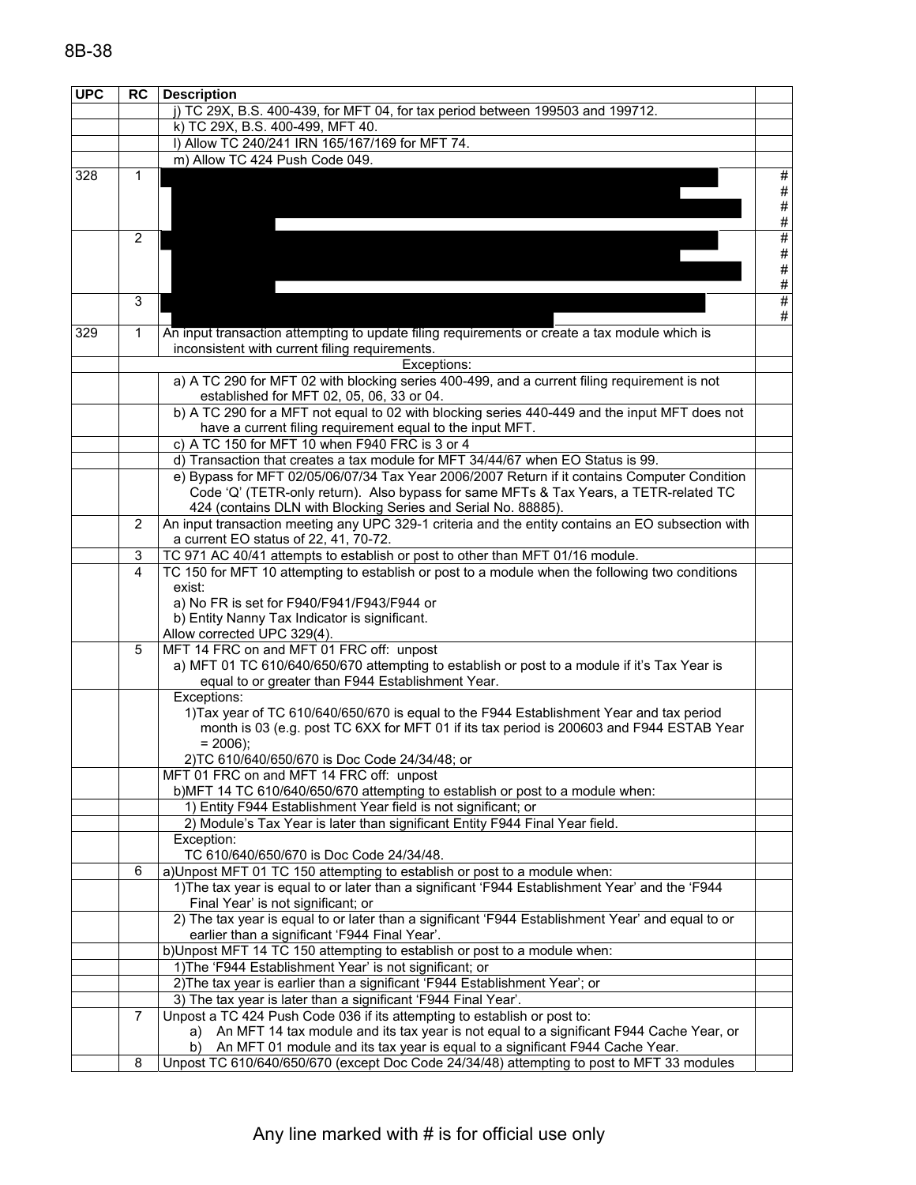| <b>UPC</b> | <b>RC</b>                                                                                                     | <b>Description</b>                                                                                |              |  |  |  |  |  |
|------------|---------------------------------------------------------------------------------------------------------------|---------------------------------------------------------------------------------------------------|--------------|--|--|--|--|--|
|            |                                                                                                               | j) TC 29X, B.S. 400-439, for MFT 04, for tax period between 199503 and 199712.                    |              |  |  |  |  |  |
|            |                                                                                                               | k) TC 29X, B.S. 400-499, MFT 40.                                                                  |              |  |  |  |  |  |
|            |                                                                                                               | I) Allow TC 240/241 IRN 165/167/169 for MFT 74.                                                   |              |  |  |  |  |  |
|            |                                                                                                               | m) Allow TC 424 Push Code 049.                                                                    |              |  |  |  |  |  |
| 328        | 1                                                                                                             |                                                                                                   | $\#$         |  |  |  |  |  |
|            |                                                                                                               |                                                                                                   | #            |  |  |  |  |  |
|            |                                                                                                               |                                                                                                   | $\#$         |  |  |  |  |  |
|            |                                                                                                               |                                                                                                   | $\#$         |  |  |  |  |  |
|            | $\overline{2}$                                                                                                |                                                                                                   | #            |  |  |  |  |  |
|            |                                                                                                               |                                                                                                   | $\#$         |  |  |  |  |  |
|            |                                                                                                               |                                                                                                   | $\#$<br>$\#$ |  |  |  |  |  |
|            | 3                                                                                                             |                                                                                                   | #            |  |  |  |  |  |
|            |                                                                                                               |                                                                                                   | #            |  |  |  |  |  |
| 329        | $\mathbf{1}$                                                                                                  | An input transaction attempting to update filing requirements or create a tax module which is     |              |  |  |  |  |  |
|            |                                                                                                               | inconsistent with current filing requirements.                                                    |              |  |  |  |  |  |
|            | Exceptions:                                                                                                   |                                                                                                   |              |  |  |  |  |  |
|            | a) A TC 290 for MFT 02 with blocking series 400-499, and a current filing requirement is not                  |                                                                                                   |              |  |  |  |  |  |
|            |                                                                                                               | established for MFT 02, 05, 06, 33 or 04.                                                         |              |  |  |  |  |  |
|            |                                                                                                               | b) A TC 290 for a MFT not equal to 02 with blocking series 440-449 and the input MFT does not     |              |  |  |  |  |  |
|            |                                                                                                               | have a current filing requirement equal to the input MFT.                                         |              |  |  |  |  |  |
|            |                                                                                                               | c) A TC 150 for MFT 10 when F940 FRC is 3 or 4                                                    |              |  |  |  |  |  |
|            |                                                                                                               | d) Transaction that creates a tax module for MFT 34/44/67 when EO Status is 99.                   |              |  |  |  |  |  |
|            |                                                                                                               | e) Bypass for MFT 02/05/06/07/34 Tax Year 2006/2007 Return if it contains Computer Condition      |              |  |  |  |  |  |
|            |                                                                                                               | Code 'Q' (TETR-only return). Also bypass for same MFTs & Tax Years, a TETR-related TC             |              |  |  |  |  |  |
|            |                                                                                                               | 424 (contains DLN with Blocking Series and Serial No. 88885).                                     |              |  |  |  |  |  |
|            | $\overline{2}$                                                                                                | An input transaction meeting any UPC 329-1 criteria and the entity contains an EO subsection with |              |  |  |  |  |  |
|            |                                                                                                               | a current EO status of 22, 41, 70-72.                                                             |              |  |  |  |  |  |
|            | TC 971 AC 40/41 attempts to establish or post to other than MFT 01/16 module.<br>3<br>$\overline{\mathbf{4}}$ |                                                                                                   |              |  |  |  |  |  |
|            | TC 150 for MFT 10 attempting to establish or post to a module when the following two conditions<br>exist:     |                                                                                                   |              |  |  |  |  |  |
|            |                                                                                                               | a) No FR is set for F940/F941/F943/F944 or                                                        |              |  |  |  |  |  |
|            |                                                                                                               | b) Entity Nanny Tax Indicator is significant.                                                     |              |  |  |  |  |  |
|            |                                                                                                               | Allow corrected UPC 329(4).                                                                       |              |  |  |  |  |  |
|            | 5                                                                                                             | MFT 14 FRC on and MFT 01 FRC off: unpost                                                          |              |  |  |  |  |  |
|            |                                                                                                               | a) MFT 01 TC 610/640/650/670 attempting to establish or post to a module if it's Tax Year is      |              |  |  |  |  |  |
|            |                                                                                                               | equal to or greater than F944 Establishment Year.                                                 |              |  |  |  |  |  |
|            |                                                                                                               | Exceptions:                                                                                       |              |  |  |  |  |  |
|            |                                                                                                               | 1) Tax year of TC 610/640/650/670 is equal to the F944 Establishment Year and tax period          |              |  |  |  |  |  |
|            |                                                                                                               | month is 03 (e.g. post TC 6XX for MFT 01 if its tax period is 200603 and F944 ESTAB Year          |              |  |  |  |  |  |
|            |                                                                                                               | $= 2006$ :                                                                                        |              |  |  |  |  |  |
|            |                                                                                                               | 2) TC 610/640/650/670 is Doc Code 24/34/48; or                                                    |              |  |  |  |  |  |
|            |                                                                                                               | MFT 01 FRC on and MFT 14 FRC off: unpost                                                          |              |  |  |  |  |  |
|            |                                                                                                               | b)MFT 14 TC 610/640/650/670 attempting to establish or post to a module when:                     |              |  |  |  |  |  |
|            |                                                                                                               | 1) Entity F944 Establishment Year field is not significant; or                                    |              |  |  |  |  |  |
|            |                                                                                                               | 2) Module's Tax Year is later than significant Entity F944 Final Year field.<br>Exception:        |              |  |  |  |  |  |
|            |                                                                                                               | TC 610/640/650/670 is Doc Code 24/34/48.                                                          |              |  |  |  |  |  |
|            | 6                                                                                                             | a) Unpost MFT 01 TC 150 attempting to establish or post to a module when:                         |              |  |  |  |  |  |
|            |                                                                                                               | 1) The tax year is equal to or later than a significant 'F944 Establishment Year' and the 'F944   |              |  |  |  |  |  |
|            |                                                                                                               | Final Year' is not significant; or                                                                |              |  |  |  |  |  |
|            |                                                                                                               | 2) The tax year is equal to or later than a significant 'F944 Establishment Year' and equal to or |              |  |  |  |  |  |
|            |                                                                                                               | earlier than a significant 'F944 Final Year'.                                                     |              |  |  |  |  |  |
|            |                                                                                                               | b) Unpost MFT 14 TC 150 attempting to establish or post to a module when:                         |              |  |  |  |  |  |
|            |                                                                                                               | 1) The 'F944 Establishment Year' is not significant; or                                           |              |  |  |  |  |  |
|            |                                                                                                               | 2) The tax year is earlier than a significant 'F944 Establishment Year'; or                       |              |  |  |  |  |  |
|            |                                                                                                               | 3) The tax year is later than a significant 'F944 Final Year'.                                    |              |  |  |  |  |  |
|            | 7                                                                                                             | Unpost a TC 424 Push Code 036 if its attempting to establish or post to:                          |              |  |  |  |  |  |
|            |                                                                                                               | An MFT 14 tax module and its tax year is not equal to a significant F944 Cache Year, or<br>a)     |              |  |  |  |  |  |
|            |                                                                                                               | An MFT 01 module and its tax year is equal to a significant F944 Cache Year.<br>b)                |              |  |  |  |  |  |
|            | 8                                                                                                             | Unpost TC 610/640/650/670 (except Doc Code 24/34/48) attempting to post to MFT 33 modules         |              |  |  |  |  |  |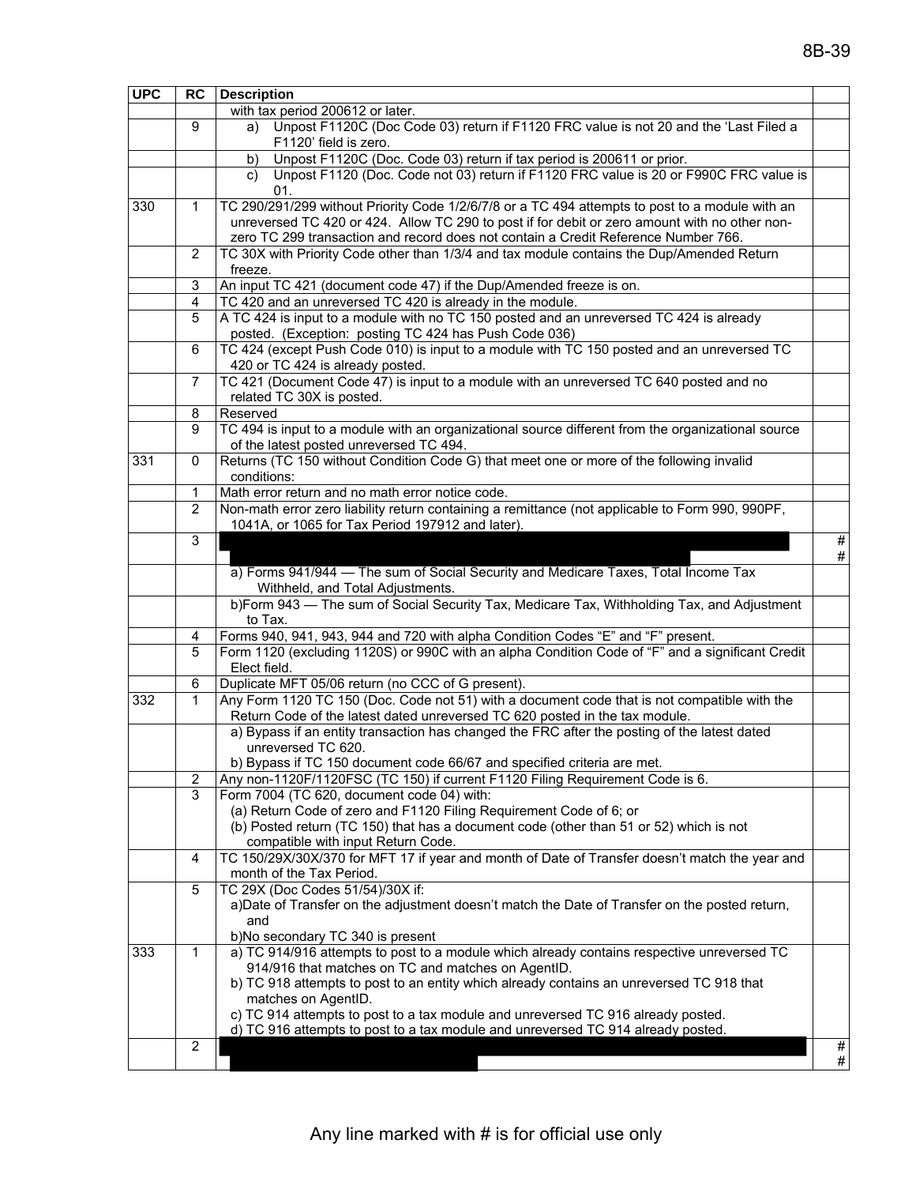| <b>UPC</b> | <b>RC</b>                                                                                          | <b>Description</b>                                                                                                 |      |
|------------|----------------------------------------------------------------------------------------------------|--------------------------------------------------------------------------------------------------------------------|------|
|            |                                                                                                    | with tax period 200612 or later.                                                                                   |      |
|            | 9                                                                                                  | Unpost F1120C (Doc Code 03) return if F1120 FRC value is not 20 and the 'Last Filed a<br>a)                        |      |
|            |                                                                                                    | F1120' field is zero.                                                                                              |      |
|            |                                                                                                    | Unpost F1120C (Doc. Code 03) return if tax period is 200611 or prior.<br>b)                                        |      |
|            |                                                                                                    | Unpost F1120 (Doc. Code not 03) return if F1120 FRC value is 20 or F990C FRC value is<br>C)                        |      |
|            |                                                                                                    | 01.                                                                                                                |      |
| 330        | 1                                                                                                  | TC 290/291/299 without Priority Code 1/2/6/7/8 or a TC 494 attempts to post to a module with an                    |      |
|            |                                                                                                    | unreversed TC 420 or 424. Allow TC 290 to post if for debit or zero amount with no other non-                      |      |
|            |                                                                                                    | zero TC 299 transaction and record does not contain a Credit Reference Number 766.                                 |      |
|            | 2                                                                                                  | TC 30X with Priority Code other than 1/3/4 and tax module contains the Dup/Amended Return                          |      |
|            |                                                                                                    | freeze.                                                                                                            |      |
|            | 3                                                                                                  | An input TC 421 (document code 47) if the Dup/Amended freeze is on.                                                |      |
|            | 4                                                                                                  | TC 420 and an unreversed TC 420 is already in the module.                                                          |      |
|            | 5                                                                                                  | A TC 424 is input to a module with no TC 150 posted and an unreversed TC 424 is already                            |      |
|            |                                                                                                    | posted. (Exception: posting TC 424 has Push Code 036)                                                              |      |
|            | TC 424 (except Push Code 010) is input to a module with TC 150 posted and an unreversed TC         |                                                                                                                    |      |
|            |                                                                                                    | 420 or TC 424 is already posted.                                                                                   |      |
|            | 7                                                                                                  | TC 421 (Document Code 47) is input to a module with an unreversed TC 640 posted and no                             |      |
|            |                                                                                                    | related TC 30X is posted.                                                                                          |      |
|            | 8                                                                                                  | Reserved                                                                                                           |      |
|            | TC 494 is input to a module with an organizational source different from the organizational source |                                                                                                                    |      |
|            |                                                                                                    | of the latest posted unreversed TC 494.                                                                            |      |
| 331        | 0                                                                                                  | Returns (TC 150 without Condition Code G) that meet one or more of the following invalid                           |      |
|            |                                                                                                    | conditions:                                                                                                        |      |
|            | 1                                                                                                  | Math error return and no math error notice code.                                                                   |      |
|            | 2                                                                                                  | Non-math error zero liability return containing a remittance (not applicable to Form 990, 990PF,                   |      |
|            |                                                                                                    | 1041A, or 1065 for Tax Period 197912 and later).                                                                   |      |
|            | 3                                                                                                  |                                                                                                                    | $\#$ |
|            |                                                                                                    |                                                                                                                    | #    |
|            |                                                                                                    | a) Forms 941/944 — The sum of Social Security and Medicare Taxes, Total Income Tax                                 |      |
|            |                                                                                                    | Withheld, and Total Adjustments.                                                                                   |      |
|            |                                                                                                    | b)Form 943 - The sum of Social Security Tax, Medicare Tax, Withholding Tax, and Adjustment                         |      |
|            |                                                                                                    | to Tax.                                                                                                            |      |
|            | 4                                                                                                  | Forms 940, 941, 943, 944 and 720 with alpha Condition Codes "E" and "F" present.                                   |      |
|            | 5                                                                                                  | Form 1120 (excluding 1120S) or 990C with an alpha Condition Code of "F" and a significant Credit                   |      |
|            |                                                                                                    | Elect field.                                                                                                       |      |
|            | 6                                                                                                  | Duplicate MFT 05/06 return (no CCC of G present).                                                                  |      |
| 332        | $\mathbf 1$                                                                                        | Any Form 1120 TC 150 (Doc. Code not 51) with a document code that is not compatible with the                       |      |
|            |                                                                                                    | Return Code of the latest dated unreversed TC 620 posted in the tax module.                                        |      |
|            |                                                                                                    | a) Bypass if an entity transaction has changed the FRC after the posting of the latest dated<br>unreversed TC 620. |      |
|            |                                                                                                    | b) Bypass if TC 150 document code 66/67 and specified criteria are met.                                            |      |
|            | 2                                                                                                  | Any non-1120F/1120FSC (TC 150) if current F1120 Filing Requirement Code is 6.                                      |      |
|            | 3                                                                                                  | Form 7004 (TC 620, document code 04) with:                                                                         |      |
|            |                                                                                                    | (a) Return Code of zero and F1120 Filing Requirement Code of 6; or                                                 |      |
|            |                                                                                                    | (b) Posted return (TC 150) that has a document code (other than 51 or 52) which is not                             |      |
|            |                                                                                                    | compatible with input Return Code.                                                                                 |      |
|            | 4                                                                                                  | TC 150/29X/30X/370 for MFT 17 if year and month of Date of Transfer doesn't match the year and                     |      |
|            |                                                                                                    | month of the Tax Period.                                                                                           |      |
|            | 5                                                                                                  | TC 29X (Doc Codes 51/54)/30X if:                                                                                   |      |
|            |                                                                                                    | a) Date of Transfer on the adjustment doesn't match the Date of Transfer on the posted return,                     |      |
|            |                                                                                                    | and                                                                                                                |      |
|            |                                                                                                    | b)No secondary TC 340 is present                                                                                   |      |
| 333        | $\mathbf{1}$                                                                                       | a) TC 914/916 attempts to post to a module which already contains respective unreversed TC                         |      |
|            |                                                                                                    | 914/916 that matches on TC and matches on AgentID.                                                                 |      |
|            |                                                                                                    | b) TC 918 attempts to post to an entity which already contains an unreversed TC 918 that                           |      |
|            |                                                                                                    | matches on AgentID.                                                                                                |      |
|            |                                                                                                    | c) TC 914 attempts to post to a tax module and unreversed TC 916 already posted.                                   |      |
|            |                                                                                                    | d) TC 916 attempts to post to a tax module and unreversed TC 914 already posted.                                   |      |
|            | 2                                                                                                  |                                                                                                                    | #    |
|            |                                                                                                    |                                                                                                                    | #    |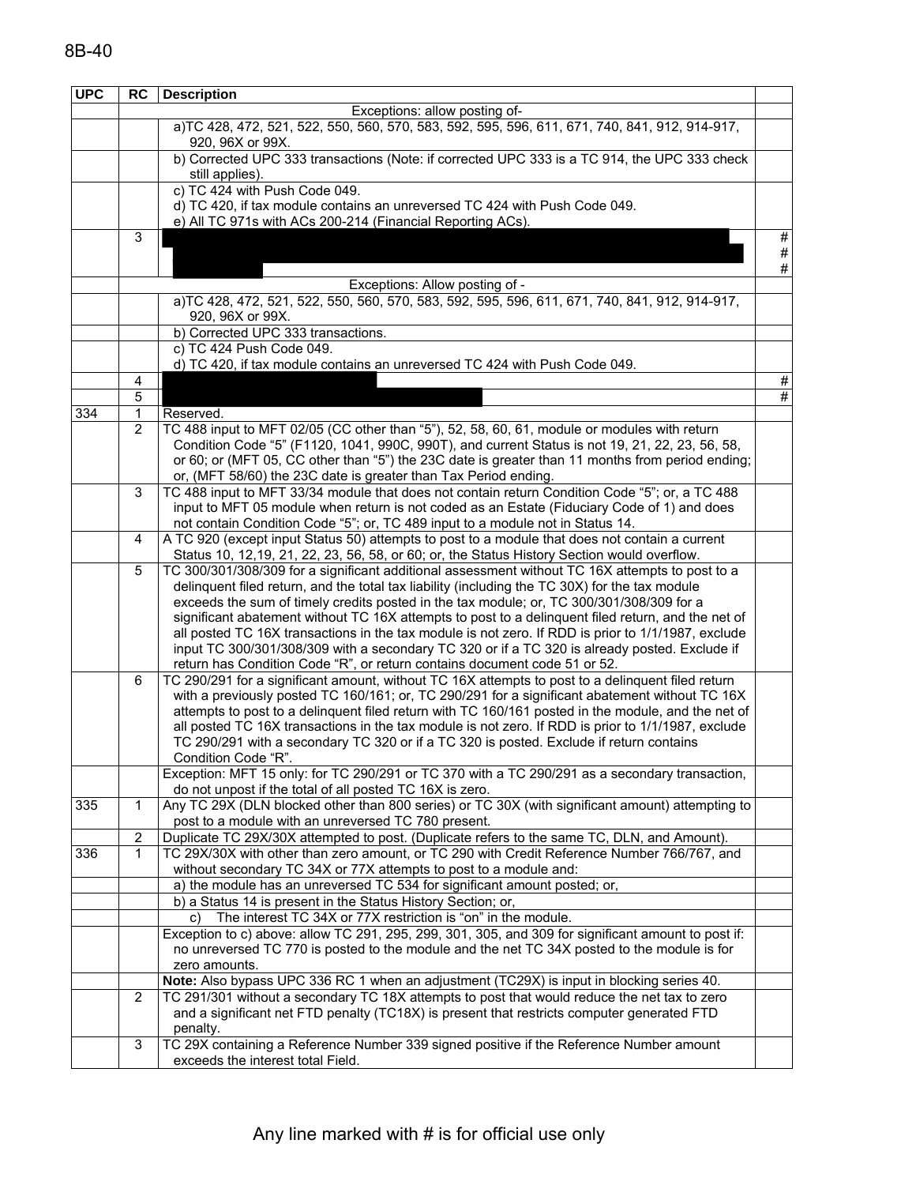| <b>UPC</b> | <b>RC</b>             | <b>Description</b>                                                                                                                                                                                       |   |
|------------|-----------------------|----------------------------------------------------------------------------------------------------------------------------------------------------------------------------------------------------------|---|
|            |                       | Exceptions: allow posting of-                                                                                                                                                                            |   |
|            |                       | a)TC 428, 472, 521, 522, 550, 560, 570, 583, 592, 595, 596, 611, 671, 740, 841, 912, 914-917,                                                                                                            |   |
|            |                       | 920, 96X or 99X.                                                                                                                                                                                         |   |
|            |                       | b) Corrected UPC 333 transactions (Note: if corrected UPC 333 is a TC 914, the UPC 333 check                                                                                                             |   |
|            |                       | still applies).                                                                                                                                                                                          |   |
|            |                       | c) TC 424 with Push Code 049.                                                                                                                                                                            |   |
|            |                       | d) TC 420, if tax module contains an unreversed TC 424 with Push Code 049.<br>e) All TC 971s with ACs 200-214 (Financial Reporting ACs).                                                                 |   |
|            | 3                     |                                                                                                                                                                                                          | # |
|            |                       |                                                                                                                                                                                                          | # |
|            |                       |                                                                                                                                                                                                          | # |
|            |                       | Exceptions: Allow posting of -                                                                                                                                                                           |   |
|            |                       | a)TC 428, 472, 521, 522, 550, 560, 570, 583, 592, 595, 596, 611, 671, 740, 841, 912, 914-917,                                                                                                            |   |
|            |                       | 920, 96X or 99X.                                                                                                                                                                                         |   |
|            |                       | b) Corrected UPC 333 transactions.                                                                                                                                                                       |   |
|            |                       | c) TC 424 Push Code 049.                                                                                                                                                                                 |   |
|            |                       | d) TC 420, if tax module contains an unreversed TC 424 with Push Code 049.                                                                                                                               |   |
|            | 4                     |                                                                                                                                                                                                          | # |
|            | 5                     |                                                                                                                                                                                                          | # |
| 334        | 1                     | Reserved.                                                                                                                                                                                                |   |
|            | 2                     | TC 488 input to MFT 02/05 (CC other than "5"), 52, 58, 60, 61, module or modules with return                                                                                                             |   |
|            |                       | Condition Code "5" (F1120, 1041, 990C, 990T), and current Status is not 19, 21, 22, 23, 56, 58,                                                                                                          |   |
|            |                       | or 60; or (MFT 05, CC other than "5") the 23C date is greater than 11 months from period ending;                                                                                                         |   |
|            |                       | or, (MFT 58/60) the 23C date is greater than Tax Period ending.                                                                                                                                          |   |
|            | 3                     | TC 488 input to MFT 33/34 module that does not contain return Condition Code "5"; or, a TC 488                                                                                                           |   |
|            |                       | input to MFT 05 module when return is not coded as an Estate (Fiduciary Code of 1) and does                                                                                                              |   |
|            |                       | not contain Condition Code "5"; or, TC 489 input to a module not in Status 14.                                                                                                                           |   |
|            | 4                     | A TC 920 (except input Status 50) attempts to post to a module that does not contain a current                                                                                                           |   |
|            |                       | Status 10, 12,19, 21, 22, 23, 56, 58, or 60; or, the Status History Section would overflow.                                                                                                              |   |
|            | 5                     | TC 300/301/308/309 for a significant additional assessment without TC 16X attempts to post to a                                                                                                          |   |
|            |                       | delinquent filed return, and the total tax liability (including the TC 30X) for the tax module                                                                                                           |   |
|            |                       | exceeds the sum of timely credits posted in the tax module; or, TC 300/301/308/309 for a                                                                                                                 |   |
|            |                       | significant abatement without TC 16X attempts to post to a delinquent filed return, and the net of<br>all posted TC 16X transactions in the tax module is not zero. If RDD is prior to 1/1/1987, exclude |   |
|            |                       | input TC 300/301/308/309 with a secondary TC 320 or if a TC 320 is already posted. Exclude if                                                                                                            |   |
|            |                       | return has Condition Code "R", or return contains document code 51 or 52.                                                                                                                                |   |
|            | 6                     | TC 290/291 for a significant amount, without TC 16X attempts to post to a delinguent filed return                                                                                                        |   |
|            |                       | with a previously posted TC 160/161; or, TC 290/291 for a significant abatement without TC 16X                                                                                                           |   |
|            |                       | attempts to post to a delinquent filed return with TC 160/161 posted in the module, and the net of                                                                                                       |   |
|            |                       | all posted TC 16X transactions in the tax module is not zero. If RDD is prior to 1/1/1987, exclude                                                                                                       |   |
|            |                       | TC 290/291 with a secondary TC 320 or if a TC 320 is posted. Exclude if return contains                                                                                                                  |   |
|            |                       | Condition Code "R".                                                                                                                                                                                      |   |
|            |                       | Exception: MFT 15 only: for TC 290/291 or TC 370 with a TC 290/291 as a secondary transaction,                                                                                                           |   |
|            |                       | do not unpost if the total of all posted TC 16X is zero.                                                                                                                                                 |   |
| 335        | 1                     | Any TC 29X (DLN blocked other than 800 series) or TC 30X (with significant amount) attempting to                                                                                                         |   |
|            |                       | post to a module with an unreversed TC 780 present.                                                                                                                                                      |   |
|            | $\overline{2}$        | Duplicate TC 29X/30X attempted to post. (Duplicate refers to the same TC, DLN, and Amount).                                                                                                              |   |
| 336        | 1                     | TC 29X/30X with other than zero amount, or TC 290 with Credit Reference Number 766/767, and                                                                                                              |   |
|            |                       | without secondary TC 34X or 77X attempts to post to a module and:                                                                                                                                        |   |
|            |                       | a) the module has an unreversed TC 534 for significant amount posted; or,                                                                                                                                |   |
|            |                       | b) a Status 14 is present in the Status History Section; or,                                                                                                                                             |   |
|            |                       | The interest TC 34X or 77X restriction is "on" in the module.<br>C)                                                                                                                                      |   |
|            |                       | Exception to c) above: allow TC 291, 295, 299, 301, 305, and 309 for significant amount to post if:                                                                                                      |   |
|            |                       | no unreversed TC 770 is posted to the module and the net TC 34X posted to the module is for                                                                                                              |   |
|            |                       | zero amounts.                                                                                                                                                                                            |   |
|            | $\mathbf{2}^{\prime}$ | Note: Also bypass UPC 336 RC 1 when an adjustment (TC29X) is input in blocking series 40.<br>TC 291/301 without a secondary TC 18X attempts to post that would reduce the net tax to zero                |   |
|            |                       | and a significant net FTD penalty (TC18X) is present that restricts computer generated FTD                                                                                                               |   |
|            |                       | penalty.                                                                                                                                                                                                 |   |
|            | 3                     | TC 29X containing a Reference Number 339 signed positive if the Reference Number amount                                                                                                                  |   |
|            |                       | exceeds the interest total Field.                                                                                                                                                                        |   |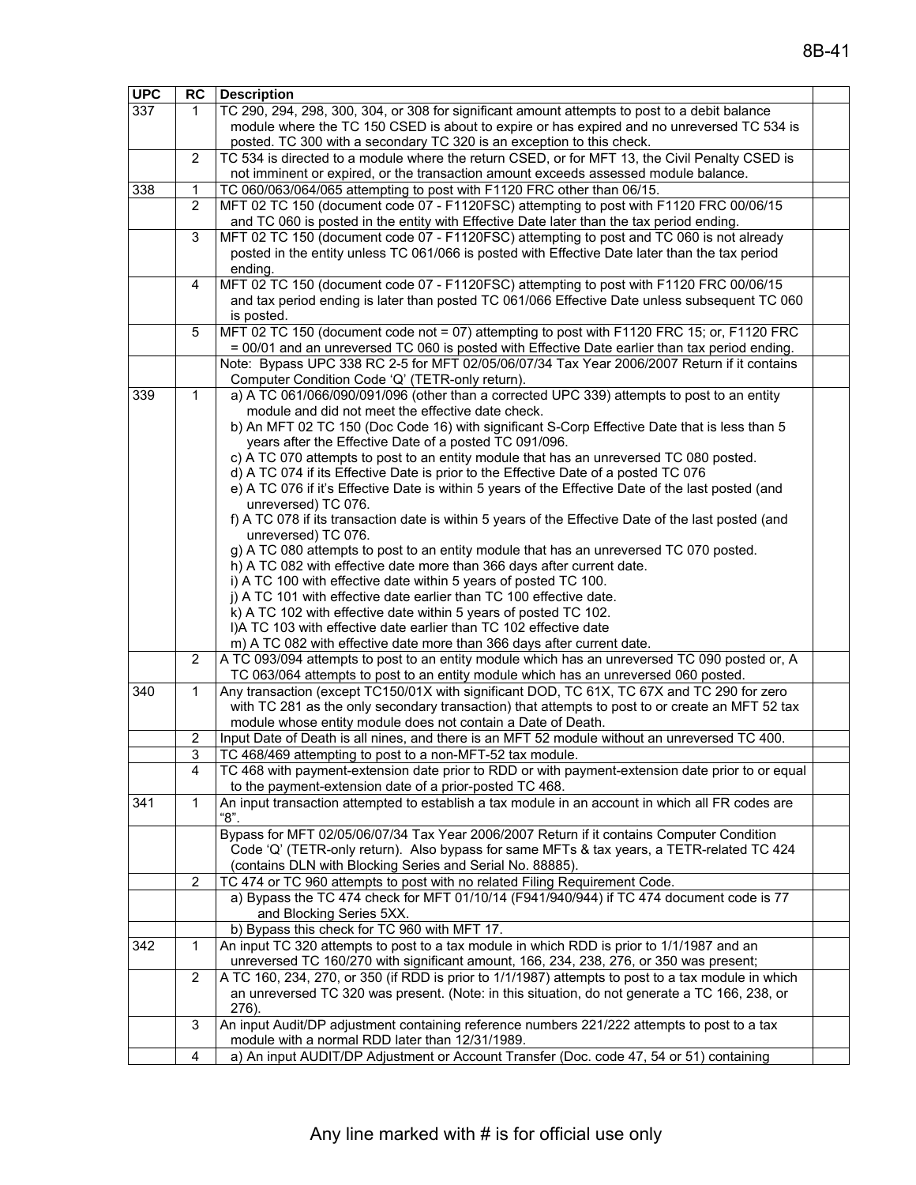| <b>UPC</b>                                                                                     | RC             | <b>Description</b>                                                                                                                                                                   |  |  |  |  |
|------------------------------------------------------------------------------------------------|----------------|--------------------------------------------------------------------------------------------------------------------------------------------------------------------------------------|--|--|--|--|
| 337                                                                                            | 1              | TC 290, 294, 298, 300, 304, or 308 for significant amount attempts to post to a debit balance                                                                                        |  |  |  |  |
|                                                                                                |                | module where the TC 150 CSED is about to expire or has expired and no unreversed TC 534 is                                                                                           |  |  |  |  |
|                                                                                                |                | posted. TC 300 with a secondary TC 320 is an exception to this check.                                                                                                                |  |  |  |  |
|                                                                                                | 2              | TC 534 is directed to a module where the return CSED, or for MFT 13, the Civil Penalty CSED is                                                                                       |  |  |  |  |
|                                                                                                |                | not imminent or expired, or the transaction amount exceeds assessed module balance.                                                                                                  |  |  |  |  |
| 338                                                                                            | 1              | TC 060/063/064/065 attempting to post with F1120 FRC other than 06/15.                                                                                                               |  |  |  |  |
|                                                                                                | 2              | MFT 02 TC 150 (document code 07 - F1120FSC) attempting to post with F1120 FRC 00/06/15                                                                                               |  |  |  |  |
|                                                                                                |                | and TC 060 is posted in the entity with Effective Date later than the tax period ending.                                                                                             |  |  |  |  |
|                                                                                                | 3              | MFT 02 TC 150 (document code 07 - F1120FSC) attempting to post and TC 060 is not already                                                                                             |  |  |  |  |
|                                                                                                |                | posted in the entity unless TC 061/066 is posted with Effective Date later than the tax period                                                                                       |  |  |  |  |
|                                                                                                |                | ending.                                                                                                                                                                              |  |  |  |  |
|                                                                                                | 4              | MFT 02 TC 150 (document code 07 - F1120FSC) attempting to post with F1120 FRC 00/06/15                                                                                               |  |  |  |  |
|                                                                                                |                | and tax period ending is later than posted TC 061/066 Effective Date unless subsequent TC 060                                                                                        |  |  |  |  |
|                                                                                                |                | is posted.                                                                                                                                                                           |  |  |  |  |
|                                                                                                | 5              | MFT 02 TC 150 (document code not = 07) attempting to post with F1120 FRC 15; or, F1120 FRC                                                                                           |  |  |  |  |
| = 00/01 and an unreversed TC 060 is posted with Effective Date earlier than tax period ending. |                |                                                                                                                                                                                      |  |  |  |  |
|                                                                                                |                | Note: Bypass UPC 338 RC 2-5 for MFT 02/05/06/07/34 Tax Year 2006/2007 Return if it contains                                                                                          |  |  |  |  |
|                                                                                                |                | Computer Condition Code 'Q' (TETR-only return).                                                                                                                                      |  |  |  |  |
| 339                                                                                            | 1              | a) A TC 061/066/090/091/096 (other than a corrected UPC 339) attempts to post to an entity                                                                                           |  |  |  |  |
|                                                                                                |                | module and did not meet the effective date check.                                                                                                                                    |  |  |  |  |
|                                                                                                |                | b) An MFT 02 TC 150 (Doc Code 16) with significant S-Corp Effective Date that is less than 5                                                                                         |  |  |  |  |
|                                                                                                |                | years after the Effective Date of a posted TC 091/096.                                                                                                                               |  |  |  |  |
|                                                                                                |                | c) A TC 070 attempts to post to an entity module that has an unreversed TC 080 posted.                                                                                               |  |  |  |  |
|                                                                                                |                | d) A TC 074 if its Effective Date is prior to the Effective Date of a posted TC 076                                                                                                  |  |  |  |  |
|                                                                                                |                | e) A TC 076 if it's Effective Date is within 5 years of the Effective Date of the last posted (and                                                                                   |  |  |  |  |
|                                                                                                |                | unreversed) TC 076.                                                                                                                                                                  |  |  |  |  |
|                                                                                                |                | f) A TC 078 if its transaction date is within 5 years of the Effective Date of the last posted (and                                                                                  |  |  |  |  |
|                                                                                                |                | unreversed) TC 076.                                                                                                                                                                  |  |  |  |  |
|                                                                                                |                | g) A TC 080 attempts to post to an entity module that has an unreversed TC 070 posted.                                                                                               |  |  |  |  |
|                                                                                                |                | h) A TC 082 with effective date more than 366 days after current date.                                                                                                               |  |  |  |  |
|                                                                                                |                | i) A TC 100 with effective date within 5 years of posted TC 100.                                                                                                                     |  |  |  |  |
|                                                                                                |                | j) A TC 101 with effective date earlier than TC 100 effective date.                                                                                                                  |  |  |  |  |
|                                                                                                |                | k) A TC 102 with effective date within 5 years of posted TC 102.                                                                                                                     |  |  |  |  |
|                                                                                                |                | I)A TC 103 with effective date earlier than TC 102 effective date                                                                                                                    |  |  |  |  |
|                                                                                                |                | m) A TC 082 with effective date more than 366 days after current date.                                                                                                               |  |  |  |  |
|                                                                                                | 2              | A TC 093/094 attempts to post to an entity module which has an unreversed TC 090 posted or, A<br>TC 063/064 attempts to post to an entity module which has an unreversed 060 posted. |  |  |  |  |
|                                                                                                |                |                                                                                                                                                                                      |  |  |  |  |
| 340                                                                                            | 1              | Any transaction (except TC150/01X with significant DOD, TC 61X, TC 67X and TC 290 for zero                                                                                           |  |  |  |  |
|                                                                                                |                | with TC 281 as the only secondary transaction) that attempts to post to or create an MFT 52 tax                                                                                      |  |  |  |  |
|                                                                                                |                | module whose entity module does not contain a Date of Death.                                                                                                                         |  |  |  |  |
|                                                                                                | 2<br>3         | Input Date of Death is all nines, and there is an MFT 52 module without an unreversed TC 400.                                                                                        |  |  |  |  |
|                                                                                                |                | TC 468/469 attempting to post to a non-MFT-52 tax module.                                                                                                                            |  |  |  |  |
|                                                                                                | 4              | TC 468 with payment-extension date prior to RDD or with payment-extension date prior to or equal<br>to the payment-extension date of a prior-posted TC 468.                          |  |  |  |  |
|                                                                                                | 1              |                                                                                                                                                                                      |  |  |  |  |
| 341                                                                                            |                | An input transaction attempted to establish a tax module in an account in which all FR codes are<br>"8".                                                                             |  |  |  |  |
|                                                                                                |                | Bypass for MFT 02/05/06/07/34 Tax Year 2006/2007 Return if it contains Computer Condition                                                                                            |  |  |  |  |
|                                                                                                |                | Code 'Q' (TETR-only return). Also bypass for same MFTs & tax years, a TETR-related TC 424                                                                                            |  |  |  |  |
|                                                                                                |                | (contains DLN with Blocking Series and Serial No. 88885).                                                                                                                            |  |  |  |  |
|                                                                                                | $\overline{2}$ | TC 474 or TC 960 attempts to post with no related Filing Requirement Code.                                                                                                           |  |  |  |  |
|                                                                                                |                | a) Bypass the TC 474 check for MFT 01/10/14 (F941/940/944) if TC 474 document code is 77                                                                                             |  |  |  |  |
|                                                                                                |                | and Blocking Series 5XX.                                                                                                                                                             |  |  |  |  |
|                                                                                                |                | b) Bypass this check for TC 960 with MFT 17.                                                                                                                                         |  |  |  |  |
| 342                                                                                            | 1              | An input TC 320 attempts to post to a tax module in which RDD is prior to 1/1/1987 and an                                                                                            |  |  |  |  |
|                                                                                                |                | unreversed TC 160/270 with significant amount, 166, 234, 238, 276, or 350 was present;                                                                                               |  |  |  |  |
|                                                                                                | 2              | A TC 160, 234, 270, or 350 (if RDD is prior to 1/1/1987) attempts to post to a tax module in which                                                                                   |  |  |  |  |
|                                                                                                |                | an unreversed TC 320 was present. (Note: in this situation, do not generate a TC 166, 238, or                                                                                        |  |  |  |  |
|                                                                                                |                | 276).                                                                                                                                                                                |  |  |  |  |
|                                                                                                | 3              | An input Audit/DP adjustment containing reference numbers 221/222 attempts to post to a tax                                                                                          |  |  |  |  |
|                                                                                                |                | module with a normal RDD later than 12/31/1989.                                                                                                                                      |  |  |  |  |
|                                                                                                | 4              | a) An input AUDIT/DP Adjustment or Account Transfer (Doc. code 47, 54 or 51) containing                                                                                              |  |  |  |  |
|                                                                                                |                |                                                                                                                                                                                      |  |  |  |  |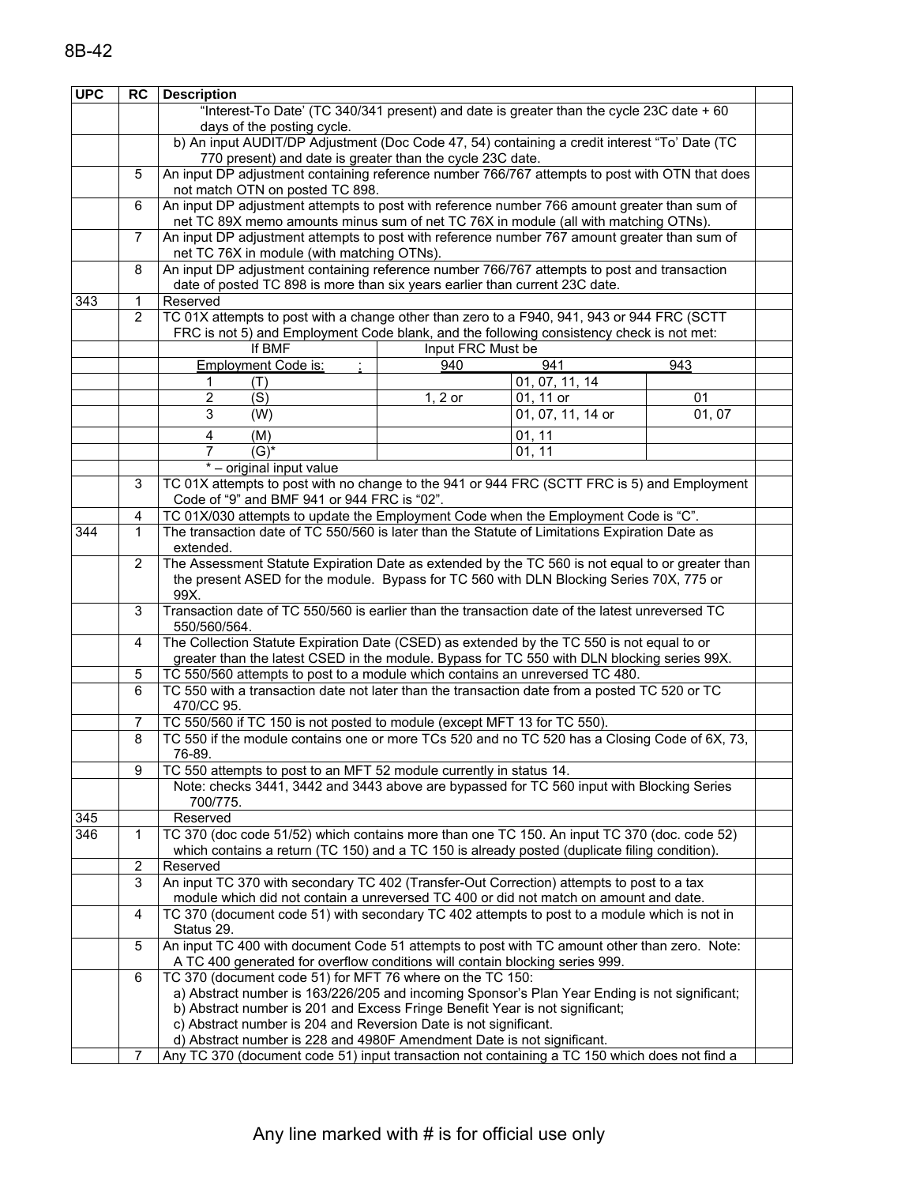| <b>UPC</b> | <b>RC</b>      | <b>Description</b>                                                                                                                         |                   |                   |       |  |  |  |
|------------|----------------|--------------------------------------------------------------------------------------------------------------------------------------------|-------------------|-------------------|-------|--|--|--|
|            |                | "Interest-To Date' (TC 340/341 present) and date is greater than the cycle 23C date + 60                                                   |                   |                   |       |  |  |  |
|            |                | days of the posting cycle.                                                                                                                 |                   |                   |       |  |  |  |
|            |                | b) An input AUDIT/DP Adjustment (Doc Code 47, 54) containing a credit interest "To' Date (TC                                               |                   |                   |       |  |  |  |
|            |                | 770 present) and date is greater than the cycle 23C date.                                                                                  |                   |                   |       |  |  |  |
|            | 5              | An input DP adjustment containing reference number 766/767 attempts to post with OTN that does                                             |                   |                   |       |  |  |  |
|            |                | not match OTN on posted TC 898.                                                                                                            |                   |                   |       |  |  |  |
|            | 6              | An input DP adjustment attempts to post with reference number 766 amount greater than sum of                                               |                   |                   |       |  |  |  |
|            |                | net TC 89X memo amounts minus sum of net TC 76X in module (all with matching OTNs).                                                        |                   |                   |       |  |  |  |
|            | $\overline{7}$ | An input DP adjustment attempts to post with reference number 767 amount greater than sum of                                               |                   |                   |       |  |  |  |
|            |                | net TC 76X in module (with matching OTNs).                                                                                                 |                   |                   |       |  |  |  |
|            | 8              | An input DP adjustment containing reference number 766/767 attempts to post and transaction                                                |                   |                   |       |  |  |  |
|            |                | date of posted TC 898 is more than six years earlier than current 23C date.                                                                |                   |                   |       |  |  |  |
| 343        | 1              | Reserved                                                                                                                                   |                   |                   |       |  |  |  |
|            | 2              | TC 01X attempts to post with a change other than zero to a F940, 941, 943 or 944 FRC (SCTT                                                 |                   |                   |       |  |  |  |
|            |                | FRC is not 5) and Employment Code blank, and the following consistency check is not met:                                                   |                   |                   |       |  |  |  |
|            |                | If BMF                                                                                                                                     | Input FRC Must be |                   |       |  |  |  |
|            |                | <b>Employment Code is:</b>                                                                                                                 | 940               | 941               | 943   |  |  |  |
|            |                | 1<br>(T)                                                                                                                                   |                   | 01, 07, 11, 14    |       |  |  |  |
|            |                | $\overline{2}$<br>$\overline{\text{(S)}}$                                                                                                  | $1, 2$ or         | 01, 11 or         | 01    |  |  |  |
|            |                | $\overline{3}$<br>$\overline{(W)}$                                                                                                         |                   | 01, 07, 11, 14 or | 01,07 |  |  |  |
|            |                | $\overline{\mathbf{4}}$<br>(M)                                                                                                             |                   | 01, 11            |       |  |  |  |
|            |                | $\overline{(G)^*}$<br>$\overline{7}$                                                                                                       |                   | 01, 11            |       |  |  |  |
|            |                | * - original input value                                                                                                                   |                   |                   |       |  |  |  |
|            | 3              |                                                                                                                                            |                   |                   |       |  |  |  |
|            |                | TC 01X attempts to post with no change to the 941 or 944 FRC (SCTT FRC is 5) and Employment<br>Code of "9" and BMF 941 or 944 FRC is "02". |                   |                   |       |  |  |  |
|            | 4              | TC 01X/030 attempts to update the Employment Code when the Employment Code is "C".                                                         |                   |                   |       |  |  |  |
| 344        | 1              | The transaction date of TC 550/560 is later than the Statute of Limitations Expiration Date as                                             |                   |                   |       |  |  |  |
|            |                | extended.                                                                                                                                  |                   |                   |       |  |  |  |
|            | 2              | The Assessment Statute Expiration Date as extended by the TC 560 is not equal to or greater than                                           |                   |                   |       |  |  |  |
|            |                | the present ASED for the module. Bypass for TC 560 with DLN Blocking Series 70X, 775 or                                                    |                   |                   |       |  |  |  |
|            |                | 99X.                                                                                                                                       |                   |                   |       |  |  |  |
|            | 3              | Transaction date of TC 550/560 is earlier than the transaction date of the latest unreversed TC                                            |                   |                   |       |  |  |  |
|            |                | 550/560/564.                                                                                                                               |                   |                   |       |  |  |  |
|            | 4              | The Collection Statute Expiration Date (CSED) as extended by the TC 550 is not equal to or                                                 |                   |                   |       |  |  |  |
|            |                | greater than the latest CSED in the module. Bypass for TC 550 with DLN blocking series 99X.                                                |                   |                   |       |  |  |  |
|            | 5              | TC 550/560 attempts to post to a module which contains an unreversed TC 480.                                                               |                   |                   |       |  |  |  |
|            | 6              | TC 550 with a transaction date not later than the transaction date from a posted TC 520 or TC                                              |                   |                   |       |  |  |  |
|            |                | 470/CC 95.                                                                                                                                 |                   |                   |       |  |  |  |
|            | 7              | TC 550/560 if TC 150 is not posted to module (except MFT 13 for TC 550).                                                                   |                   |                   |       |  |  |  |
|            | 8              | TC 550 if the module contains one or more TCs 520 and no TC 520 has a Closing Code of 6X, 73,                                              |                   |                   |       |  |  |  |
|            |                | 76-89.                                                                                                                                     |                   |                   |       |  |  |  |
|            | $\overline{9}$ | TC 550 attempts to post to an MFT 52 module currently in status 14.                                                                        |                   |                   |       |  |  |  |
|            |                | Note: checks 3441, 3442 and 3443 above are bypassed for TC 560 input with Blocking Series                                                  |                   |                   |       |  |  |  |
|            |                | 700/775.                                                                                                                                   |                   |                   |       |  |  |  |
| 345        |                | Reserved                                                                                                                                   |                   |                   |       |  |  |  |
| 346        | 1              | TC 370 (doc code 51/52) which contains more than one TC 150. An input TC 370 (doc. code 52)                                                |                   |                   |       |  |  |  |
|            |                | which contains a return (TC 150) and a TC 150 is already posted (duplicate filing condition).                                              |                   |                   |       |  |  |  |
|            | $\overline{2}$ | Reserved                                                                                                                                   |                   |                   |       |  |  |  |
|            | 3              | An input TC 370 with secondary TC 402 (Transfer-Out Correction) attempts to post to a tax                                                  |                   |                   |       |  |  |  |
|            |                | module which did not contain a unreversed TC 400 or did not match on amount and date.                                                      |                   |                   |       |  |  |  |
|            | 4              | TC 370 (document code 51) with secondary TC 402 attempts to post to a module which is not in                                               |                   |                   |       |  |  |  |
|            |                | Status 29.                                                                                                                                 |                   |                   |       |  |  |  |
|            | 5              | An input TC 400 with document Code 51 attempts to post with TC amount other than zero. Note:                                               |                   |                   |       |  |  |  |
|            |                | A TC 400 generated for overflow conditions will contain blocking series 999.                                                               |                   |                   |       |  |  |  |
|            | 6              | TC 370 (document code 51) for MFT 76 where on the TC 150:                                                                                  |                   |                   |       |  |  |  |
|            |                | a) Abstract number is 163/226/205 and incoming Sponsor's Plan Year Ending is not significant;                                              |                   |                   |       |  |  |  |
|            |                | b) Abstract number is 201 and Excess Fringe Benefit Year is not significant;                                                               |                   |                   |       |  |  |  |
|            |                | c) Abstract number is 204 and Reversion Date is not significant.                                                                           |                   |                   |       |  |  |  |
|            |                | d) Abstract number is 228 and 4980F Amendment Date is not significant.                                                                     |                   |                   |       |  |  |  |
|            | 7              | Any TC 370 (document code 51) input transaction not containing a TC 150 which does not find a                                              |                   |                   |       |  |  |  |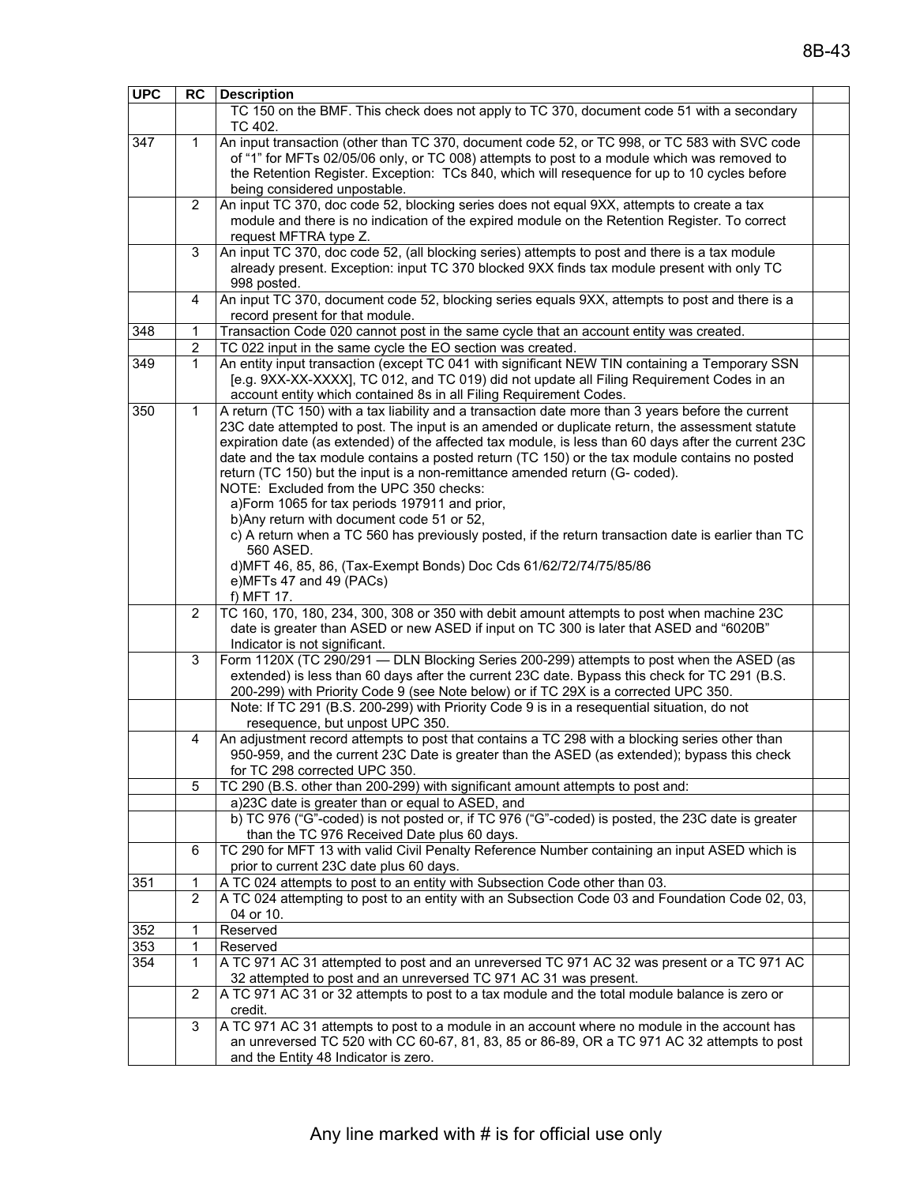| <b>UPC</b> | <b>RC</b>        | <b>Description</b>                                                                                                                                                                                                                                                                                                                                                                                                                                                                                                                                                                                                                                                                                                                                                                                                                                                          |  |  |  |  |  |
|------------|------------------|-----------------------------------------------------------------------------------------------------------------------------------------------------------------------------------------------------------------------------------------------------------------------------------------------------------------------------------------------------------------------------------------------------------------------------------------------------------------------------------------------------------------------------------------------------------------------------------------------------------------------------------------------------------------------------------------------------------------------------------------------------------------------------------------------------------------------------------------------------------------------------|--|--|--|--|--|
|            |                  | TC 150 on the BMF. This check does not apply to TC 370, document code 51 with a secondary<br>TC 402.                                                                                                                                                                                                                                                                                                                                                                                                                                                                                                                                                                                                                                                                                                                                                                        |  |  |  |  |  |
| 347        | 1                | An input transaction (other than TC 370, document code 52, or TC 998, or TC 583 with SVC code<br>of "1" for MFTs 02/05/06 only, or TC 008) attempts to post to a module which was removed to<br>the Retention Register. Exception: TCs 840, which will resequence for up to 10 cycles before<br>being considered unpostable.                                                                                                                                                                                                                                                                                                                                                                                                                                                                                                                                                |  |  |  |  |  |
|            | 2                | An input TC 370, doc code 52, blocking series does not equal 9XX, attempts to create a tax<br>module and there is no indication of the expired module on the Retention Register. To correct<br>request MFTRA type Z.                                                                                                                                                                                                                                                                                                                                                                                                                                                                                                                                                                                                                                                        |  |  |  |  |  |
|            | 3                | An input TC 370, doc code 52, (all blocking series) attempts to post and there is a tax module<br>already present. Exception: input TC 370 blocked 9XX finds tax module present with only TC<br>998 posted.                                                                                                                                                                                                                                                                                                                                                                                                                                                                                                                                                                                                                                                                 |  |  |  |  |  |
|            | 4                | An input TC 370, document code 52, blocking series equals 9XX, attempts to post and there is a<br>record present for that module.                                                                                                                                                                                                                                                                                                                                                                                                                                                                                                                                                                                                                                                                                                                                           |  |  |  |  |  |
| 348        | 1                | Transaction Code 020 cannot post in the same cycle that an account entity was created.                                                                                                                                                                                                                                                                                                                                                                                                                                                                                                                                                                                                                                                                                                                                                                                      |  |  |  |  |  |
|            | $\boldsymbol{2}$ | TC 022 input in the same cycle the EO section was created.                                                                                                                                                                                                                                                                                                                                                                                                                                                                                                                                                                                                                                                                                                                                                                                                                  |  |  |  |  |  |
| 349        | $\mathbf 1$      | An entity input transaction (except TC 041 with significant NEW TIN containing a Temporary SSN<br>[e.g. 9XX-XX-XXXX], TC 012, and TC 019) did not update all Filing Requirement Codes in an<br>account entity which contained 8s in all Filing Requirement Codes.                                                                                                                                                                                                                                                                                                                                                                                                                                                                                                                                                                                                           |  |  |  |  |  |
| 350        | 1                | A return (TC 150) with a tax liability and a transaction date more than 3 years before the current<br>23C date attempted to post. The input is an amended or duplicate return, the assessment statute<br>expiration date (as extended) of the affected tax module, is less than 60 days after the current 23C<br>date and the tax module contains a posted return (TC 150) or the tax module contains no posted<br>return (TC 150) but the input is a non-remittance amended return (G- coded).<br>NOTE: Excluded from the UPC 350 checks:<br>a)Form 1065 for tax periods 197911 and prior,<br>b) Any return with document code 51 or 52,<br>c) A return when a TC 560 has previously posted, if the return transaction date is earlier than TC<br>560 ASED.<br>d) MFT 46, 85, 86, (Tax-Exempt Bonds) Doc Cds 61/62/72/74/75/85/86<br>e)MFTs 47 and 49 (PACs)<br>f) MFT 17. |  |  |  |  |  |
|            | $\overline{2}$   | TC 160, 170, 180, 234, 300, 308 or 350 with debit amount attempts to post when machine 23C<br>date is greater than ASED or new ASED if input on TC 300 is later that ASED and "6020B"<br>Indicator is not significant.                                                                                                                                                                                                                                                                                                                                                                                                                                                                                                                                                                                                                                                      |  |  |  |  |  |
|            | 3                | Form 1120X (TC 290/291 - DLN Blocking Series 200-299) attempts to post when the ASED (as<br>extended) is less than 60 days after the current 23C date. Bypass this check for TC 291 (B.S.<br>200-299) with Priority Code 9 (see Note below) or if TC 29X is a corrected UPC 350.                                                                                                                                                                                                                                                                                                                                                                                                                                                                                                                                                                                            |  |  |  |  |  |
|            |                  | Note: If TC 291 (B.S. 200-299) with Priority Code 9 is in a resequential situation, do not<br>resequence, but unpost UPC 350.                                                                                                                                                                                                                                                                                                                                                                                                                                                                                                                                                                                                                                                                                                                                               |  |  |  |  |  |
|            | 4                | An adjustment record attempts to post that contains a TC 298 with a blocking series other than<br>950-959, and the current 23C Date is greater than the ASED (as extended); bypass this check<br>for TC 298 corrected UPC 350.                                                                                                                                                                                                                                                                                                                                                                                                                                                                                                                                                                                                                                              |  |  |  |  |  |
|            | 5                | TC 290 (B.S. other than 200-299) with significant amount attempts to post and:                                                                                                                                                                                                                                                                                                                                                                                                                                                                                                                                                                                                                                                                                                                                                                                              |  |  |  |  |  |
|            |                  | a)23C date is greater than or equal to ASED, and                                                                                                                                                                                                                                                                                                                                                                                                                                                                                                                                                                                                                                                                                                                                                                                                                            |  |  |  |  |  |
|            |                  | b) TC 976 ("G"-coded) is not posted or, if TC 976 ("G"-coded) is posted, the 23C date is greater<br>than the TC 976 Received Date plus 60 days.                                                                                                                                                                                                                                                                                                                                                                                                                                                                                                                                                                                                                                                                                                                             |  |  |  |  |  |
|            | 6                | TC 290 for MFT 13 with valid Civil Penalty Reference Number containing an input ASED which is<br>prior to current 23C date plus 60 days.                                                                                                                                                                                                                                                                                                                                                                                                                                                                                                                                                                                                                                                                                                                                    |  |  |  |  |  |
| 351        | 1                | A TC 024 attempts to post to an entity with Subsection Code other than 03.                                                                                                                                                                                                                                                                                                                                                                                                                                                                                                                                                                                                                                                                                                                                                                                                  |  |  |  |  |  |
|            | $\overline{2}$   | A TC 024 attempting to post to an entity with an Subsection Code 03 and Foundation Code 02, 03,<br>04 or 10.                                                                                                                                                                                                                                                                                                                                                                                                                                                                                                                                                                                                                                                                                                                                                                |  |  |  |  |  |
| 352<br>353 | 1<br>1           | Reserved<br>Reserved                                                                                                                                                                                                                                                                                                                                                                                                                                                                                                                                                                                                                                                                                                                                                                                                                                                        |  |  |  |  |  |
| 354        | 1                | A TC 971 AC 31 attempted to post and an unreversed TC 971 AC 32 was present or a TC 971 AC<br>32 attempted to post and an unreversed TC 971 AC 31 was present.                                                                                                                                                                                                                                                                                                                                                                                                                                                                                                                                                                                                                                                                                                              |  |  |  |  |  |
|            | 2                | A TC 971 AC 31 or 32 attempts to post to a tax module and the total module balance is zero or<br>credit.                                                                                                                                                                                                                                                                                                                                                                                                                                                                                                                                                                                                                                                                                                                                                                    |  |  |  |  |  |
|            | 3                | A TC 971 AC 31 attempts to post to a module in an account where no module in the account has<br>an unreversed TC 520 with CC 60-67, 81, 83, 85 or 86-89, OR a TC 971 AC 32 attempts to post<br>and the Entity 48 Indicator is zero.                                                                                                                                                                                                                                                                                                                                                                                                                                                                                                                                                                                                                                         |  |  |  |  |  |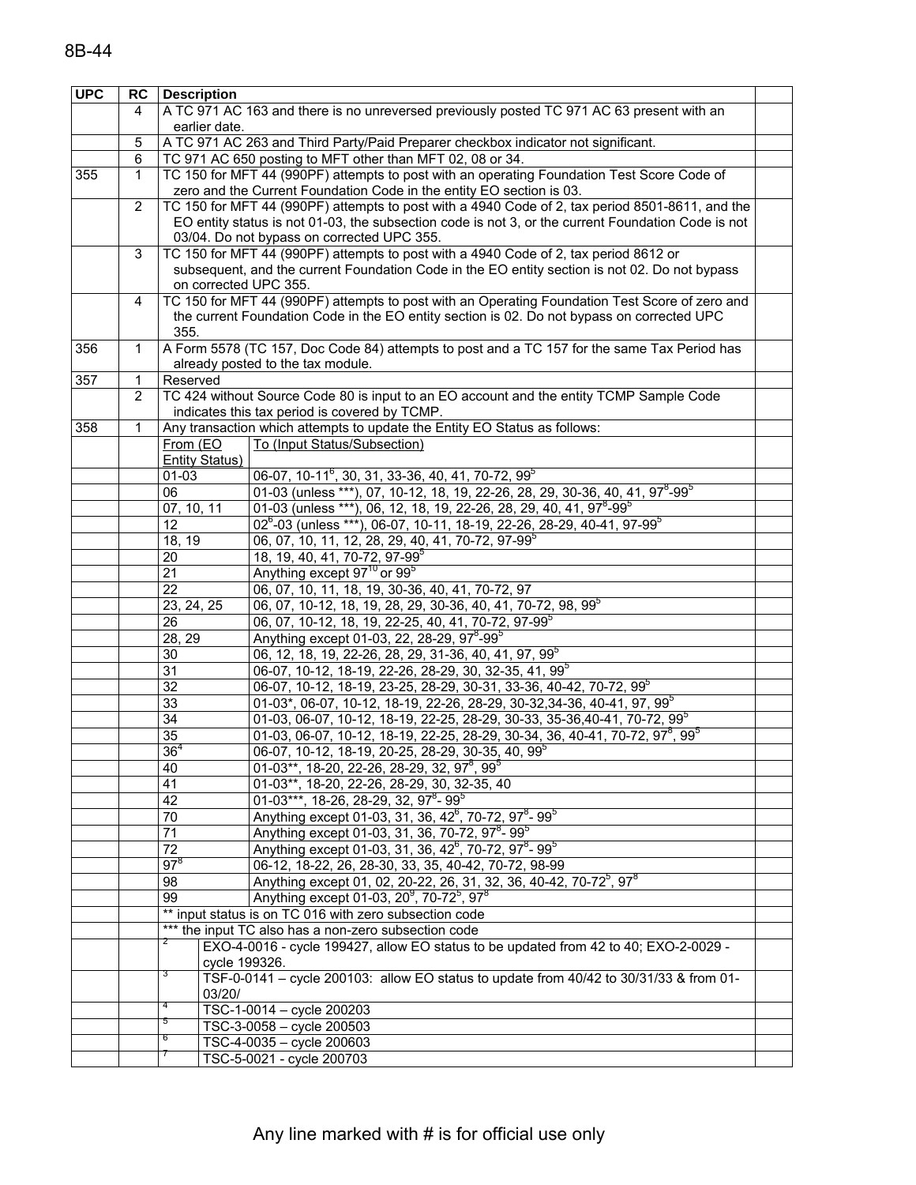| <b>UPC</b> |                       | <b>RC</b> Description |                                                                                                       |  |
|------------|-----------------------|-----------------------|-------------------------------------------------------------------------------------------------------|--|
|            | 4                     |                       | A TC 971 AC 163 and there is no unreversed previously posted TC 971 AC 63 present with an             |  |
|            |                       | earlier date.         |                                                                                                       |  |
|            | 5                     |                       | A TC 971 AC 263 and Third Party/Paid Preparer checkbox indicator not significant.                     |  |
|            | 6                     |                       | TC 971 AC 650 posting to MFT other than MFT 02, 08 or 34.                                             |  |
| 355        | 1                     |                       | TC 150 for MFT 44 (990PF) attempts to post with an operating Foundation Test Score Code of            |  |
|            |                       |                       | zero and the Current Foundation Code in the entity EO section is 03.                                  |  |
|            | $\overline{2}$        |                       | TC 150 for MFT 44 (990PF) attempts to post with a 4940 Code of 2, tax period 8501-8611, and the       |  |
|            |                       |                       | EO entity status is not 01-03, the subsection code is not 3, or the current Foundation Code is not    |  |
|            |                       |                       | 03/04. Do not bypass on corrected UPC 355.                                                            |  |
|            | 3                     |                       | TC 150 for MFT 44 (990PF) attempts to post with a 4940 Code of 2, tax period 8612 or                  |  |
|            |                       |                       | subsequent, and the current Foundation Code in the EO entity section is not 02. Do not bypass         |  |
|            |                       | on corrected UPC 355. |                                                                                                       |  |
|            |                       |                       | TC 150 for MFT 44 (990PF) attempts to post with an Operating Foundation Test Score of zero and        |  |
|            | 4                     |                       |                                                                                                       |  |
|            |                       | 355.                  | the current Foundation Code in the EO entity section is 02. Do not bypass on corrected UPC            |  |
| 356        | $\mathbf{1}$          |                       |                                                                                                       |  |
|            |                       |                       | A Form 5578 (TC 157, Doc Code 84) attempts to post and a TC 157 for the same Tax Period has           |  |
|            |                       |                       | already posted to the tax module.                                                                     |  |
| 357        | 1                     | Reserved              |                                                                                                       |  |
|            | $\mathbf{2}^{\prime}$ |                       | TC 424 without Source Code 80 is input to an EO account and the entity TCMP Sample Code               |  |
|            |                       |                       | indicates this tax period is covered by TCMP.                                                         |  |
| 358        | 1                     |                       | Any transaction which attempts to update the Entity EO Status as follows:                             |  |
|            |                       | From (EO              | To (Input Status/Subsection)                                                                          |  |
|            |                       | <b>Entity Status)</b> |                                                                                                       |  |
|            |                       | $01 - 03$             | 06-07, 10-11 <sup>6</sup> , 30, 31, 33-36, 40, 41, 70-72, 99 <sup>5</sup>                             |  |
|            |                       | 06                    | 01-03 (unless ***), 07, 10-12, 18, 19, 22-26, 28, 29, 30-36, 40, 41, 97 <sup>8</sup> -99 <sup>5</sup> |  |
|            |                       | 07, 10, 11            | 01-03 (unless ***), 06, 12, 18, 19, 22-26, 28, 29, 40, 41, 97 <sup>8</sup> -99 <sup>5</sup>           |  |
|            |                       | 12                    | 02 <sup>6</sup> -03 (unless ***), 06-07, 10-11, 18-19, 22-26, 28-29, 40-41, 97-99 <sup>5</sup>        |  |
|            |                       | 18, 19                | 06, 07, 10, 11, 12, 28, 29, 40, 41, 70-72, 97-99 <sup>5</sup>                                         |  |
|            |                       | 20                    | 18, 19, 40, 41, 70-72, 97-99 $^{\circ}$                                                               |  |
|            |                       | $\overline{21}$       | Anything except 97 <sup>10</sup> or 99 <sup>5</sup>                                                   |  |
|            |                       | 22                    | 06, 07, 10, 11, 18, 19, 30-36, 40, 41, 70-72, 97                                                      |  |
|            |                       | 23, 24, 25            | 06, 07, 10-12, 18, 19, 28, 29, 30-36, 40, 41, 70-72, 98, 99 <sup>5</sup>                              |  |
|            |                       | 26                    | 06, 07, 10-12, 18, 19, 22-25, 40, 41, 70-72, 97-99 <sup>5</sup>                                       |  |
|            |                       | 28, 29                | Anything except 01-03, 22, 28-29, 97 <sup>8</sup> -99 <sup>5</sup>                                    |  |
|            |                       | 30                    | 06, 12, 18, 19, 22-26, 28, 29, 31-36, 40, 41, 97, 99 <sup>5</sup>                                     |  |
|            |                       | 31                    | 06-07, 10-12, 18-19, 22-26, 28-29, 30, 32-35, 41, 99 <sup>5</sup>                                     |  |
|            |                       | 32                    | 06-07, 10-12, 18-19, 23-25, 28-29, 30-31, 33-36, 40-42, 70-72, 99 <sup>5</sup>                        |  |
|            |                       | 33                    | 01-03*, 06-07, 10-12, 18-19, 22-26, 28-29, 30-32, 34-36, 40-41, 97, 99 $^5$                           |  |
|            |                       | 34                    | 01-03, 06-07, 10-12, 18-19, 22-25, 28-29, 30-33, 35-36, 40-41, 70-72, 99 <sup>5</sup>                 |  |
|            |                       | 35                    | 01-03, 06-07, 10-12, 18-19, 22-25, 28-29, 30-34, 36, 40-41, 70-72, 97 <sup>8</sup> , 99 <sup>5</sup>  |  |
|            |                       | 36 <sup>4</sup>       | 06-07, 10-12, 18-19, 20-25, 28-29, 30-35, 40, 99 <sup>5</sup>                                         |  |
|            |                       | 40                    | $01-03**$ , 18-20, 22-26, 28-29, 32, 97 <sup>8</sup> , 99 <sup>5</sup>                                |  |
|            |                       | 41                    | 01-03**, 18-20, 22-26, 28-29, 30, 32-35, 40                                                           |  |
|            |                       | 42                    | 01-03***, 18-26, 28-29, 32, 97 <sup>8</sup> - 99 <sup>5</sup>                                         |  |
|            |                       | 70                    | Anything except 01-03, 31, 36, 42 <sup>6</sup> , 70-72, 97 <sup>8</sup> -99 <sup>5</sup>              |  |
|            |                       | 71                    | Anything except 01-03, 31, 36, 70-72, 97 <sup>8</sup> -99 <sup>5</sup>                                |  |
|            |                       | 72                    | Anything except 01-03, 31, 36, 42 <sup>6</sup> , 70-72, 97 <sup>8</sup> -99 <sup>5</sup>              |  |
|            |                       | $97^8$                | 06-12, 18-22, 26, 28-30, 33, 35, 40-42, 70-72, 98-99                                                  |  |
|            |                       | 98                    | Anything except 01, 02, 20-22, 26, 31, 32, 36, 40-42, 70-72 <sup>5</sup> , 97 <sup>8</sup>            |  |
|            |                       | 99                    | Anything except 01-03, 20 <sup>9</sup> , 70-72 <sup>5</sup> , 97 <sup>8</sup>                         |  |
|            |                       |                       | ** input status is on TC 016 with zero subsection code                                                |  |
|            |                       |                       | *** the input TC also has a non-zero subsection code                                                  |  |
|            |                       |                       | EXO-4-0016 - cycle 199427, allow EO status to be updated from 42 to 40; EXO-2-0029 -                  |  |
|            |                       | cycle 199326.         |                                                                                                       |  |
|            |                       |                       | TSF-0-0141 - cycle 200103: allow EO status to update from 40/42 to 30/31/33 & from 01-                |  |
|            |                       | 03/20/                |                                                                                                       |  |
|            |                       | 4                     | TSC-1-0014 - cycle 200203                                                                             |  |
|            |                       | 5                     | TSC-3-0058 - cycle 200503                                                                             |  |
|            |                       | 6                     | TSC-4-0035 - cycle 200603                                                                             |  |
|            |                       |                       |                                                                                                       |  |
|            |                       |                       | TSC-5-0021 - cycle 200703                                                                             |  |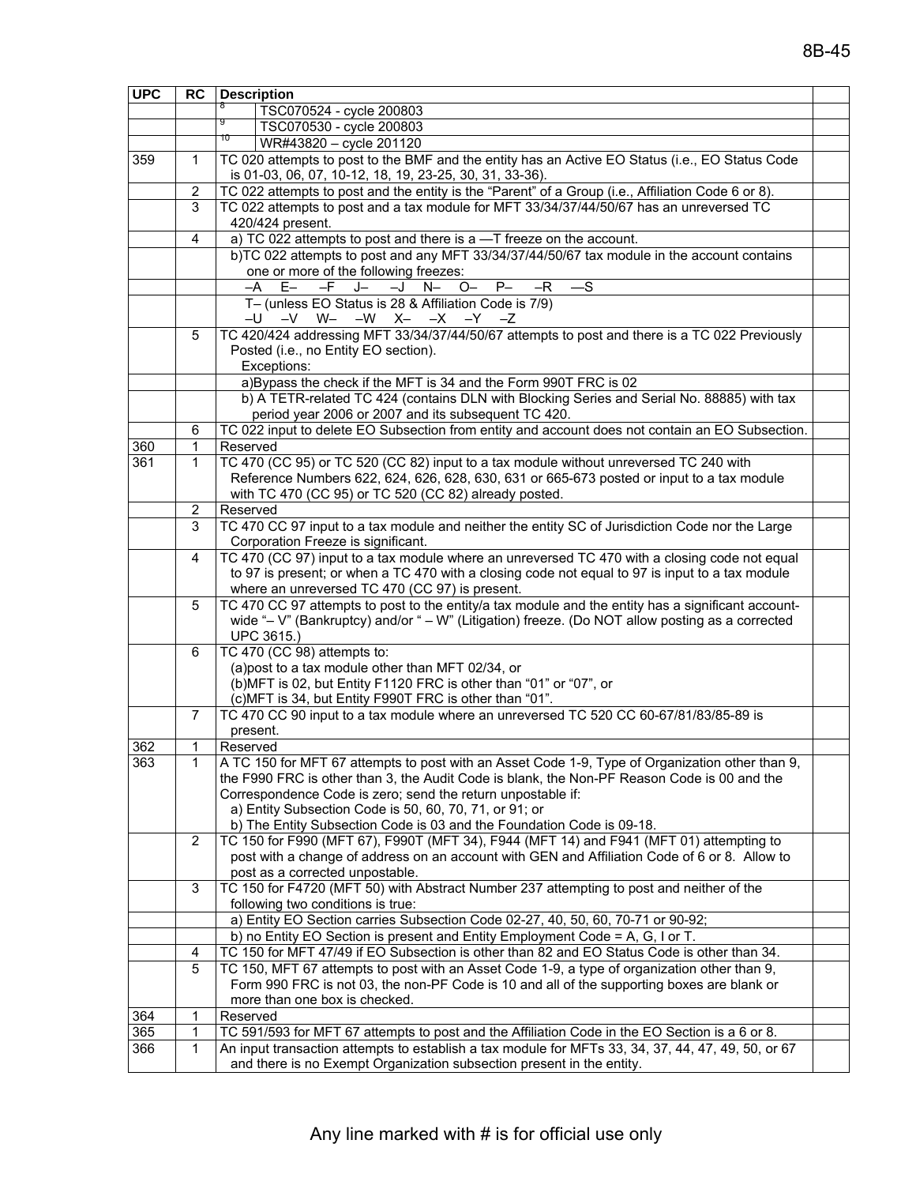| <b>UPC</b> | <b>RC</b>             | <b>Description</b>                                                                                                                                                                       |
|------------|-----------------------|------------------------------------------------------------------------------------------------------------------------------------------------------------------------------------------|
|            |                       | 8<br>TSC070524 - cycle 200803                                                                                                                                                            |
|            |                       | 9<br>TSC070530 - cycle 200803                                                                                                                                                            |
|            |                       | 10<br>WR#43820 - cycle 201120                                                                                                                                                            |
| 359        | $\mathbf{1}$          | TC 020 attempts to post to the BMF and the entity has an Active EO Status (i.e., EO Status Code<br>is 01-03, 06, 07, 10-12, 18, 19, 23-25, 30, 31, 33-36).                               |
|            | $\overline{2}$        | TC 022 attempts to post and the entity is the "Parent" of a Group (i.e., Affiliation Code 6 or 8).                                                                                       |
|            | 3                     | TC 022 attempts to post and a tax module for MFT 33/34/37/44/50/67 has an unreversed TC                                                                                                  |
|            |                       | 420/424 present.                                                                                                                                                                         |
|            | 4                     | a) TC 022 attempts to post and there is a -T freeze on the account.                                                                                                                      |
|            |                       | b)TC 022 attempts to post and any MFT 33/34/37/44/50/67 tax module in the account contains                                                                                               |
|            |                       | one or more of the following freezes:                                                                                                                                                    |
|            |                       | $E-$<br>$-F$<br>$P-$<br>$-S$<br>J—<br>$-J$<br>$N-$<br>$O-$<br>$-R$<br>–A                                                                                                                 |
|            |                       | T- (unless EO Status is 28 & Affiliation Code is 7/9)<br>$-U$ $-V$ $W -W$ $X -X$ $-Y$ $-Z$                                                                                               |
|            | 5                     | TC 420/424 addressing MFT 33/34/37/44/50/67 attempts to post and there is a TC 022 Previously                                                                                            |
|            |                       | Posted (i.e., no Entity EO section).                                                                                                                                                     |
|            |                       | Exceptions:                                                                                                                                                                              |
|            |                       | a)Bypass the check if the MFT is 34 and the Form 990T FRC is 02                                                                                                                          |
|            |                       | b) A TETR-related TC 424 (contains DLN with Blocking Series and Serial No. 88885) with tax                                                                                               |
|            |                       | period year 2006 or 2007 and its subsequent TC 420.                                                                                                                                      |
|            | 6                     | TC 022 input to delete EO Subsection from entity and account does not contain an EO Subsection.                                                                                          |
| 360        | 1                     | Reserved                                                                                                                                                                                 |
| 361        | $\mathbf{1}$          | TC 470 (CC 95) or TC 520 (CC 82) input to a tax module without unreversed TC 240 with                                                                                                    |
|            |                       | Reference Numbers 622, 624, 626, 628, 630, 631 or 665-673 posted or input to a tax module                                                                                                |
|            |                       | with TC 470 (CC 95) or TC 520 (CC 82) already posted.                                                                                                                                    |
|            | 2<br>3                | Reserved<br>TC 470 CC 97 input to a tax module and neither the entity SC of Jurisdiction Code nor the Large                                                                              |
|            |                       | Corporation Freeze is significant.                                                                                                                                                       |
|            | 4                     | TC 470 (CC 97) input to a tax module where an unreversed TC 470 with a closing code not equal                                                                                            |
|            |                       | to 97 is present; or when a TC 470 with a closing code not equal to 97 is input to a tax module                                                                                          |
|            |                       | where an unreversed TC 470 (CC 97) is present.                                                                                                                                           |
|            | 5                     | TC 470 CC 97 attempts to post to the entity/a tax module and the entity has a significant account-                                                                                       |
|            |                       | wide "- V" (Bankruptcy) and/or " - W" (Litigation) freeze. (Do NOT allow posting as a corrected                                                                                          |
|            |                       | UPC 3615.)                                                                                                                                                                               |
|            | 6                     | TC 470 (CC 98) attempts to:                                                                                                                                                              |
|            |                       | (a)post to a tax module other than MFT 02/34, or<br>(b)MFT is 02, but Entity F1120 FRC is other than "01" or "07", or                                                                    |
|            |                       | (c) MFT is 34, but Entity F990T FRC is other than "01".                                                                                                                                  |
|            | 7                     | TC 470 CC 90 input to a tax module where an unreversed TC 520 CC 60-67/81/83/85-89 is                                                                                                    |
|            |                       | present.                                                                                                                                                                                 |
| 362        | 1                     | Reserved                                                                                                                                                                                 |
| 363        | 1                     | A TC 150 for MFT 67 attempts to post with an Asset Code 1-9, Type of Organization other than 9,                                                                                          |
|            |                       | the F990 FRC is other than 3, the Audit Code is blank, the Non-PF Reason Code is 00 and the                                                                                              |
|            |                       | Correspondence Code is zero; send the return unpostable if:                                                                                                                              |
|            |                       | a) Entity Subsection Code is 50, 60, 70, 71, or 91; or                                                                                                                                   |
|            |                       | b) The Entity Subsection Code is 03 and the Foundation Code is 09-18.                                                                                                                    |
|            | $\mathbf{2}^{\prime}$ | TC 150 for F990 (MFT 67), F990T (MFT 34), F944 (MFT 14) and F941 (MFT 01) attempting to<br>post with a change of address on an account with GEN and Affiliation Code of 6 or 8. Allow to |
|            |                       | post as a corrected unpostable.                                                                                                                                                          |
|            | 3                     | TC 150 for F4720 (MFT 50) with Abstract Number 237 attempting to post and neither of the                                                                                                 |
|            |                       | following two conditions is true:                                                                                                                                                        |
|            |                       | a) Entity EO Section carries Subsection Code 02-27, 40, 50, 60, 70-71 or 90-92;                                                                                                          |
|            |                       | b) no Entity EO Section is present and Entity Employment Code = A, G, I or T.                                                                                                            |
|            | 4                     | TC 150 for MFT 47/49 if EO Subsection is other than 82 and EO Status Code is other than 34.                                                                                              |
|            | 5                     | TC 150, MFT 67 attempts to post with an Asset Code 1-9, a type of organization other than 9,                                                                                             |
|            |                       | Form 990 FRC is not 03, the non-PF Code is 10 and all of the supporting boxes are blank or                                                                                               |
|            |                       | more than one box is checked.                                                                                                                                                            |
| 364        | 1                     | Reserved                                                                                                                                                                                 |
| 365        | 1                     | TC 591/593 for MFT 67 attempts to post and the Affiliation Code in the EO Section is a 6 or 8.                                                                                           |
| 366        | $\mathbf{1}$          | An input transaction attempts to establish a tax module for MFTs 33, 34, 37, 44, 47, 49, 50, or 67                                                                                       |
|            |                       | and there is no Exempt Organization subsection present in the entity.                                                                                                                    |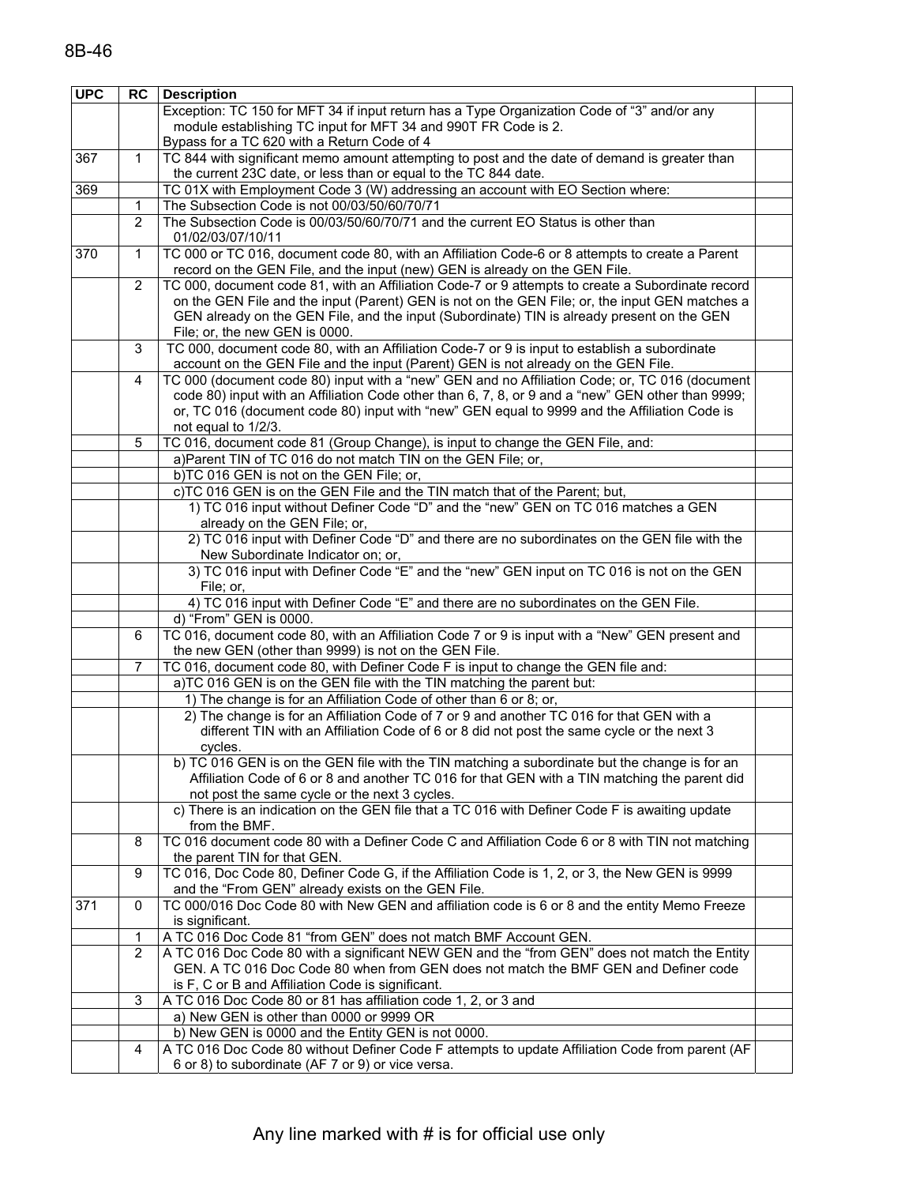| <b>UPC</b> | RC             | <b>Description</b>                                                                                |  |
|------------|----------------|---------------------------------------------------------------------------------------------------|--|
|            |                | Exception: TC 150 for MFT 34 if input return has a Type Organization Code of "3" and/or any       |  |
|            |                | module establishing TC input for MFT 34 and 990T FR Code is 2.                                    |  |
|            |                | Bypass for a TC 620 with a Return Code of 4                                                       |  |
| 367        | 1              | TC 844 with significant memo amount attempting to post and the date of demand is greater than     |  |
|            |                | the current 23C date, or less than or equal to the TC 844 date.                                   |  |
| 369        |                | TC 01X with Employment Code 3 (W) addressing an account with EO Section where:                    |  |
|            | 1              | The Subsection Code is not 00/03/50/60/70/71                                                      |  |
|            | $\overline{2}$ | The Subsection Code is 00/03/50/60/70/71 and the current EO Status is other than                  |  |
|            |                | 01/02/03/07/10/11                                                                                 |  |
| 370        | 1              | TC 000 or TC 016, document code 80, with an Affiliation Code-6 or 8 attempts to create a Parent   |  |
|            |                | record on the GEN File, and the input (new) GEN is already on the GEN File.                       |  |
|            | 2              | TC 000, document code 81, with an Affiliation Code-7 or 9 attempts to create a Subordinate record |  |
|            |                | on the GEN File and the input (Parent) GEN is not on the GEN File; or, the input GEN matches a    |  |
|            |                | GEN already on the GEN File, and the input (Subordinate) TIN is already present on the GEN        |  |
|            |                | File; or, the new GEN is 0000.                                                                    |  |
|            | 3              | TC 000, document code 80, with an Affiliation Code-7 or 9 is input to establish a subordinate     |  |
|            |                | account on the GEN File and the input (Parent) GEN is not already on the GEN File.                |  |
|            | 4              | TC 000 (document code 80) input with a "new" GEN and no Affiliation Code; or, TC 016 (document    |  |
|            |                | code 80) input with an Affiliation Code other than 6, 7, 8, or 9 and a "new" GEN other than 9999; |  |
|            |                | or, TC 016 (document code 80) input with "new" GEN equal to 9999 and the Affiliation Code is      |  |
|            |                | not equal to 1/2/3.                                                                               |  |
|            | 5              | TC 016, document code 81 (Group Change), is input to change the GEN File, and:                    |  |
|            |                | a)Parent TIN of TC 016 do not match TIN on the GEN File; or,                                      |  |
|            |                | b)TC 016 GEN is not on the GEN File; or,                                                          |  |
|            |                | c)TC 016 GEN is on the GEN File and the TIN match that of the Parent; but,                        |  |
|            |                | 1) TC 016 input without Definer Code "D" and the "new" GEN on TC 016 matches a GEN                |  |
|            |                | already on the GEN File; or,                                                                      |  |
|            |                | 2) TC 016 input with Definer Code "D" and there are no subordinates on the GEN file with the      |  |
|            |                | New Subordinate Indicator on; or,                                                                 |  |
|            |                | 3) TC 016 input with Definer Code "E" and the "new" GEN input on TC 016 is not on the GEN         |  |
|            |                | File; or,                                                                                         |  |
|            |                | 4) TC 016 input with Definer Code "E" and there are no subordinates on the GEN File.              |  |
|            |                | d) "From" GEN is 0000.                                                                            |  |
|            | 6              | TC 016, document code 80, with an Affiliation Code 7 or 9 is input with a "New" GEN present and   |  |
|            |                | the new GEN (other than 9999) is not on the GEN File.                                             |  |
|            | $\overline{7}$ | TC 016, document code 80, with Definer Code F is input to change the GEN file and:                |  |
|            |                | a)TC 016 GEN is on the GEN file with the TIN matching the parent but:                             |  |
|            |                | 1) The change is for an Affiliation Code of other than 6 or 8; or,                                |  |
|            |                | 2) The change is for an Affiliation Code of 7 or 9 and another TC 016 for that GEN with a         |  |
|            |                | different TIN with an Affiliation Code of 6 or 8 did not post the same cycle or the next 3        |  |
|            |                | cycles.                                                                                           |  |
|            |                | b) TC 016 GEN is on the GEN file with the TIN matching a subordinate but the change is for an     |  |
|            |                | Affiliation Code of 6 or 8 and another TC 016 for that GEN with a TIN matching the parent did     |  |
|            |                | not post the same cycle or the next 3 cycles.                                                     |  |
|            |                | c) There is an indication on the GEN file that a TC 016 with Definer Code F is awaiting update    |  |
|            |                | from the BMF.                                                                                     |  |
|            | 8              | TC 016 document code 80 with a Definer Code C and Affiliation Code 6 or 8 with TIN not matching   |  |
|            |                | the parent TIN for that GEN.                                                                      |  |
|            | 9              | TC 016, Doc Code 80, Definer Code G, if the Affiliation Code is 1, 2, or 3, the New GEN is 9999   |  |
|            |                | and the "From GEN" already exists on the GEN File.                                                |  |
| 371        | $\mathbf 0$    | TC 000/016 Doc Code 80 with New GEN and affiliation code is 6 or 8 and the entity Memo Freeze     |  |
|            |                | is significant.                                                                                   |  |
|            | 1              | A TC 016 Doc Code 81 "from GEN" does not match BMF Account GEN.                                   |  |
|            | $\overline{2}$ | A TC 016 Doc Code 80 with a significant NEW GEN and the "from GEN" does not match the Entity      |  |
|            |                | GEN. A TC 016 Doc Code 80 when from GEN does not match the BMF GEN and Definer code               |  |
|            |                | is F, C or B and Affiliation Code is significant.                                                 |  |
|            | 3              | A TC 016 Doc Code 80 or 81 has affiliation code 1, 2, or 3 and                                    |  |
|            |                | a) New GEN is other than 0000 or 9999 OR                                                          |  |
|            |                | b) New GEN is 0000 and the Entity GEN is not 0000.                                                |  |
|            | 4              | A TC 016 Doc Code 80 without Definer Code F attempts to update Affiliation Code from parent (AF   |  |
|            |                | 6 or 8) to subordinate (AF 7 or 9) or vice versa.                                                 |  |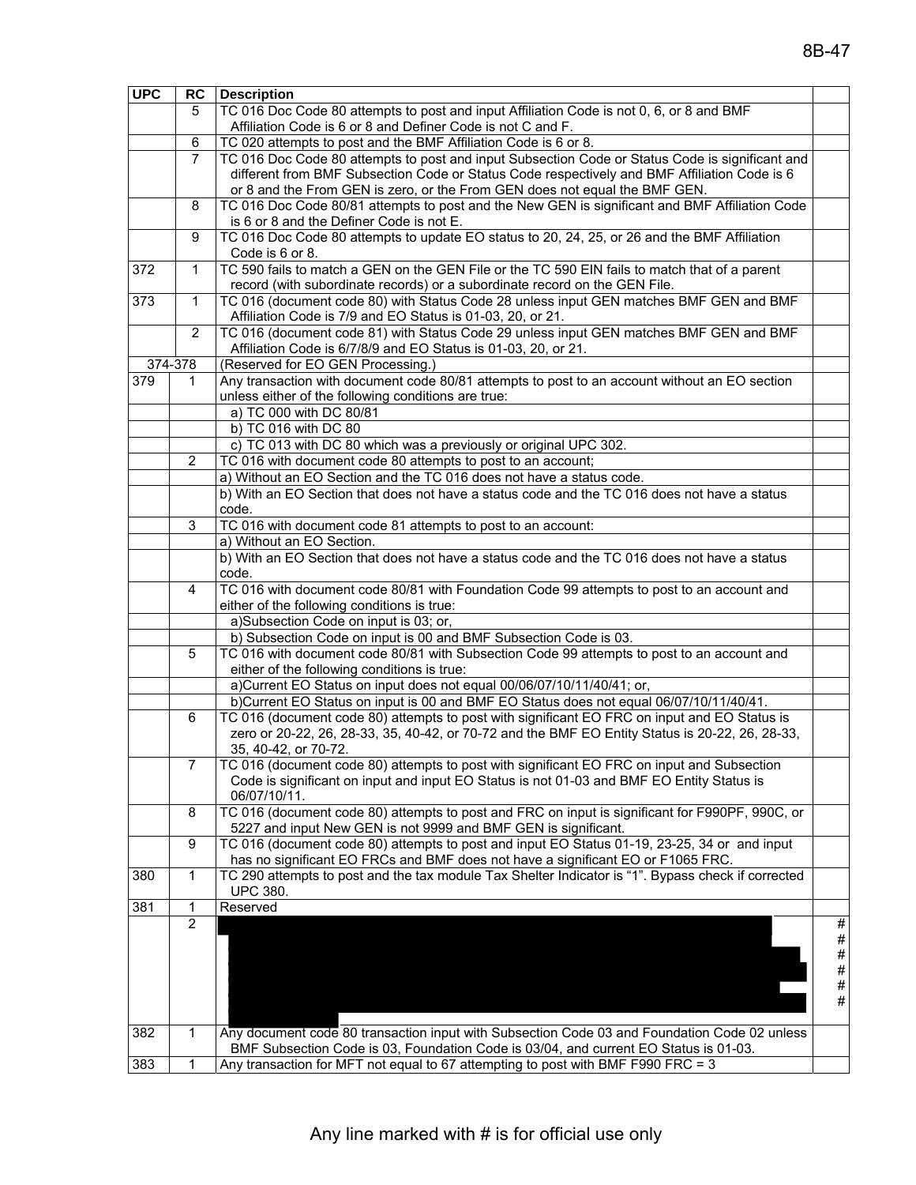| <b>UPC</b> |                | <b>RC</b> Description                                                                                           |      |
|------------|----------------|-----------------------------------------------------------------------------------------------------------------|------|
|            | 5              | TC 016 Doc Code 80 attempts to post and input Affiliation Code is not 0, 6, or 8 and BMF                        |      |
|            |                | Affiliation Code is 6 or 8 and Definer Code is not C and F.                                                     |      |
|            | 6              | TC 020 attempts to post and the BMF Affiliation Code is 6 or 8.                                                 |      |
|            | 7              | TC 016 Doc Code 80 attempts to post and input Subsection Code or Status Code is significant and                 |      |
|            |                | different from BMF Subsection Code or Status Code respectively and BMF Affiliation Code is 6                    |      |
|            |                | or 8 and the From GEN is zero, or the From GEN does not equal the BMF GEN.                                      |      |
|            | 8              | TC 016 Doc Code 80/81 attempts to post and the New GEN is significant and BMF Affiliation Code                  |      |
|            |                | is 6 or 8 and the Definer Code is not E.                                                                        |      |
|            | 9              | TC 016 Doc Code 80 attempts to update EO status to 20, 24, 25, or 26 and the BMF Affiliation                    |      |
|            |                | Code is 6 or 8.                                                                                                 |      |
| 372        | 1              | TC 590 fails to match a GEN on the GEN File or the TC 590 EIN fails to match that of a parent                   |      |
|            |                | record (with subordinate records) or a subordinate record on the GEN File.                                      |      |
| 373        | $\mathbf 1$    | TC 016 (document code 80) with Status Code 28 unless input GEN matches BMF GEN and BMF                          |      |
|            |                | Affiliation Code is 7/9 and EO Status is 01-03, 20, or 21.                                                      |      |
|            | $\overline{2}$ | TC 016 (document code 81) with Status Code 29 unless input GEN matches BMF GEN and BMF                          |      |
|            |                | Affiliation Code is 6/7/8/9 and EO Status is 01-03, 20, or 21.                                                  |      |
|            | 374-378        | (Reserved for EO GEN Processing.)                                                                               |      |
| 379        | 1.             | Any transaction with document code 80/81 attempts to post to an account without an EO section                   |      |
|            |                | unless either of the following conditions are true:                                                             |      |
|            |                | a) TC 000 with DC 80/81                                                                                         |      |
|            |                | b) TC 016 with DC 80                                                                                            |      |
|            |                | c) TC 013 with DC 80 which was a previously or original UPC 302.                                                |      |
|            | $\overline{2}$ | TC 016 with document code 80 attempts to post to an account;                                                    |      |
|            |                | a) Without an EO Section and the TC 016 does not have a status code.                                            |      |
|            |                | b) With an EO Section that does not have a status code and the TC 016 does not have a status                    |      |
|            |                | code.                                                                                                           |      |
|            | 3              | TC 016 with document code 81 attempts to post to an account:                                                    |      |
|            |                | a) Without an EO Section.                                                                                       |      |
|            |                | b) With an EO Section that does not have a status code and the TC 016 does not have a status                    |      |
|            |                | code.                                                                                                           |      |
|            | 4              | TC 016 with document code 80/81 with Foundation Code 99 attempts to post to an account and                      |      |
|            |                | either of the following conditions is true:                                                                     |      |
|            |                | a)Subsection Code on input is 03; or,                                                                           |      |
|            |                | b) Subsection Code on input is 00 and BMF Subsection Code is 03.                                                |      |
|            | 5              | TC 016 with document code 80/81 with Subsection Code 99 attempts to post to an account and                      |      |
|            |                | either of the following conditions is true:                                                                     |      |
|            |                | a)Current EO Status on input does not equal 00/06/07/10/11/40/41; or,                                           |      |
|            |                | b)Current EO Status on input is 00 and BMF EO Status does not equal 06/07/10/11/40/41.                          |      |
|            | 6              | TC 016 (document code 80) attempts to post with significant EO FRC on input and EO Status is                    |      |
|            |                | zero or 20-22, 26, 28-33, 35, 40-42, or 70-72 and the BMF EO Entity Status is 20-22, 26, 28-33,                 |      |
|            |                | 35, 40-42, or 70-72.                                                                                            |      |
|            | 7              | TC 016 (document code 80) attempts to post with significant EO FRC on input and Subsection                      |      |
|            |                | Code is significant on input and input EO Status is not 01-03 and BMF EO Entity Status is                       |      |
|            | 8              | 06/07/10/11.<br>TC 016 (document code 80) attempts to post and FRC on input is significant for F990PF, 990C, or |      |
|            |                | 5227 and input New GEN is not 9999 and BMF GEN is significant.                                                  |      |
|            | 9              | TC 016 (document code 80) attempts to post and input EO Status 01-19, 23-25, 34 or and input                    |      |
|            |                | has no significant EO FRCs and BMF does not have a significant EO or F1065 FRC.                                 |      |
| 380        | $\mathbf{1}$   | TC 290 attempts to post and the tax module Tax Shelter Indicator is "1". Bypass check if corrected              |      |
|            |                | <b>UPC 380.</b>                                                                                                 |      |
| 381        | 1              | Reserved                                                                                                        |      |
|            | $\overline{2}$ |                                                                                                                 | #    |
|            |                |                                                                                                                 | #    |
|            |                |                                                                                                                 | $\#$ |
|            |                |                                                                                                                 | $\#$ |
|            |                |                                                                                                                 | $\#$ |
|            |                |                                                                                                                 | #    |
|            |                |                                                                                                                 |      |
| 382        | 1              | Any document code 80 transaction input with Subsection Code 03 and Foundation Code 02 unless                    |      |
|            |                | BMF Subsection Code is 03, Foundation Code is 03/04, and current EO Status is 01-03.                            |      |
| 383        | 1              | Any transaction for MFT not equal to 67 attempting to post with BMF F990 FRC = 3                                |      |
|            |                |                                                                                                                 |      |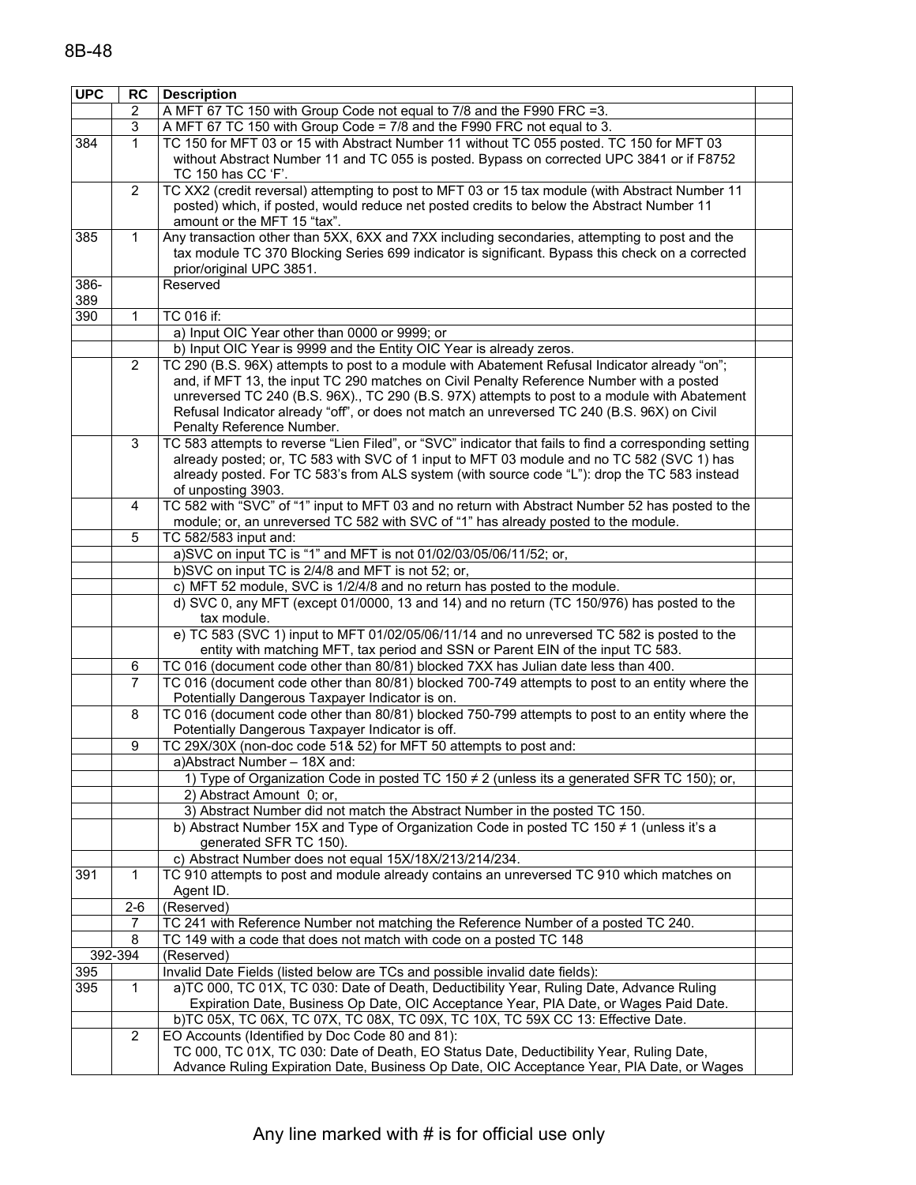| <b>UPC</b> | RC             | <b>Description</b>                                                                                                                                                                          |  |
|------------|----------------|---------------------------------------------------------------------------------------------------------------------------------------------------------------------------------------------|--|
|            | $\overline{2}$ | A MFT 67 TC 150 with Group Code not equal to 7/8 and the F990 FRC =3.                                                                                                                       |  |
|            | 3              | A MFT 67 TC 150 with Group Code = 7/8 and the F990 FRC not equal to 3.                                                                                                                      |  |
| 384        | $\mathbf{1}$   | TC 150 for MFT 03 or 15 with Abstract Number 11 without TC 055 posted. TC 150 for MFT 03                                                                                                    |  |
|            |                | without Abstract Number 11 and TC 055 is posted. Bypass on corrected UPC 3841 or if F8752                                                                                                   |  |
|            |                | TC 150 has CC 'F'.                                                                                                                                                                          |  |
|            | 2              | TC XX2 (credit reversal) attempting to post to MFT 03 or 15 tax module (with Abstract Number 11                                                                                             |  |
|            |                | posted) which, if posted, would reduce net posted credits to below the Abstract Number 11                                                                                                   |  |
|            |                | amount or the MFT 15 "tax".                                                                                                                                                                 |  |
| 385        | 1              | Any transaction other than 5XX, 6XX and 7XX including secondaries, attempting to post and the                                                                                               |  |
|            |                | tax module TC 370 Blocking Series 699 indicator is significant. Bypass this check on a corrected                                                                                            |  |
|            |                | prior/original UPC 3851.                                                                                                                                                                    |  |
| 386-       |                | Reserved                                                                                                                                                                                    |  |
| 389        |                |                                                                                                                                                                                             |  |
| 390        | 1              | TC 016 if:                                                                                                                                                                                  |  |
|            |                | a) Input OIC Year other than 0000 or 9999; or                                                                                                                                               |  |
|            |                | b) Input OIC Year is 9999 and the Entity OIC Year is already zeros.                                                                                                                         |  |
|            | 2              | TC 290 (B.S. 96X) attempts to post to a module with Abatement Refusal Indicator already "on";                                                                                               |  |
|            |                | and, if MFT 13, the input TC 290 matches on Civil Penalty Reference Number with a posted                                                                                                    |  |
|            |                | unreversed TC 240 (B.S. 96X)., TC 290 (B.S. 97X) attempts to post to a module with Abatement<br>Refusal Indicator already "off", or does not match an unreversed TC 240 (B.S. 96X) on Civil |  |
|            |                | Penalty Reference Number.                                                                                                                                                                   |  |
|            | 3              | TC 583 attempts to reverse "Lien Filed", or "SVC" indicator that fails to find a corresponding setting                                                                                      |  |
|            |                | already posted; or, TC 583 with SVC of 1 input to MFT 03 module and no TC 582 (SVC 1) has                                                                                                   |  |
|            |                | already posted. For TC 583's from ALS system (with source code "L"): drop the TC 583 instead                                                                                                |  |
|            |                | of unposting 3903.                                                                                                                                                                          |  |
|            | 4              | TC 582 with "SVC" of "1" input to MFT 03 and no return with Abstract Number 52 has posted to the                                                                                            |  |
|            |                | module; or, an unreversed TC 582 with SVC of "1" has already posted to the module.                                                                                                          |  |
|            | 5              | TC 582/583 input and:                                                                                                                                                                       |  |
|            |                | a)SVC on input TC is "1" and MFT is not 01/02/03/05/06/11/52; or,                                                                                                                           |  |
|            |                | b)SVC on input TC is 2/4/8 and MFT is not 52; or,                                                                                                                                           |  |
|            |                | c) MFT 52 module, SVC is 1/2/4/8 and no return has posted to the module.                                                                                                                    |  |
|            |                | d) SVC 0, any MFT (except 01/0000, 13 and 14) and no return (TC 150/976) has posted to the                                                                                                  |  |
|            |                | tax module.                                                                                                                                                                                 |  |
|            |                | e) TC 583 (SVC 1) input to MFT 01/02/05/06/11/14 and no unreversed TC 582 is posted to the                                                                                                  |  |
|            |                | entity with matching MFT, tax period and SSN or Parent EIN of the input TC 583.                                                                                                             |  |
|            | 6              | TC 016 (document code other than 80/81) blocked 7XX has Julian date less than 400.                                                                                                          |  |
|            | 7              | TC 016 (document code other than 80/81) blocked 700-749 attempts to post to an entity where the                                                                                             |  |
|            |                | Potentially Dangerous Taxpayer Indicator is on.                                                                                                                                             |  |
|            | 8              | TC 016 (document code other than 80/81) blocked 750-799 attempts to post to an entity where the                                                                                             |  |
|            | 9              | Potentially Dangerous Taxpayer Indicator is off.<br>TC 29X/30X (non-doc code 51& 52) for MFT 50 attempts to post and:                                                                       |  |
|            |                | a)Abstract Number - 18X and:                                                                                                                                                                |  |
|            |                | 1) Type of Organization Code in posted TC 150 ≠ 2 (unless its a generated SFR TC 150); or,                                                                                                  |  |
|            |                | 2) Abstract Amount 0; or,                                                                                                                                                                   |  |
|            |                | 3) Abstract Number did not match the Abstract Number in the posted TC 150.                                                                                                                  |  |
|            |                | b) Abstract Number 15X and Type of Organization Code in posted TC 150 $\neq$ 1 (unless it's a                                                                                               |  |
|            |                | generated SFR TC 150).                                                                                                                                                                      |  |
|            |                | c) Abstract Number does not equal 15X/18X/213/214/234.                                                                                                                                      |  |
| 391        | 1              | TC 910 attempts to post and module already contains an unreversed TC 910 which matches on                                                                                                   |  |
|            |                | Agent ID.                                                                                                                                                                                   |  |
|            | $2 - 6$        | (Reserved)                                                                                                                                                                                  |  |
|            | 7              | TC 241 with Reference Number not matching the Reference Number of a posted TC 240.                                                                                                          |  |
|            | 8              | TC 149 with a code that does not match with code on a posted TC 148                                                                                                                         |  |
|            | 392-394        | (Reserved)                                                                                                                                                                                  |  |
| 395        |                | Invalid Date Fields (listed below are TCs and possible invalid date fields):                                                                                                                |  |
| 395        | $\mathbf{1}$   | a)TC 000, TC 01X, TC 030: Date of Death, Deductibility Year, Ruling Date, Advance Ruling                                                                                                    |  |
|            |                | Expiration Date, Business Op Date, OIC Acceptance Year, PIA Date, or Wages Paid Date.                                                                                                       |  |
|            |                | b)TC 05X, TC 06X, TC 07X, TC 08X, TC 09X, TC 10X, TC 59X CC 13: Effective Date.                                                                                                             |  |
|            | 2              | EO Accounts (Identified by Doc Code 80 and 81):                                                                                                                                             |  |
|            |                | TC 000, TC 01X, TC 030: Date of Death, EO Status Date, Deductibility Year, Ruling Date,                                                                                                     |  |
|            |                | Advance Ruling Expiration Date, Business Op Date, OIC Acceptance Year, PIA Date, or Wages                                                                                                   |  |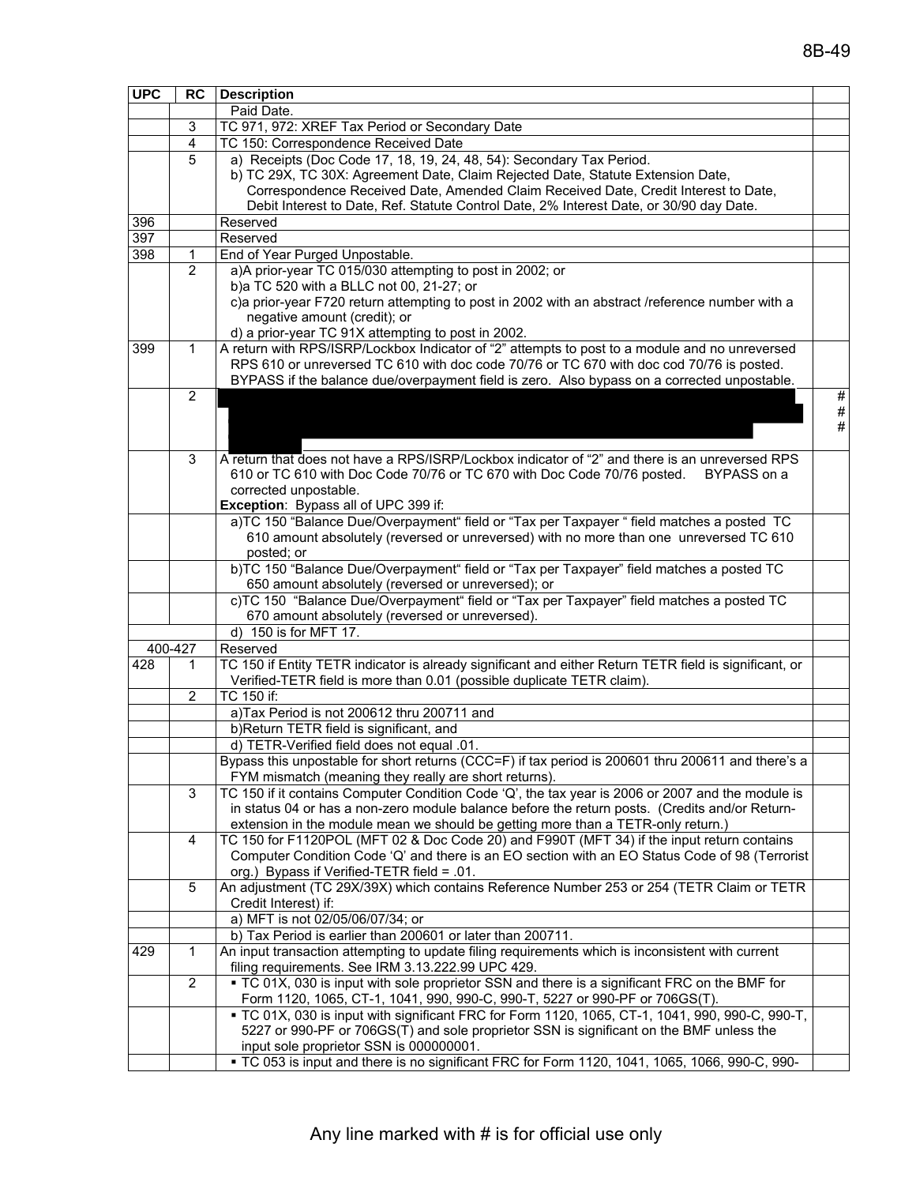| <b>UPC</b> | <b>RC</b>      | <b>Description</b>                                                                                     |      |
|------------|----------------|--------------------------------------------------------------------------------------------------------|------|
|            |                | Paid Date.                                                                                             |      |
|            | 3              | TC 971, 972: XREF Tax Period or Secondary Date                                                         |      |
|            | 4              | TC 150: Correspondence Received Date                                                                   |      |
|            | 5              | a) Receipts (Doc Code 17, 18, 19, 24, 48, 54): Secondary Tax Period.                                   |      |
|            |                | b) TC 29X, TC 30X: Agreement Date, Claim Rejected Date, Statute Extension Date,                        |      |
|            |                | Correspondence Received Date, Amended Claim Received Date, Credit Interest to Date,                    |      |
|            |                | Debit Interest to Date, Ref. Statute Control Date, 2% Interest Date, or 30/90 day Date.                |      |
| 396        |                | Reserved                                                                                               |      |
| 397        |                | Reserved                                                                                               |      |
| 398        | $\mathbf{1}$   | End of Year Purged Unpostable.                                                                         |      |
|            | $\overline{2}$ | a)A prior-year TC 015/030 attempting to post in 2002; or                                               |      |
|            |                | b)a TC 520 with a BLLC not 00, 21-27; or                                                               |      |
|            |                | c)a prior-year F720 return attempting to post in 2002 with an abstract /reference number with a        |      |
|            |                | negative amount (credit); or                                                                           |      |
|            |                | d) a prior-year TC 91X attempting to post in 2002.                                                     |      |
| 399        | $\mathbf{1}$   | A return with RPS/ISRP/Lockbox Indicator of "2" attempts to post to a module and no unreversed         |      |
|            |                | RPS 610 or unreversed TC 610 with doc code 70/76 or TC 670 with doc cod 70/76 is posted.               |      |
|            |                | BYPASS if the balance due/overpayment field is zero. Also bypass on a corrected unpostable.            |      |
|            | 2              |                                                                                                        | $\#$ |
|            |                |                                                                                                        | $\#$ |
|            |                |                                                                                                        | #    |
|            |                |                                                                                                        |      |
|            | 3              | A return that does not have a RPS/ISRP/Lockbox indicator of "2" and there is an unreversed RPS         |      |
|            |                | 610 or TC 610 with Doc Code 70/76 or TC 670 with Doc Code 70/76 posted.<br>BYPASS on a                 |      |
|            |                | corrected unpostable.                                                                                  |      |
|            |                | Exception: Bypass all of UPC 399 if:                                                                   |      |
|            |                | a)TC 150 "Balance Due/Overpayment" field or "Tax per Taxpayer " field matches a posted TC              |      |
|            |                | 610 amount absolutely (reversed or unreversed) with no more than one unreversed TC 610                 |      |
|            |                | posted; or<br>b)TC 150 "Balance Due/Overpayment" field or "Tax per Taxpayer" field matches a posted TC |      |
|            |                | 650 amount absolutely (reversed or unreversed); or                                                     |      |
|            |                | c)TC 150 "Balance Due/Overpayment" field or "Tax per Taxpayer" field matches a posted TC               |      |
|            |                | 670 amount absolutely (reversed or unreversed).                                                        |      |
|            |                | d) 150 is for MFT 17.                                                                                  |      |
|            | 400-427        | Reserved                                                                                               |      |
| 428        | 1              | TC 150 if Entity TETR indicator is already significant and either Return TETR field is significant, or |      |
|            |                | Verified-TETR field is more than 0.01 (possible duplicate TETR claim).                                 |      |
|            | $\overline{2}$ | TC 150 if:                                                                                             |      |
|            |                | a)Tax Period is not 200612 thru 200711 and                                                             |      |
|            |                | b)Return TETR field is significant, and                                                                |      |
|            |                | d) TETR-Verified field does not equal .01.                                                             |      |
|            |                | Bypass this unpostable for short returns (CCC=F) if tax period is 200601 thru 200611 and there's a     |      |
|            |                | FYM mismatch (meaning they really are short returns).                                                  |      |
|            | 3              | TC 150 if it contains Computer Condition Code 'Q', the tax year is 2006 or 2007 and the module is      |      |
|            |                | in status 04 or has a non-zero module balance before the return posts. (Credits and/or Return-         |      |
|            |                | extension in the module mean we should be getting more than a TETR-only return.)                       |      |
|            | 4              | TC 150 for F1120POL (MFT 02 & Doc Code 20) and F990T (MFT 34) if the input return contains             |      |
|            |                | Computer Condition Code 'Q' and there is an EO section with an EO Status Code of 98 (Terrorist         |      |
|            |                | org.) Bypass if Verified-TETR field = .01.                                                             |      |
|            | 5              | An adjustment (TC 29X/39X) which contains Reference Number 253 or 254 (TETR Claim or TETR              |      |
|            |                | Credit Interest) if:                                                                                   |      |
|            |                | a) MFT is not 02/05/06/07/34; or                                                                       |      |
|            |                | b) Tax Period is earlier than 200601 or later than 200711.                                             |      |
| 429        | 1              | An input transaction attempting to update filing requirements which is inconsistent with current       |      |
|            |                | filing requirements. See IRM 3.13.222.99 UPC 429.                                                      |      |
|            | $\overline{2}$ | • TC 01X, 030 is input with sole proprietor SSN and there is a significant FRC on the BMF for          |      |
|            |                | Form 1120, 1065, CT-1, 1041, 990, 990-C, 990-T, 5227 or 990-PF or 706GS(T).                            |      |
|            |                | - TC 01X, 030 is input with significant FRC for Form 1120, 1065, CT-1, 1041, 990, 990-C, 990-T,        |      |
|            |                | 5227 or 990-PF or 706GS(T) and sole proprietor SSN is significant on the BMF unless the                |      |
|            |                | input sole proprietor SSN is 000000001.                                                                |      |
|            |                | - TC 053 is input and there is no significant FRC for Form 1120, 1041, 1065, 1066, 990-C, 990-         |      |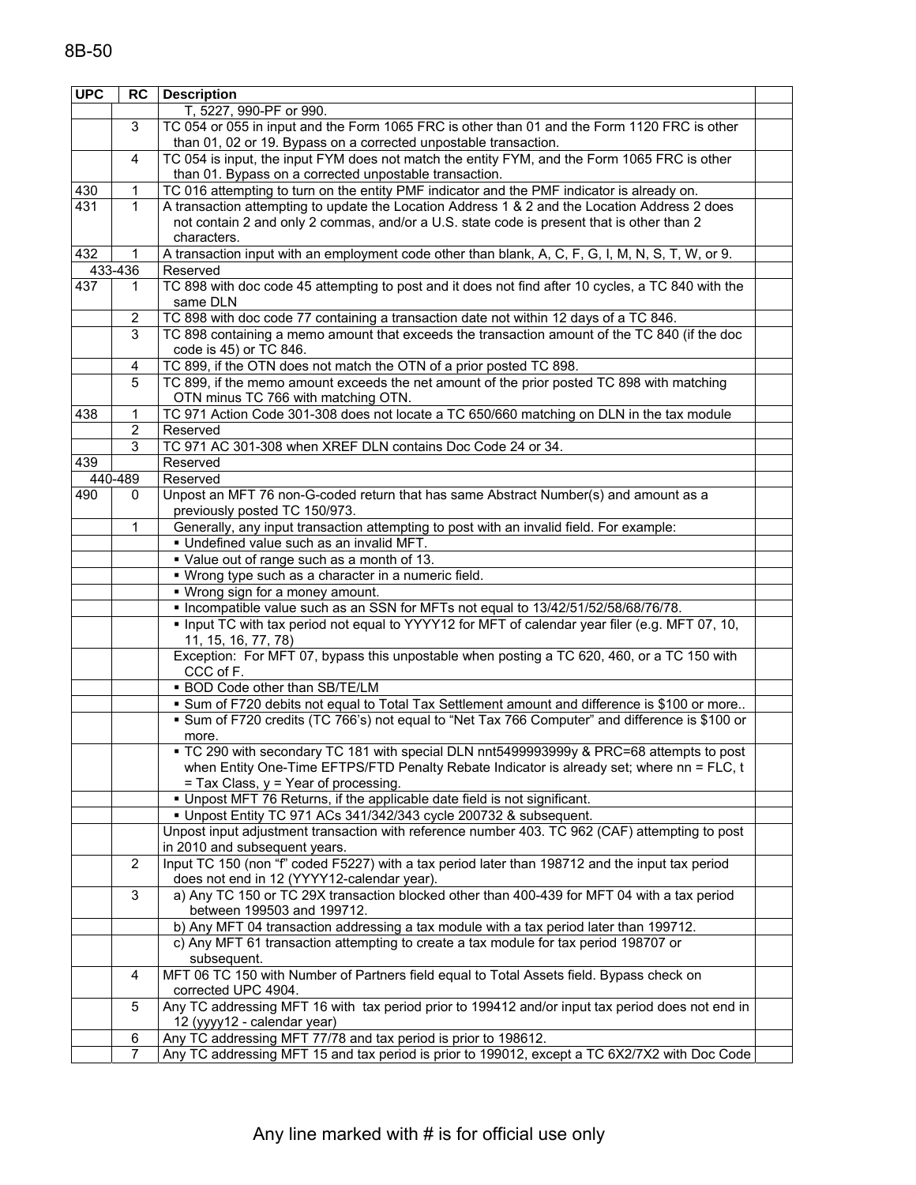| <b>UPC</b> | <b>RC</b>        | <b>Description</b>                                                                                                                                                                                                            |  |
|------------|------------------|-------------------------------------------------------------------------------------------------------------------------------------------------------------------------------------------------------------------------------|--|
|            |                  | T, 5227, 990-PF or 990.                                                                                                                                                                                                       |  |
|            | $\mathbf{3}$     | TC 054 or 055 in input and the Form 1065 FRC is other than 01 and the Form 1120 FRC is other                                                                                                                                  |  |
|            |                  | than 01, 02 or 19. Bypass on a corrected unpostable transaction.                                                                                                                                                              |  |
|            | $\overline{4}$   | TC 054 is input, the input FYM does not match the entity FYM, and the Form 1065 FRC is other                                                                                                                                  |  |
|            |                  | than 01. Bypass on a corrected unpostable transaction.                                                                                                                                                                        |  |
| 430        | 1                | TC 016 attempting to turn on the entity PMF indicator and the PMF indicator is already on.                                                                                                                                    |  |
| 431        | $\mathbf 1$      | A transaction attempting to update the Location Address 1 & 2 and the Location Address 2 does                                                                                                                                 |  |
|            |                  | not contain 2 and only 2 commas, and/or a U.S. state code is present that is other than 2                                                                                                                                     |  |
|            |                  | characters.                                                                                                                                                                                                                   |  |
| 432        |                  | A transaction input with an employment code other than blank, A, C, F, G, I, M, N, S, T, W, or 9.                                                                                                                             |  |
|            | 433-436          | Reserved                                                                                                                                                                                                                      |  |
| 437        | 1                | TC 898 with doc code 45 attempting to post and it does not find after 10 cycles, a TC 840 with the                                                                                                                            |  |
|            |                  | same DLN                                                                                                                                                                                                                      |  |
|            | 2                | TC 898 with doc code 77 containing a transaction date not within 12 days of a TC 846.                                                                                                                                         |  |
|            | 3                | TC 898 containing a memo amount that exceeds the transaction amount of the TC 840 (if the doc                                                                                                                                 |  |
|            |                  | code is 45) or TC 846.<br>TC 899, if the OTN does not match the OTN of a prior posted TC 898.                                                                                                                                 |  |
|            | 4<br>5           | TC 899, if the memo amount exceeds the net amount of the prior posted TC 898 with matching                                                                                                                                    |  |
|            |                  | OTN minus TC 766 with matching OTN.                                                                                                                                                                                           |  |
| 438        | 1                | TC 971 Action Code 301-308 does not locate a TC 650/660 matching on DLN in the tax module                                                                                                                                     |  |
|            | $\boldsymbol{2}$ | Reserved                                                                                                                                                                                                                      |  |
|            | 3                | TC 971 AC 301-308 when XREF DLN contains Doc Code 24 or 34.                                                                                                                                                                   |  |
| 439        |                  | Reserved                                                                                                                                                                                                                      |  |
|            | 440-489          | Reserved                                                                                                                                                                                                                      |  |
| 490        | 0                | Unpost an MFT 76 non-G-coded return that has same Abstract Number(s) and amount as a<br>previously posted TC 150/973.                                                                                                         |  |
|            | $\mathbf{1}$     | Generally, any input transaction attempting to post with an invalid field. For example:                                                                                                                                       |  |
|            |                  | . Undefined value such as an invalid MFT.                                                                                                                                                                                     |  |
|            |                  | • Value out of range such as a month of 13.                                                                                                                                                                                   |  |
|            |                  | • Wrong type such as a character in a numeric field.                                                                                                                                                                          |  |
|            |                  | . Wrong sign for a money amount.                                                                                                                                                                                              |  |
|            |                  | • Incompatible value such as an SSN for MFTs not equal to 13/42/51/52/58/68/76/78.                                                                                                                                            |  |
|            |                  | . Input TC with tax period not equal to YYYY12 for MFT of calendar year filer (e.g. MFT 07, 10,<br>11, 15, 16, 77, 78)                                                                                                        |  |
|            |                  | Exception: For MFT 07, bypass this unpostable when posting a TC 620, 460, or a TC 150 with<br>CCC of F.                                                                                                                       |  |
|            |                  | . BOD Code other than SB/TE/LM                                                                                                                                                                                                |  |
|            |                  | . Sum of F720 debits not equal to Total Tax Settlement amount and difference is \$100 or more                                                                                                                                 |  |
|            |                  | • Sum of F720 credits (TC 766's) not equal to "Net Tax 766 Computer" and difference is \$100 or<br>more.                                                                                                                      |  |
|            |                  | - TC 290 with secondary TC 181 with special DLN nnt5499993999y & PRC=68 attempts to post<br>when Entity One-Time EFTPS/FTD Penalty Rebate Indicator is already set; where nn = FLC, t<br>= Tax Class, y = Year of processing. |  |
|            |                  | . Unpost MFT 76 Returns, if the applicable date field is not significant.                                                                                                                                                     |  |
|            |                  | • Unpost Entity TC 971 ACs 341/342/343 cycle 200732 & subsequent.                                                                                                                                                             |  |
|            |                  | Unpost input adjustment transaction with reference number 403. TC 962 (CAF) attempting to post<br>in 2010 and subsequent years.                                                                                               |  |
|            | $\overline{2}$   | Input TC 150 (non "f" coded F5227) with a tax period later than 198712 and the input tax period<br>does not end in 12 (YYYY12-calendar year).                                                                                 |  |
|            | $\mathbf{3}$     | a) Any TC 150 or TC 29X transaction blocked other than 400-439 for MFT 04 with a tax period<br>between 199503 and 199712.                                                                                                     |  |
|            |                  | b) Any MFT 04 transaction addressing a tax module with a tax period later than 199712.                                                                                                                                        |  |
|            |                  | c) Any MFT 61 transaction attempting to create a tax module for tax period 198707 or                                                                                                                                          |  |
|            |                  | subsequent.                                                                                                                                                                                                                   |  |
|            | 4                | MFT 06 TC 150 with Number of Partners field equal to Total Assets field. Bypass check on                                                                                                                                      |  |
|            |                  | corrected UPC 4904.                                                                                                                                                                                                           |  |
|            | 5                | Any TC addressing MFT 16 with tax period prior to 199412 and/or input tax period does not end in<br>12 (yyyy12 - calendar year)                                                                                               |  |
|            | 6                | Any TC addressing MFT 77/78 and tax period is prior to 198612.                                                                                                                                                                |  |
|            | 7                | Any TC addressing MFT 15 and tax period is prior to 199012, except a TC 6X2/7X2 with Doc Code                                                                                                                                 |  |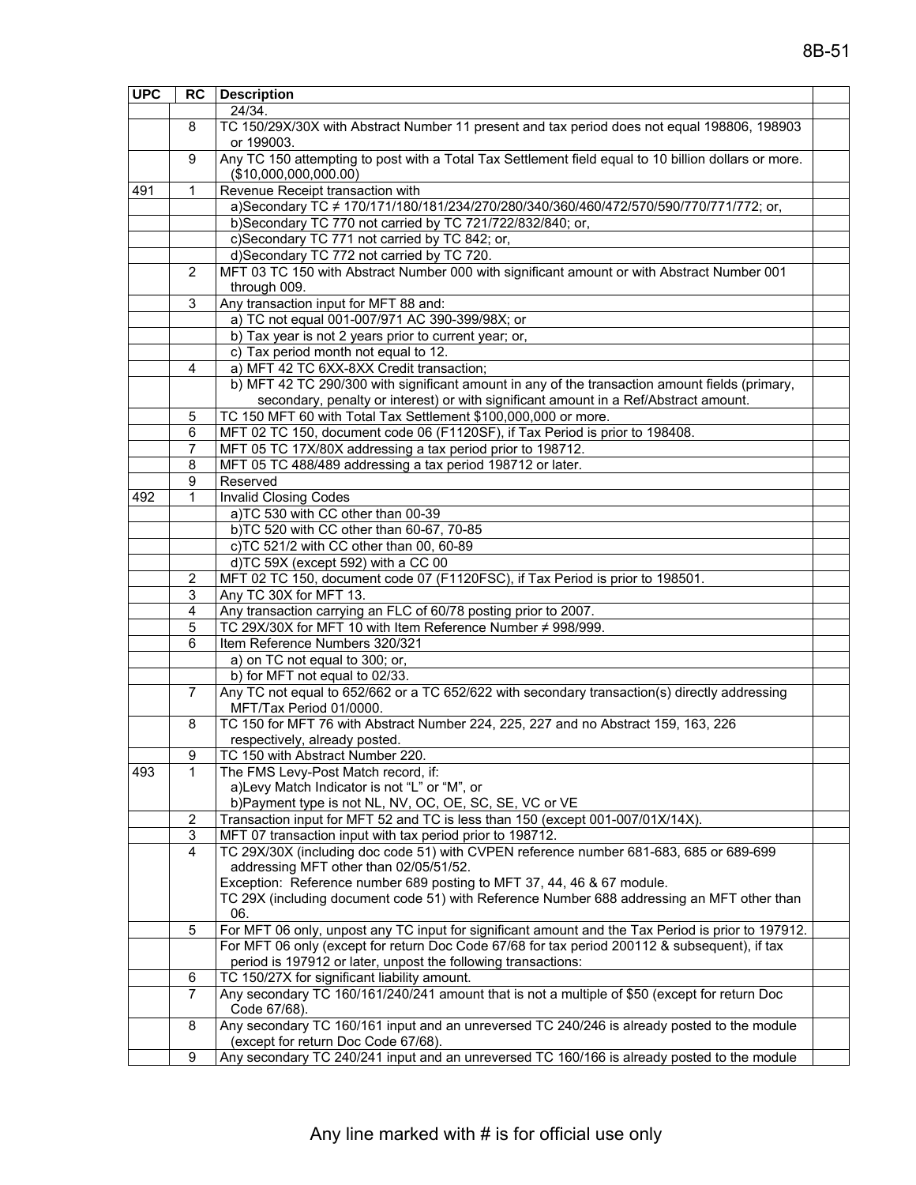| <b>UPC</b> | <b>RC</b> | <b>Description</b>                                                                                   |  |
|------------|-----------|------------------------------------------------------------------------------------------------------|--|
|            |           | 24/34.                                                                                               |  |
|            | 8         | TC 150/29X/30X with Abstract Number 11 present and tax period does not equal 198806, 198903          |  |
|            |           | or 199003.                                                                                           |  |
|            | 9         | Any TC 150 attempting to post with a Total Tax Settlement field equal to 10 billion dollars or more. |  |
|            |           | (\$10,000,000,000.00)                                                                                |  |
| 491        | 1         | Revenue Receipt transaction with                                                                     |  |
|            |           | a)Secondary TC ≠ 170/171/180/181/234/270/280/340/360/460/472/570/590/770/771/772; or,                |  |
|            |           | b)Secondary TC 770 not carried by TC 721/722/832/840; or,                                            |  |
|            |           | c)Secondary TC 771 not carried by TC 842; or,                                                        |  |
|            |           | d)Secondary TC 772 not carried by TC 720.                                                            |  |
|            | 2         | MFT 03 TC 150 with Abstract Number 000 with significant amount or with Abstract Number 001           |  |
|            |           | through 009.                                                                                         |  |
|            |           |                                                                                                      |  |
|            | 3         | Any transaction input for MFT 88 and:                                                                |  |
|            |           | a) TC not equal 001-007/971 AC 390-399/98X; or                                                       |  |
|            |           | b) Tax year is not 2 years prior to current year; or,                                                |  |
|            |           | c) Tax period month not equal to 12.                                                                 |  |
|            | 4         | a) MFT 42 TC 6XX-8XX Credit transaction;                                                             |  |
|            |           | b) MFT 42 TC 290/300 with significant amount in any of the transaction amount fields (primary,       |  |
|            |           | secondary, penalty or interest) or with significant amount in a Ref/Abstract amount.                 |  |
|            | 5         | TC 150 MFT 60 with Total Tax Settlement \$100,000,000 or more.                                       |  |
|            | 6         | MFT 02 TC 150, document code 06 (F1120SF), if Tax Period is prior to 198408.                         |  |
|            | 7         | MFT 05 TC 17X/80X addressing a tax period prior to 198712.                                           |  |
|            | 8         | MFT 05 TC 488/489 addressing a tax period 198712 or later.                                           |  |
|            | 9         | Reserved                                                                                             |  |
| 492        | 1         | <b>Invalid Closing Codes</b>                                                                         |  |
|            |           | a)TC 530 with CC other than 00-39                                                                    |  |
|            |           | b)TC 520 with CC other than 60-67, 70-85                                                             |  |
|            |           | c)TC 521/2 with CC other than 00, 60-89                                                              |  |
|            |           | d)TC 59X (except 592) with a CC 00                                                                   |  |
|            | 2         | MFT 02 TC 150, document code 07 (F1120FSC), if Tax Period is prior to 198501.                        |  |
|            | 3         | Any TC 30X for MFT 13.                                                                               |  |
|            | 4         | Any transaction carrying an FLC of 60/78 posting prior to 2007.                                      |  |
|            | 5         | TC 29X/30X for MFT 10 with Item Reference Number ≠ 998/999.                                          |  |
|            | 6         | Item Reference Numbers 320/321                                                                       |  |
|            |           |                                                                                                      |  |
|            |           | a) on TC not equal to 300; or,<br>b) for MFT not equal to 02/33.                                     |  |
|            |           |                                                                                                      |  |
|            | 7         | Any TC not equal to 652/662 or a TC 652/622 with secondary transaction(s) directly addressing        |  |
|            |           | MFT/Tax Period 01/0000.                                                                              |  |
|            | 8         | TC 150 for MFT 76 with Abstract Number 224, 225, 227 and no Abstract 159, 163, 226                   |  |
|            |           | respectively, already posted.                                                                        |  |
|            | 9         | TC 150 with Abstract Number 220.                                                                     |  |
| 493        | 1         | The FMS Levy-Post Match record, if:                                                                  |  |
|            |           | a)Levy Match Indicator is not "L" or "M", or                                                         |  |
|            |           | b)Payment type is not NL, NV, OC, OE, SC, SE, VC or VE                                               |  |
|            | 2         | Transaction input for MFT 52 and TC is less than 150 (except 001-007/01X/14X).                       |  |
|            | 3         | MFT 07 transaction input with tax period prior to 198712.                                            |  |
|            | 4         | TC 29X/30X (including doc code 51) with CVPEN reference number 681-683, 685 or 689-699               |  |
|            |           | addressing MFT other than 02/05/51/52.                                                               |  |
|            |           | Exception: Reference number 689 posting to MFT 37, 44, 46 & 67 module.                               |  |
|            |           | TC 29X (including document code 51) with Reference Number 688 addressing an MFT other than           |  |
|            |           | 06.                                                                                                  |  |
|            | 5         | For MFT 06 only, unpost any TC input for significant amount and the Tax Period is prior to 197912.   |  |
|            |           | For MFT 06 only (except for return Doc Code 67/68 for tax period 200112 & subsequent), if tax        |  |
|            |           | period is 197912 or later, unpost the following transactions:                                        |  |
|            | 6         | TC 150/27X for significant liability amount.                                                         |  |
|            | 7         | Any secondary TC 160/161/240/241 amount that is not a multiple of \$50 (except for return Doc        |  |
|            |           | Code 67/68).                                                                                         |  |
|            | 8         | Any secondary TC 160/161 input and an unreversed TC 240/246 is already posted to the module          |  |
|            |           | (except for return Doc Code 67/68).                                                                  |  |
|            | 9         | Any secondary TC 240/241 input and an unreversed TC 160/166 is already posted to the module          |  |
|            |           |                                                                                                      |  |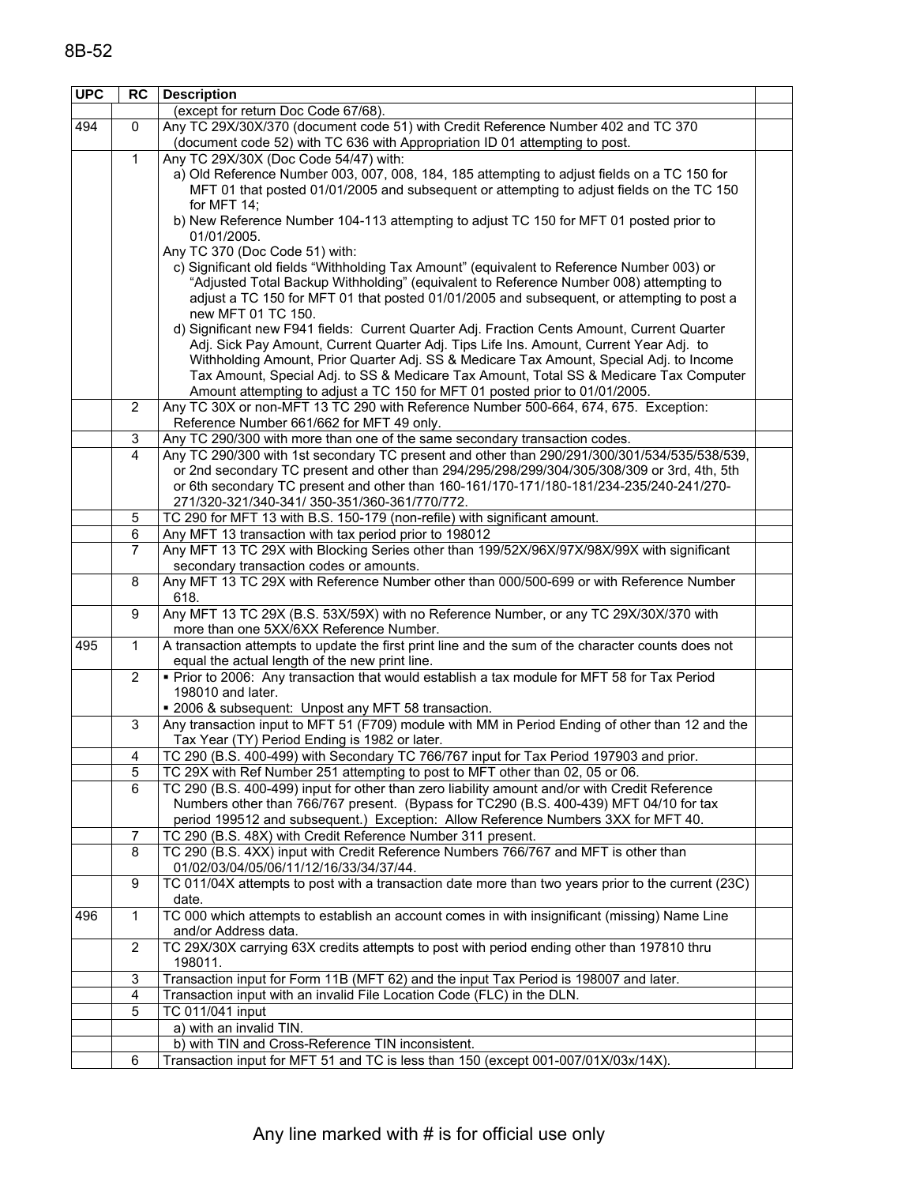| <b>UPC</b> | RC             | <b>Description</b>                                                                                                                                                                      |  |
|------------|----------------|-----------------------------------------------------------------------------------------------------------------------------------------------------------------------------------------|--|
|            |                | (except for return Doc Code 67/68).                                                                                                                                                     |  |
| 494        | $\mathbf{0}$   | Any TC 29X/30X/370 (document code 51) with Credit Reference Number 402 and TC 370                                                                                                       |  |
|            |                | (document code 52) with TC 636 with Appropriation ID 01 attempting to post.                                                                                                             |  |
|            | $\mathbf{1}$   | Any TC 29X/30X (Doc Code 54/47) with:                                                                                                                                                   |  |
|            |                | a) Old Reference Number 003, 007, 008, 184, 185 attempting to adjust fields on a TC 150 for                                                                                             |  |
|            |                | MFT 01 that posted 01/01/2005 and subsequent or attempting to adjust fields on the TC 150<br>for MFT $14$ ;                                                                             |  |
|            |                | b) New Reference Number 104-113 attempting to adjust TC 150 for MFT 01 posted prior to                                                                                                  |  |
|            |                | 01/01/2005.                                                                                                                                                                             |  |
|            |                | Any TC 370 (Doc Code 51) with:                                                                                                                                                          |  |
|            |                | c) Significant old fields "Withholding Tax Amount" (equivalent to Reference Number 003) or                                                                                              |  |
|            |                | "Adjusted Total Backup Withholding" (equivalent to Reference Number 008) attempting to                                                                                                  |  |
|            |                | adjust a TC 150 for MFT 01 that posted 01/01/2005 and subsequent, or attempting to post a                                                                                               |  |
|            |                | new MFT 01 TC 150.<br>d) Significant new F941 fields: Current Quarter Adj. Fraction Cents Amount, Current Quarter                                                                       |  |
|            |                | Adj. Sick Pay Amount, Current Quarter Adj. Tips Life Ins. Amount, Current Year Adj. to                                                                                                  |  |
|            |                | Withholding Amount, Prior Quarter Adj. SS & Medicare Tax Amount, Special Adj. to Income                                                                                                 |  |
|            |                | Tax Amount, Special Adj. to SS & Medicare Tax Amount, Total SS & Medicare Tax Computer                                                                                                  |  |
|            |                | Amount attempting to adjust a TC 150 for MFT 01 posted prior to 01/01/2005.                                                                                                             |  |
|            | 2              | Any TC 30X or non-MFT 13 TC 290 with Reference Number 500-664, 674, 675. Exception:                                                                                                     |  |
|            |                | Reference Number 661/662 for MFT 49 only.                                                                                                                                               |  |
|            | 3              | Any TC 290/300 with more than one of the same secondary transaction codes.                                                                                                              |  |
|            | 4              | Any TC 290/300 with 1st secondary TC present and other than 290/291/300/301/534/535/538/539,                                                                                            |  |
|            |                | or 2nd secondary TC present and other than 294/295/298/299/304/305/308/309 or 3rd, 4th, 5th<br>or 6th secondary TC present and other than 160-161/170-171/180-181/234-235/240-241/270-  |  |
|            |                | 271/320-321/340-341/350-351/360-361/770/772.                                                                                                                                            |  |
|            | 5              | TC 290 for MFT 13 with B.S. 150-179 (non-refile) with significant amount.                                                                                                               |  |
|            | 6              | Any MFT 13 transaction with tax period prior to 198012                                                                                                                                  |  |
|            | 7              | Any MFT 13 TC 29X with Blocking Series other than 199/52X/96X/97X/98X/99X with significant                                                                                              |  |
|            |                | secondary transaction codes or amounts.                                                                                                                                                 |  |
|            | 8              | Any MFT 13 TC 29X with Reference Number other than 000/500-699 or with Reference Number                                                                                                 |  |
|            |                | 618.                                                                                                                                                                                    |  |
|            | 9              | Any MFT 13 TC 29X (B.S. 53X/59X) with no Reference Number, or any TC 29X/30X/370 with                                                                                                   |  |
| 495        | $\mathbf{1}$   | more than one 5XX/6XX Reference Number.<br>A transaction attempts to update the first print line and the sum of the character counts does not                                           |  |
|            |                | equal the actual length of the new print line.                                                                                                                                          |  |
|            | $\overline{2}$ | . Prior to 2006: Any transaction that would establish a tax module for MFT 58 for Tax Period                                                                                            |  |
|            |                | 198010 and later.                                                                                                                                                                       |  |
|            |                | " 2006 & subsequent: Unpost any MFT 58 transaction.                                                                                                                                     |  |
|            | 3              | Any transaction input to MFT 51 (F709) module with MM in Period Ending of other than 12 and the                                                                                         |  |
|            |                | Tax Year (TY) Period Ending is 1982 or later.                                                                                                                                           |  |
|            | 4              | TC 290 (B.S. 400-499) with Secondary TC 766/767 input for Tax Period 197903 and prior.                                                                                                  |  |
|            | 5              | TC 29X with Ref Number 251 attempting to post to MFT other than 02, 05 or 06.                                                                                                           |  |
|            | 6              | TC 290 (B.S. 400-499) input for other than zero liability amount and/or with Credit Reference<br>Numbers other than 766/767 present. (Bypass for TC290 (B.S. 400-439) MFT 04/10 for tax |  |
|            |                | period 199512 and subsequent.) Exception: Allow Reference Numbers 3XX for MFT 40.                                                                                                       |  |
|            | 7              | TC 290 (B.S. 48X) with Credit Reference Number 311 present.                                                                                                                             |  |
|            | 8              | TC 290 (B.S. 4XX) input with Credit Reference Numbers 766/767 and MFT is other than                                                                                                     |  |
|            |                | 01/02/03/04/05/06/11/12/16/33/34/37/44.                                                                                                                                                 |  |
|            | 9              | TC 011/04X attempts to post with a transaction date more than two years prior to the current (23C)                                                                                      |  |
|            |                | date.                                                                                                                                                                                   |  |
| 496        | $\mathbf{1}$   | TC 000 which attempts to establish an account comes in with insignificant (missing) Name Line                                                                                           |  |
|            |                | and/or Address data.                                                                                                                                                                    |  |
|            | 2              | TC 29X/30X carrying 63X credits attempts to post with period ending other than 197810 thru                                                                                              |  |
|            | 3              | 198011.<br>Transaction input for Form 11B (MFT 62) and the input Tax Period is 198007 and later.                                                                                        |  |
|            | 4              | Transaction input with an invalid File Location Code (FLC) in the DLN.                                                                                                                  |  |
|            | 5              | TC 011/041 input                                                                                                                                                                        |  |
|            |                | a) with an invalid TIN.                                                                                                                                                                 |  |
|            |                | b) with TIN and Cross-Reference TIN inconsistent.                                                                                                                                       |  |
|            | 6              | Transaction input for MFT 51 and TC is less than 150 (except 001-007/01X/03x/14X).                                                                                                      |  |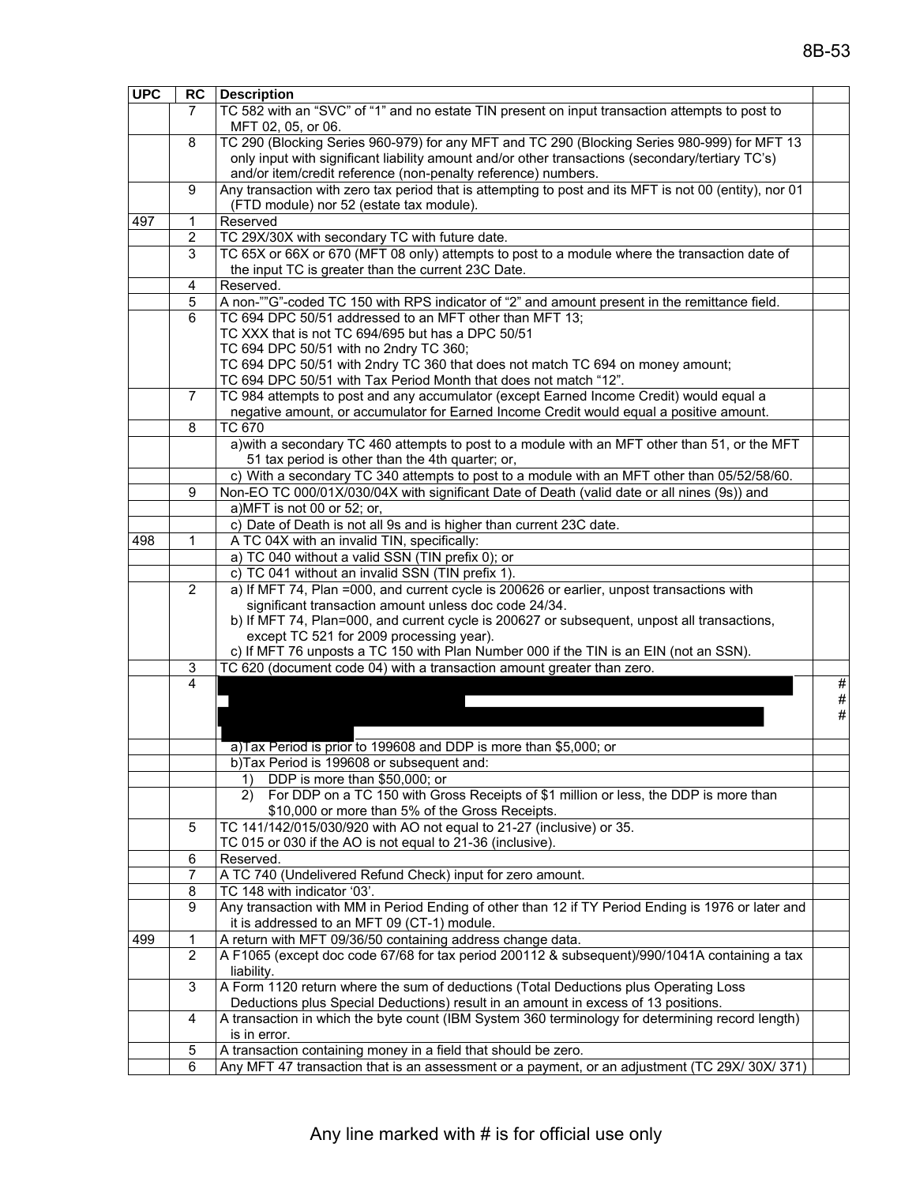| <b>UPC</b> | RC <sub>1</sub> | <b>Description</b>                                                                                     |      |
|------------|-----------------|--------------------------------------------------------------------------------------------------------|------|
|            | 7               | TC 582 with an "SVC" of "1" and no estate TIN present on input transaction attempts to post to         |      |
|            |                 | MFT 02, 05, or 06.                                                                                     |      |
|            | 8               | TC 290 (Blocking Series 960-979) for any MFT and TC 290 (Blocking Series 980-999) for MFT 13           |      |
|            |                 | only input with significant liability amount and/or other transactions (secondary/tertiary TC's)       |      |
|            |                 | and/or item/credit reference (non-penalty reference) numbers.                                          |      |
|            | 9               | Any transaction with zero tax period that is attempting to post and its MFT is not 00 (entity), nor 01 |      |
|            |                 | (FTD module) nor 52 (estate tax module).                                                               |      |
| 497        | 1               | Reserved                                                                                               |      |
|            | $\overline{c}$  | TC 29X/30X with secondary TC with future date.                                                         |      |
|            | 3               | TC 65X or 66X or 670 (MFT 08 only) attempts to post to a module where the transaction date of          |      |
|            |                 | the input TC is greater than the current 23C Date.                                                     |      |
|            | 4               | Reserved.                                                                                              |      |
|            | 5               | A non-""G"-coded TC 150 with RPS indicator of "2" and amount present in the remittance field.          |      |
|            | 6               | TC 694 DPC 50/51 addressed to an MFT other than MFT 13;                                                |      |
|            |                 | TC XXX that is not TC 694/695 but has a DPC 50/51                                                      |      |
|            |                 | TC 694 DPC 50/51 with no 2ndry TC 360;                                                                 |      |
|            |                 | TC 694 DPC 50/51 with 2ndry TC 360 that does not match TC 694 on money amount;                         |      |
|            |                 | TC 694 DPC 50/51 with Tax Period Month that does not match "12".                                       |      |
|            | $\overline{7}$  |                                                                                                        |      |
|            |                 | TC 984 attempts to post and any accumulator (except Earned Income Credit) would equal a                |      |
|            |                 | negative amount, or accumulator for Earned Income Credit would equal a positive amount.                |      |
|            | 8               | TC 670                                                                                                 |      |
|            |                 | a) with a secondary TC 460 attempts to post to a module with an MFT other than 51, or the MFT          |      |
|            |                 | 51 tax period is other than the 4th quarter; or,                                                       |      |
|            |                 | c) With a secondary TC 340 attempts to post to a module with an MFT other than 05/52/58/60.            |      |
|            | 9               | Non-EO TC 000/01X/030/04X with significant Date of Death (valid date or all nines (9s)) and            |      |
|            |                 | a)MFT is not 00 or 52; or,                                                                             |      |
|            |                 | c) Date of Death is not all 9s and is higher than current 23C date.                                    |      |
| 498        | 1               | A TC 04X with an invalid TIN, specifically:                                                            |      |
|            |                 | a) TC 040 without a valid SSN (TIN prefix 0); or                                                       |      |
|            |                 | c) TC 041 without an invalid SSN (TIN prefix 1).                                                       |      |
|            | $\overline{2}$  | a) If MFT 74, Plan =000, and current cycle is 200626 or earlier, unpost transactions with              |      |
|            |                 | significant transaction amount unless doc code 24/34.                                                  |      |
|            |                 | b) If MFT 74, Plan=000, and current cycle is 200627 or subsequent, unpost all transactions,            |      |
|            |                 | except TC 521 for 2009 processing year).                                                               |      |
|            |                 | c) If MFT 76 unposts a TC 150 with Plan Number 000 if the TIN is an EIN (not an SSN).                  |      |
|            | 3               | TC 620 (document code 04) with a transaction amount greater than zero.                                 |      |
|            | 4               |                                                                                                        | #    |
|            |                 |                                                                                                        | $\#$ |
|            |                 |                                                                                                        | $\#$ |
|            |                 |                                                                                                        |      |
|            |                 | a)Tax Period is prior to 199608 and DDP is more than \$5,000; or                                       |      |
|            |                 | b)Tax Period is 199608 or subsequent and:                                                              |      |
|            |                 | DDP is more than \$50,000; or<br>1)                                                                    |      |
|            |                 | For DDP on a TC 150 with Gross Receipts of \$1 million or less, the DDP is more than<br>2)             |      |
|            |                 | \$10,000 or more than 5% of the Gross Receipts.                                                        |      |
|            | 5               | TC 141/142/015/030/920 with AO not equal to 21-27 (inclusive) or 35.                                   |      |
|            |                 | TC 015 or 030 if the AO is not equal to 21-36 (inclusive).                                             |      |
|            | 6               | Reserved.                                                                                              |      |
|            | 7               | A TC 740 (Undelivered Refund Check) input for zero amount.                                             |      |
|            | 8               | TC 148 with indicator '03'.                                                                            |      |
|            | 9               | Any transaction with MM in Period Ending of other than 12 if TY Period Ending is 1976 or later and     |      |
|            |                 | it is addressed to an MFT 09 (CT-1) module.                                                            |      |
| 499        | 1               | A return with MFT 09/36/50 containing address change data.                                             |      |
|            | $\overline{2}$  | A F1065 (except doc code 67/68 for tax period 200112 & subsequent)/990/1041A containing a tax          |      |
|            |                 | liability.                                                                                             |      |
|            | 3               | A Form 1120 return where the sum of deductions (Total Deductions plus Operating Loss                   |      |
|            |                 | Deductions plus Special Deductions) result in an amount in excess of 13 positions.                     |      |
|            | 4               | A transaction in which the byte count (IBM System 360 terminology for determining record length)       |      |
|            |                 | is in error.                                                                                           |      |
|            | 5               | A transaction containing money in a field that should be zero.                                         |      |
|            | 6               | Any MFT 47 transaction that is an assessment or a payment, or an adjustment (TC 29X/ 30X/ 371)         |      |
|            |                 |                                                                                                        |      |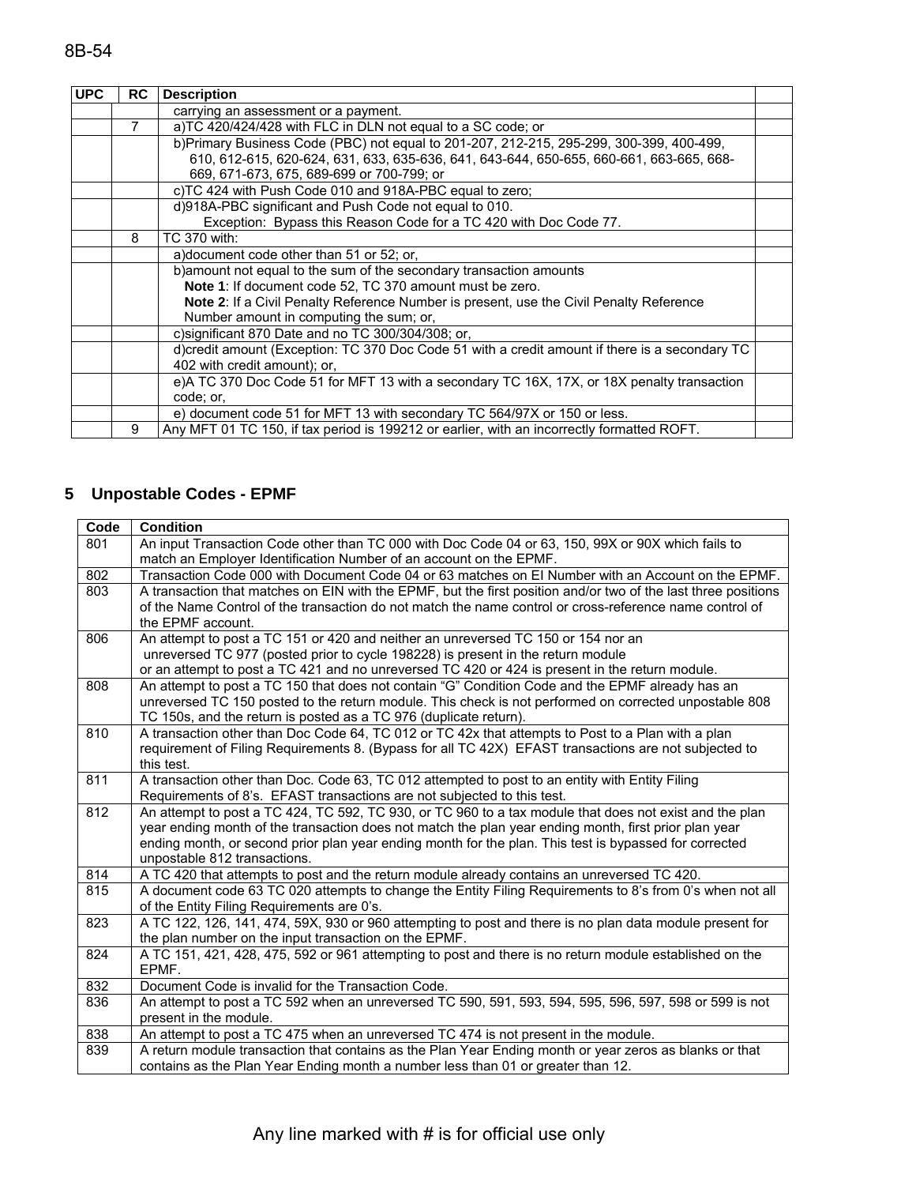| <b>UPC</b> | <b>RC</b> | <b>Description</b>                                                                             |  |
|------------|-----------|------------------------------------------------------------------------------------------------|--|
|            |           | carrying an assessment or a payment.                                                           |  |
|            | 7         | a)TC 420/424/428 with FLC in DLN not equal to a SC code; or                                    |  |
|            |           | b)Primary Business Code (PBC) not equal to 201-207, 212-215, 295-299, 300-399, 400-499,        |  |
|            |           | 610, 612-615, 620-624, 631, 633, 635-636, 641, 643-644, 650-655, 660-661, 663-665, 668-        |  |
|            |           | 669, 671-673, 675, 689-699 or 700-799; or                                                      |  |
|            |           | c)TC 424 with Push Code 010 and 918A-PBC equal to zero;                                        |  |
|            |           | d)918A-PBC significant and Push Code not equal to 010.                                         |  |
|            |           | Exception: Bypass this Reason Code for a TC 420 with Doc Code 77.                              |  |
|            | 8         | TC 370 with:                                                                                   |  |
|            |           | a) document code other than 51 or 52; or,                                                      |  |
|            |           | b) amount not equal to the sum of the secondary transaction amounts                            |  |
|            |           | Note 1: If document code 52, TC 370 amount must be zero.                                       |  |
|            |           | <b>Note 2:</b> If a Civil Penalty Reference Number is present, use the Civil Penalty Reference |  |
|            |           | Number amount in computing the sum; or,                                                        |  |
|            |           | c) significant 870 Date and no TC 300/304/308; or,                                             |  |
|            |           | d)credit amount (Exception: TC 370 Doc Code 51 with a credit amount if there is a secondary TC |  |
|            |           | 402 with credit amount); or,                                                                   |  |
|            |           | e)A TC 370 Doc Code 51 for MFT 13 with a secondary TC 16X, 17X, or 18X penalty transaction     |  |
|            |           | code; or,                                                                                      |  |
|            |           | e) document code 51 for MFT 13 with secondary TC 564/97X or 150 or less.                       |  |
|            | 9         | Any MFT 01 TC 150, if tax period is 199212 or earlier, with an incorrectly formatted ROFT.     |  |

# **5 Unpostable Codes - EPMF**

| Code | <b>Condition</b>                                                                                                                                                        |
|------|-------------------------------------------------------------------------------------------------------------------------------------------------------------------------|
| 801  | An input Transaction Code other than TC 000 with Doc Code 04 or 63, 150, 99X or 90X which fails to                                                                      |
|      | match an Employer Identification Number of an account on the EPMF.                                                                                                      |
| 802  | Transaction Code 000 with Document Code 04 or 63 matches on El Number with an Account on the EPMF.                                                                      |
| 803  | A transaction that matches on EIN with the EPMF, but the first position and/or two of the last three positions                                                          |
|      | of the Name Control of the transaction do not match the name control or cross-reference name control of                                                                 |
|      | the EPMF account.                                                                                                                                                       |
| 806  | An attempt to post a TC 151 or 420 and neither an unreversed TC 150 or 154 nor an                                                                                       |
|      | unreversed TC 977 (posted prior to cycle 198228) is present in the return module                                                                                        |
|      | or an attempt to post a TC 421 and no unreversed TC 420 or 424 is present in the return module.                                                                         |
| 808  | An attempt to post a TC 150 that does not contain "G" Condition Code and the EPMF already has an                                                                        |
|      | unreversed TC 150 posted to the return module. This check is not performed on corrected unpostable 808                                                                  |
| 810  | TC 150s, and the return is posted as a TC 976 (duplicate return).<br>A transaction other than Doc Code 64, TC 012 or TC 42x that attempts to Post to a Plan with a plan |
|      | requirement of Filing Requirements 8. (Bypass for all TC 42X) EFAST transactions are not subjected to                                                                   |
|      | this test.                                                                                                                                                              |
| 811  | A transaction other than Doc. Code 63, TC 012 attempted to post to an entity with Entity Filing                                                                         |
|      | Requirements of 8's. EFAST transactions are not subjected to this test.                                                                                                 |
| 812  | An attempt to post a TC 424, TC 592, TC 930, or TC 960 to a tax module that does not exist and the plan                                                                 |
|      | year ending month of the transaction does not match the plan year ending month, first prior plan year                                                                   |
|      | ending month, or second prior plan year ending month for the plan. This test is bypassed for corrected                                                                  |
|      | unpostable 812 transactions.                                                                                                                                            |
| 814  | A TC 420 that attempts to post and the return module already contains an unreversed TC 420.                                                                             |
| 815  | A document code 63 TC 020 attempts to change the Entity Filing Requirements to 8's from 0's when not all                                                                |
|      | of the Entity Filing Requirements are 0's.                                                                                                                              |
| 823  | A TC 122, 126, 141, 474, 59X, 930 or 960 attempting to post and there is no plan data module present for                                                                |
|      | the plan number on the input transaction on the EPMF.                                                                                                                   |
| 824  | A TC 151, 421, 428, 475, 592 or 961 attempting to post and there is no return module established on the                                                                 |
|      | EPMF.                                                                                                                                                                   |
| 832  | Document Code is invalid for the Transaction Code.                                                                                                                      |
| 836  | An attempt to post a TC 592 when an unreversed TC 590, 591, 593, 594, 595, 596, 597, 598 or 599 is not                                                                  |
|      | present in the module.                                                                                                                                                  |
| 838  | An attempt to post a TC 475 when an unreversed TC 474 is not present in the module.                                                                                     |
| 839  | A return module transaction that contains as the Plan Year Ending month or year zeros as blanks or that                                                                 |
|      | contains as the Plan Year Ending month a number less than 01 or greater than 12.                                                                                        |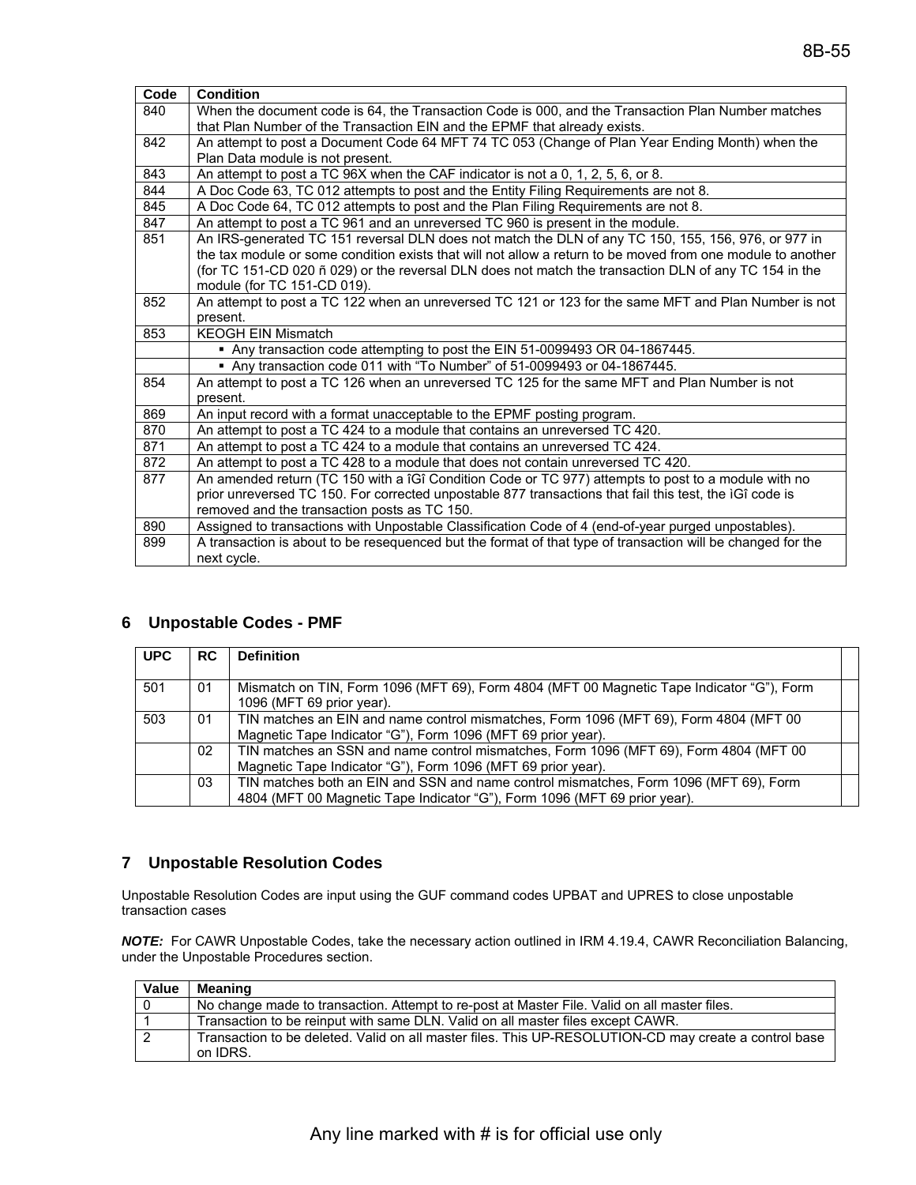| Code | <b>Condition</b>                                                                                            |
|------|-------------------------------------------------------------------------------------------------------------|
| 840  | When the document code is 64, the Transaction Code is 000, and the Transaction Plan Number matches          |
|      | that Plan Number of the Transaction EIN and the EPMF that already exists.                                   |
| 842  | An attempt to post a Document Code 64 MFT 74 TC 053 (Change of Plan Year Ending Month) when the             |
|      | Plan Data module is not present.                                                                            |
| 843  | An attempt to post a TC 96X when the CAF indicator is not a 0, 1, 2, 5, 6, or 8.                            |
| 844  | A Doc Code 63, TC 012 attempts to post and the Entity Filing Requirements are not 8.                        |
| 845  | A Doc Code 64, TC 012 attempts to post and the Plan Filing Requirements are not 8.                          |
| 847  | An attempt to post a TC 961 and an unreversed TC 960 is present in the module.                              |
| 851  | An IRS-generated TC 151 reversal DLN does not match the DLN of any TC 150, 155, 156, 976, or 977 in         |
|      | the tax module or some condition exists that will not allow a return to be moved from one module to another |
|      | (for TC 151-CD 020 ñ 029) or the reversal DLN does not match the transaction DLN of any TC 154 in the       |
|      | module (for TC 151-CD 019).                                                                                 |
| 852  | An attempt to post a TC 122 when an unreversed TC 121 or 123 for the same MFT and Plan Number is not        |
|      | present.                                                                                                    |
| 853  | <b>KEOGH EIN Mismatch</b>                                                                                   |
|      | Any transaction code attempting to post the EIN 51-0099493 OR 04-1867445.                                   |
|      | Any transaction code 011 with "To Number" of 51-0099493 or 04-1867445.                                      |
| 854  | An attempt to post a TC 126 when an unreversed TC 125 for the same MFT and Plan Number is not               |
|      | present.                                                                                                    |
| 869  | An input record with a format unacceptable to the EPMF posting program.                                     |
| 870  | An attempt to post a TC 424 to a module that contains an unreversed TC 420.                                 |
| 871  | An attempt to post a TC 424 to a module that contains an unreversed TC 424.                                 |
| 872  | An attempt to post a TC 428 to a module that does not contain unreversed TC 420.                            |
| 877  | An amended return (TC 150 with a îGî Condition Code or TC 977) attempts to post to a module with no         |
|      | prior unreversed TC 150. For corrected unpostable 877 transactions that fail this test, the IGI code is     |
|      | removed and the transaction posts as TC 150.                                                                |
| 890  | Assigned to transactions with Unpostable Classification Code of 4 (end-of-year purged unpostables).         |
| 899  | A transaction is about to be resequenced but the format of that type of transaction will be changed for the |
|      | next cycle.                                                                                                 |

### **6 Unpostable Codes - PMF**

| <b>UPC</b> | <b>RC</b> | <b>Definition</b>                                                                                                                                                  |  |
|------------|-----------|--------------------------------------------------------------------------------------------------------------------------------------------------------------------|--|
| 501        | 01        | Mismatch on TIN, Form 1096 (MFT 69), Form 4804 (MFT 00 Magnetic Tape Indicator "G"), Form<br>1096 (MFT 69 prior year).                                             |  |
| 503        | 01        | TIN matches an EIN and name control mismatches, Form 1096 (MFT 69), Form 4804 (MFT 00<br>Magnetic Tape Indicator "G"), Form 1096 (MFT 69 prior year).              |  |
|            | 02        | TIN matches an SSN and name control mismatches, Form 1096 (MFT 69), Form 4804 (MFT 00<br>Magnetic Tape Indicator "G"), Form 1096 (MFT 69 prior year).              |  |
|            | 03        | TIN matches both an EIN and SSN and name control mismatches, Form 1096 (MFT 69), Form<br>4804 (MFT 00 Magnetic Tape Indicator "G"), Form 1096 (MFT 69 prior year). |  |

#### **7 Unpostable Resolution Codes**

Unpostable Resolution Codes are input using the GUF command codes UPBAT and UPRES to close unpostable transaction cases

*NOTE:* For CAWR Unpostable Codes, take the necessary action outlined in IRM 4.19.4, CAWR Reconciliation Balancing, under the Unpostable Procedures section.

| <b>Value</b> | <b>Meaning</b>                                                                                        |
|--------------|-------------------------------------------------------------------------------------------------------|
|              | No change made to transaction. Attempt to re-post at Master File. Valid on all master files.          |
|              | Transaction to be reinput with same DLN. Valid on all master files except CAWR.                       |
| 2            | Transaction to be deleted. Valid on all master files. This UP-RESOLUTION-CD may create a control base |
|              | on IDRS.                                                                                              |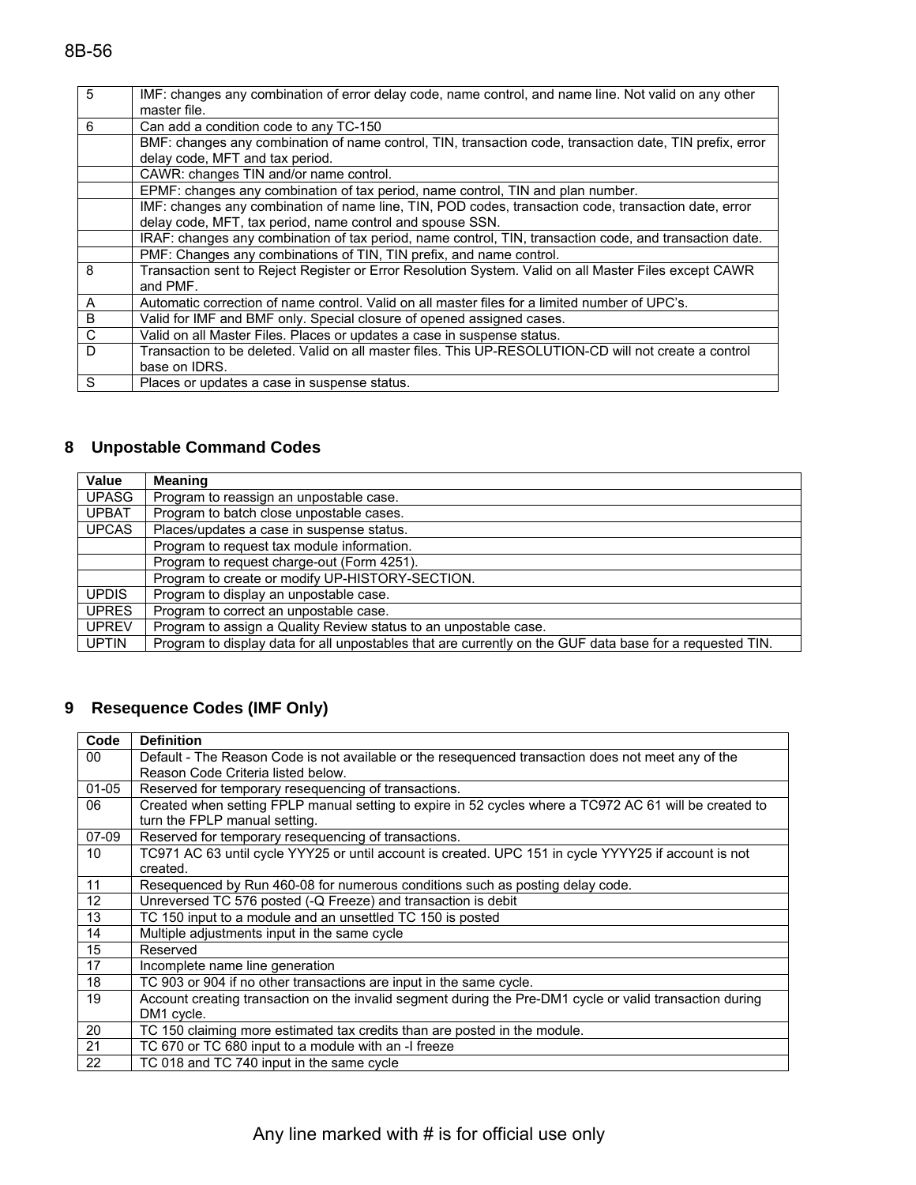| 5            | IMF: changes any combination of error delay code, name control, and name line. Not valid on any other<br>master file. |
|--------------|-----------------------------------------------------------------------------------------------------------------------|
| 6            | Can add a condition code to any TC-150                                                                                |
|              | BMF: changes any combination of name control, TIN, transaction code, transaction date, TIN prefix, error              |
|              | delay code, MFT and tax period.                                                                                       |
|              | CAWR: changes TIN and/or name control.                                                                                |
|              | EPMF: changes any combination of tax period, name control, TIN and plan number.                                       |
|              | IMF: changes any combination of name line, TIN, POD codes, transaction code, transaction date, error                  |
|              | delay code, MFT, tax period, name control and spouse SSN.                                                             |
|              | IRAF: changes any combination of tax period, name control, TIN, transaction code, and transaction date.               |
|              | PMF: Changes any combinations of TIN, TIN prefix, and name control.                                                   |
| 8            | Transaction sent to Reject Register or Error Resolution System. Valid on all Master Files except CAWR                 |
|              | and PMF.                                                                                                              |
| A            | Automatic correction of name control. Valid on all master files for a limited number of UPC's.                        |
| B            | Valid for IMF and BMF only. Special closure of opened assigned cases.                                                 |
| $\mathsf C$  | Valid on all Master Files. Places or updates a case in suspense status.                                               |
| $\mathsf{D}$ | Transaction to be deleted. Valid on all master files. This UP-RESOLUTION-CD will not create a control                 |
|              | base on IDRS.                                                                                                         |
| S            | Places or updates a case in suspense status.                                                                          |

# **8 Unpostable Command Codes**

| Value        | <b>Meaning</b>                                                                                           |
|--------------|----------------------------------------------------------------------------------------------------------|
| <b>UPASG</b> | Program to reassign an unpostable case.                                                                  |
| <b>UPBAT</b> | Program to batch close unpostable cases.                                                                 |
| <b>UPCAS</b> | Places/updates a case in suspense status.                                                                |
|              | Program to request tax module information.                                                               |
|              | Program to request charge-out (Form 4251).                                                               |
|              | Program to create or modify UP-HISTORY-SECTION.                                                          |
| <b>UPDIS</b> | Program to display an unpostable case.                                                                   |
| <b>UPRES</b> | Program to correct an unpostable case.                                                                   |
| <b>UPREV</b> | Program to assign a Quality Review status to an unpostable case.                                         |
| <b>UPTIN</b> | Program to display data for all unpostables that are currently on the GUF data base for a requested TIN. |

### **9 Resequence Codes (IMF Only)**

| Code      | <b>Definition</b>                                                                                        |
|-----------|----------------------------------------------------------------------------------------------------------|
| 00        | Default - The Reason Code is not available or the resequenced transaction does not meet any of the       |
|           | Reason Code Criteria listed below.                                                                       |
| $01 - 05$ | Reserved for temporary resequencing of transactions.                                                     |
| 06        | Created when setting FPLP manual setting to expire in 52 cycles where a TC972 AC 61 will be created to   |
|           | turn the FPLP manual setting.                                                                            |
| $07-09$   | Reserved for temporary resequencing of transactions.                                                     |
| 10        | TC971 AC 63 until cycle YYY25 or until account is created. UPC 151 in cycle YYYY25 if account is not     |
|           | created.                                                                                                 |
| 11        | Resequenced by Run 460-08 for numerous conditions such as posting delay code.                            |
| 12        | Unreversed TC 576 posted (-Q Freeze) and transaction is debit                                            |
| 13        | TC 150 input to a module and an unsettled TC 150 is posted                                               |
| 14        | Multiple adjustments input in the same cycle                                                             |
| 15        | Reserved                                                                                                 |
| 17        | Incomplete name line generation                                                                          |
| 18        | TC 903 or 904 if no other transactions are input in the same cycle.                                      |
| 19        | Account creating transaction on the invalid segment during the Pre-DM1 cycle or valid transaction during |
|           | DM1 cycle.                                                                                               |
| 20        | TC 150 claiming more estimated tax credits than are posted in the module.                                |
| 21        | TC 670 or TC 680 input to a module with an -I freeze                                                     |
| 22        | TC 018 and TC 740 input in the same cycle                                                                |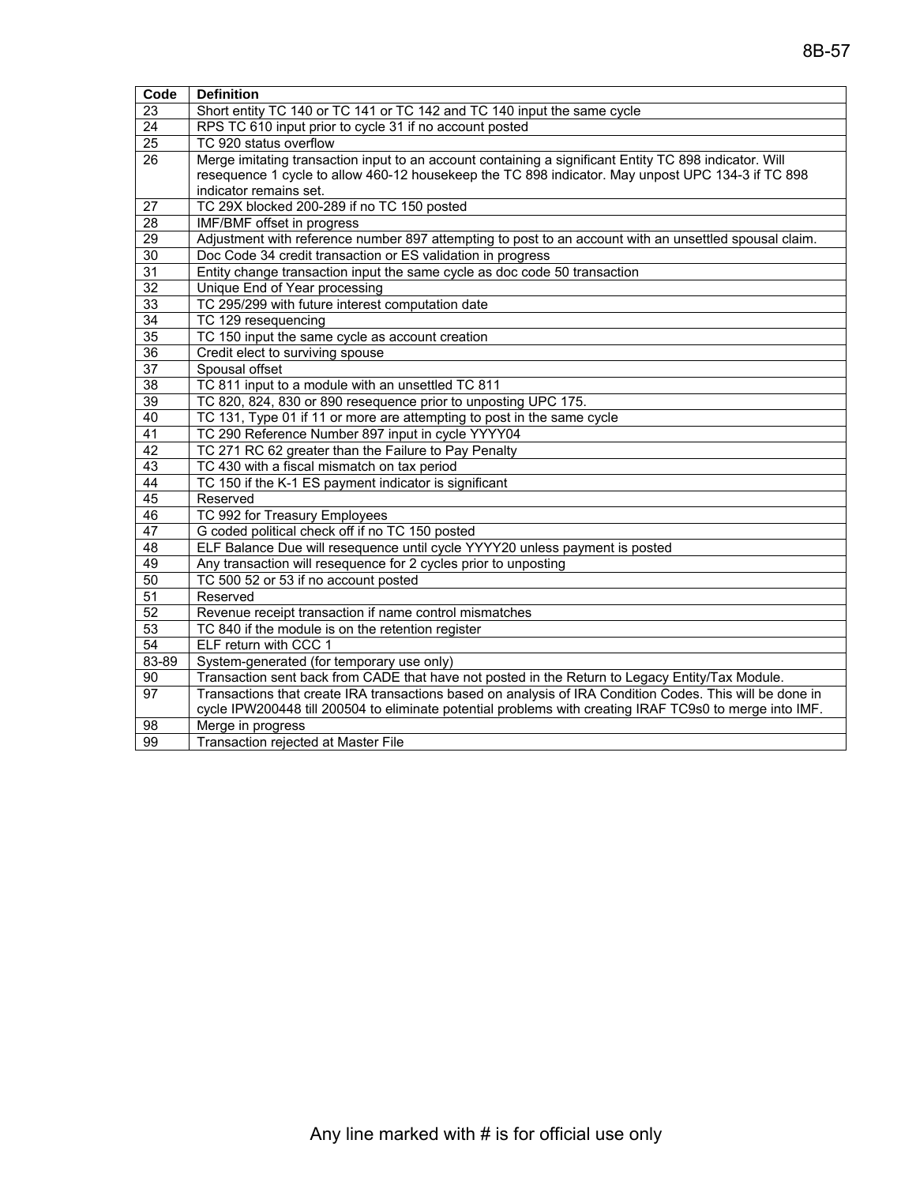| Code            | <b>Definition</b>                                                                                        |
|-----------------|----------------------------------------------------------------------------------------------------------|
| 23              | Short entity TC 140 or TC 141 or TC 142 and TC 140 input the same cycle                                  |
| 24              | RPS TC 610 input prior to cycle 31 if no account posted                                                  |
| $\overline{25}$ | TC 920 status overflow                                                                                   |
| 26              | Merge imitating transaction input to an account containing a significant Entity TC 898 indicator. Will   |
|                 | resequence 1 cycle to allow 460-12 housekeep the TC 898 indicator. May unpost UPC 134-3 if TC 898        |
|                 | indicator remains set.                                                                                   |
| 27              | TC 29X blocked 200-289 if no TC 150 posted                                                               |
| $\overline{28}$ | IMF/BMF offset in progress                                                                               |
| 29              | Adjustment with reference number 897 attempting to post to an account with an unsettled spousal claim.   |
| 30              | Doc Code 34 credit transaction or ES validation in progress                                              |
| 31              | Entity change transaction input the same cycle as doc code 50 transaction                                |
| $\overline{32}$ | Unique End of Year processing                                                                            |
| 33              | TC 295/299 with future interest computation date                                                         |
| 34              | TC 129 resequencing                                                                                      |
| $\overline{35}$ | TC 150 input the same cycle as account creation                                                          |
| 36              | Credit elect to surviving spouse                                                                         |
| $\overline{37}$ | Spousal offset                                                                                           |
| $\overline{38}$ | TC 811 input to a module with an unsettled TC 811                                                        |
| $\overline{39}$ | TC 820, 824, 830 or 890 resequence prior to unposting UPC 175.                                           |
| 40              | TC 131, Type 01 if 11 or more are attempting to post in the same cycle                                   |
| 41              | TC 290 Reference Number 897 input in cycle YYYY04                                                        |
| 42              | TC 271 RC 62 greater than the Failure to Pay Penalty                                                     |
| $\overline{43}$ | TC 430 with a fiscal mismatch on tax period                                                              |
| 44              | TC 150 if the K-1 ES payment indicator is significant                                                    |
| 45              | Reserved                                                                                                 |
| 46              | TC 992 for Treasury Employees                                                                            |
| 47              | G coded political check off if no TC 150 posted                                                          |
| 48              | ELF Balance Due will resequence until cycle YYYY20 unless payment is posted                              |
| 49              | Any transaction will resequence for 2 cycles prior to unposting                                          |
| $\overline{50}$ | TC 500 52 or 53 if no account posted                                                                     |
| 51              | Reserved                                                                                                 |
| 52              | Revenue receipt transaction if name control mismatches                                                   |
| 53              | TC 840 if the module is on the retention register                                                        |
| 54              | ELF return with CCC 1                                                                                    |
| 83-89           | System-generated (for temporary use only)                                                                |
| 90              | Transaction sent back from CADE that have not posted in the Return to Legacy Entity/Tax Module.          |
| 97              | Transactions that create IRA transactions based on analysis of IRA Condition Codes. This will be done in |
|                 | cycle IPW200448 till 200504 to eliminate potential problems with creating IRAF TC9s0 to merge into IMF.  |
| 98              | Merge in progress                                                                                        |
| 99              | Transaction rejected at Master File                                                                      |